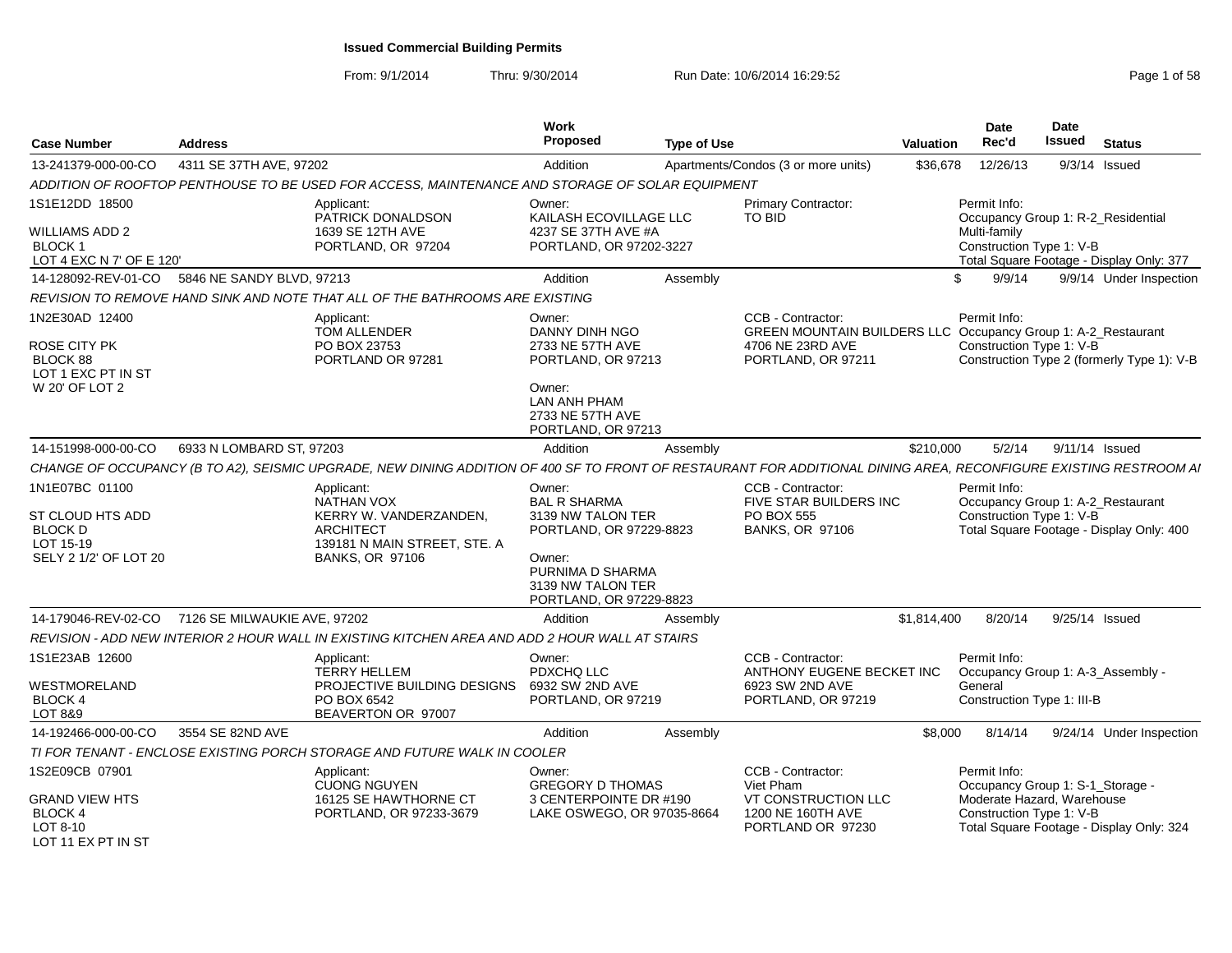From: 9/1/2014Thru: 9/30/2014 Run Date: 10/6/2014 16:29:52 Rege 1 of 58

| <b>Case Number</b>                                                                   | <b>Address</b>                                   |                                                                                                                                                                   | Work<br><b>Proposed</b>                                                                                                                                     | <b>Type of Use</b> |                                                                                                                              | <b>Valuation</b> | <b>Date</b><br>Rec'd                                                                                       | Date<br>Issued  | <b>Status</b>                              |
|--------------------------------------------------------------------------------------|--------------------------------------------------|-------------------------------------------------------------------------------------------------------------------------------------------------------------------|-------------------------------------------------------------------------------------------------------------------------------------------------------------|--------------------|------------------------------------------------------------------------------------------------------------------------------|------------------|------------------------------------------------------------------------------------------------------------|-----------------|--------------------------------------------|
| 13-241379-000-00-CO                                                                  | 4311 SE 37TH AVE, 97202                          |                                                                                                                                                                   | Addition                                                                                                                                                    |                    | Apartments/Condos (3 or more units)                                                                                          | \$36.678         | 12/26/13                                                                                                   | $9/3/14$ Issued |                                            |
|                                                                                      |                                                  | ADDITION OF ROOFTOP PENTHOUSE TO BE USED FOR ACCESS, MAINTENANCE AND STORAGE OF SOLAR EQUIPMENT                                                                   |                                                                                                                                                             |                    |                                                                                                                              |                  |                                                                                                            |                 |                                            |
| 1S1E12DD 18500<br>WILLIAMS ADD 2<br><b>BLOCK1</b>                                    |                                                  | Applicant:<br>PATRICK DONALDSON<br>1639 SE 12TH AVE<br>PORTLAND, OR 97204                                                                                         | Owner:<br>KAILASH ECOVILLAGE LLC<br>4237 SE 37TH AVE #A<br>PORTLAND, OR 97202-3227                                                                          |                    | <b>Primary Contractor:</b><br>TO BID                                                                                         |                  | Permit Info:<br>Occupancy Group 1: R-2 Residential<br>Multi-family<br>Construction Type 1: V-B             |                 |                                            |
| LOT 4 EXC N 7' OF E 120'                                                             |                                                  |                                                                                                                                                                   |                                                                                                                                                             |                    |                                                                                                                              |                  |                                                                                                            |                 | Total Square Footage - Display Only: 377   |
|                                                                                      | 14-128092-REV-01-CO 5846 NE SANDY BLVD, 97213    |                                                                                                                                                                   | Addition                                                                                                                                                    | Assembly           |                                                                                                                              | $\mathcal{L}$    | 9/9/14                                                                                                     |                 | 9/9/14 Under Inspection                    |
|                                                                                      |                                                  | REVISION TO REMOVE HAND SINK AND NOTE THAT ALL OF THE BATHROOMS ARE EXISTING                                                                                      |                                                                                                                                                             |                    |                                                                                                                              |                  |                                                                                                            |                 |                                            |
| 1N2E30AD 12400<br>ROSE CITY PK<br>BLOCK 88<br>LOT 1 EXC PT IN ST<br>W 20' OF LOT 2   |                                                  | Applicant:<br>TOM ALLENDER<br>PO BOX 23753<br>PORTLAND OR 97281                                                                                                   | Owner:<br>DANNY DINH NGO<br>2733 NE 57TH AVE<br>PORTLAND, OR 97213<br>Owner:<br>LAN ANH PHAM<br>2733 NE 57TH AVE<br>PORTLAND, OR 97213                      |                    | CCB - Contractor:<br>GREEN MOUNTAIN BUILDERS LLC Occupancy Group 1: A-2_Restaurant<br>4706 NE 23RD AVE<br>PORTLAND, OR 97211 |                  | Permit Info:<br>Construction Type 1: V-B                                                                   |                 | Construction Type 2 (formerly Type 1): V-B |
| 14-151998-000-00-CO                                                                  | 6933 N LOMBARD ST, 97203                         |                                                                                                                                                                   | Addition                                                                                                                                                    | Assembly           |                                                                                                                              | \$210,000        | 5/2/14                                                                                                     | 9/11/14 Issued  |                                            |
|                                                                                      |                                                  | CHANGE OF OCCUPANCY (B TO A2), SEISMIC UPGRADE, NEW DINING ADDITION OF 400 SF TO FRONT OF RESTAURANT FOR ADDITIONAL DINING AREA, RECONFIGURE EXISTING RESTROOM AI |                                                                                                                                                             |                    |                                                                                                                              |                  |                                                                                                            |                 |                                            |
| 1N1E07BC 01100<br>ST CLOUD HTS ADD<br>BLOCK D<br>LOT 15-19<br>SELY 2 1/2' OF LOT 20  |                                                  | Applicant:<br>NATHAN VOX<br>KERRY W. VANDERZANDEN.<br><b>ARCHITECT</b><br>139181 N MAIN STREET, STE. A<br><b>BANKS, OR 97106</b>                                  | Owner:<br><b>BAL R SHARMA</b><br>3139 NW TALON TER<br>PORTLAND, OR 97229-8823<br>Owner:<br>PURNIMA D SHARMA<br>3139 NW TALON TER<br>PORTLAND, OR 97229-8823 |                    | CCB - Contractor:<br>FIVE STAR BUILDERS INC<br><b>PO BOX 555</b><br><b>BANKS, OR 97106</b>                                   |                  | Permit Info:<br>Occupancy Group 1: A-2_Restaurant<br>Construction Type 1: V-B                              |                 | Total Square Footage - Display Only: 400   |
|                                                                                      | 14-179046-REV-02-CO 7126 SE MILWAUKIE AVE, 97202 |                                                                                                                                                                   | Addition                                                                                                                                                    | Assembly           |                                                                                                                              | \$1.814.400      | 8/20/14                                                                                                    | 9/25/14 Issued  |                                            |
|                                                                                      |                                                  | REVISION - ADD NEW INTERIOR 2 HOUR WALL IN EXISTING KITCHEN AREA AND ADD 2 HOUR WALL AT STAIRS                                                                    |                                                                                                                                                             |                    |                                                                                                                              |                  |                                                                                                            |                 |                                            |
| 1S1E23AB 12600<br>WESTMORELAND<br>BLOCK 4<br>LOT 8&9                                 |                                                  | Applicant:<br><b>TERRY HELLEM</b><br>PROJECTIVE BUILDING DESIGNS<br>PO BOX 6542<br>BEAVERTON OR 97007                                                             | Owner:<br>PDXCHQ LLC<br>6932 SW 2ND AVE<br>PORTLAND, OR 97219                                                                                               |                    | CCB - Contractor:<br>ANTHONY EUGENE BECKET INC<br>6923 SW 2ND AVE<br>PORTLAND, OR 97219                                      |                  | Permit Info:<br>Occupancy Group 1: A-3 Assembly -<br>General<br>Construction Type 1: III-B                 |                 |                                            |
| 14-192466-000-00-CO                                                                  | 3554 SE 82ND AVE                                 |                                                                                                                                                                   | Addition                                                                                                                                                    | Assembly           |                                                                                                                              | \$8.000          | 8/14/14                                                                                                    |                 | 9/24/14 Under Inspection                   |
|                                                                                      |                                                  | TI FOR TENANT - ENCLOSE EXISTING PORCH STORAGE AND FUTURE WALK IN COOLER                                                                                          |                                                                                                                                                             |                    |                                                                                                                              |                  |                                                                                                            |                 |                                            |
| 1S2E09CB 07901<br>GRAND VIEW HTS<br><b>BLOCK 4</b><br>LOT 8-10<br>LOT 11 EX PT IN ST |                                                  | Applicant:<br><b>CUONG NGUYEN</b><br>16125 SE HAWTHORNE CT<br>PORTLAND, OR 97233-3679                                                                             | Owner:<br><b>GREGORY D THOMAS</b><br>3 CENTERPOINTE DR #190<br>LAKE OSWEGO, OR 97035-8664                                                                   |                    | CCB - Contractor:<br>Viet Pham<br>VT CONSTRUCTION LLC<br>1200 NE 160TH AVE<br>PORTLAND OR 97230                              |                  | Permit Info:<br>Occupancy Group 1: S-1 Storage -<br>Moderate Hazard, Warehouse<br>Construction Type 1: V-B |                 | Total Square Footage - Display Only: 324   |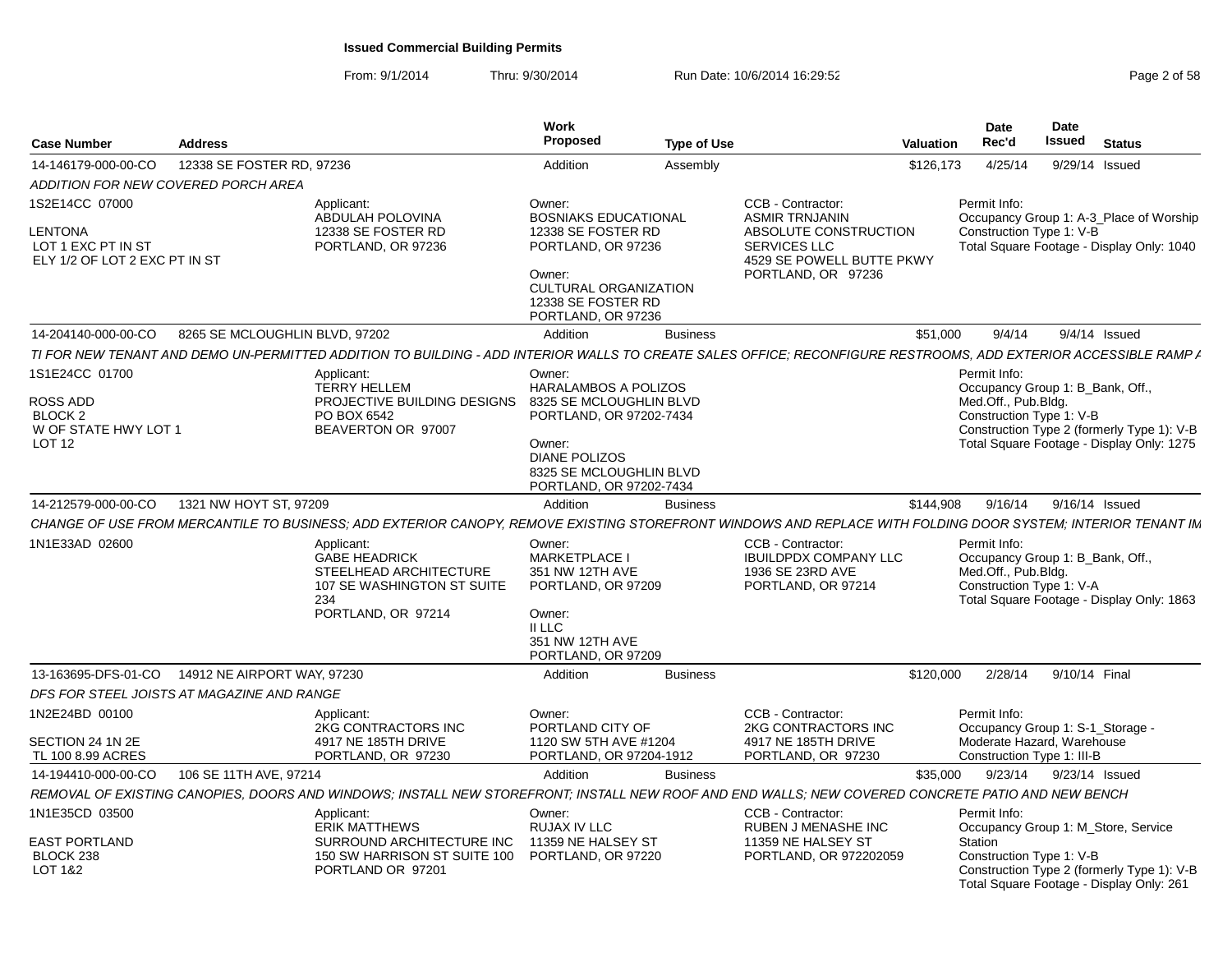From: 9/1/2014Thru: 9/30/2014 Run Date: 10/6/2014 16:29:52 Research 2010 2014 19:29:52

| <b>Case Number</b>                                                               | <b>Address</b>                 |                                                                                                                                                                 | Work<br><b>Proposed</b>                                                            | <b>Type of Use</b> | Valuation                                                                                                        | <b>Date</b><br>Rec'd                            | Date<br>Issued<br>Status                                                               |
|----------------------------------------------------------------------------------|--------------------------------|-----------------------------------------------------------------------------------------------------------------------------------------------------------------|------------------------------------------------------------------------------------|--------------------|------------------------------------------------------------------------------------------------------------------|-------------------------------------------------|----------------------------------------------------------------------------------------|
| 14-146179-000-00-CO                                                              | 12338 SE FOSTER RD, 97236      |                                                                                                                                                                 | Addition                                                                           |                    |                                                                                                                  | 4/25/14                                         | 9/29/14 Issued                                                                         |
|                                                                                  |                                |                                                                                                                                                                 |                                                                                    | Assembly           | \$126,173                                                                                                        |                                                 |                                                                                        |
| ADDITION FOR NEW COVERED PORCH AREA                                              |                                |                                                                                                                                                                 |                                                                                    |                    |                                                                                                                  |                                                 |                                                                                        |
| 1S2E14CC 07000<br>LENTONA<br>LOT 1 EXC PT IN ST<br>ELY 1/2 OF LOT 2 EXC PT IN ST |                                | Applicant:<br>ABDULAH POLOVINA<br>12338 SE FOSTER RD<br>PORTLAND, OR 97236                                                                                      | Owner:<br><b>BOSNIAKS EDUCATIONAL</b><br>12338 SE FOSTER RD<br>PORTLAND, OR 97236  |                    | CCB - Contractor:<br><b>ASMIR TRNJANIN</b><br>ABSOLUTE CONSTRUCTION<br>SERVICES LLC<br>4529 SE POWELL BUTTE PKWY | Permit Info:<br>Construction Type 1: V-B        | Occupancy Group 1: A-3_Place of Worship<br>Total Square Footage - Display Only: 1040   |
|                                                                                  |                                |                                                                                                                                                                 | Owner:<br><b>CULTURAL ORGANIZATION</b><br>12338 SE FOSTER RD<br>PORTLAND, OR 97236 |                    | PORTLAND, OR 97236                                                                                               |                                                 |                                                                                        |
| 14-204140-000-00-CO                                                              | 8265 SE MCLOUGHLIN BLVD, 97202 |                                                                                                                                                                 | Addition                                                                           | <b>Business</b>    |                                                                                                                  | \$51.000<br>9/4/14                              | $9/4/14$ Issued                                                                        |
|                                                                                  |                                | TI FOR NEW TENANT AND DEMO UN-PERMITTED ADDITION TO BUILDING - ADD INTERIOR WALLS TO CREATE SALES OFFICE; RECONFIGURE RESTROOMS, ADD EXTERIOR ACCESSIBLE RAMP A |                                                                                    |                    |                                                                                                                  |                                                 |                                                                                        |
| 1S1E24CC 01700                                                                   |                                | Applicant:                                                                                                                                                      | Owner:                                                                             |                    |                                                                                                                  | Permit Info:                                    |                                                                                        |
|                                                                                  |                                | <b>TERRY HELLEM</b>                                                                                                                                             | <b>HARALAMBOS A POLIZOS</b>                                                        |                    |                                                                                                                  |                                                 | Occupancy Group 1: B_Bank, Off.,                                                       |
| ROSS ADD<br>BLOCK <sub>2</sub>                                                   |                                | PROJECTIVE BUILDING DESIGNS<br>PO BOX 6542                                                                                                                      | 8325 SE MCLOUGHLIN BLVD<br>PORTLAND, OR 97202-7434                                 |                    |                                                                                                                  | Med.Off., Pub.Bldg.<br>Construction Type 1: V-B |                                                                                        |
| W OF STATE HWY LOT 1                                                             |                                | BEAVERTON OR 97007                                                                                                                                              |                                                                                    |                    |                                                                                                                  |                                                 | Construction Type 2 (formerly Type 1): V-B                                             |
| <b>LOT 12</b>                                                                    |                                |                                                                                                                                                                 | Owner:                                                                             |                    |                                                                                                                  |                                                 | Total Square Footage - Display Only: 1275                                              |
|                                                                                  |                                |                                                                                                                                                                 | <b>DIANE POLIZOS</b>                                                               |                    |                                                                                                                  |                                                 |                                                                                        |
|                                                                                  |                                |                                                                                                                                                                 | 8325 SE MCLOUGHLIN BLVD                                                            |                    |                                                                                                                  |                                                 |                                                                                        |
|                                                                                  |                                |                                                                                                                                                                 | PORTLAND, OR 97202-7434                                                            |                    |                                                                                                                  |                                                 |                                                                                        |
| 14-212579-000-00-CO                                                              | 1321 NW HOYT ST, 97209         |                                                                                                                                                                 | Addition                                                                           | <b>Business</b>    | \$144,908                                                                                                        | 9/16/14                                         | 9/16/14 Issued                                                                         |
|                                                                                  |                                | CHANGE OF USE FROM MERCANTILE TO BUSINESS: ADD EXTERIOR CANOPY. REMOVE EXISTING STOREFRONT WINDOWS AND REPLACE WITH FOLDING DOOR SYSTEM: INTERIOR TENANT IM     |                                                                                    |                    |                                                                                                                  |                                                 |                                                                                        |
| 1N1E33AD 02600                                                                   |                                | Applicant:                                                                                                                                                      | Owner:                                                                             |                    | CCB - Contractor:                                                                                                | Permit Info:                                    |                                                                                        |
|                                                                                  |                                | <b>GABE HEADRICK</b><br>STEELHEAD ARCHITECTURE<br>107 SE WASHINGTON ST SUITE                                                                                    | <b>MARKETPLACE I</b><br>351 NW 12TH AVE<br>PORTLAND, OR 97209                      |                    | <b>IBUILDPDX COMPANY LLC</b><br>1936 SE 23RD AVE<br>PORTLAND, OR 97214                                           | Med.Off., Pub.Bldg.<br>Construction Type 1: V-A | Occupancy Group 1: B_Bank, Off.,                                                       |
|                                                                                  |                                | 234<br>PORTLAND, OR 97214                                                                                                                                       | Owner:                                                                             |                    |                                                                                                                  |                                                 | Total Square Footage - Display Only: 1863                                              |
|                                                                                  |                                |                                                                                                                                                                 | II LLC<br>351 NW 12TH AVE<br>PORTLAND, OR 97209                                    |                    |                                                                                                                  |                                                 |                                                                                        |
| 13-163695-DFS-01-CO                                                              | 14912 NE AIRPORT WAY, 97230    |                                                                                                                                                                 | Addition                                                                           | <b>Business</b>    | \$120,000                                                                                                        | 2/28/14                                         | 9/10/14 Final                                                                          |
| DFS FOR STEEL JOISTS AT MAGAZINE AND RANGE                                       |                                |                                                                                                                                                                 |                                                                                    |                    |                                                                                                                  |                                                 |                                                                                        |
| 1N2E24BD 00100                                                                   |                                | Applicant:<br>2KG CONTRACTORS INC                                                                                                                               | Owner:<br>PORTLAND CITY OF                                                         |                    | CCB - Contractor:<br>2KG CONTRACTORS INC                                                                         | Permit Info:                                    | Occupancy Group 1: S-1 Storage -                                                       |
| SECTION 24 1N 2E<br>TL 100 8.99 ACRES                                            |                                | 4917 NE 185TH DRIVE<br>PORTLAND, OR 97230                                                                                                                       | 1120 SW 5TH AVE #1204<br>PORTLAND, OR 97204-1912                                   |                    | 4917 NE 185TH DRIVE<br>PORTLAND, OR 97230                                                                        |                                                 | Moderate Hazard, Warehouse<br>Construction Type 1: III-B                               |
| 14-194410-000-00-CO                                                              | 106 SE 11TH AVE, 97214         |                                                                                                                                                                 | Addition                                                                           | <b>Business</b>    |                                                                                                                  | \$35,000<br>9/23/14                             | 9/23/14 Issued                                                                         |
|                                                                                  |                                | REMOVAL OF EXISTING CANOPIES. DOORS AND WINDOWS: INSTALL NEW STOREFRONT: INSTALL NEW ROOF AND END WALLS: NEW COVERED CONCRETE PATIO AND NEW BENCH               |                                                                                    |                    |                                                                                                                  |                                                 |                                                                                        |
| 1N1E35CD 03500                                                                   |                                | Applicant:                                                                                                                                                      | Owner:                                                                             |                    | CCB - Contractor:                                                                                                | Permit Info:                                    |                                                                                        |
|                                                                                  |                                | <b>ERIK MATTHEWS</b>                                                                                                                                            | RUJAX IV LLC                                                                       |                    | RUBEN J MENASHE INC                                                                                              |                                                 | Occupancy Group 1: M_Store, Service                                                    |
| <b>EAST PORTLAND</b>                                                             |                                | SURROUND ARCHITECTURE INC                                                                                                                                       | 11359 NE HALSEY ST                                                                 |                    | 11359 NE HALSEY ST                                                                                               | Station                                         |                                                                                        |
| BLOCK 238<br>LOT 1&2                                                             |                                | 150 SW HARRISON ST SUITE 100 PORTLAND, OR 97220<br>PORTLAND OR 97201                                                                                            |                                                                                    |                    | PORTLAND, OR 972202059                                                                                           | Construction Type 1: V-B                        | Construction Type 2 (formerly Type 1): V-B<br>Total Square Footage - Display Only: 261 |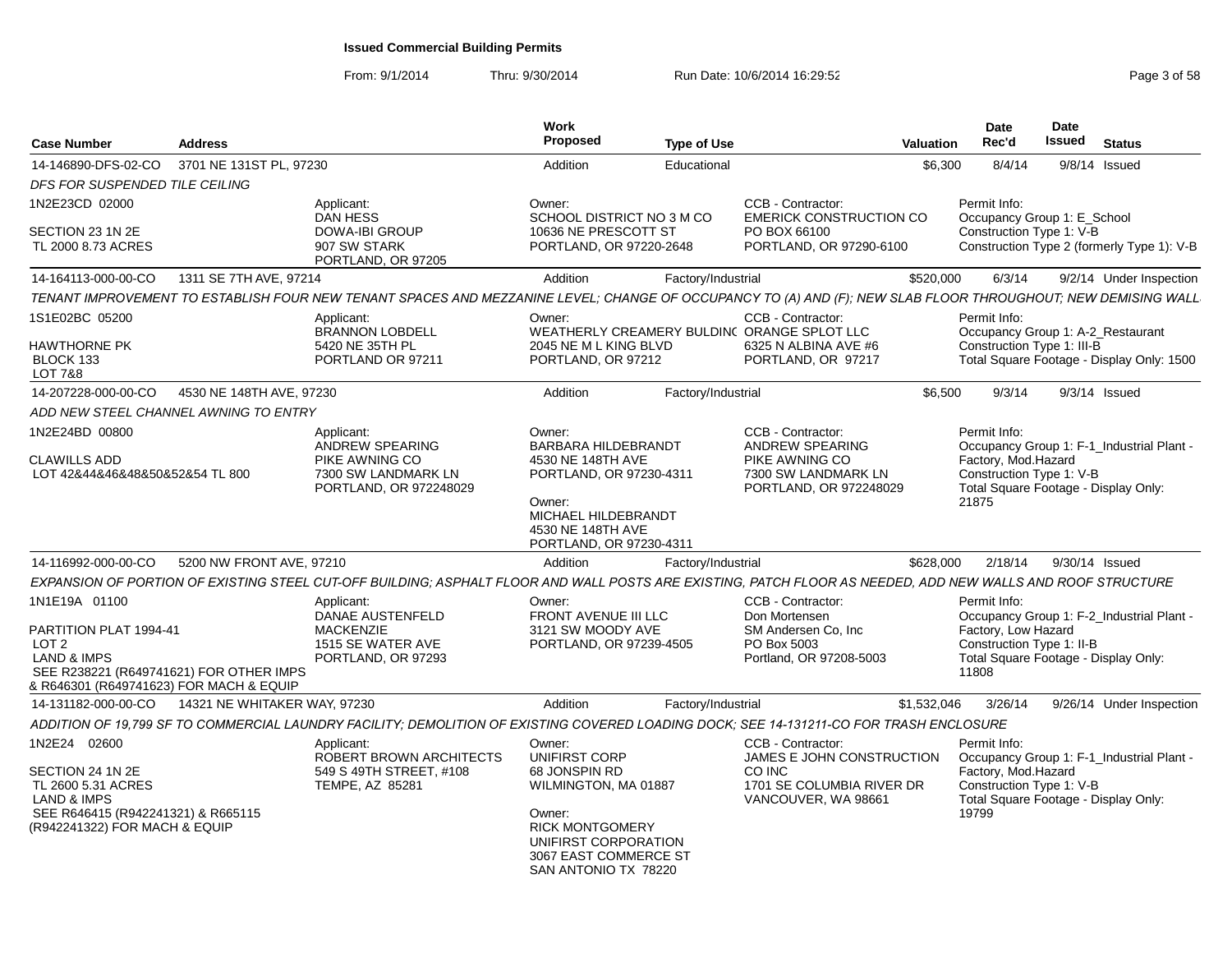From: 9/1/2014Thru: 9/30/2014 Run Date: 10/6/2014 16:29:52 Rege 3 of 58

| <b>Case Number</b>                                                                                                                                         | <b>Address</b>           |                                                                                               | Work<br><b>Proposed</b>                                                                                                                                     | <b>Type of Use</b> | Valuation                                                                                                                                                    | <b>Date</b><br>Rec'd                                                                                                                           | <b>Date</b><br><b>Issued</b> Status |                          |
|------------------------------------------------------------------------------------------------------------------------------------------------------------|--------------------------|-----------------------------------------------------------------------------------------------|-------------------------------------------------------------------------------------------------------------------------------------------------------------|--------------------|--------------------------------------------------------------------------------------------------------------------------------------------------------------|------------------------------------------------------------------------------------------------------------------------------------------------|-------------------------------------|--------------------------|
| 14-146890-DFS-02-CO                                                                                                                                        | 3701 NE 131ST PL. 97230  |                                                                                               | Addition                                                                                                                                                    | Educational        | \$6.300                                                                                                                                                      | 8/4/14                                                                                                                                         | 9/8/14 Issued                       |                          |
| DFS FOR SUSPENDED TILE CEILING                                                                                                                             |                          |                                                                                               |                                                                                                                                                             |                    |                                                                                                                                                              |                                                                                                                                                |                                     |                          |
| 1N2E23CD 02000                                                                                                                                             |                          | Applicant:<br><b>DAN HESS</b>                                                                 | Owner:<br>SCHOOL DISTRICT NO 3 M CO                                                                                                                         |                    | CCB - Contractor:<br><b>EMERICK CONSTRUCTION CO</b>                                                                                                          | Permit Info:<br>Occupancy Group 1: E_School                                                                                                    |                                     |                          |
| SECTION 23 1N 2E<br>TL 2000 8.73 ACRES                                                                                                                     |                          | <b>DOWA-IBI GROUP</b><br>907 SW STARK<br>PORTLAND, OR 97205                                   | 10636 NE PRESCOTT ST<br>PORTLAND, OR 97220-2648                                                                                                             |                    | PO BOX 66100<br>PORTLAND, OR 97290-6100                                                                                                                      | Construction Type 1: V-B<br>Construction Type 2 (formerly Type 1): V-B                                                                         |                                     |                          |
| 14-164113-000-00-CO                                                                                                                                        | 1311 SE 7TH AVE, 97214   |                                                                                               | Addition                                                                                                                                                    | Factory/Industrial | \$520,000                                                                                                                                                    | 6/3/14                                                                                                                                         |                                     | 9/2/14 Under Inspection  |
|                                                                                                                                                            |                          |                                                                                               |                                                                                                                                                             |                    | TENANT IMPROVEMENT TO ESTABLISH FOUR NEW TENANT SPACES AND MEZZANINE LEVEL; CHANGE OF OCCUPANCY TO (A) AND (F); NEW SLAB FLOOR THROUGHOUT; NEW DEMISING WALL |                                                                                                                                                |                                     |                          |
| 1S1E02BC 05200                                                                                                                                             |                          | Applicant:<br><b>BRANNON LOBDELL</b>                                                          | Owner:                                                                                                                                                      |                    | CCB - Contractor:<br>WEATHERLY CREAMERY BULDIN( ORANGE SPLOT LLC                                                                                             | Permit Info:<br>Occupancy Group 1: A-2_Restaurant                                                                                              |                                     |                          |
| HAWTHORNE PK<br>BLOCK 133<br><b>LOT 7&amp;8</b>                                                                                                            |                          | 5420 NE 35TH PL<br>PORTLAND OR 97211                                                          | 2045 NE M L KING BLVD<br>PORTLAND, OR 97212                                                                                                                 |                    | 6325 N ALBINA AVE #6<br>PORTLAND, OR 97217                                                                                                                   | Construction Type 1: III-B<br>Total Square Footage - Display Only: 1500                                                                        |                                     |                          |
| 14-207228-000-00-CO                                                                                                                                        | 4530 NE 148TH AVE, 97230 |                                                                                               | Addition                                                                                                                                                    | Factory/Industrial | \$6.500                                                                                                                                                      | 9/3/14                                                                                                                                         | $9/3/14$ Issued                     |                          |
| ADD NEW STEEL CHANNEL AWNING TO ENTRY                                                                                                                      |                          |                                                                                               |                                                                                                                                                             |                    |                                                                                                                                                              |                                                                                                                                                |                                     |                          |
| 1N2E24BD 00800                                                                                                                                             |                          | Applicant:                                                                                    | Owner:                                                                                                                                                      |                    | CCB - Contractor:                                                                                                                                            | Permit Info:                                                                                                                                   |                                     |                          |
| <b>CLAWILLS ADD</b><br>LOT 42&44&46&48&50&52&54 TL 800                                                                                                     |                          | ANDREW SPEARING<br>PIKE AWNING CO<br>7300 SW LANDMARK LN<br>PORTLAND, OR 972248029            | <b>BARBARA HILDEBRANDT</b><br>4530 NE 148TH AVE<br>PORTLAND, OR 97230-4311<br>Owner:<br>MICHAEL HILDEBRANDT<br>4530 NE 148TH AVE<br>PORTLAND, OR 97230-4311 |                    | ANDREW SPEARING<br>PIKE AWNING CO<br>7300 SW LANDMARK LN<br>PORTLAND, OR 972248029                                                                           | Occupancy Group 1: F-1_Industrial Plant -<br>Factory, Mod.Hazard<br>Construction Type 1: V-B<br>Total Square Footage - Display Only:<br>21875  |                                     |                          |
| 14-116992-000-00-CO                                                                                                                                        | 5200 NW FRONT AVE, 97210 |                                                                                               | Addition                                                                                                                                                    | Factory/Industrial | \$628,000                                                                                                                                                    |                                                                                                                                                | 2/18/14 9/30/14 Issued              |                          |
|                                                                                                                                                            |                          |                                                                                               |                                                                                                                                                             |                    | EXPANSION OF PORTION OF EXISTING STEEL CUT-OFF BUILDING; ASPHALT FLOOR AND WALL POSTS ARE EXISTING, PATCH FLOOR AS NEEDED, ADD NEW WALLS AND ROOF STRUCTURE  |                                                                                                                                                |                                     |                          |
| 1N1E19A 01100                                                                                                                                              |                          |                                                                                               | Owner:                                                                                                                                                      |                    | CCB - Contractor:                                                                                                                                            | Permit Info:                                                                                                                                   |                                     |                          |
| PARTITION PLAT 1994-41<br>LOT <sub>2</sub><br><b>LAND &amp; IMPS</b><br>SEE R238221 (R649741621) FOR OTHER IMPS<br>& R646301 (R649741623) FOR MACH & EQUIP |                          | Applicant:<br>DANAE AUSTENFELD<br><b>MACKENZIE</b><br>1515 SE WATER AVE<br>PORTLAND, OR 97293 | FRONT AVENUE III LLC<br>3121 SW MOODY AVE<br>PORTLAND, OR 97239-4505                                                                                        |                    | Don Mortensen<br>SM Andersen Co. Inc.<br>PO Box 5003<br>Portland, OR 97208-5003                                                                              | Occupancy Group 1: F-2_Industrial Plant -<br>Factory, Low Hazard<br>Construction Type 1: II-B<br>Total Square Footage - Display Only:<br>11808 |                                     |                          |
| 14-131182-000-00-CO 14321 NE WHITAKER WAY, 97230                                                                                                           |                          |                                                                                               | Addition                                                                                                                                                    | Factory/Industrial | \$1,532,046                                                                                                                                                  | 3/26/14                                                                                                                                        |                                     | 9/26/14 Under Inspection |
|                                                                                                                                                            |                          |                                                                                               |                                                                                                                                                             |                    | ADDITION OF 19,799 SF TO COMMERCIAL LAUNDRY FACILITY; DEMOLITION OF EXISTING COVERED LOADING DOCK; SEE 14-131211-CO FOR TRASH ENCLOSURE                      |                                                                                                                                                |                                     |                          |
| 1N2E24 02600                                                                                                                                               |                          | Applicant:<br>ROBERT BROWN ARCHITECTS                                                         | Owner:<br><b>UNIFIRST CORP</b>                                                                                                                              |                    | CCB - Contractor:<br>JAMES E JOHN CONSTRUCTION                                                                                                               | Permit Info:<br>Occupancy Group 1: F-1_Industrial Plant -                                                                                      |                                     |                          |
| SECTION 24 1N 2E<br>TL 2600 5.31 ACRES<br><b>LAND &amp; IMPS</b>                                                                                           |                          | 549 S 49TH STREET, #108<br>TEMPE, AZ 85281                                                    | 68 JONSPIN RD<br>WILMINGTON, MA 01887                                                                                                                       |                    | CO INC<br>1701 SE COLUMBIA RIVER DR<br>VANCOUVER, WA 98661                                                                                                   | Factory, Mod.Hazard<br>Construction Type 1: V-B<br>Total Square Footage - Display Only:                                                        |                                     |                          |
| SEE R646415 (R942241321) & R665115<br>(R942241322) FOR MACH & EQUIP                                                                                        |                          |                                                                                               | Owner:<br><b>RICK MONTGOMERY</b><br>UNIFIRST CORPORATION<br>3067 EAST COMMERCE ST<br>SAN ANTONIO TX 78220                                                   |                    |                                                                                                                                                              | 19799                                                                                                                                          |                                     |                          |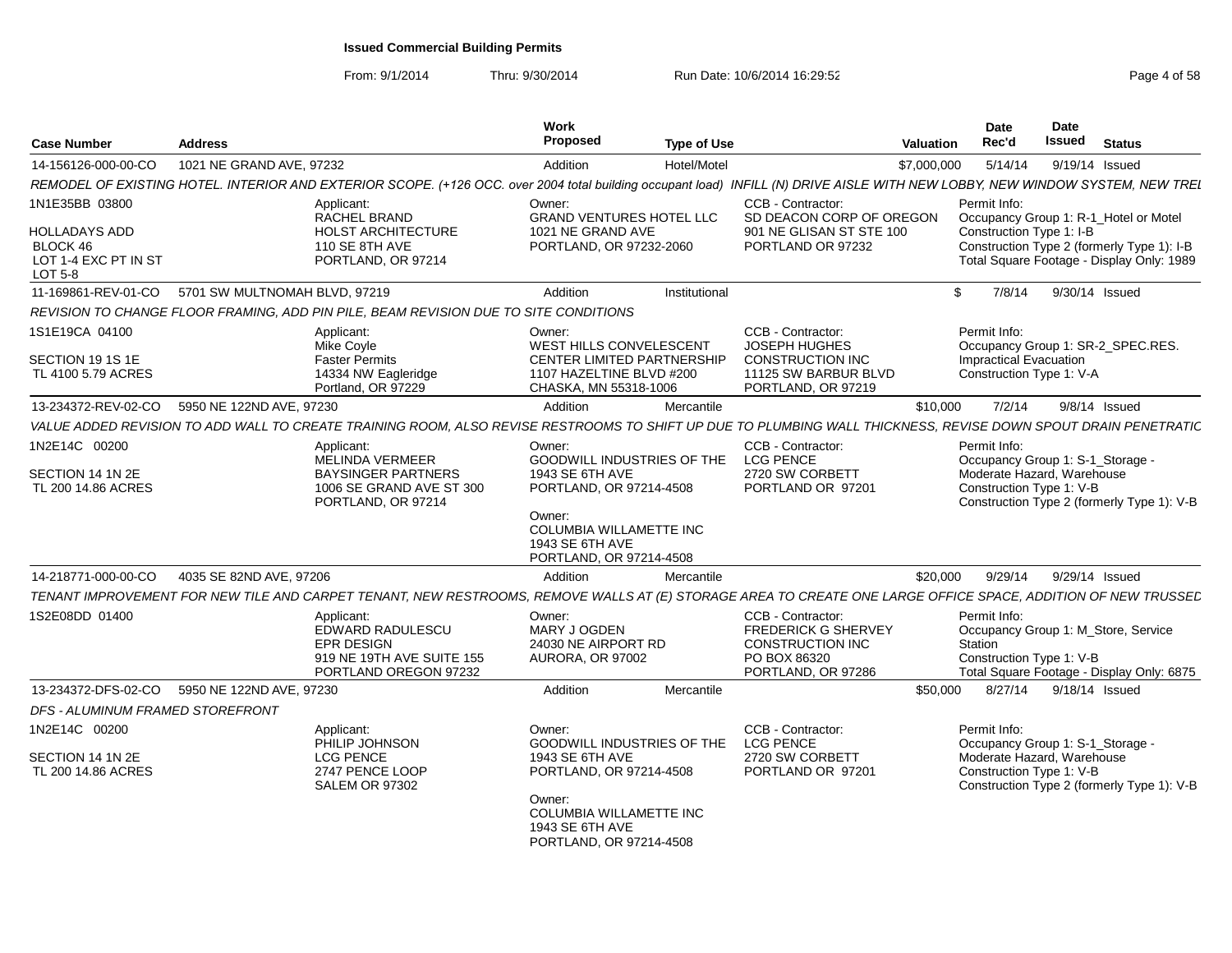From: 9/1/2014

Thru: 9/30/2014 Run Date: 10/6/2014 16:29:52 Rege 4 of 58

| <b>Case Number</b>                                                  | <b>Address</b>                               |                                                                                                                                                                               | Work<br><b>Proposed</b>                                                                                                       | <b>Type of Use</b> |                                                                                                           | Valuation   | Date<br>Rec'd                                       | <b>Date</b><br>Issued                 | <b>Status</b>                                                                           |
|---------------------------------------------------------------------|----------------------------------------------|-------------------------------------------------------------------------------------------------------------------------------------------------------------------------------|-------------------------------------------------------------------------------------------------------------------------------|--------------------|-----------------------------------------------------------------------------------------------------------|-------------|-----------------------------------------------------|---------------------------------------|-----------------------------------------------------------------------------------------|
| 14-156126-000-00-CO                                                 | 1021 NE GRAND AVE, 97232                     |                                                                                                                                                                               | Addition                                                                                                                      | Hotel/Motel        |                                                                                                           | \$7,000,000 | 5/14/14                                             | 9/19/14 Issued                        |                                                                                         |
|                                                                     |                                              | REMODEL OF EXISTING HOTEL. INTERIOR AND EXTERIOR SCOPE. (+126 OCC. over 2004 total building occupant load) INFILL (N) DRIVE AISLE WITH NEW LOBBY, NEW WINDOW SYSTEM, NEW TREL |                                                                                                                               |                    |                                                                                                           |             |                                                     |                                       |                                                                                         |
| 1N1E35BB 03800<br>HOLLADAYS ADD<br>BLOCK 46<br>LOT 1-4 EXC PT IN ST |                                              | Applicant:<br><b>RACHEL BRAND</b><br><b>HOLST ARCHITECTURE</b><br>110 SE 8TH AVE<br>PORTLAND, OR 97214                                                                        | Owner:<br><b>GRAND VENTURES HOTEL LLC</b><br>1021 NE GRAND AVE<br>PORTLAND, OR 97232-2060                                     |                    | CCB - Contractor:<br>SD DEACON CORP OF OREGON<br>901 NE GLISAN ST STE 100<br>PORTLAND OR 97232            |             | Permit Info:<br>Construction Type 1: I-B            | Occupancy Group 1: R-1_Hotel or Motel | Construction Type 2 (formerly Type 1): I-B<br>Total Square Footage - Display Only: 1989 |
| LOT 5-8<br>11-169861-REV-01-CO 5701 SW MULTNOMAH BLVD, 97219        |                                              |                                                                                                                                                                               | Addition                                                                                                                      | Institutional      |                                                                                                           |             | 7/8/14<br>$\mathbf{\hat{s}}$                        | 9/30/14 Issued                        |                                                                                         |
|                                                                     |                                              | REVISION TO CHANGE FLOOR FRAMING. ADD PIN PILE, BEAM REVISION DUE TO SITE CONDITIONS                                                                                          |                                                                                                                               |                    |                                                                                                           |             |                                                     |                                       |                                                                                         |
| 1S1E19CA 04100                                                      |                                              | Applicant:                                                                                                                                                                    | Owner:                                                                                                                        |                    | CCB - Contractor:                                                                                         |             | Permit Info:                                        |                                       |                                                                                         |
| SECTION 19 1S 1E<br>TL 4100 5.79 ACRES                              |                                              | Mike Coyle<br><b>Faster Permits</b><br>14334 NW Eagleridge<br>Portland, OR 97229                                                                                              | WEST HILLS CONVELESCENT<br><b>CENTER LIMITED PARTNERSHIP</b><br>1107 HAZELTINE BLVD #200<br>CHASKA, MN 55318-1006             |                    | JOSEPH HUGHES<br><b>CONSTRUCTION INC</b><br>11125 SW BARBUR BLVD<br>PORTLAND, OR 97219                    |             | Impractical Evacuation<br>Construction Type 1: V-A  | Occupancy Group 1: SR-2_SPEC.RES.     |                                                                                         |
| 13-234372-REV-02-CO                                                 | 5950 NE 122ND AVE, 97230                     |                                                                                                                                                                               | Addition                                                                                                                      | Mercantile         |                                                                                                           | \$10,000    | 7/2/14                                              | $9/8/14$ Issued                       |                                                                                         |
|                                                                     |                                              | VALUE ADDED REVISION TO ADD WALL TO CREATE TRAINING ROOM. ALSO REVISE RESTROOMS TO SHIFT UP DUE TO PLUMBING WALL THICKNESS. REVISE DOWN SPOUT DRAIN PENETRATIC                |                                                                                                                               |                    |                                                                                                           |             |                                                     |                                       |                                                                                         |
| 1N2E14C 00200                                                       |                                              | Applicant:<br><b>MELINDA VERMEER</b>                                                                                                                                          | Owner:<br><b>GOODWILL INDUSTRIES OF THE</b>                                                                                   |                    | CCB - Contractor:<br><b>LCG PENCE</b>                                                                     |             | Permit Info:                                        | Occupancy Group 1: S-1_Storage -      |                                                                                         |
| SECTION 14 1N 2E<br>TL 200 14.86 ACRES                              |                                              | <b>BAYSINGER PARTNERS</b><br>1006 SE GRAND AVE ST 300<br>PORTLAND, OR 97214                                                                                                   | 1943 SE 6TH AVE<br>PORTLAND, OR 97214-4508<br>Owner:<br>COLUMBIA WILLAMETTE INC<br>1943 SE 6TH AVE<br>PORTLAND, OR 97214-4508 |                    | 2720 SW CORBETT<br>PORTLAND OR 97201                                                                      |             | Construction Type 1: V-B                            | Moderate Hazard, Warehouse            | Construction Type 2 (formerly Type 1): V-B                                              |
| 14-218771-000-00-CO                                                 | 4035 SE 82ND AVE, 97206                      |                                                                                                                                                                               | Addition                                                                                                                      | Mercantile         |                                                                                                           | \$20,000    | 9/29/14                                             | 9/29/14 Issued                        |                                                                                         |
|                                                                     |                                              | TENANT IMPROVEMENT FOR NEW TILE AND CARPET TENANT, NEW RESTROOMS, REMOVE WALLS AT (E) STORAGE AREA TO CREATE ONE LARGE OFFICE SPACE, ADDITION OF NEW TRUSSEL                  |                                                                                                                               |                    |                                                                                                           |             |                                                     |                                       |                                                                                         |
| 1S2E08DD 01400                                                      |                                              | Applicant:<br>EDWARD RADULESCU<br>EPR DESIGN<br>919 NE 19TH AVE SUITE 155<br>PORTLAND OREGON 97232                                                                            | Owner:<br>MARY J OGDEN<br>24030 NE AIRPORT RD<br>AURORA, OR 97002                                                             |                    | CCB - Contractor:<br><b>FREDERICK G SHERVEY</b><br>CONSTRUCTION INC<br>PO BOX 86320<br>PORTLAND, OR 97286 |             | Permit Info:<br>Station<br>Construction Type 1: V-B | Occupancy Group 1: M_Store, Service   | Total Square Footage - Display Only: 6875                                               |
|                                                                     | 13-234372-DFS-02-CO 5950 NE 122ND AVE, 97230 |                                                                                                                                                                               | Addition                                                                                                                      | Mercantile         |                                                                                                           | \$50,000    | 8/27/14                                             | 9/18/14 Issued                        |                                                                                         |
| DFS - ALUMINUM FRAMED STOREFRONT                                    |                                              |                                                                                                                                                                               |                                                                                                                               |                    |                                                                                                           |             |                                                     |                                       |                                                                                         |
| 1N2E14C 00200                                                       |                                              | Applicant:<br>PHILIP JOHNSON                                                                                                                                                  | Owner:<br>GOODWILL INDUSTRIES OF THE                                                                                          |                    | CCB - Contractor:<br><b>LCG PENCE</b>                                                                     |             | Permit Info:                                        | Occupancy Group 1: S-1_Storage -      |                                                                                         |
| SECTION 14 1N 2E<br>TL 200 14.86 ACRES                              |                                              | <b>LCG PENCE</b><br>2747 PENCE LOOP<br><b>SALEM OR 97302</b>                                                                                                                  | 1943 SE 6TH AVE<br>PORTLAND, OR 97214-4508<br>Owner:                                                                          |                    | 2720 SW CORBETT<br>PORTLAND OR 97201                                                                      |             | Construction Type 1: V-B                            | Moderate Hazard, Warehouse            | Construction Type 2 (formerly Type 1): V-B                                              |
|                                                                     |                                              |                                                                                                                                                                               | <b>COLUMBIA WILLAMETTE INC</b><br>1943 SE 6TH AVE<br>PORTLAND, OR 97214-4508                                                  |                    |                                                                                                           |             |                                                     |                                       |                                                                                         |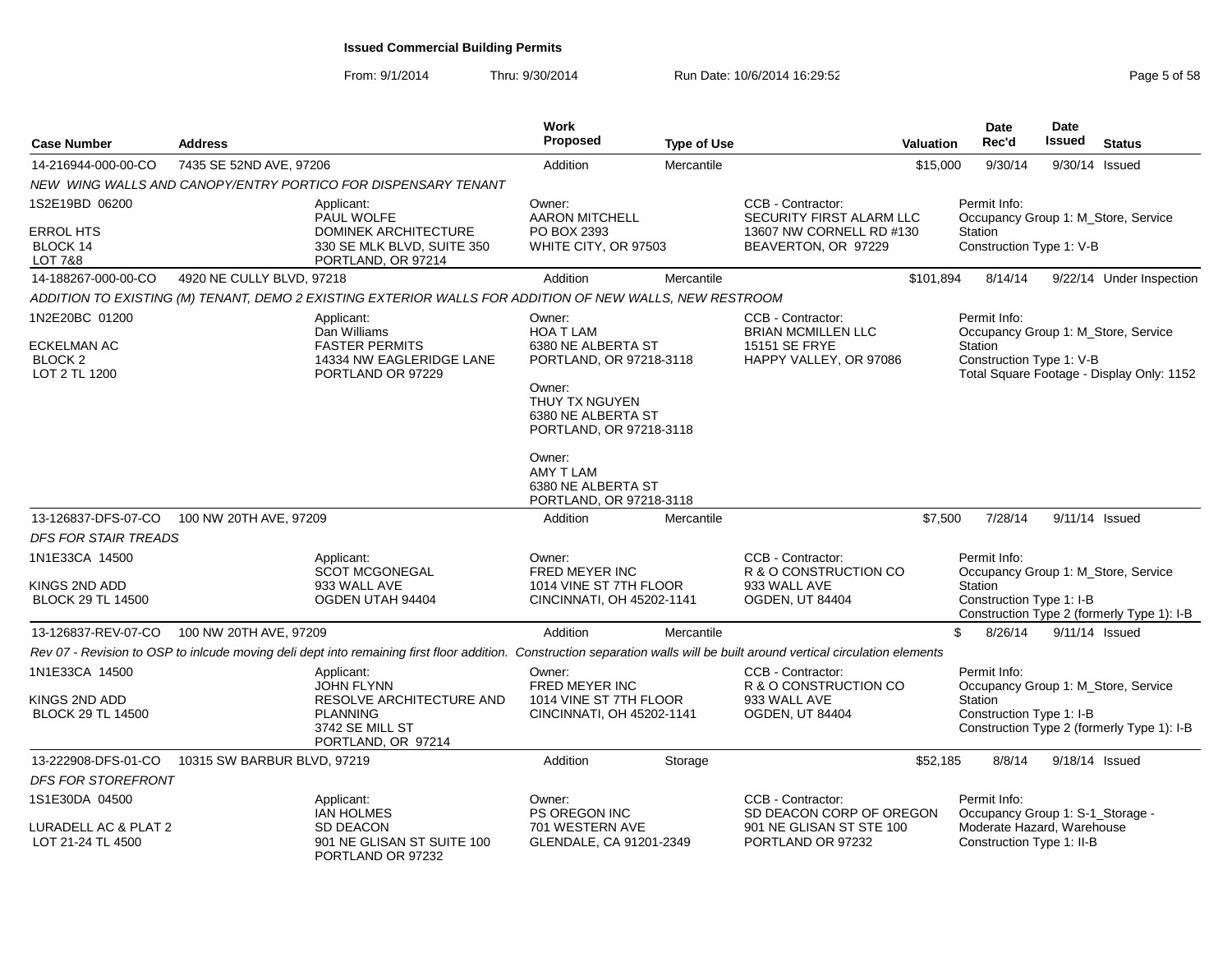From: 9/1/2014Thru: 9/30/2014 Run Date: 10/6/2014 16:29:52 Rege 5 of 58

| <b>Case Number</b>                                 | <b>Address</b>              |                                                                                                                                                                            | Work<br>Proposed                                                          | <b>Type of Use</b> |                                                                             | <b>Valuation</b> | <b>Date</b><br>Rec'd                                    | <b>Date</b><br>Issued | <b>Status</b>                                                                    |
|----------------------------------------------------|-----------------------------|----------------------------------------------------------------------------------------------------------------------------------------------------------------------------|---------------------------------------------------------------------------|--------------------|-----------------------------------------------------------------------------|------------------|---------------------------------------------------------|-----------------------|----------------------------------------------------------------------------------|
| 14-216944-000-00-CO                                | 7435 SE 52ND AVE, 97206     |                                                                                                                                                                            | Addition                                                                  | Mercantile         |                                                                             | \$15,000         | 9/30/14                                                 |                       | 9/30/14 Issued                                                                   |
|                                                    |                             | NEW WING WALLS AND CANOPY/ENTRY PORTICO FOR DISPENSARY TENANT                                                                                                              |                                                                           |                    |                                                                             |                  |                                                         |                       |                                                                                  |
| 1S2E19BD 06200                                     |                             | Applicant:<br>PAUL WOLFE                                                                                                                                                   | Owner:<br><b>AARON MITCHELL</b>                                           |                    | CCB - Contractor:<br>SECURITY FIRST ALARM LLC                               |                  | Permit Info:<br>Occupancy Group 1: M_Store, Service     |                       |                                                                                  |
| ERROL HTS<br>BLOCK 14<br>LOT 7&8                   |                             | DOMINEK ARCHITECTURE<br>330 SE MLK BLVD, SUITE 350<br>PORTLAND, OR 97214                                                                                                   | PO BOX 2393<br>WHITE CITY, OR 97503                                       |                    | 13607 NW CORNELL RD #130<br>BEAVERTON, OR 97229                             |                  | Station<br>Construction Type 1: V-B                     |                       |                                                                                  |
| 14-188267-000-00-CO                                | 4920 NE CULLY BLVD, 97218   |                                                                                                                                                                            | Addition                                                                  | Mercantile         |                                                                             | \$101,894        | 8/14/14                                                 |                       | 9/22/14 Under Inspection                                                         |
|                                                    |                             | ADDITION TO EXISTING (M) TENANT, DEMO 2 EXISTING EXTERIOR WALLS FOR ADDITION OF NEW WALLS, NEW RESTROOM                                                                    |                                                                           |                    |                                                                             |                  |                                                         |                       |                                                                                  |
| 1N2E20BC 01200                                     |                             | Applicant:                                                                                                                                                                 | Owner:                                                                    |                    | CCB - Contractor:                                                           |                  | Permit Info:                                            |                       |                                                                                  |
| ECKELMAN AC<br>BLOCK <sub>2</sub><br>LOT 2 TL 1200 |                             | Dan Williams<br><b>FASTER PERMITS</b><br>14334 NW EAGLERIDGE LANE<br>PORTLAND OR 97229                                                                                     | <b>HOA T LAM</b><br>6380 NE ALBERTA ST<br>PORTLAND, OR 97218-3118         |                    | <b>BRIAN MCMILLEN LLC</b><br><b>15151 SE FRYE</b><br>HAPPY VALLEY, OR 97086 |                  | Station<br>Construction Type 1: V-B                     |                       | Occupancy Group 1: M Store, Service<br>Total Square Footage - Display Only: 1152 |
|                                                    |                             |                                                                                                                                                                            | Owner:<br>THUY TX NGUYEN<br>6380 NE ALBERTA ST<br>PORTLAND, OR 97218-3118 |                    |                                                                             |                  |                                                         |                       |                                                                                  |
|                                                    |                             |                                                                                                                                                                            | Owner:<br>AMY T LAM<br>6380 NE ALBERTA ST<br>PORTLAND, OR 97218-3118      |                    |                                                                             |                  |                                                         |                       |                                                                                  |
| 13-126837-DFS-07-CO                                | 100 NW 20TH AVE, 97209      |                                                                                                                                                                            | Addition                                                                  | Mercantile         |                                                                             | \$7,500          | 7/28/14                                                 |                       | 9/11/14 Issued                                                                   |
| <b>DFS FOR STAIR TREADS</b>                        |                             |                                                                                                                                                                            |                                                                           |                    |                                                                             |                  |                                                         |                       |                                                                                  |
| 1N1E33CA 14500                                     |                             | Applicant:<br><b>SCOT MCGONEGAL</b>                                                                                                                                        | Owner:<br>FRED MEYER INC                                                  |                    | CCB - Contractor:<br>R & O CONSTRUCTION CO                                  |                  | Permit Info:<br>Occupancy Group 1: M_Store, Service     |                       |                                                                                  |
| KINGS 2ND ADD<br><b>BLOCK 29 TL 14500</b>          |                             | 933 WALL AVE<br>OGDEN UTAH 94404                                                                                                                                           | 1014 VINE ST 7TH FLOOR<br>CINCINNATI, OH 45202-1141                       |                    | 933 WALL AVE<br>OGDEN, UT 84404                                             |                  | Station<br>Construction Type 1: I-B                     |                       | Construction Type 2 (formerly Type 1): I-B                                       |
| 13-126837-REV-07-CO                                | 100 NW 20TH AVE, 97209      |                                                                                                                                                                            | Addition                                                                  | Mercantile         |                                                                             |                  | \$<br>8/26/14                                           |                       | 9/11/14 Issued                                                                   |
|                                                    |                             | Rev 07 - Revision to OSP to inlcude moving deli dept into remaining first floor addition. Construction separation walls will be built around vertical circulation elements |                                                                           |                    |                                                                             |                  |                                                         |                       |                                                                                  |
| 1N1E33CA 14500                                     |                             | Applicant:<br><b>JOHN FLYNN</b>                                                                                                                                            | Owner:<br>FRED MEYER INC                                                  |                    | CCB - Contractor:<br>R & O CONSTRUCTION CO                                  |                  | Permit Info:<br>Occupancy Group 1: M_Store, Service     |                       |                                                                                  |
| KINGS 2ND ADD<br><b>BLOCK 29 TL 14500</b>          |                             | RESOLVE ARCHITECTURE AND<br><b>PLANNING</b><br>3742 SE MILL ST<br>PORTLAND, OR 97214                                                                                       | 1014 VINE ST 7TH FLOOR<br>CINCINNATI, OH 45202-1141                       |                    | 933 WALL AVE<br><b>OGDEN, UT 84404</b>                                      |                  | Station<br>Construction Type 1: I-B                     |                       | Construction Type 2 (formerly Type 1): I-B                                       |
| 13-222908-DFS-01-CO                                | 10315 SW BARBUR BLVD, 97219 |                                                                                                                                                                            | Addition                                                                  | Storage            |                                                                             | \$52,185         | 8/8/14                                                  |                       | 9/18/14 Issued                                                                   |
| DFS FOR STOREFRONT                                 |                             |                                                                                                                                                                            |                                                                           |                    |                                                                             |                  |                                                         |                       |                                                                                  |
| 1S1E30DA 04500                                     |                             | Applicant:<br><b>IAN HOLMES</b>                                                                                                                                            | Owner:<br>PS OREGON INC                                                   |                    | CCB - Contractor:<br>SD DEACON CORP OF OREGON                               |                  | Permit Info:<br>Occupancy Group 1: S-1_Storage -        |                       |                                                                                  |
| URADELL AC & PLAT 2<br>LOT 21-24 TL 4500           |                             | <b>SD DEACON</b><br>901 NE GLISAN ST SUITE 100<br>PORTLAND OR 97232                                                                                                        | 701 WESTERN AVE<br>GLENDALE, CA 91201-2349                                |                    | 901 NE GLISAN ST STE 100<br>PORTLAND OR 97232                               |                  | Moderate Hazard. Warehouse<br>Construction Type 1: II-B |                       |                                                                                  |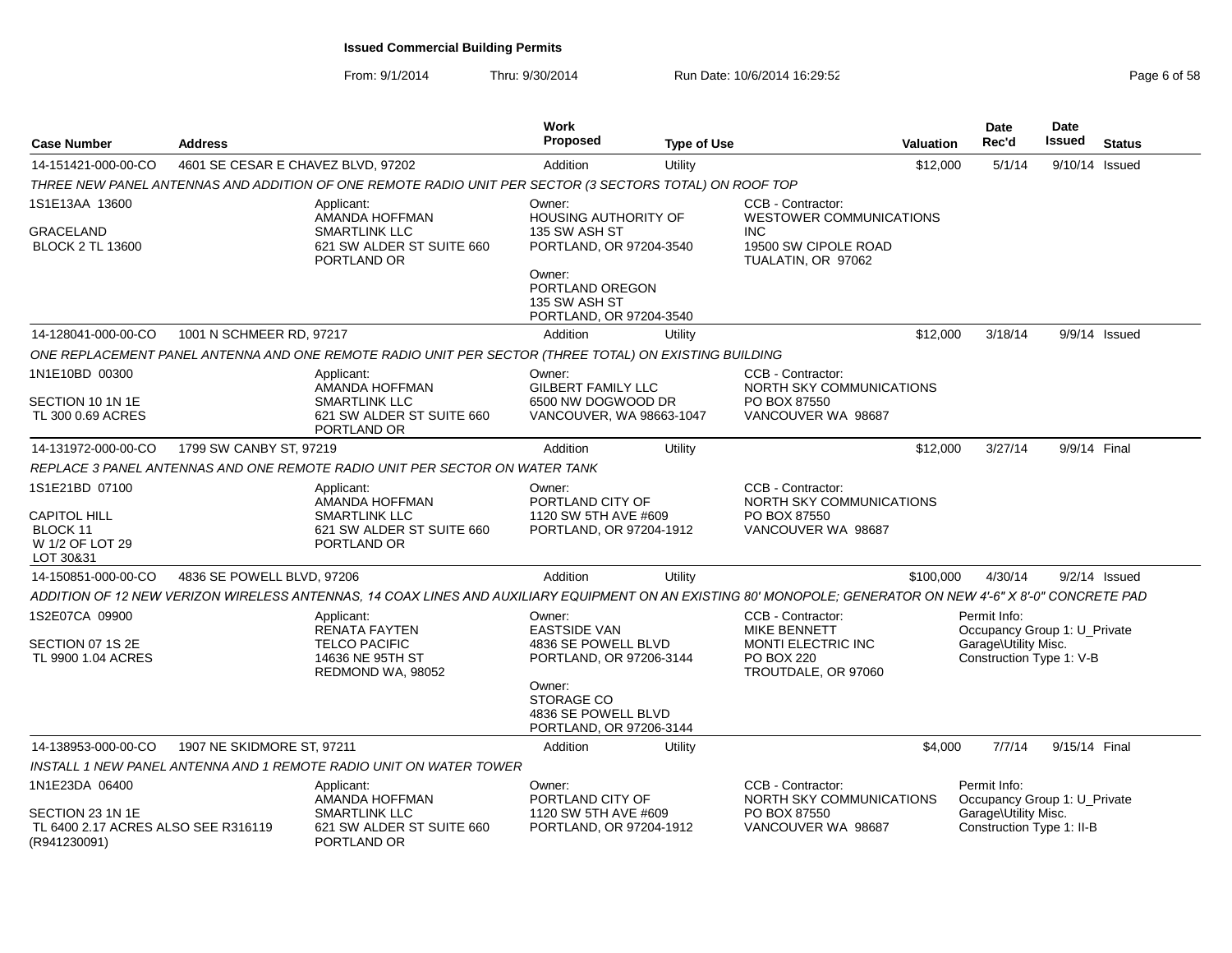### From: 9/1/2014Thru: 9/30/2014 Run Date: 10/6/2014 16:29:52 Research 2010 12:09:59 Page 6 of 58

| <b>Case Number</b>                                                                | <b>Address</b>                     |                                                                                                                                                              | <b>Work</b><br><b>Proposed</b>                                                        | <b>Type of Use</b> |                                                                                                     | <b>Valuation</b> | <b>Date</b><br>Rec'd                                                                             | Date<br><b>Issued</b> | <b>Status</b>   |
|-----------------------------------------------------------------------------------|------------------------------------|--------------------------------------------------------------------------------------------------------------------------------------------------------------|---------------------------------------------------------------------------------------|--------------------|-----------------------------------------------------------------------------------------------------|------------------|--------------------------------------------------------------------------------------------------|-----------------------|-----------------|
| 14-151421-000-00-CO                                                               | 4601 SE CESAR E CHAVEZ BLVD, 97202 |                                                                                                                                                              | Addition                                                                              | Utility            |                                                                                                     | \$12,000         | 5/1/14                                                                                           | 9/10/14 Issued        |                 |
|                                                                                   |                                    | THREE NEW PANEL ANTENNAS AND ADDITION OF ONE REMOTE RADIO UNIT PER SECTOR (3 SECTORS TOTAL) ON ROOF TOP                                                      |                                                                                       |                    |                                                                                                     |                  |                                                                                                  |                       |                 |
| 1S1E13AA 13600                                                                    |                                    | Applicant:<br>AMANDA HOFFMAN                                                                                                                                 | Owner:<br>HOUSING AUTHORITY OF                                                        |                    | CCB - Contractor:<br><b>WESTOWER COMMUNICATIONS</b>                                                 |                  |                                                                                                  |                       |                 |
| <b>GRACELAND</b><br><b>BLOCK 2 TL 13600</b>                                       |                                    | <b>SMARTLINK LLC</b><br>621 SW ALDER ST SUITE 660<br>PORTLAND OR                                                                                             | 135 SW ASH ST<br>PORTLAND, OR 97204-3540                                              |                    | <b>INC</b><br>19500 SW CIPOLE ROAD<br>TUALATIN, OR 97062                                            |                  |                                                                                                  |                       |                 |
|                                                                                   |                                    |                                                                                                                                                              | Owner:<br>PORTLAND OREGON<br>135 SW ASH ST<br>PORTLAND, OR 97204-3540                 |                    |                                                                                                     |                  |                                                                                                  |                       |                 |
| 14-128041-000-00-CO                                                               | 1001 N SCHMEER RD, 97217           |                                                                                                                                                              | Addition                                                                              | Utility            |                                                                                                     | \$12,000         | 3/18/14                                                                                          |                       | 9/9/14 Issued   |
|                                                                                   |                                    | ONE REPLACEMENT PANEL ANTENNA AND ONE REMOTE RADIO UNIT PER SECTOR (THREE TOTAL) ON EXISTING BUILDING                                                        |                                                                                       |                    |                                                                                                     |                  |                                                                                                  |                       |                 |
| 1N1E10BD 00300<br>SECTION 10 1N 1E<br>TL 300 0.69 ACRES                           |                                    | Applicant:<br>AMANDA HOFFMAN<br><b>SMARTLINK LLC</b><br>621 SW ALDER ST SUITE 660                                                                            | Owner:<br><b>GILBERT FAMILY LLC</b><br>6500 NW DOGWOOD DR<br>VANCOUVER, WA 98663-1047 |                    | CCB - Contractor:<br>NORTH SKY COMMUNICATIONS<br>PO BOX 87550<br>VANCOUVER WA 98687                 |                  |                                                                                                  |                       |                 |
|                                                                                   |                                    | PORTLAND OR                                                                                                                                                  |                                                                                       |                    |                                                                                                     |                  |                                                                                                  |                       |                 |
| 14-131972-000-00-CO                                                               | 1799 SW CANBY ST, 97219            |                                                                                                                                                              | Addition                                                                              | Utility            |                                                                                                     | \$12,000         | 3/27/14                                                                                          | 9/9/14 Final          |                 |
|                                                                                   |                                    | REPLACE 3 PANEL ANTENNAS AND ONE REMOTE RADIO UNIT PER SECTOR ON WATER TANK                                                                                  |                                                                                       |                    |                                                                                                     |                  |                                                                                                  |                       |                 |
| 1S1E21BD 07100<br><b>CAPITOL HILL</b><br>BLOCK 11<br>W 1/2 OF LOT 29<br>LOT 30&31 |                                    | Applicant:<br>AMANDA HOFFMAN<br><b>SMARTLINK LLC</b><br>621 SW ALDER ST SUITE 660<br>PORTLAND OR                                                             | Owner:<br>PORTLAND CITY OF<br>1120 SW 5TH AVE #609<br>PORTLAND, OR 97204-1912         |                    | CCB - Contractor:<br>NORTH SKY COMMUNICATIONS<br>PO BOX 87550<br>VANCOUVER WA 98687                 |                  |                                                                                                  |                       |                 |
| 14-150851-000-00-CO                                                               | 4836 SE POWELL BLVD, 97206         |                                                                                                                                                              | Addition                                                                              | Utility            |                                                                                                     | \$100,000        | 4/30/14                                                                                          |                       | $9/2/14$ Issued |
|                                                                                   |                                    | ADDITION OF 12 NEW VERIZON WIRELESS ANTENNAS. 14 COAX LINES AND AUXILIARY EQUIPMENT ON AN EXISTING 80' MONOPOLE: GENERATOR ON NEW 4'-6" X 8'-0" CONCRETE PAD |                                                                                       |                    |                                                                                                     |                  |                                                                                                  |                       |                 |
| 1S2E07CA 09900<br>SECTION 07 1S 2E<br>TL 9900 1.04 ACRES                          |                                    | Applicant:<br><b>RENATA FAYTEN</b><br><b>TELCO PACIFIC</b><br>14636 NE 95TH ST<br>REDMOND WA, 98052                                                          | Owner:<br><b>EASTSIDE VAN</b><br>4836 SE POWELL BLVD<br>PORTLAND, OR 97206-3144       |                    | CCB - Contractor:<br><b>MIKE BENNETT</b><br>MONTI ELECTRIC INC<br>PO BOX 220<br>TROUTDALE, OR 97060 |                  | Permit Info:<br>Occupancy Group 1: U_Private<br>Garage\Utility Misc.<br>Construction Type 1: V-B |                       |                 |
|                                                                                   |                                    |                                                                                                                                                              | Owner:<br><b>STORAGE CO</b><br>4836 SE POWELL BLVD<br>PORTLAND, OR 97206-3144         |                    |                                                                                                     |                  |                                                                                                  |                       |                 |
| 14-138953-000-00-CO                                                               | 1907 NE SKIDMORE ST, 97211         |                                                                                                                                                              | Addition                                                                              | Utility            |                                                                                                     | \$4,000          | 7/7/14                                                                                           | 9/15/14 Final         |                 |
|                                                                                   |                                    | INSTALL 1 NEW PANEL ANTENNA AND 1 REMOTE RADIO UNIT ON WATER TOWER                                                                                           |                                                                                       |                    |                                                                                                     |                  |                                                                                                  |                       |                 |
| 1N1E23DA 06400<br>SECTION 23 1N 1E                                                |                                    | Applicant:<br>AMANDA HOFFMAN<br>SMARTLINK LLC                                                                                                                | Owner:<br>PORTLAND CITY OF<br>1120 SW 5TH AVE #609                                    |                    | CCB - Contractor:<br>NORTH SKY COMMUNICATIONS<br>PO BOX 87550                                       |                  | Permit Info:<br>Occupancy Group 1: U_Private<br>Garage\Utility Misc.                             |                       |                 |
| TL 6400 2.17 ACRES ALSO SEE R316119<br>(R941230091)                               |                                    | 621 SW ALDER ST SUITE 660<br>PORTLAND OR                                                                                                                     | PORTLAND, OR 97204-1912                                                               |                    | VANCOUVER WA 98687                                                                                  |                  | Construction Type 1: II-B                                                                        |                       |                 |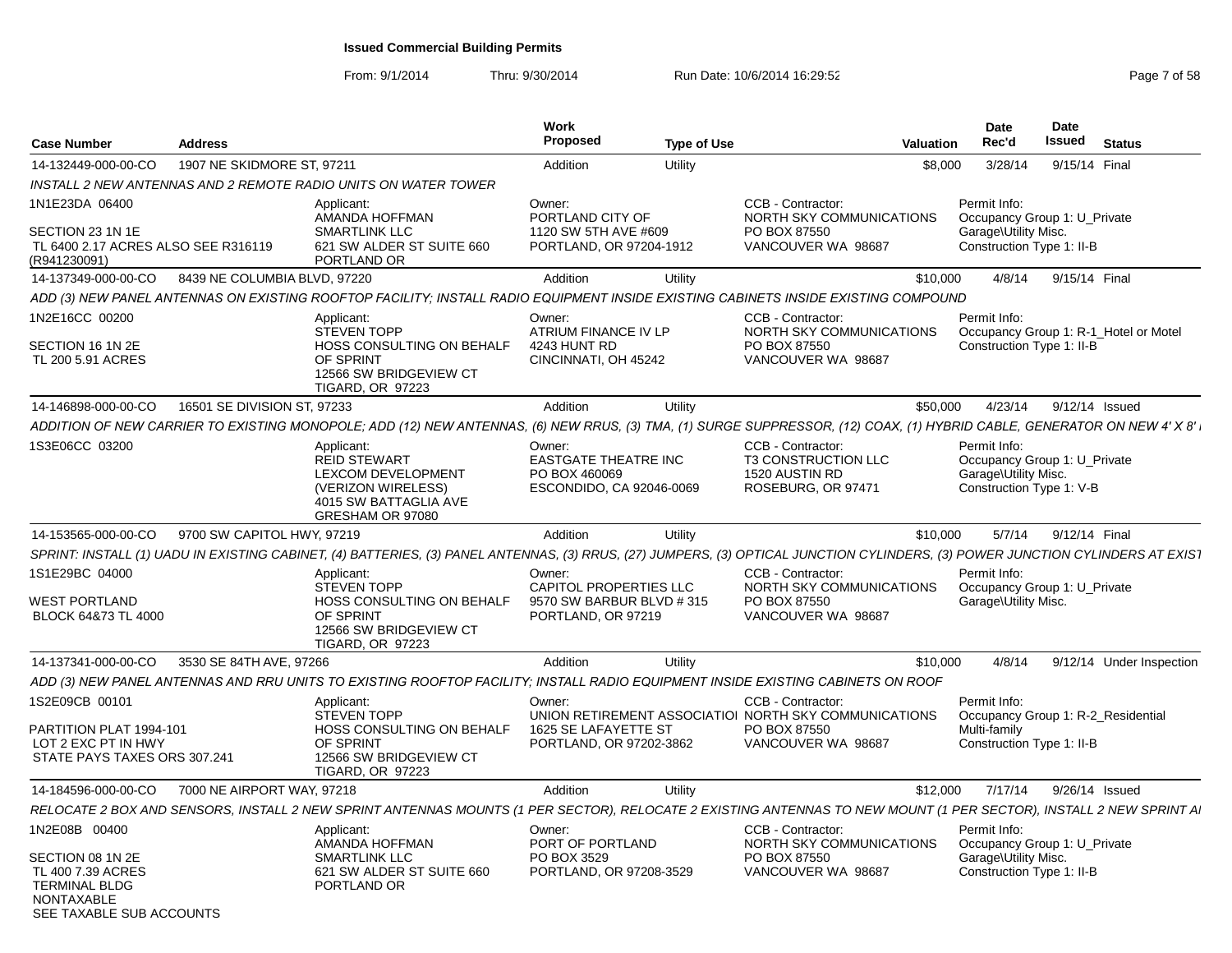From: 9/1/2014Thru: 9/30/2014 Run Date: 10/6/2014 16:29:52 Research 2010 2014 19:29:52

| <b>Case Number</b>                                                                                             | <b>Address</b>               |                                                                                                                                                                                | <b>Work</b><br><b>Proposed</b>                                                      | <b>Type of Use</b> | <b>Valuation</b>                                                                        |         | Date<br>Rec'd                                                                                    | Date<br><b>Issued</b> | <b>Status</b>                         |
|----------------------------------------------------------------------------------------------------------------|------------------------------|--------------------------------------------------------------------------------------------------------------------------------------------------------------------------------|-------------------------------------------------------------------------------------|--------------------|-----------------------------------------------------------------------------------------|---------|--------------------------------------------------------------------------------------------------|-----------------------|---------------------------------------|
| 14-132449-000-00-CO                                                                                            | 1907 NE SKIDMORE ST, 97211   |                                                                                                                                                                                | Addition                                                                            | Utility            |                                                                                         | \$8,000 | 3/28/14                                                                                          | 9/15/14 Final         |                                       |
|                                                                                                                |                              | INSTALL 2 NEW ANTENNAS AND 2 REMOTE RADIO UNITS ON WATER TOWER                                                                                                                 |                                                                                     |                    |                                                                                         |         |                                                                                                  |                       |                                       |
| 1N1E23DA 06400                                                                                                 |                              | Applicant:<br>AMANDA HOFFMAN                                                                                                                                                   | Owner:<br>PORTLAND CITY OF                                                          |                    | CCB - Contractor:<br>NORTH SKY COMMUNICATIONS                                           |         | Permit Info:<br>Occupancy Group 1: U Private                                                     |                       |                                       |
| SECTION 23 1N 1E<br>TL 6400 2.17 ACRES ALSO SEE R316119<br>(R941230091)                                        |                              | <b>SMARTLINK LLC</b><br>621 SW ALDER ST SUITE 660<br>PORTLAND OR                                                                                                               | 1120 SW 5TH AVE #609<br>PORTLAND, OR 97204-1912                                     |                    | PO BOX 87550<br>VANCOUVER WA 98687                                                      |         | Garage\Utility Misc.<br>Construction Type 1: II-B                                                |                       |                                       |
| 14-137349-000-00-CO                                                                                            | 8439 NE COLUMBIA BLVD, 97220 |                                                                                                                                                                                | Addition                                                                            | Utility            | \$10,000                                                                                |         | 4/8/14                                                                                           | 9/15/14 Final         |                                       |
|                                                                                                                |                              | ADD (3) NEW PANEL ANTENNAS ON EXISTING ROOFTOP FACILITY; INSTALL RADIO EQUIPMENT INSIDE EXISTING CABINETS INSIDE EXISTING COMPOUND                                             |                                                                                     |                    |                                                                                         |         |                                                                                                  |                       |                                       |
| 1N2E16CC 00200                                                                                                 |                              | Applicant:<br><b>STEVEN TOPP</b>                                                                                                                                               | Owner:<br>ATRIUM FINANCE IV LP                                                      |                    | CCB - Contractor:<br>NORTH SKY COMMUNICATIONS                                           |         | Permit Info:                                                                                     |                       | Occupancy Group 1: R-1_Hotel or Motel |
| SECTION 16 1N 2E<br>TL 200 5.91 ACRES                                                                          |                              | HOSS CONSULTING ON BEHALF<br>OF SPRINT<br>12566 SW BRIDGEVIEW CT<br><b>TIGARD, OR 97223</b>                                                                                    | 4243 HUNT RD<br>CINCINNATI, OH 45242                                                |                    | PO BOX 87550<br>VANCOUVER WA 98687                                                      |         | Construction Type 1: II-B                                                                        |                       |                                       |
| 14-146898-000-00-CO                                                                                            | 16501 SE DIVISION ST, 97233  |                                                                                                                                                                                | Addition                                                                            | Utility            | \$50,000                                                                                |         | 4/23/14                                                                                          | 9/12/14 Issued        |                                       |
|                                                                                                                |                              | ADDITION OF NEW CARRIER TO EXISTING MONOPOLE; ADD (12) NEW ANTENNAS, (6) NEW RRUS, (3) TMA, (1) SURGE SUPPRESSOR, (12) COAX, (1) HYBRID CABLE, GENERATOR ON NEW 4' X 8' ⊦      |                                                                                     |                    |                                                                                         |         |                                                                                                  |                       |                                       |
| 1S3E06CC 03200                                                                                                 |                              | Applicant:<br><b>REID STEWART</b><br>LEXCOM DEVELOPMENT<br>(VERIZON WIRELESS)<br>4015 SW BATTAGLIA AVE<br>GRESHAM OR 97080                                                     | Owner:<br><b>EASTGATE THEATRE INC</b><br>PO BOX 460069<br>ESCONDIDO, CA 92046-0069  |                    | CCB - Contractor:<br><b>T3 CONSTRUCTION LLC</b><br>1520 AUSTIN RD<br>ROSEBURG, OR 97471 |         | Permit Info:<br>Occupancy Group 1: U_Private<br>Garage\Utility Misc.<br>Construction Type 1: V-B |                       |                                       |
| 14-153565-000-00-CO                                                                                            | 9700 SW CAPITOL HWY, 97219   |                                                                                                                                                                                | Addition                                                                            | Utility            | \$10,000                                                                                |         | 5/7/14                                                                                           | 9/12/14 Final         |                                       |
|                                                                                                                |                              | SPRINT: INSTALL (1) UADU IN EXISTING CABINET, (4) BATTERIES, (3) PANEL ANTENNAS, (3) RRUS, (27) JUMPERS, (3) OPTICAL JUNCTION CYLINDERS, (3) POWER JUNCTION CYLINDERS AT EXIST |                                                                                     |                    |                                                                                         |         |                                                                                                  |                       |                                       |
| 1S1E29BC 04000<br><b>WEST PORTLAND</b><br>BLOCK 64&73 TL 4000                                                  |                              | Applicant:<br><b>STEVEN TOPP</b><br>HOSS CONSULTING ON BEHALF<br>OF SPRINT<br>12566 SW BRIDGEVIEW CT<br><b>TIGARD, OR 97223</b>                                                | Owner:<br>CAPITOL PROPERTIES LLC<br>9570 SW BARBUR BLVD # 315<br>PORTLAND, OR 97219 |                    | CCB - Contractor:<br>NORTH SKY COMMUNICATIONS<br>PO BOX 87550<br>VANCOUVER WA 98687     |         | Permit Info:<br>Occupancy Group 1: U_Private<br>Garage\Utility Misc.                             |                       |                                       |
| 14-137341-000-00-CO                                                                                            | 3530 SE 84TH AVE, 97266      |                                                                                                                                                                                | Addition                                                                            | Utility            | \$10,000                                                                                |         | 4/8/14                                                                                           |                       | 9/12/14 Under Inspection              |
|                                                                                                                |                              | ADD (3) NEW PANEL ANTENNAS AND RRU UNITS TO EXISTING ROOFTOP FACILITY; INSTALL RADIO EQUIPMENT INSIDE EXISTING CABINETS ON ROOF                                                |                                                                                     |                    |                                                                                         |         |                                                                                                  |                       |                                       |
| 1S2E09CB 00101                                                                                                 |                              | Applicant:<br><b>STEVEN TOPP</b>                                                                                                                                               | Owner:                                                                              |                    | CCB - Contractor:<br>UNION RETIREMENT ASSOCIATIOI NORTH SKY COMMUNICATIONS              |         | Permit Info:                                                                                     |                       | Occupancy Group 1: R-2_Residential    |
| PARTITION PLAT 1994-101<br>LOT 2 EXC PT IN HWY<br>STATE PAYS TAXES ORS 307.241                                 |                              | HOSS CONSULTING ON BEHALF<br>OF SPRINT<br>12566 SW BRIDGEVIEW CT<br><b>TIGARD, OR 97223</b>                                                                                    | 1625 SE LAFAYETTE ST<br>PORTLAND, OR 97202-3862                                     |                    | PO BOX 87550<br>VANCOUVER WA 98687                                                      |         | Multi-family<br>Construction Type 1: II-B                                                        |                       |                                       |
| 14-184596-000-00-CO                                                                                            | 7000 NE AIRPORT WAY, 97218   |                                                                                                                                                                                | Addition                                                                            | Utility            | \$12,000                                                                                |         | 7/17/14                                                                                          | 9/26/14 Issued        |                                       |
|                                                                                                                |                              | RELOCATE 2 BOX AND SENSORS, INSTALL 2 NEW SPRINT ANTENNAS MOUNTS (1 PER SECTOR), RELOCATE 2 EXISTING ANTENNAS TO NEW MOUNT (1 PER SECTOR), INSTALL 2 NEW SPRINT AI             |                                                                                     |                    |                                                                                         |         |                                                                                                  |                       |                                       |
| 1N2E08B 00400                                                                                                  |                              | Applicant:<br>AMANDA HOFFMAN                                                                                                                                                   | Owner:<br>PORT OF PORTLAND                                                          |                    | CCB - Contractor:<br>NORTH SKY COMMUNICATIONS                                           |         | Permit Info:<br>Occupancy Group 1: U_Private                                                     |                       |                                       |
| SECTION 08 1N 2E<br>TL 400 7.39 ACRES<br><b>TERMINAL BLDG</b><br><b>NONTAXABLE</b><br>SEE TAXABLE SUB ACCOUNTS |                              | <b>SMARTLINK LLC</b><br>621 SW ALDER ST SUITE 660<br>PORTLAND OR                                                                                                               | PO BOX 3529<br>PORTLAND, OR 97208-3529                                              |                    | PO BOX 87550<br>VANCOUVER WA 98687                                                      |         | Garage\Utility Misc.<br>Construction Type 1: II-B                                                |                       |                                       |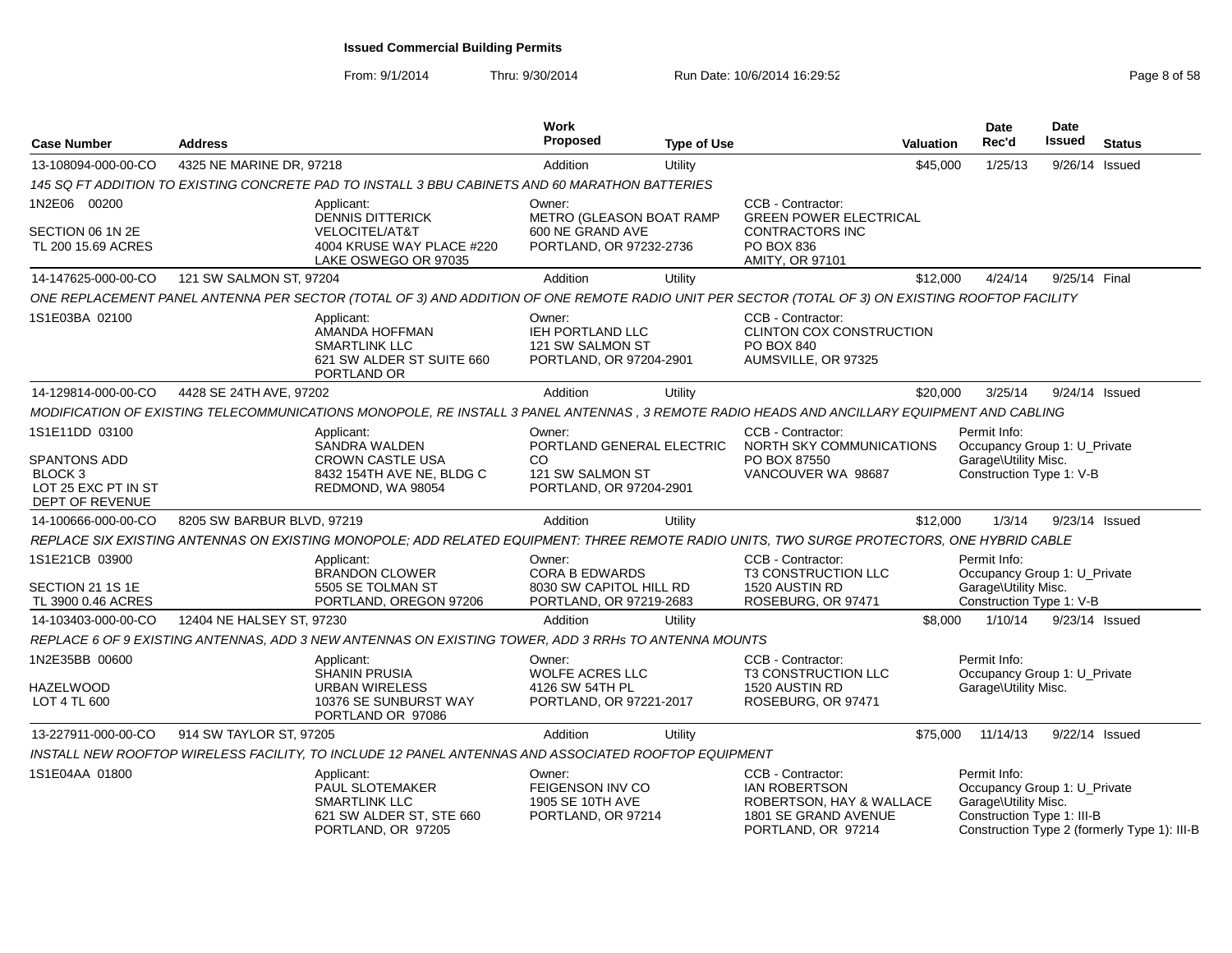From: 9/1/2014Thru: 9/30/2014 Run Date: 10/6/2014 16:29:52 Research 2010 12:09:59

| <b>Case Number</b>                                                                  | <b>Address</b>             |                                                                                                                                                  | Work<br><b>Proposed</b>                                                   | <b>Type of Use</b> |                                                                                                                     | <b>Valuation</b> | Date<br>Rec'd                                                                                      | <b>Date</b><br>Issued | <b>Status</b>                                |
|-------------------------------------------------------------------------------------|----------------------------|--------------------------------------------------------------------------------------------------------------------------------------------------|---------------------------------------------------------------------------|--------------------|---------------------------------------------------------------------------------------------------------------------|------------------|----------------------------------------------------------------------------------------------------|-----------------------|----------------------------------------------|
| 13-108094-000-00-CO                                                                 | 4325 NE MARINE DR, 97218   |                                                                                                                                                  | Addition                                                                  | Utility            |                                                                                                                     | \$45,000         | 1/25/13                                                                                            | 9/26/14 Issued        |                                              |
|                                                                                     |                            | 145 SQ FT ADDITION TO EXISTING CONCRETE PAD TO INSTALL 3 BBU CABINETS AND 60 MARATHON BATTERIES                                                  |                                                                           |                    |                                                                                                                     |                  |                                                                                                    |                       |                                              |
| 1N2E06 00200                                                                        |                            | Applicant:<br><b>DENNIS DITTERICK</b>                                                                                                            | Owner:<br>METRO (GLEASON BOAT RAMP                                        |                    | CCB - Contractor:<br><b>GREEN POWER ELECTRICAL</b>                                                                  |                  |                                                                                                    |                       |                                              |
| SECTION 06 1N 2E<br>TL 200 15.69 ACRES                                              |                            | VELOCITEL/AT&T<br>4004 KRUSE WAY PLACE #220<br>LAKE OSWEGO OR 97035                                                                              | 600 NE GRAND AVE<br>PORTLAND, OR 97232-2736                               |                    | <b>CONTRACTORS INC</b><br>PO BOX 836<br><b>AMITY, OR 97101</b>                                                      |                  |                                                                                                    |                       |                                              |
| 14-147625-000-00-CO                                                                 | 121 SW SALMON ST, 97204    |                                                                                                                                                  | Addition                                                                  | Utility            |                                                                                                                     | \$12,000         | 4/24/14                                                                                            | 9/25/14 Final         |                                              |
|                                                                                     |                            | ONE REPLACEMENT PANEL ANTENNA PER SECTOR (TOTAL OF 3) AND ADDITION OF ONE REMOTE RADIO UNIT PER SECTOR (TOTAL OF 3) ON EXISTING ROOFTOP FACILITY |                                                                           |                    |                                                                                                                     |                  |                                                                                                    |                       |                                              |
| 1S1E03BA 02100                                                                      |                            | Applicant:<br>AMANDA HOFFMAN<br><b>SMARTLINK LLC</b><br>621 SW ALDER ST SUITE 660<br>PORTLAND OR                                                 | Owner:<br>IEH PORTLAND LLC<br>121 SW SALMON ST<br>PORTLAND, OR 97204-2901 |                    | CCB - Contractor:<br>CLINTON COX CONSTRUCTION<br>PO BOX 840<br>AUMSVILLE, OR 97325                                  |                  |                                                                                                    |                       |                                              |
| 14-129814-000-00-CO                                                                 | 4428 SE 24TH AVE, 97202    |                                                                                                                                                  | Addition                                                                  | Utility            |                                                                                                                     | \$20,000         | 3/25/14                                                                                            | 9/24/14 Issued        |                                              |
|                                                                                     |                            | MODIFICATION OF EXISTING TELECOMMUNICATIONS MONOPOLE, RE INSTALL 3 PANEL ANTENNAS, 3 REMOTE RADIO HEADS AND ANCILLARY EQUIPMENT AND CABLING      |                                                                           |                    |                                                                                                                     |                  |                                                                                                    |                       |                                              |
| 1S1E11DD 03100                                                                      |                            | Applicant:<br>SANDRA WALDEN                                                                                                                      | Owner:<br>PORTLAND GENERAL ELECTRIC                                       |                    | CCB - Contractor:<br>NORTH SKY COMMUNICATIONS                                                                       |                  | Permit Info:<br>Occupancy Group 1: U_Private                                                       |                       |                                              |
| <b>SPANTONS ADD</b><br>BLOCK <sub>3</sub><br>LOT 25 EXC PT IN ST<br>DEPT OF REVENUE |                            | CROWN CASTLE USA<br>8432 154TH AVE NE, BLDG C<br>REDMOND, WA 98054                                                                               | CO.<br>121 SW SALMON ST<br>PORTLAND, OR 97204-2901                        |                    | PO BOX 87550<br>VANCOUVER WA 98687                                                                                  |                  | Garage\Utility Misc.<br>Construction Type 1: V-B                                                   |                       |                                              |
| 14-100666-000-00-CO                                                                 | 8205 SW BARBUR BLVD, 97219 |                                                                                                                                                  | Addition                                                                  | Utility            |                                                                                                                     | \$12,000         | 1/3/14                                                                                             | 9/23/14 Issued        |                                              |
|                                                                                     |                            | REPLACE SIX EXISTING ANTENNAS ON EXISTING MONOPOLE; ADD RELATED EQUIPMENT: THREE REMOTE RADIO UNITS, TWO SURGE PROTECTORS, ONE HYBRID CABLE      |                                                                           |                    |                                                                                                                     |                  |                                                                                                    |                       |                                              |
| 1S1E21CB 03900                                                                      |                            | Applicant:<br><b>BRANDON CLOWER</b>                                                                                                              | Owner:<br><b>CORA B EDWARDS</b>                                           |                    | CCB - Contractor:<br>T3 CONSTRUCTION LLC                                                                            |                  | Permit Info:<br>Occupancy Group 1: U_Private                                                       |                       |                                              |
| SECTION 21 1S 1E<br>TL 3900 0.46 ACRES                                              |                            | 5505 SE TOLMAN ST<br>PORTLAND, OREGON 97206                                                                                                      | 8030 SW CAPITOL HILL RD<br>PORTLAND, OR 97219-2683                        |                    | 1520 AUSTIN RD<br>ROSEBURG, OR 97471                                                                                |                  | Garage\Utility Misc.<br>Construction Type 1: V-B                                                   |                       |                                              |
| 14-103403-000-00-CO                                                                 | 12404 NE HALSEY ST. 97230  |                                                                                                                                                  | Addition                                                                  | Utility            |                                                                                                                     | \$8,000          | 1/10/14                                                                                            | 9/23/14 Issued        |                                              |
|                                                                                     |                            | REPLACE 6 OF 9 EXISTING ANTENNAS, ADD 3 NEW ANTENNAS ON EXISTING TOWER, ADD 3 RRHs TO ANTENNA MOUNTS                                             |                                                                           |                    |                                                                                                                     |                  |                                                                                                    |                       |                                              |
| 1N2E35BB 00600                                                                      |                            | Applicant:<br><b>SHANIN PRUSIA</b>                                                                                                               | Owner:<br>WOLFE ACRES LLC                                                 |                    | CCB - Contractor:<br>T3 CONSTRUCTION LLC                                                                            |                  | Permit Info:<br>Occupancy Group 1: U_Private                                                       |                       |                                              |
| <b>HAZELWOOD</b><br>LOT 4 TL 600                                                    |                            | <b>URBAN WIRELESS</b><br>10376 SE SUNBURST WAY<br>PORTLAND OR 97086                                                                              | 4126 SW 54TH PL<br>PORTLAND, OR 97221-2017                                |                    | 1520 AUSTIN RD<br>ROSEBURG, OR 97471                                                                                |                  | Garage\Utility Misc.                                                                               |                       |                                              |
| 13-227911-000-00-CO                                                                 | 914 SW TAYLOR ST, 97205    |                                                                                                                                                  | Addition                                                                  | Utility            |                                                                                                                     | \$75,000         | 11/14/13                                                                                           | 9/22/14 Issued        |                                              |
|                                                                                     |                            | INSTALL NEW ROOFTOP WIRELESS FACILITY, TO INCLUDE 12 PANEL ANTENNAS AND ASSOCIATED ROOFTOP EQUIPMENT                                             |                                                                           |                    |                                                                                                                     |                  |                                                                                                    |                       |                                              |
| 1S1E04AA 01800                                                                      |                            | Applicant:<br>PAUL SLOTEMAKER<br><b>SMARTLINK LLC</b><br>621 SW ALDER ST, STE 660<br>PORTLAND, OR 97205                                          | Owner:<br>FEIGENSON INV CO<br>1905 SE 10TH AVE<br>PORTLAND, OR 97214      |                    | CCB - Contractor:<br><b>IAN ROBERTSON</b><br>ROBERTSON, HAY & WALLACE<br>1801 SE GRAND AVENUE<br>PORTLAND, OR 97214 |                  | Permit Info:<br>Occupancy Group 1: U_Private<br>Garage\Utility Misc.<br>Construction Type 1: III-B |                       | Construction Type 2 (formerly Type 1): III-B |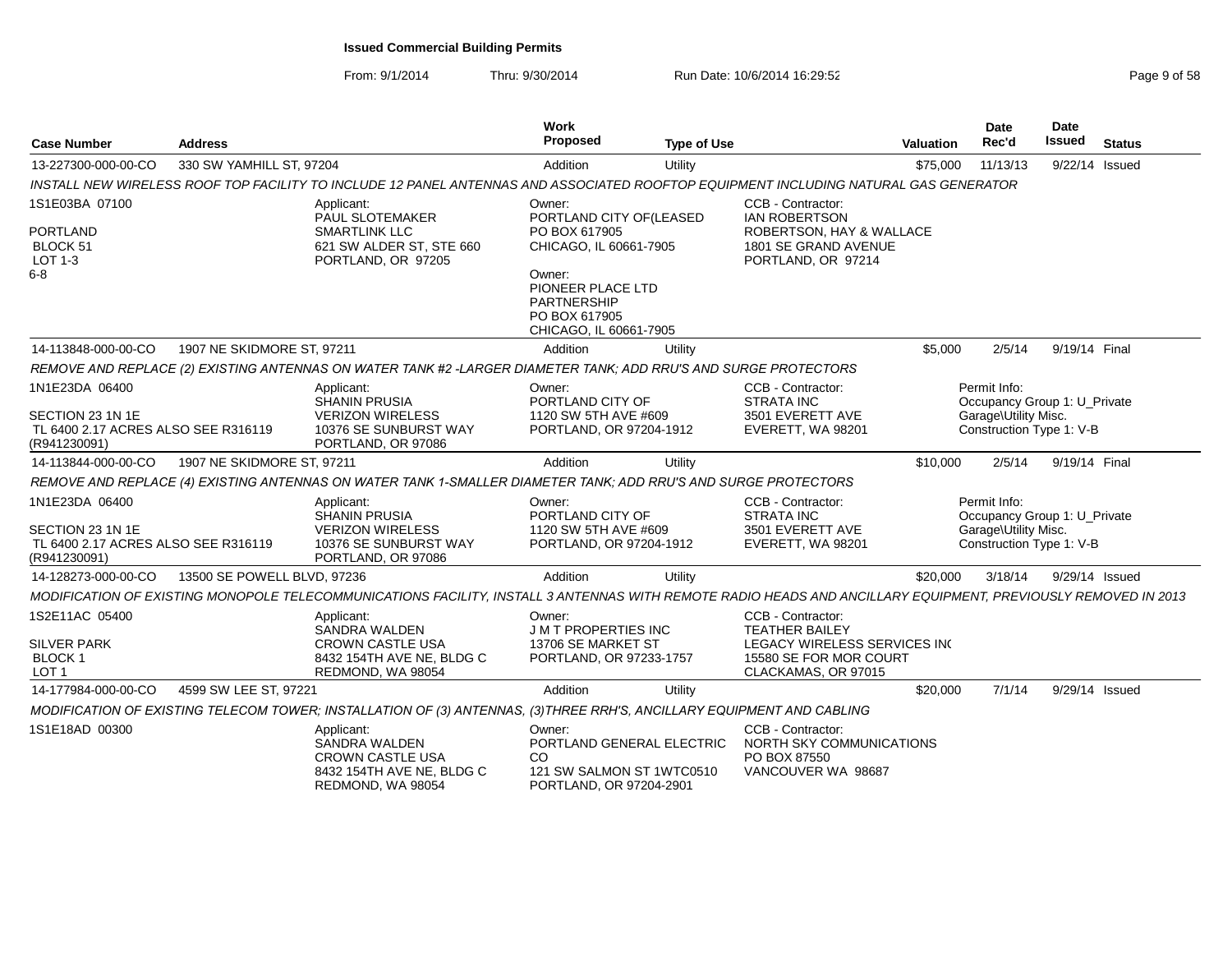### From: 9/1/2014Thru: 9/30/2014 Run Date: 10/6/2014 16:29:52

| Page 9 of 58 |  |  |  |
|--------------|--|--|--|
|--------------|--|--|--|

| <b>Case Number</b>                                                                        | <b>Address</b>              |                                                                                                                                                               | <b>Work</b><br><b>Proposed</b>                                                                    | <b>Type of Use</b> |                                                                                                                             | <b>Valuation</b> | <b>Date</b><br>Rec'd                                                                             | <b>Date</b><br>Issued | <b>Status</b> |
|-------------------------------------------------------------------------------------------|-----------------------------|---------------------------------------------------------------------------------------------------------------------------------------------------------------|---------------------------------------------------------------------------------------------------|--------------------|-----------------------------------------------------------------------------------------------------------------------------|------------------|--------------------------------------------------------------------------------------------------|-----------------------|---------------|
| 13-227300-000-00-CO                                                                       | 330 SW YAMHILL ST, 97204    |                                                                                                                                                               | Addition                                                                                          | Utility            |                                                                                                                             | \$75,000         | 11/13/13                                                                                         | 9/22/14 Issued        |               |
|                                                                                           |                             | INSTALL NEW WIRELESS ROOF TOP FACILITY TO INCLUDE 12 PANEL ANTENNAS AND ASSOCIATED ROOFTOP EQUIPMENT INCLUDING NATURAL GAS GENERATOR                          |                                                                                                   |                    |                                                                                                                             |                  |                                                                                                  |                       |               |
| 1S1E03BA 07100<br><b>PORTLAND</b><br>BLOCK 51<br>LOT 1-3                                  |                             | Applicant:<br>PAUL SLOTEMAKER<br><b>SMARTLINK LLC</b><br>621 SW ALDER ST, STE 660<br>PORTLAND, OR 97205                                                       | Owner:<br>PORTLAND CITY OF(LEASED<br>PO BOX 617905<br>CHICAGO, IL 60661-7905                      |                    | CCB - Contractor:<br><b>IAN ROBERTSON</b><br>ROBERTSON, HAY & WALLACE<br>1801 SE GRAND AVENUE<br>PORTLAND, OR 97214         |                  |                                                                                                  |                       |               |
| $6-8$                                                                                     |                             |                                                                                                                                                               | Owner:<br>PIONEER PLACE LTD<br><b>PARTNERSHIP</b><br>PO BOX 617905<br>CHICAGO, IL 60661-7905      |                    |                                                                                                                             |                  |                                                                                                  |                       |               |
| 14-113848-000-00-CO                                                                       | 1907 NE SKIDMORE ST, 97211  |                                                                                                                                                               | Addition                                                                                          | Utility            |                                                                                                                             | \$5,000          | 2/5/14                                                                                           | 9/19/14 Final         |               |
|                                                                                           |                             | REMOVE AND REPLACE (2) EXISTING ANTENNAS ON WATER TANK #2 -LARGER DIAMETER TANK; ADD RRU'S AND SURGE PROTECTORS                                               |                                                                                                   |                    |                                                                                                                             |                  |                                                                                                  |                       |               |
| 1N1E23DA 06400<br>SECTION 23 1N 1E<br>TL 6400 2.17 ACRES ALSO SEE R316119<br>(R941230091) |                             | Applicant:<br><b>SHANIN PRUSIA</b><br><b>VERIZON WIRELESS</b><br>10376 SE SUNBURST WAY<br>PORTLAND, OR 97086                                                  | Owner:<br>PORTLAND CITY OF<br>1120 SW 5TH AVE #609<br>PORTLAND, OR 97204-1912                     |                    | CCB - Contractor:<br><b>STRATA INC</b><br>3501 EVERETT AVE<br>EVERETT, WA 98201                                             |                  | Permit Info:<br>Occupancy Group 1: U_Private<br>Garage\Utility Misc.<br>Construction Type 1: V-B |                       |               |
| 14-113844-000-00-CO                                                                       | 1907 NE SKIDMORE ST, 97211  |                                                                                                                                                               | Addition                                                                                          | Utility            |                                                                                                                             | \$10,000         | 2/5/14                                                                                           | 9/19/14 Final         |               |
|                                                                                           |                             | REMOVE AND REPLACE (4) EXISTING ANTENNAS ON WATER TANK 1-SMALLER DIAMETER TANK; ADD RRU'S AND SURGE PROTECTORS                                                |                                                                                                   |                    |                                                                                                                             |                  |                                                                                                  |                       |               |
| 1N1E23DA 06400<br>SECTION 23 1N 1E<br>TL 6400 2.17 ACRES ALSO SEE R316119<br>(R941230091) |                             | Applicant:<br><b>SHANIN PRUSIA</b><br><b>VERIZON WIRELESS</b><br>10376 SE SUNBURST WAY<br>PORTLAND, OR 97086                                                  | Owner:<br>PORTLAND CITY OF<br>1120 SW 5TH AVE #609<br>PORTLAND, OR 97204-1912                     |                    | CCB - Contractor:<br><b>STRATA INC</b><br>3501 EVERETT AVE<br>EVERETT, WA 98201                                             |                  | Permit Info:<br>Occupancy Group 1: U Private<br>Garage\Utility Misc.<br>Construction Type 1: V-B |                       |               |
| 14-128273-000-00-CO                                                                       | 13500 SE POWELL BLVD, 97236 |                                                                                                                                                               | Addition                                                                                          | Utility            |                                                                                                                             | \$20,000         | 3/18/14                                                                                          | 9/29/14 Issued        |               |
|                                                                                           |                             | MODIFICATION OF EXISTING MONOPOLE TELECOMMUNICATIONS FACILITY, INSTALL 3 ANTENNAS WITH REMOTE RADIO HEADS AND ANCILLARY EQUIPMENT, PREVIOUSLY REMOVED IN 2013 |                                                                                                   |                    |                                                                                                                             |                  |                                                                                                  |                       |               |
| 1S2E11AC 05400<br><b>SILVER PARK</b><br><b>BLOCK1</b><br>LOT <sub>1</sub>                 |                             | Applicant:<br>SANDRA WALDEN<br><b>CROWN CASTLE USA</b><br>8432 154TH AVE NE, BLDG C<br>REDMOND, WA 98054                                                      | Owner:<br><b>JMT PROPERTIES INC</b><br>13706 SE MARKET ST<br>PORTLAND, OR 97233-1757              |                    | CCB - Contractor:<br><b>TEATHER BAILEY</b><br>LEGACY WIRELESS SERVICES INC<br>15580 SE FOR MOR COURT<br>CLACKAMAS, OR 97015 |                  |                                                                                                  |                       |               |
| 14-177984-000-00-CO                                                                       | 4599 SW LEE ST, 97221       |                                                                                                                                                               | Addition                                                                                          | Utility            |                                                                                                                             | \$20,000         | 7/1/14                                                                                           | 9/29/14 Issued        |               |
|                                                                                           |                             | MODIFICATION OF EXISTING TELECOM TOWER; INSTALLATION OF (3) ANTENNAS, (3)THREE RRH'S, ANCILLARY EQUIPMENT AND CABLING                                         |                                                                                                   |                    |                                                                                                                             |                  |                                                                                                  |                       |               |
| 1S1E18AD 00300                                                                            |                             | Applicant:<br>SANDRA WALDEN<br><b>CROWN CASTLE USA</b><br>8432 154TH AVE NE, BLDG C<br>REDMOND, WA 98054                                                      | Owner:<br>PORTLAND GENERAL ELECTRIC<br>CO<br>121 SW SALMON ST 1WTC0510<br>PORTLAND, OR 97204-2901 |                    | CCB - Contractor:<br>NORTH SKY COMMUNICATIONS<br>PO BOX 87550<br>VANCOUVER WA 98687                                         |                  |                                                                                                  |                       |               |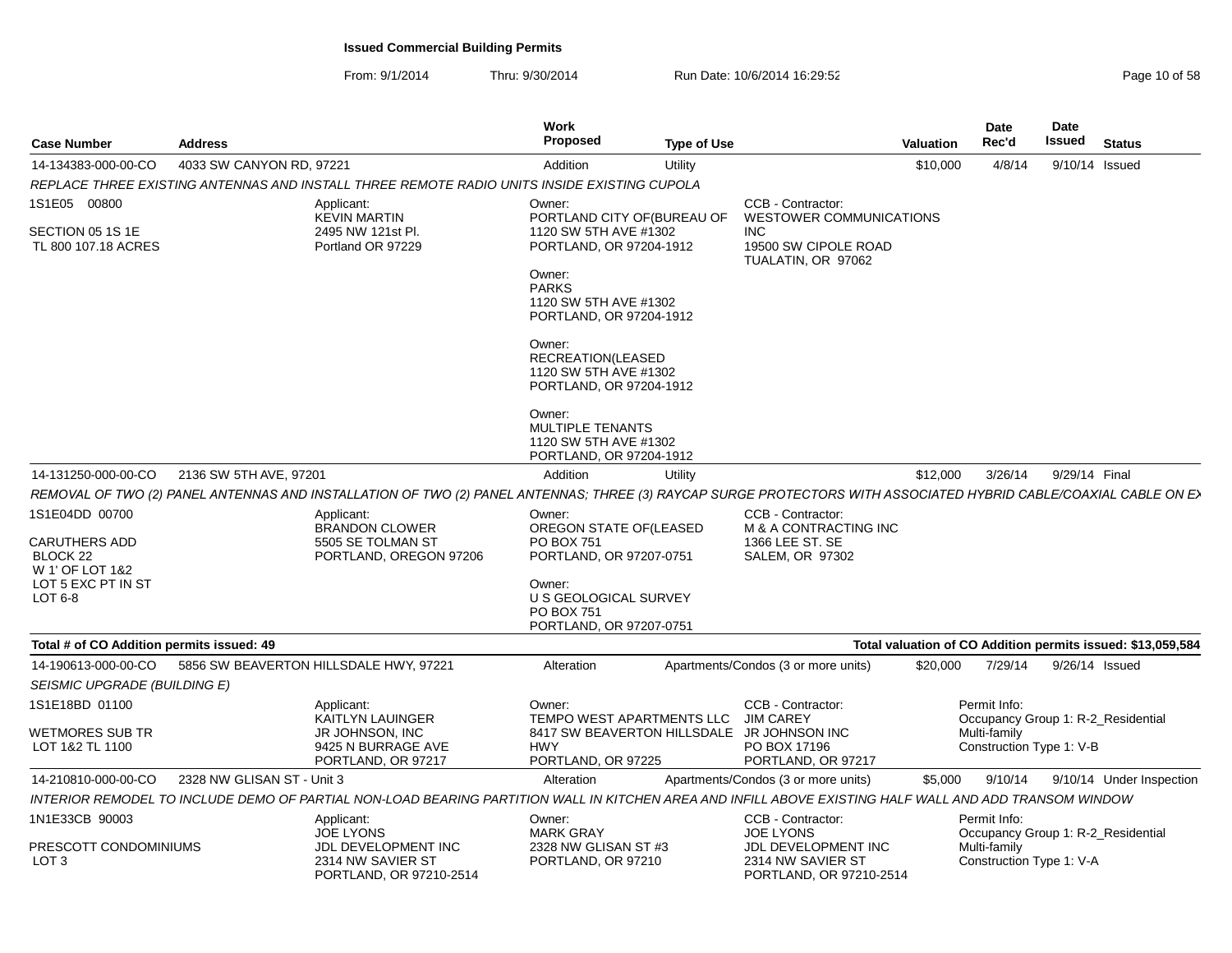From: 9/1/2014

| <b>Case Number</b>                                     | <b>Address</b>             |                                                                                                                                                                  | <b>Work</b><br>Proposed                                                               | <b>Type of Use</b> |                                                                                  | <b>Valuation</b> | Date<br>Rec'd                            | Date<br><b>Issued</b> | <b>Status</b>                                               |
|--------------------------------------------------------|----------------------------|------------------------------------------------------------------------------------------------------------------------------------------------------------------|---------------------------------------------------------------------------------------|--------------------|----------------------------------------------------------------------------------|------------------|------------------------------------------|-----------------------|-------------------------------------------------------------|
| 14-134383-000-00-CO                                    | 4033 SW CANYON RD, 97221   |                                                                                                                                                                  | Addition                                                                              | Utility            |                                                                                  | \$10,000         | 4/8/14                                   | 9/10/14 Issued        |                                                             |
|                                                        |                            | REPLACE THREE EXISTING ANTENNAS AND INSTALL THREE REMOTE RADIO UNITS INSIDE EXISTING CUPOLA                                                                      |                                                                                       |                    |                                                                                  |                  |                                          |                       |                                                             |
| 1S1E05 00800                                           |                            | Applicant:<br><b>KEVIN MARTIN</b>                                                                                                                                | Owner:<br>PORTLAND CITY OF (BUREAU OF                                                 |                    | CCB - Contractor:<br><b>WESTOWER COMMUNICATIONS</b>                              |                  |                                          |                       |                                                             |
| SECTION 05 1S 1E<br>TL 800 107.18 ACRES                |                            | 2495 NW 121st Pl.<br>Portland OR 97229                                                                                                                           | 1120 SW 5TH AVE #1302<br>PORTLAND, OR 97204-1912                                      |                    | <b>INC</b><br>19500 SW CIPOLE ROAD<br>TUALATIN, OR 97062                         |                  |                                          |                       |                                                             |
|                                                        |                            |                                                                                                                                                                  | Owner:<br><b>PARKS</b><br>1120 SW 5TH AVE #1302<br>PORTLAND, OR 97204-1912            |                    |                                                                                  |                  |                                          |                       |                                                             |
|                                                        |                            |                                                                                                                                                                  | Owner:<br>RECREATION(LEASED<br>1120 SW 5TH AVE #1302<br>PORTLAND, OR 97204-1912       |                    |                                                                                  |                  |                                          |                       |                                                             |
|                                                        |                            |                                                                                                                                                                  | Owner:<br><b>MULTIPLE TENANTS</b><br>1120 SW 5TH AVE #1302<br>PORTLAND, OR 97204-1912 |                    |                                                                                  |                  |                                          |                       |                                                             |
| 14-131250-000-00-CO                                    | 2136 SW 5TH AVE, 97201     |                                                                                                                                                                  | Addition                                                                              | Utility            |                                                                                  | \$12,000         | 3/26/14                                  | 9/29/14 Final         |                                                             |
|                                                        |                            | REMOVAL OF TWO (2) PANEL ANTENNAS AND INSTALLATION OF TWO (2) PANEL ANTENNAS; THREE (3) RAYCAP SURGE PROTECTORS WITH ASSOCIATED HYBRID CABLE/COAXIAL CABLE ON E> |                                                                                       |                    |                                                                                  |                  |                                          |                       |                                                             |
| 1S1E04DD 00700<br>CARUTHERS ADD<br>BLOCK <sub>22</sub> |                            | Applicant:<br>BRANDON CLOWER<br>5505 SE TOLMAN ST<br>PORTLAND, OREGON 97206                                                                                      | Owner:<br>OREGON STATE OF(LEASED<br>PO BOX 751<br>PORTLAND, OR 97207-0751             |                    | CCB - Contractor:<br>M & A CONTRACTING INC<br>1366 LEE ST. SE<br>SALEM, OR 97302 |                  |                                          |                       |                                                             |
| W 1' OF LOT 1&2<br>LOT 5 EXC PT IN ST<br>LOT $6-8$     |                            |                                                                                                                                                                  | Owner:<br>U S GEOLOGICAL SURVEY<br>PO BOX 751<br>PORTLAND, OR 97207-0751              |                    |                                                                                  |                  |                                          |                       |                                                             |
| Total # of CO Addition permits issued: 49              |                            |                                                                                                                                                                  |                                                                                       |                    |                                                                                  |                  |                                          |                       | Total valuation of CO Addition permits issued: \$13,059,584 |
| 14-190613-000-00-CO                                    |                            | 5856 SW BEAVERTON HILLSDALE HWY, 97221                                                                                                                           | Alteration                                                                            |                    | Apartments/Condos (3 or more units)                                              | \$20,000         | 7/29/14                                  | 9/26/14 Issued        |                                                             |
| SEISMIC UPGRADE (BUILDING E)                           |                            |                                                                                                                                                                  |                                                                                       |                    |                                                                                  |                  |                                          |                       |                                                             |
| 1S1E18BD 01100                                         |                            | Applicant:<br>KAITLYN LAUINGER                                                                                                                                   | Owner:<br>TEMPO WEST APARTMENTS LLC                                                   |                    | CCB - Contractor:<br><b>JIM CAREY</b>                                            |                  | Permit Info:                             |                       | Occupancy Group 1: R-2_Residential                          |
| WETMORES SUB TR<br>LOT 1&2 TL 1100                     |                            | JR JOHNSON, INC<br>9425 N BURRAGE AVE<br>PORTLAND, OR 97217                                                                                                      | 8417 SW BEAVERTON HILLSDALE<br><b>HWY</b><br>PORTLAND, OR 97225                       |                    | JR JOHNSON INC<br>PO BOX 17196<br>PORTLAND, OR 97217                             |                  | Multi-family<br>Construction Type 1: V-B |                       |                                                             |
| 14-210810-000-00-CO                                    | 2328 NW GLISAN ST - Unit 3 |                                                                                                                                                                  | Alteration                                                                            |                    | Apartments/Condos (3 or more units)                                              | \$5,000          | 9/10/14                                  |                       | 9/10/14 Under Inspection                                    |
|                                                        |                            | INTERIOR REMODEL TO INCLUDE DEMO OF PARTIAL NON-LOAD BEARING PARTITION WALL IN KITCHEN AREA AND INFILL ABOVE EXISTING HALF WALL AND ADD TRANSOM WINDOW           |                                                                                       |                    |                                                                                  |                  |                                          |                       |                                                             |
| 1N1E33CB 90003                                         |                            | Applicant:<br><b>JOE LYONS</b>                                                                                                                                   | Owner:<br><b>MARK GRAY</b>                                                            |                    | CCB - Contractor:<br><b>JOE LYONS</b>                                            |                  | Permit Info:                             |                       | Occupancy Group 1: R-2_Residential                          |
| PRESCOTT CONDOMINIUMS<br>LOT 3                         |                            | JDL DEVELOPMENT INC<br>2314 NW SAVIER ST<br>PORTLAND, OR 97210-2514                                                                                              | 2328 NW GLISAN ST #3<br>PORTLAND, OR 97210                                            |                    | JDL DEVELOPMENT INC<br>2314 NW SAVIER ST<br>PORTLAND, OR 97210-2514              |                  | Multi-family<br>Construction Type 1: V-A |                       |                                                             |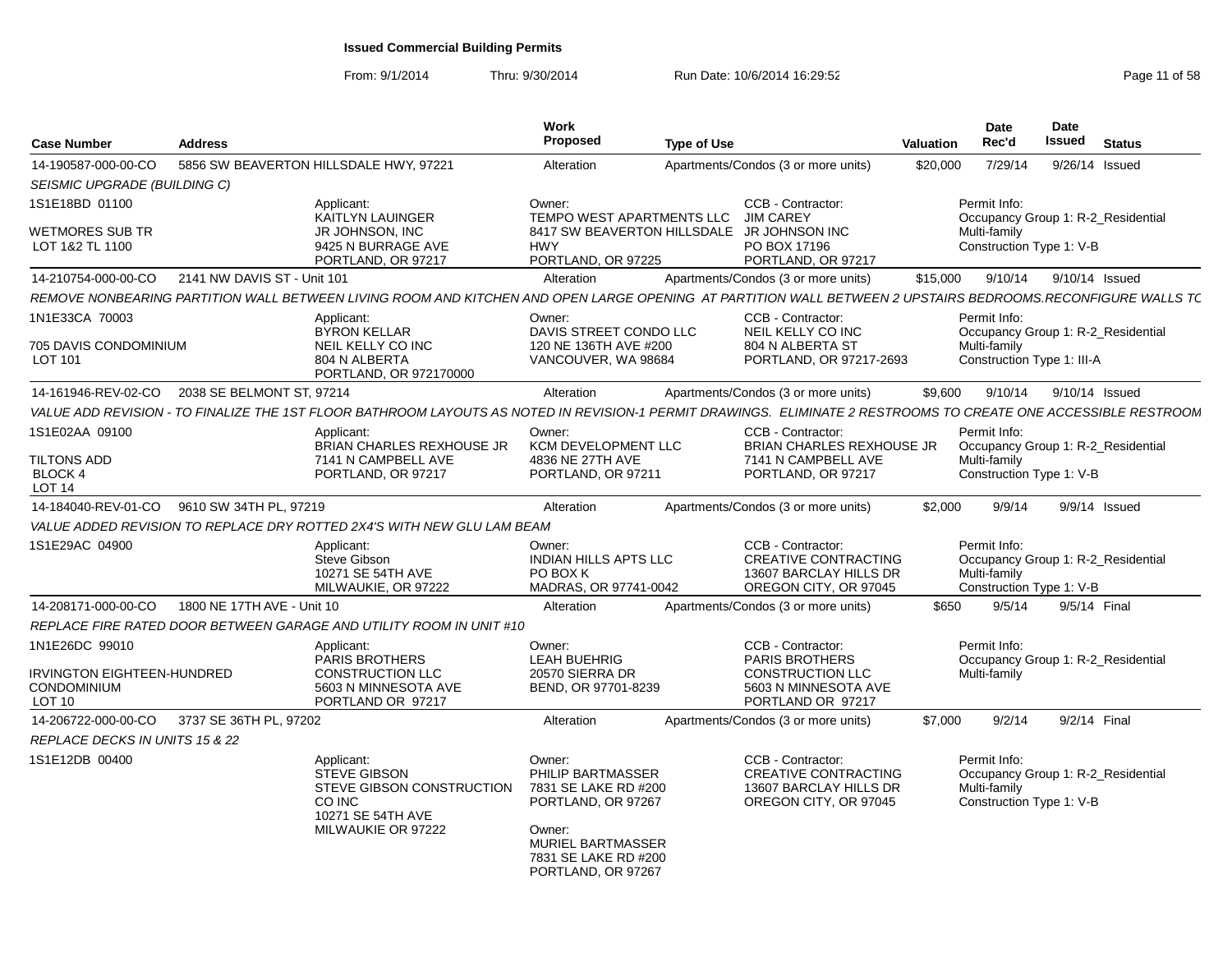| <b>Case Number</b>                                                    | <b>Address</b>              |                                                                                                                                                                  | Work<br>Proposed                                                                                                                                              | <b>Type of Use</b> |                                                                                                                    | <b>Valuation</b> | Date<br>Rec'd                                            | Date<br><b>Issued</b> | <b>Status</b>                      |  |
|-----------------------------------------------------------------------|-----------------------------|------------------------------------------------------------------------------------------------------------------------------------------------------------------|---------------------------------------------------------------------------------------------------------------------------------------------------------------|--------------------|--------------------------------------------------------------------------------------------------------------------|------------------|----------------------------------------------------------|-----------------------|------------------------------------|--|
| 14-190587-000-00-CO                                                   |                             | 5856 SW BEAVERTON HILLSDALE HWY, 97221                                                                                                                           | Alteration                                                                                                                                                    |                    | Apartments/Condos (3 or more units)                                                                                | \$20,000         | 7/29/14                                                  |                       | 9/26/14 Issued                     |  |
| SEISMIC UPGRADE (BUILDING C)                                          |                             |                                                                                                                                                                  |                                                                                                                                                               |                    |                                                                                                                    |                  |                                                          |                       |                                    |  |
| 1S1E18BD 01100                                                        |                             | Applicant:<br>KAITLYN LAUINGER                                                                                                                                   | Owner:<br>TEMPO WEST APARTMENTS LLC                                                                                                                           |                    | <b>CCB - Contractor:</b><br><b>JIM CAREY</b>                                                                       |                  | Permit Info:                                             |                       | Occupancy Group 1: R-2 Residential |  |
| <b>WETMORES SUB TR</b><br>LOT 1&2 TL 1100                             |                             | <b>JR JOHNSON, INC</b><br>9425 N BURRAGE AVE<br>PORTLAND, OR 97217                                                                                               | <b>HWY</b><br>PORTLAND, OR 97225                                                                                                                              |                    | 8417 SW BEAVERTON HILLSDALE JR JOHNSON INC<br>PO BOX 17196<br>PORTLAND, OR 97217                                   |                  | Multi-family<br>Construction Type 1: V-B                 |                       |                                    |  |
| 14-210754-000-00-CO                                                   | 2141 NW DAVIS ST - Unit 101 |                                                                                                                                                                  | Alteration                                                                                                                                                    |                    | Apartments/Condos (3 or more units)                                                                                | \$15,000         | 9/10/14                                                  |                       | 9/10/14 Issued                     |  |
|                                                                       |                             | REMOVE NONBEARING PARTITION WALL BETWEEN LIVING ROOM AND KITCHEN AND OPEN LARGE OPENING AT PARTITION WALL BETWEEN 2 UPSTAIRS BEDROOMS.RECONFIGURE WALLS T(       |                                                                                                                                                               |                    |                                                                                                                    |                  |                                                          |                       |                                    |  |
| 1N1E33CA 70003                                                        |                             | Applicant:<br><b>BYRON KELLAR</b>                                                                                                                                | Owner:<br>DAVIS STREET CONDO LLC                                                                                                                              |                    | CCB - Contractor:<br>NEIL KELLY CO INC                                                                             |                  | Permit Info:                                             |                       | Occupancy Group 1: R-2 Residential |  |
| 705 DAVIS CONDOMINIUM<br>LOT 101                                      |                             | NEIL KELLY CO INC<br>804 N ALBERTA<br>PORTLAND, OR 972170000                                                                                                     | 120 NE 136TH AVE #200<br>VANCOUVER, WA 98684                                                                                                                  |                    | 804 N ALBERTA ST<br>PORTLAND, OR 97217-2693                                                                        |                  | Multi-family<br>Construction Type 1: III-A               |                       |                                    |  |
| 14-161946-REV-02-CO                                                   | 2038 SE BELMONT ST, 97214   |                                                                                                                                                                  | Alteration                                                                                                                                                    |                    | Apartments/Condos (3 or more units)                                                                                | \$9.600          | 9/10/14                                                  |                       | 9/10/14 Issued                     |  |
|                                                                       |                             | VALUE ADD REVISION - TO FINALIZE THE 1ST FLOOR BATHROOM LAYOUTS AS NOTED IN REVISION-1 PERMIT DRAWINGS. ELIMINATE 2 RESTROOMS TO CREATE ONE ACCESSIBLE RESTROOM. |                                                                                                                                                               |                    |                                                                                                                    |                  |                                                          |                       |                                    |  |
| 1S1E02AA 09100                                                        |                             | Applicant:<br><b>BRIAN CHARLES REXHOUSE JR</b>                                                                                                                   | Owner:<br><b>KCM DEVELOPMENT LLC</b>                                                                                                                          |                    | CCB - Contractor:<br><b>BRIAN CHARLES REXHOUSE JR</b>                                                              |                  | Permit Info:                                             |                       | Occupancy Group 1: R-2 Residential |  |
| TILTONS ADD<br>BLOCK 4<br>LOT 14                                      |                             | 7141 N CAMPBELL AVE<br>PORTLAND, OR 97217                                                                                                                        | 4836 NE 27TH AVE<br>PORTLAND, OR 97211                                                                                                                        |                    | 7141 N CAMPBELL AVE<br>PORTLAND, OR 97217                                                                          |                  | Multi-family<br>Construction Type 1: V-B                 |                       |                                    |  |
| 14-184040-REV-01-CO                                                   | 9610 SW 34TH PL, 97219      |                                                                                                                                                                  | Alteration                                                                                                                                                    |                    | Apartments/Condos (3 or more units)                                                                                | \$2,000          | 9/9/14                                                   |                       | 9/9/14 Issued                      |  |
|                                                                       |                             | VALUE ADDED REVISION TO REPLACE DRY ROTTED 2X4'S WITH NEW GLU LAM BEAM                                                                                           |                                                                                                                                                               |                    |                                                                                                                    |                  |                                                          |                       |                                    |  |
| 1S1E29AC 04900                                                        |                             | Applicant:<br><b>Steve Gibson</b><br>10271 SE 54TH AVE<br>MILWAUKIE, OR 97222                                                                                    | Owner:<br><b>INDIAN HILLS APTS LLC</b><br>PO BOX K<br>MADRAS, OR 97741-0042                                                                                   |                    | <b>CCB - Contractor:</b><br><b>CREATIVE CONTRACTING</b><br>13607 BARCLAY HILLS DR<br>OREGON CITY, OR 97045         |                  | Permit Info:<br>Multi-family<br>Construction Type 1: V-B |                       | Occupancy Group 1: R-2 Residential |  |
| 14-208171-000-00-CO                                                   | 1800 NE 17TH AVE - Unit 10  |                                                                                                                                                                  | Alteration                                                                                                                                                    |                    | Apartments/Condos (3 or more units)                                                                                | \$650            | 9/5/14                                                   |                       | 9/5/14 Final                       |  |
|                                                                       |                             | REPLACE FIRE RATED DOOR BETWEEN GARAGE AND UTILITY ROOM IN UNIT #10                                                                                              |                                                                                                                                                               |                    |                                                                                                                    |                  |                                                          |                       |                                    |  |
| 1N1E26DC 99010<br>IRVINGTON EIGHTEEN-HUNDRED<br>CONDOMINIUM<br>LOT 10 |                             | Applicant:<br><b>PARIS BROTHERS</b><br><b>CONSTRUCTION LLC</b><br>5603 N MINNESOTA AVE<br>PORTLAND OR 97217                                                      | Owner:<br><b>LEAH BUEHRIG</b><br>20570 SIERRA DR<br>BEND, OR 97701-8239                                                                                       |                    | CCB - Contractor:<br><b>PARIS BROTHERS</b><br><b>CONSTRUCTION LLC</b><br>5603 N MINNESOTA AVE<br>PORTLAND OR 97217 |                  | Permit Info:<br>Multi-family                             |                       | Occupancy Group 1: R-2_Residential |  |
| 14-206722-000-00-CO                                                   | 3737 SE 36TH PL, 97202      |                                                                                                                                                                  | Alteration                                                                                                                                                    |                    | Apartments/Condos (3 or more units)                                                                                | \$7.000          | 9/2/14                                                   |                       | 9/2/14 Final                       |  |
| <b>REPLACE DECKS IN UNITS 15 &amp; 22</b>                             |                             |                                                                                                                                                                  |                                                                                                                                                               |                    |                                                                                                                    |                  |                                                          |                       |                                    |  |
| 1S1E12DB 00400                                                        |                             | Applicant:<br><b>STEVE GIBSON</b><br>STEVE GIBSON CONSTRUCTION<br>CO INC<br>10271 SE 54TH AVE<br>MILWAUKIE OR 97222                                              | Owner:<br>PHILIP BARTMASSER<br>7831 SE LAKE RD #200<br>PORTLAND, OR 97267<br>Owner:<br><b>MURIEL BARTMASSER</b><br>7831 SE LAKE RD #200<br>PORTLAND, OR 97267 |                    | CCB - Contractor:<br><b>CREATIVE CONTRACTING</b><br>13607 BARCLAY HILLS DR<br>OREGON CITY, OR 97045                |                  | Permit Info:<br>Multi-family<br>Construction Type 1: V-B |                       | Occupancy Group 1: R-2_Residential |  |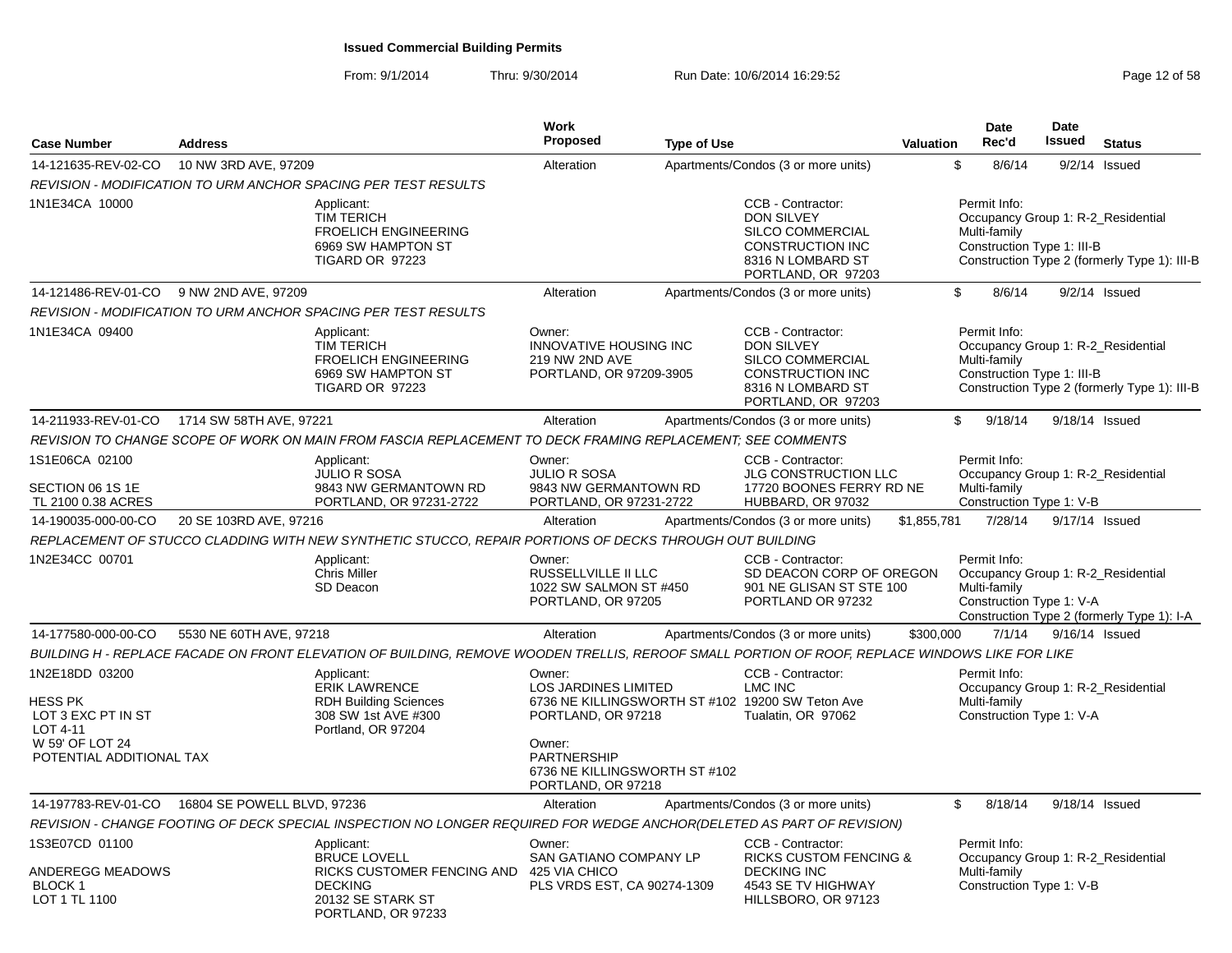| <b>Case Number</b>                                                                                         | <b>Address</b>              |                                                                                                                                                | Work<br><b>Proposed</b>                                                                                                                            | <b>Type of Use</b> |                                                                                                                                  | <b>Valuation</b> | <b>Date</b><br>Rec'd                                                                             | <b>Date</b><br><b>Issued</b> | <b>Status</b>                                |
|------------------------------------------------------------------------------------------------------------|-----------------------------|------------------------------------------------------------------------------------------------------------------------------------------------|----------------------------------------------------------------------------------------------------------------------------------------------------|--------------------|----------------------------------------------------------------------------------------------------------------------------------|------------------|--------------------------------------------------------------------------------------------------|------------------------------|----------------------------------------------|
| 14-121635-REV-02-CO                                                                                        | 10 NW 3RD AVE, 97209        |                                                                                                                                                | Alteration                                                                                                                                         |                    | Apartments/Condos (3 or more units)                                                                                              |                  | \$<br>8/6/14                                                                                     |                              | $9/2/14$ Issued                              |
|                                                                                                            |                             | <b>REVISION - MODIFICATION TO URM ANCHOR SPACING PER TEST RESULTS</b>                                                                          |                                                                                                                                                    |                    |                                                                                                                                  |                  |                                                                                                  |                              |                                              |
| 1N1E34CA 10000                                                                                             |                             | Applicant:<br><b>TIM TERICH</b><br><b>FROELICH ENGINEERING</b><br>6969 SW HAMPTON ST<br>TIGARD OR 97223                                        |                                                                                                                                                    |                    | CCB - Contractor:<br>DON SILVEY<br>SILCO COMMERCIAL<br><b>CONSTRUCTION INC</b><br>8316 N LOMBARD ST<br>PORTLAND, OR 97203        |                  | Permit Info:<br>Occupancy Group 1: R-2_Residential<br>Multi-family<br>Construction Type 1: III-B |                              | Construction Type 2 (formerly Type 1): III-B |
| 14-121486-REV-01-CO                                                                                        | 9 NW 2ND AVE, 97209         |                                                                                                                                                | Alteration                                                                                                                                         |                    | Apartments/Condos (3 or more units)                                                                                              |                  | \$<br>8/6/14                                                                                     |                              | $9/2/14$ Issued                              |
|                                                                                                            |                             | <b>REVISION - MODIFICATION TO URM ANCHOR SPACING PER TEST RESULTS</b>                                                                          |                                                                                                                                                    |                    |                                                                                                                                  |                  |                                                                                                  |                              |                                              |
| 1N1E34CA 09400                                                                                             |                             | Applicant:<br><b>TIM TERICH</b><br><b>FROELICH ENGINEERING</b><br>6969 SW HAMPTON ST<br>TIGARD OR 97223                                        | Owner:<br><b>INNOVATIVE HOUSING INC</b><br>219 NW 2ND AVE<br>PORTLAND, OR 97209-3905                                                               |                    | CCB - Contractor:<br><b>DON SILVEY</b><br>SILCO COMMERCIAL<br><b>CONSTRUCTION INC</b><br>8316 N LOMBARD ST<br>PORTLAND, OR 97203 |                  | Permit Info:<br>Occupancy Group 1: R-2 Residential<br>Multi-family<br>Construction Type 1: III-B |                              | Construction Type 2 (formerly Type 1): III-B |
| 14-211933-REV-01-CO                                                                                        | 1714 SW 58TH AVE, 97221     |                                                                                                                                                | Alteration                                                                                                                                         |                    | Apartments/Condos (3 or more units)                                                                                              |                  | \$<br>9/18/14                                                                                    |                              | 9/18/14 Issued                               |
|                                                                                                            |                             | REVISION TO CHANGE SCOPE OF WORK ON MAIN FROM FASCIA REPLACEMENT TO DECK FRAMING REPLACEMENT: SEE COMMENTS                                     |                                                                                                                                                    |                    |                                                                                                                                  |                  |                                                                                                  |                              |                                              |
| 1S1E06CA 02100                                                                                             |                             | Applicant:<br><b>JULIO R SOSA</b>                                                                                                              | Owner:<br><b>JULIO R SOSA</b>                                                                                                                      |                    | CCB - Contractor:<br><b>JLG CONSTRUCTION LLC</b>                                                                                 |                  | Permit Info:<br>Occupancy Group 1: R-2_Residential                                               |                              |                                              |
| SECTION 06 1S 1E<br>TL 2100 0.38 ACRES                                                                     |                             | 9843 NW GERMANTOWN RD<br>PORTLAND, OR 97231-2722                                                                                               | 9843 NW GERMANTOWN RD<br>PORTLAND, OR 97231-2722                                                                                                   |                    | 17720 BOONES FERRY RD NE<br>HUBBARD, OR 97032                                                                                    |                  | Multi-family<br>Construction Type 1: V-B                                                         |                              |                                              |
| 14-190035-000-00-CO                                                                                        | 20 SE 103RD AVE, 97216      |                                                                                                                                                | Alteration                                                                                                                                         |                    | Apartments/Condos (3 or more units)                                                                                              | \$1,855,781      | 7/28/14                                                                                          |                              | 9/17/14 Issued                               |
|                                                                                                            |                             | REPLACEMENT OF STUCCO CLADDING WITH NEW SYNTHETIC STUCCO, REPAIR PORTIONS OF DECKS THROUGH OUT BUILDING                                        |                                                                                                                                                    |                    |                                                                                                                                  |                  |                                                                                                  |                              |                                              |
| 1N2E34CC 00701                                                                                             |                             | Applicant:<br><b>Chris Miller</b><br>SD Deacon                                                                                                 | Owner:<br>RUSSELLVILLE II LLC<br>1022 SW SALMON ST #450<br>PORTLAND, OR 97205                                                                      |                    | CCB - Contractor:<br>SD DEACON CORP OF OREGON<br>901 NE GLISAN ST STE 100<br>PORTLAND OR 97232                                   |                  | Permit Info:<br>Occupancy Group 1: R-2 Residential<br>Multi-family<br>Construction Type 1: V-A   |                              | Construction Type 2 (formerly Type 1): I-A   |
| 14-177580-000-00-CO                                                                                        | 5530 NE 60TH AVE, 97218     |                                                                                                                                                | Alteration                                                                                                                                         |                    | Apartments/Condos (3 or more units)                                                                                              | \$300,000        | 7/1/14                                                                                           |                              | 9/16/14 Issued                               |
|                                                                                                            |                             | BUILDING H - REPLACE FACADE ON FRONT ELEVATION OF BUILDING, REMOVE WOODEN TRELLIS, REROOF SMALL PORTION OF ROOF, REPLACE WINDOWS LIKE FOR LIKE |                                                                                                                                                    |                    |                                                                                                                                  |                  |                                                                                                  |                              |                                              |
| 1N2E18DD 03200<br>HESS PK<br>LOT 3 EXC PT IN ST<br>LOT 4-11<br>W 59' OF LOT 24<br>POTENTIAL ADDITIONAL TAX |                             | Applicant:<br><b>ERIK LAWRENCE</b><br><b>RDH Building Sciences</b><br>308 SW 1st AVE #300<br>Portland, OR 97204                                | Owner:<br><b>LOS JARDINES LIMITED</b><br>PORTLAND, OR 97218<br>Owner:<br><b>PARTNERSHIP</b><br>6736 NE KILLINGSWORTH ST #102<br>PORTLAND, OR 97218 |                    | CCB - Contractor:<br>LMC INC<br>6736 NE KILLINGSWORTH ST #102 19200 SW Teton Ave<br>Tualatin, OR 97062                           |                  | Permit Info:<br>Occupancy Group 1: R-2 Residential<br>Multi-family<br>Construction Type 1: V-A   |                              |                                              |
| 14-197783-REV-01-CO                                                                                        | 16804 SE POWELL BLVD, 97236 |                                                                                                                                                | Alteration                                                                                                                                         |                    | Apartments/Condos (3 or more units)                                                                                              |                  | \$<br>8/18/14                                                                                    |                              | 9/18/14 Issued                               |
|                                                                                                            |                             | REVISION - CHANGE FOOTING OF DECK SPECIAL INSPECTION NO LONGER REQUIRED FOR WEDGE ANCHOR(DELETED AS PART OF REVISION)                          |                                                                                                                                                    |                    |                                                                                                                                  |                  |                                                                                                  |                              |                                              |
| 1S3E07CD 01100                                                                                             |                             | Applicant:                                                                                                                                     | Owner:                                                                                                                                             |                    | CCB - Contractor:                                                                                                                |                  | Permit Info:                                                                                     |                              |                                              |
| ANDEREGG MEADOWS<br><b>BLOCK1</b><br>LOT 1 TL 1100                                                         |                             | <b>BRUCE LOVELL</b><br>RICKS CUSTOMER FENCING AND<br><b>DECKING</b><br>20132 SE STARK ST<br>PORTLAND, OR 97233                                 | <b>SAN GATIANO COMPANY LP</b><br>425 VIA CHICO<br>PLS VRDS EST, CA 90274-1309                                                                      |                    | <b>RICKS CUSTOM FENCING &amp;</b><br><b>DECKING INC</b><br>4543 SE TV HIGHWAY<br>HILLSBORO, OR 97123                             |                  | Occupancy Group 1: R-2 Residential<br>Multi-family<br>Construction Type 1: V-B                   |                              |                                              |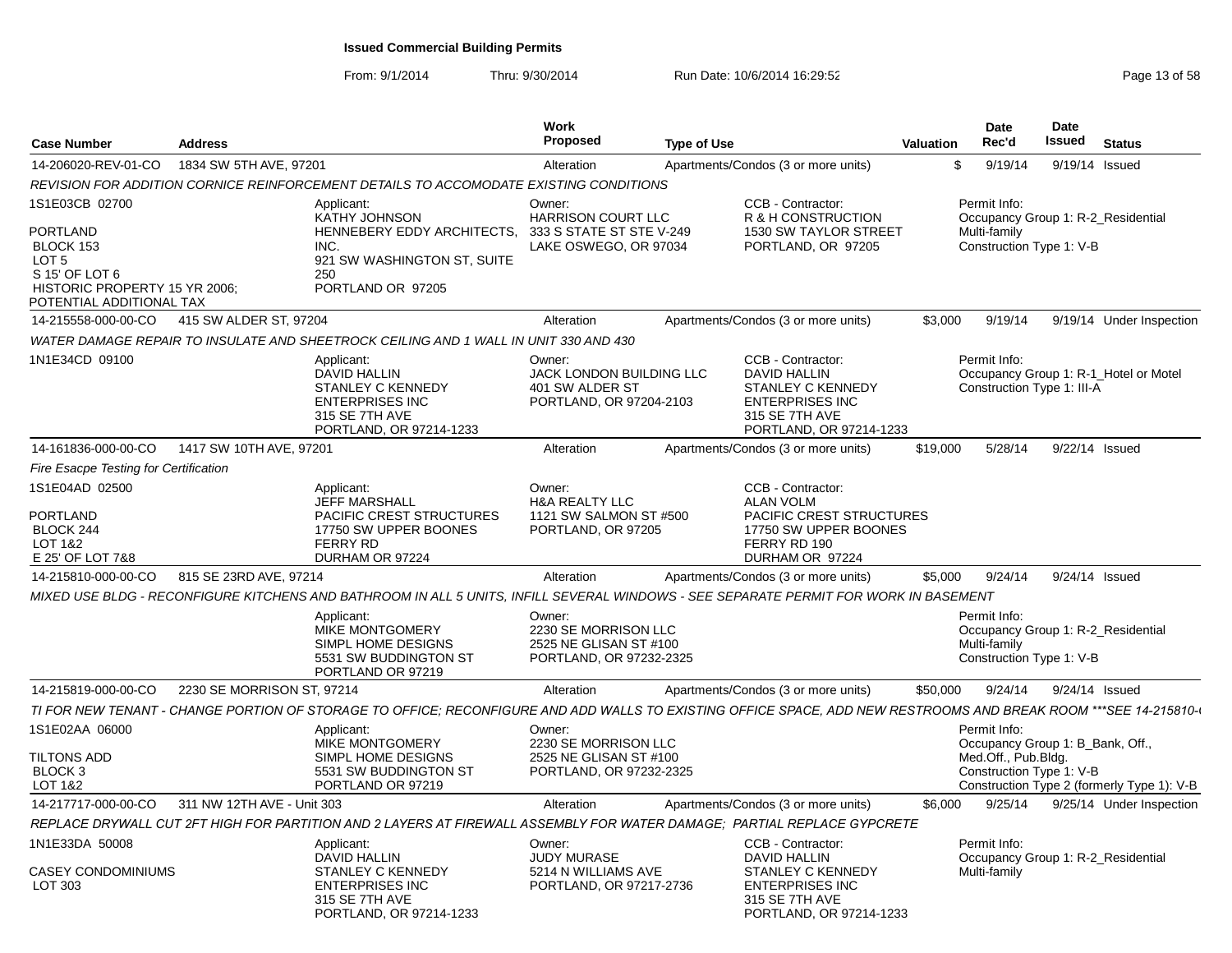| 1834 SW 5TH AVE, 97201<br>\$<br>14-206020-REV-01-CO<br>Apartments/Condos (3 or more units)<br>9/19/14<br>9/19/14<br>Alteration<br>REVISION FOR ADDITION CORNICE REINFORCEMENT DETAILS TO ACCOMODATE EXISTING CONDITIONS<br>1S1E03CB 02700<br>CCB - Contractor:<br>Permit Info:<br>Applicant:<br>Owner:<br>HARRISON COURT LLC<br>R & H CONSTRUCTION<br><b>KATHY JOHNSON</b><br>Occupancy Group 1: R-2_Residential<br>PORTLAND<br>HENNEBERY EDDY ARCHITECTS,<br>333 S STATE ST STE V-249<br>Multi-family<br>1530 SW TAYLOR STREET<br>BLOCK 153<br>LAKE OSWEGO, OR 97034<br>PORTLAND, OR 97205<br>Construction Type 1: V-B<br>INC.<br>LOT 5<br>921 SW WASHINGTON ST, SUITE<br>S 15' OF LOT 6<br>250<br>HISTORIC PROPERTY 15 YR 2006;<br>PORTLAND OR 97205<br>POTENTIAL ADDITIONAL TAX<br>415 SW ALDER ST, 97204<br>Apartments/Condos (3 or more units)<br>\$3,000<br>9/19/14<br>14-215558-000-00-CO<br>Alteration<br>WATER DAMAGE REPAIR TO INSULATE AND SHEETROCK CEILING AND 1 WALL IN UNIT 330 AND 430<br>1N1E34CD 09100<br>CCB - Contractor:<br>Permit Info:<br>Applicant:<br>Owner:<br><b>DAVID HALLIN</b><br><b>DAVID HALLIN</b><br>JACK LONDON BUILDING LLC<br>Occupancy Group 1: R-1_Hotel or Motel<br>STANLEY C KENNEDY<br>401 SW ALDER ST<br>STANLEY C KENNEDY<br>Construction Type 1: III-A<br><b>ENTERPRISES INC</b><br>PORTLAND, OR 97204-2103<br><b>ENTERPRISES INC</b><br>315 SE 7TH AVE<br>315 SE 7TH AVE<br>PORTLAND, OR 97214-1233<br>PORTLAND, OR 97214-1233<br>14-161836-000-00-CO<br>1417 SW 10TH AVE, 97201<br>Alteration<br>Apartments/Condos (3 or more units)<br>\$19,000<br>5/28/14<br>9/22/14 Issued<br>Fire Esacpe Testing for Certification<br>1S1E04AD 02500<br>CCB - Contractor:<br>Owner:<br>Applicant:<br><b>ALAN VOLM</b><br>JEFF MARSHALL<br><b>H&amp;A REALTY LLC</b><br>1121 SW SALMON ST #500<br><b>PORTLAND</b><br><b>PACIFIC CREST STRUCTURES</b><br><b>PACIFIC CREST STRUCTURES</b><br>BLOCK 244<br>17750 SW UPPER BOONES<br>17750 SW UPPER BOONES<br>PORTLAND, OR 97205<br>FERRY RD 190<br><b>FERRY RD</b><br>LOT 1&2<br>E 25' OF LOT 7&8<br>DURHAM OR 97224<br>DURHAM OR 97224<br>815 SE 23RD AVE, 97214<br>9/24/14<br>14-215810-000-00-CO<br>Alteration<br>Apartments/Condos (3 or more units)<br>\$5,000<br>9/24/14 Issued<br>MIXED USE BLDG - RECONFIGURE KITCHENS AND BATHROOM IN ALL 5 UNITS. INFILL SEVERAL WINDOWS - SEE SEPARATE PERMIT FOR WORK IN BASEMENT<br>Permit Info:<br>Applicant:<br>Owner:<br>2230 SE MORRISON LLC<br>MIKE MONTGOMERY<br>Occupancy Group 1: R-2_Residential<br>SIMPL HOME DESIGNS<br>2525 NE GLISAN ST #100<br>Multi-family<br>Construction Type 1: V-B<br>5531 SW BUDDINGTON ST<br>PORTLAND, OR 97232-2325<br>PORTLAND OR 97219<br>2230 SE MORRISON ST, 97214<br>Apartments/Condos (3 or more units)<br>14-215819-000-00-CO<br>Alteration<br>\$50,000<br>9/24/14<br>9/24/14 Issued<br>TI FOR NEW TENANT - CHANGE PORTION OF STORAGE TO OFFICE; RECONFIGURE AND ADD WALLS TO EXISTING OFFICE SPACE, ADD NEW RESTROOMS AND BREAK ROOM ***SEE 14-215810-I<br>1S1E02AA 06000<br>Permit Info:<br>Applicant:<br>Owner:<br>MIKE MONTGOMERY<br>2230 SE MORRISON LLC<br>Occupancy Group 1: B_Bank, Off.,<br>Med.Off., Pub.Bldg.<br>SIMPL HOME DESIGNS<br>2525 NE GLISAN ST #100 | <b>Case Number</b> | <b>Address</b> | Work<br><b>Proposed</b> | <b>Type of Use</b> | <b>Valuation</b> | Date<br>Rec'd | <b>Date</b><br>Issued | <b>Status</b>            |
|---------------------------------------------------------------------------------------------------------------------------------------------------------------------------------------------------------------------------------------------------------------------------------------------------------------------------------------------------------------------------------------------------------------------------------------------------------------------------------------------------------------------------------------------------------------------------------------------------------------------------------------------------------------------------------------------------------------------------------------------------------------------------------------------------------------------------------------------------------------------------------------------------------------------------------------------------------------------------------------------------------------------------------------------------------------------------------------------------------------------------------------------------------------------------------------------------------------------------------------------------------------------------------------------------------------------------------------------------------------------------------------------------------------------------------------------------------------------------------------------------------------------------------------------------------------------------------------------------------------------------------------------------------------------------------------------------------------------------------------------------------------------------------------------------------------------------------------------------------------------------------------------------------------------------------------------------------------------------------------------------------------------------------------------------------------------------------------------------------------------------------------------------------------------------------------------------------------------------------------------------------------------------------------------------------------------------------------------------------------------------------------------------------------------------------------------------------------------------------------------------------------------------------------------------------------------------------------------------------------------------------------------------------------------------------------------------------------------------------------------------------------------------------------------------------------------------------------------------------------------------------------------------------------------------------------------------------------------------------------------------------------------------------------------------------------------------------------------------------------------------------------------------------------------------------------------------------------------------------------------------|--------------------|----------------|-------------------------|--------------------|------------------|---------------|-----------------------|--------------------------|
|                                                                                                                                                                                                                                                                                                                                                                                                                                                                                                                                                                                                                                                                                                                                                                                                                                                                                                                                                                                                                                                                                                                                                                                                                                                                                                                                                                                                                                                                                                                                                                                                                                                                                                                                                                                                                                                                                                                                                                                                                                                                                                                                                                                                                                                                                                                                                                                                                                                                                                                                                                                                                                                                                                                                                                                                                                                                                                                                                                                                                                                                                                                                                                                                                                                   |                    |                |                         |                    |                  |               |                       | Issued                   |
|                                                                                                                                                                                                                                                                                                                                                                                                                                                                                                                                                                                                                                                                                                                                                                                                                                                                                                                                                                                                                                                                                                                                                                                                                                                                                                                                                                                                                                                                                                                                                                                                                                                                                                                                                                                                                                                                                                                                                                                                                                                                                                                                                                                                                                                                                                                                                                                                                                                                                                                                                                                                                                                                                                                                                                                                                                                                                                                                                                                                                                                                                                                                                                                                                                                   |                    |                |                         |                    |                  |               |                       |                          |
|                                                                                                                                                                                                                                                                                                                                                                                                                                                                                                                                                                                                                                                                                                                                                                                                                                                                                                                                                                                                                                                                                                                                                                                                                                                                                                                                                                                                                                                                                                                                                                                                                                                                                                                                                                                                                                                                                                                                                                                                                                                                                                                                                                                                                                                                                                                                                                                                                                                                                                                                                                                                                                                                                                                                                                                                                                                                                                                                                                                                                                                                                                                                                                                                                                                   |                    |                |                         |                    |                  |               |                       |                          |
|                                                                                                                                                                                                                                                                                                                                                                                                                                                                                                                                                                                                                                                                                                                                                                                                                                                                                                                                                                                                                                                                                                                                                                                                                                                                                                                                                                                                                                                                                                                                                                                                                                                                                                                                                                                                                                                                                                                                                                                                                                                                                                                                                                                                                                                                                                                                                                                                                                                                                                                                                                                                                                                                                                                                                                                                                                                                                                                                                                                                                                                                                                                                                                                                                                                   |                    |                |                         |                    |                  |               |                       | 9/19/14 Under Inspection |
|                                                                                                                                                                                                                                                                                                                                                                                                                                                                                                                                                                                                                                                                                                                                                                                                                                                                                                                                                                                                                                                                                                                                                                                                                                                                                                                                                                                                                                                                                                                                                                                                                                                                                                                                                                                                                                                                                                                                                                                                                                                                                                                                                                                                                                                                                                                                                                                                                                                                                                                                                                                                                                                                                                                                                                                                                                                                                                                                                                                                                                                                                                                                                                                                                                                   |                    |                |                         |                    |                  |               |                       |                          |
|                                                                                                                                                                                                                                                                                                                                                                                                                                                                                                                                                                                                                                                                                                                                                                                                                                                                                                                                                                                                                                                                                                                                                                                                                                                                                                                                                                                                                                                                                                                                                                                                                                                                                                                                                                                                                                                                                                                                                                                                                                                                                                                                                                                                                                                                                                                                                                                                                                                                                                                                                                                                                                                                                                                                                                                                                                                                                                                                                                                                                                                                                                                                                                                                                                                   |                    |                |                         |                    |                  |               |                       |                          |
|                                                                                                                                                                                                                                                                                                                                                                                                                                                                                                                                                                                                                                                                                                                                                                                                                                                                                                                                                                                                                                                                                                                                                                                                                                                                                                                                                                                                                                                                                                                                                                                                                                                                                                                                                                                                                                                                                                                                                                                                                                                                                                                                                                                                                                                                                                                                                                                                                                                                                                                                                                                                                                                                                                                                                                                                                                                                                                                                                                                                                                                                                                                                                                                                                                                   |                    |                |                         |                    |                  |               |                       |                          |
|                                                                                                                                                                                                                                                                                                                                                                                                                                                                                                                                                                                                                                                                                                                                                                                                                                                                                                                                                                                                                                                                                                                                                                                                                                                                                                                                                                                                                                                                                                                                                                                                                                                                                                                                                                                                                                                                                                                                                                                                                                                                                                                                                                                                                                                                                                                                                                                                                                                                                                                                                                                                                                                                                                                                                                                                                                                                                                                                                                                                                                                                                                                                                                                                                                                   |                    |                |                         |                    |                  |               |                       |                          |
|                                                                                                                                                                                                                                                                                                                                                                                                                                                                                                                                                                                                                                                                                                                                                                                                                                                                                                                                                                                                                                                                                                                                                                                                                                                                                                                                                                                                                                                                                                                                                                                                                                                                                                                                                                                                                                                                                                                                                                                                                                                                                                                                                                                                                                                                                                                                                                                                                                                                                                                                                                                                                                                                                                                                                                                                                                                                                                                                                                                                                                                                                                                                                                                                                                                   |                    |                |                         |                    |                  |               |                       |                          |
|                                                                                                                                                                                                                                                                                                                                                                                                                                                                                                                                                                                                                                                                                                                                                                                                                                                                                                                                                                                                                                                                                                                                                                                                                                                                                                                                                                                                                                                                                                                                                                                                                                                                                                                                                                                                                                                                                                                                                                                                                                                                                                                                                                                                                                                                                                                                                                                                                                                                                                                                                                                                                                                                                                                                                                                                                                                                                                                                                                                                                                                                                                                                                                                                                                                   |                    |                |                         |                    |                  |               |                       |                          |
|                                                                                                                                                                                                                                                                                                                                                                                                                                                                                                                                                                                                                                                                                                                                                                                                                                                                                                                                                                                                                                                                                                                                                                                                                                                                                                                                                                                                                                                                                                                                                                                                                                                                                                                                                                                                                                                                                                                                                                                                                                                                                                                                                                                                                                                                                                                                                                                                                                                                                                                                                                                                                                                                                                                                                                                                                                                                                                                                                                                                                                                                                                                                                                                                                                                   |                    |                |                         |                    |                  |               |                       |                          |
|                                                                                                                                                                                                                                                                                                                                                                                                                                                                                                                                                                                                                                                                                                                                                                                                                                                                                                                                                                                                                                                                                                                                                                                                                                                                                                                                                                                                                                                                                                                                                                                                                                                                                                                                                                                                                                                                                                                                                                                                                                                                                                                                                                                                                                                                                                                                                                                                                                                                                                                                                                                                                                                                                                                                                                                                                                                                                                                                                                                                                                                                                                                                                                                                                                                   |                    |                |                         |                    |                  |               |                       |                          |
|                                                                                                                                                                                                                                                                                                                                                                                                                                                                                                                                                                                                                                                                                                                                                                                                                                                                                                                                                                                                                                                                                                                                                                                                                                                                                                                                                                                                                                                                                                                                                                                                                                                                                                                                                                                                                                                                                                                                                                                                                                                                                                                                                                                                                                                                                                                                                                                                                                                                                                                                                                                                                                                                                                                                                                                                                                                                                                                                                                                                                                                                                                                                                                                                                                                   |                    |                |                         |                    |                  |               |                       |                          |
|                                                                                                                                                                                                                                                                                                                                                                                                                                                                                                                                                                                                                                                                                                                                                                                                                                                                                                                                                                                                                                                                                                                                                                                                                                                                                                                                                                                                                                                                                                                                                                                                                                                                                                                                                                                                                                                                                                                                                                                                                                                                                                                                                                                                                                                                                                                                                                                                                                                                                                                                                                                                                                                                                                                                                                                                                                                                                                                                                                                                                                                                                                                                                                                                                                                   |                    |                |                         |                    |                  |               |                       |                          |
| BLOCK 3<br>5531 SW BUDDINGTON ST<br>PORTLAND, OR 97232-2325<br>Construction Type 1: V-B<br>PORTLAND OR 97219<br>Construction Type 2 (formerly Type 1): V-B<br>LOT 1&2                                                                                                                                                                                                                                                                                                                                                                                                                                                                                                                                                                                                                                                                                                                                                                                                                                                                                                                                                                                                                                                                                                                                                                                                                                                                                                                                                                                                                                                                                                                                                                                                                                                                                                                                                                                                                                                                                                                                                                                                                                                                                                                                                                                                                                                                                                                                                                                                                                                                                                                                                                                                                                                                                                                                                                                                                                                                                                                                                                                                                                                                             | TILTONS ADD        |                |                         |                    |                  |               |                       |                          |
| 14-217717-000-00-CO<br>311 NW 12TH AVE - Unit 303<br>Apartments/Condos (3 or more units)<br>9/25/14<br>Alteration<br>\$6,000                                                                                                                                                                                                                                                                                                                                                                                                                                                                                                                                                                                                                                                                                                                                                                                                                                                                                                                                                                                                                                                                                                                                                                                                                                                                                                                                                                                                                                                                                                                                                                                                                                                                                                                                                                                                                                                                                                                                                                                                                                                                                                                                                                                                                                                                                                                                                                                                                                                                                                                                                                                                                                                                                                                                                                                                                                                                                                                                                                                                                                                                                                                      |                    |                |                         |                    |                  |               |                       | 9/25/14 Under Inspection |
| REPLACE DRYWALL CUT 2FT HIGH FOR PARTITION AND 2 LAYERS AT FIREWALL ASSEMBLY FOR WATER DAMAGE: PARTIAL REPLACE GYPCRETE                                                                                                                                                                                                                                                                                                                                                                                                                                                                                                                                                                                                                                                                                                                                                                                                                                                                                                                                                                                                                                                                                                                                                                                                                                                                                                                                                                                                                                                                                                                                                                                                                                                                                                                                                                                                                                                                                                                                                                                                                                                                                                                                                                                                                                                                                                                                                                                                                                                                                                                                                                                                                                                                                                                                                                                                                                                                                                                                                                                                                                                                                                                           |                    |                |                         |                    |                  |               |                       |                          |
| 1N1E33DA 50008<br>CCB - Contractor:<br>Applicant:<br>Permit Info:<br>Owner:<br><b>JUDY MURASE</b><br>DAVID HALLIN<br>Occupancy Group 1: R-2 Residential<br>DAVID HALLIN<br>CASEY CONDOMINIUMS<br><b>STANLEY C KENNEDY</b><br>5214 N WILLIAMS AVE<br><b>STANLEY C KENNEDY</b><br>Multi-family<br>LOT 303<br><b>ENTERPRISES INC</b><br>PORTLAND, OR 97217-2736<br><b>ENTERPRISES INC</b><br>315 SE 7TH AVE<br>315 SE 7TH AVE<br>PORTLAND, OR 97214-1233<br>PORTLAND, OR 97214-1233                                                                                                                                                                                                                                                                                                                                                                                                                                                                                                                                                                                                                                                                                                                                                                                                                                                                                                                                                                                                                                                                                                                                                                                                                                                                                                                                                                                                                                                                                                                                                                                                                                                                                                                                                                                                                                                                                                                                                                                                                                                                                                                                                                                                                                                                                                                                                                                                                                                                                                                                                                                                                                                                                                                                                                  |                    |                |                         |                    |                  |               |                       |                          |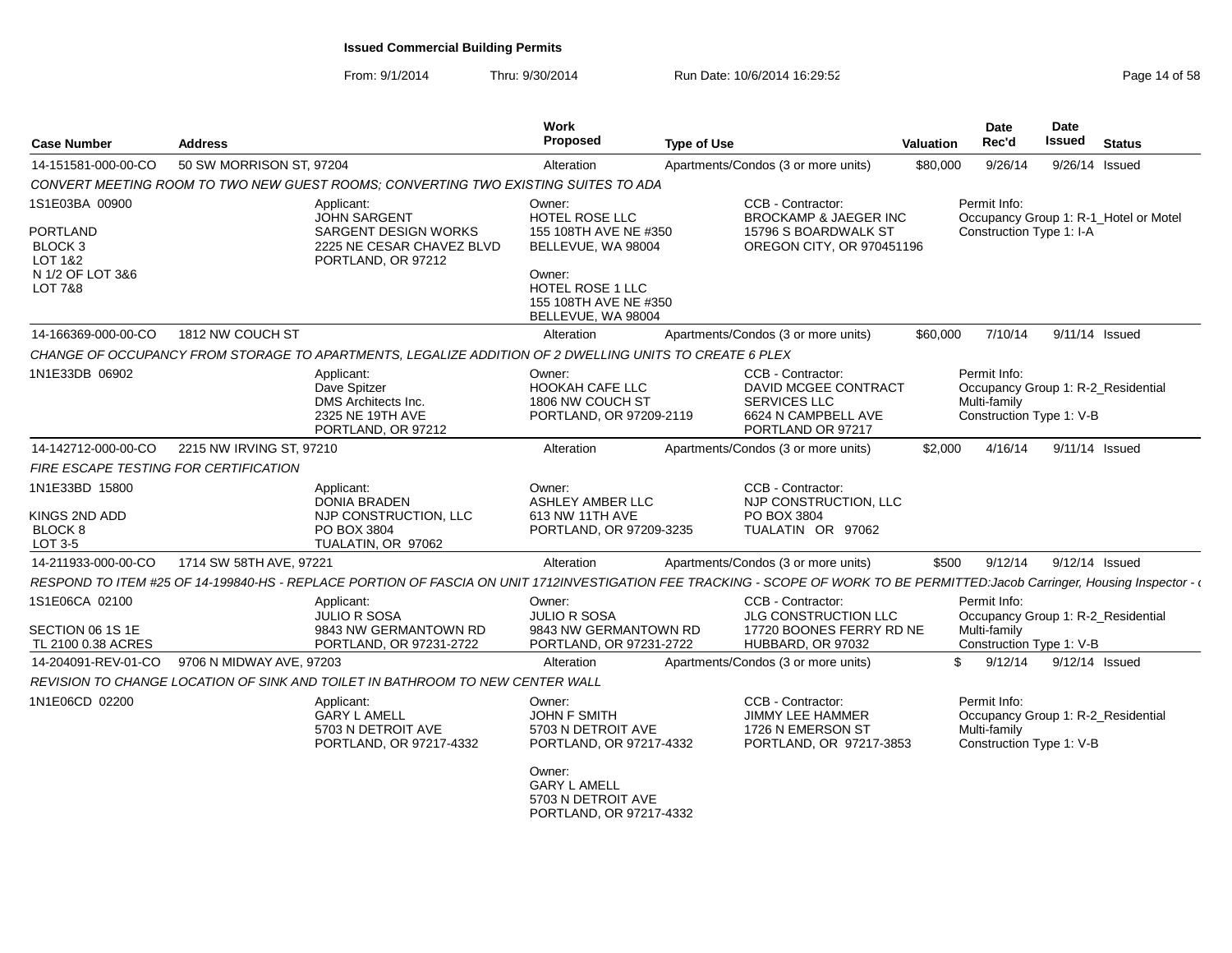| <b>Case Number</b>                         | <b>Address</b>                        |                                                                                                        | <b>Work</b><br>Proposed                                                          | <b>Type of Use</b>                                                                                                                                                            | <b>Valuation</b> | Date<br>Rec'd                                            | Date<br><b>Issued</b> | <b>Status</b>                         |
|--------------------------------------------|---------------------------------------|--------------------------------------------------------------------------------------------------------|----------------------------------------------------------------------------------|-------------------------------------------------------------------------------------------------------------------------------------------------------------------------------|------------------|----------------------------------------------------------|-----------------------|---------------------------------------|
| 14-151581-000-00-CO                        | 50 SW MORRISON ST, 97204              |                                                                                                        | Alteration                                                                       | Apartments/Condos (3 or more units)                                                                                                                                           | \$80,000         | 9/26/14                                                  |                       | 9/26/14 Issued                        |
|                                            |                                       | CONVERT MEETING ROOM TO TWO NEW GUEST ROOMS: CONVERTING TWO EXISTING SUITES TO ADA                     |                                                                                  |                                                                                                                                                                               |                  |                                                          |                       |                                       |
| 1S1E03BA 00900                             |                                       | Applicant:<br><b>JOHN SARGENT</b>                                                                      | Owner:<br>HOTEL ROSE LLC                                                         | CCB - Contractor:<br><b>BROCKAMP &amp; JAEGER INC</b>                                                                                                                         |                  | Permit Info:                                             |                       | Occupancy Group 1: R-1 Hotel or Motel |
| <b>PORTLAND</b><br>BLOCK 3<br>LOT 1&2      |                                       | <b>SARGENT DESIGN WORKS</b><br>2225 NE CESAR CHAVEZ BLVD<br>PORTLAND, OR 97212                         | 155 108TH AVE NE #350<br>BELLEVUE, WA 98004                                      | 15796 S BOARDWALK ST<br>OREGON CITY, OR 970451196                                                                                                                             |                  | Construction Type 1: I-A                                 |                       |                                       |
| N 1/2 OF LOT 3&6<br><b>LOT 7&amp;8</b>     |                                       |                                                                                                        | Owner:<br><b>HOTEL ROSE 1 LLC</b><br>155 108TH AVE NE #350<br>BELLEVUE, WA 98004 |                                                                                                                                                                               |                  |                                                          |                       |                                       |
| 14-166369-000-00-CO                        | 1812 NW COUCH ST                      |                                                                                                        | Alteration                                                                       | Apartments/Condos (3 or more units)                                                                                                                                           | \$60,000         | 7/10/14                                                  |                       | 9/11/14 Issued                        |
|                                            |                                       | CHANGE OF OCCUPANCY FROM STORAGE TO APARTMENTS, LEGALIZE ADDITION OF 2 DWELLING UNITS TO CREATE 6 PLEX |                                                                                  |                                                                                                                                                                               |                  |                                                          |                       |                                       |
| 1N1E33DB 06902                             |                                       | Applicant:<br>Dave Spitzer<br>DMS Architects Inc.<br>2325 NE 19TH AVE<br>PORTLAND, OR 97212            | Owner:<br><b>HOOKAH CAFE LLC</b><br>1806 NW COUCH ST<br>PORTLAND, OR 97209-2119  | CCB - Contractor:<br>DAVID MCGEE CONTRACT<br>SERVICES LLC<br>6624 N CAMPBELL AVE<br>PORTLAND OR 97217                                                                         |                  | Permit Info:<br>Multi-family<br>Construction Type 1: V-B |                       | Occupancy Group 1: R-2_Residential    |
| 14-142712-000-00-CO                        | 2215 NW IRVING ST, 97210              |                                                                                                        | Alteration                                                                       | Apartments/Condos (3 or more units)                                                                                                                                           | \$2.000          | 4/16/14                                                  |                       | 9/11/14 Issued                        |
|                                            | FIRE ESCAPE TESTING FOR CERTIFICATION |                                                                                                        |                                                                                  |                                                                                                                                                                               |                  |                                                          |                       |                                       |
| 1N1E33BD 15800<br>KINGS 2ND ADD<br>BLOCK 8 |                                       | Applicant:<br><b>DONIA BRADEN</b><br>NJP CONSTRUCTION, LLC<br>PO BOX 3804                              | Owner:<br><b>ASHLEY AMBER LLC</b><br>613 NW 11TH AVE<br>PORTLAND, OR 97209-3235  | CCB - Contractor:<br>NJP CONSTRUCTION, LLC<br>PO BOX 3804<br>TUALATIN OR 97062                                                                                                |                  |                                                          |                       |                                       |
| LOT 3-5                                    |                                       | TUALATIN, OR 97062                                                                                     |                                                                                  |                                                                                                                                                                               |                  |                                                          |                       |                                       |
| 14-211933-000-00-CO                        | 1714 SW 58TH AVE, 97221               |                                                                                                        | Alteration                                                                       | Apartments/Condos (3 or more units)                                                                                                                                           | \$500            | 9/12/14                                                  | 9/12/14 Issued        |                                       |
|                                            |                                       |                                                                                                        |                                                                                  | RESPOND TO ITEM #25 OF 14-199840-HS - REPLACE PORTION OF FASCIA ON UNIT 1712INVESTIGATION FEE TRACKING - SCOPE OF WORK TO BE PERMITTED:Jacob Carringer, Housing Inspector - e |                  |                                                          |                       |                                       |
| 1S1E06CA 02100<br>SECTION 06 1S 1E         |                                       | Applicant:<br><b>JULIO R SOSA</b><br>9843 NW GERMANTOWN RD                                             | Owner:<br><b>JULIO R SOSA</b><br>9843 NW GERMANTOWN RD                           | CCB - Contractor:<br>JLG CONSTRUCTION LLC<br>17720 BOONES FERRY RD NE                                                                                                         |                  | Permit Info:<br>Multi-family                             |                       | Occupancy Group 1: R-2_Residential    |
| TL 2100 0.38 ACRES                         |                                       | PORTLAND, OR 97231-2722                                                                                | PORTLAND, OR 97231-2722                                                          | HUBBARD, OR 97032                                                                                                                                                             |                  | Construction Type 1: V-B                                 |                       |                                       |
| 14-204091-REV-01-CO                        | 9706 N MIDWAY AVE, 97203              |                                                                                                        | Alteration                                                                       | Apartments/Condos (3 or more units)                                                                                                                                           |                  | 9/12/14<br>\$.                                           |                       | 9/12/14 Issued                        |
|                                            |                                       | REVISION TO CHANGE LOCATION OF SINK AND TOILET IN BATHROOM TO NEW CENTER WALL                          |                                                                                  |                                                                                                                                                                               |                  |                                                          |                       |                                       |
| 1N1E06CD 02200                             |                                       | Applicant:<br><b>GARY L AMELL</b><br>5703 N DETROIT AVE<br>PORTLAND, OR 97217-4332                     | Owner:<br><b>JOHN F SMITH</b><br>5703 N DETROIT AVE<br>PORTLAND, OR 97217-4332   | CCB - Contractor:<br><b>JIMMY LEE HAMMER</b><br>1726 N EMERSON ST<br>PORTLAND, OR 97217-3853                                                                                  |                  | Permit Info:<br>Multi-family<br>Construction Type 1: V-B |                       | Occupancy Group 1: R-2 Residential    |
|                                            |                                       |                                                                                                        | Owner:<br><b>GARY L AMELL</b><br>5703 N DETROIT AVE<br>PORTLAND, OR 97217-4332   |                                                                                                                                                                               |                  |                                                          |                       |                                       |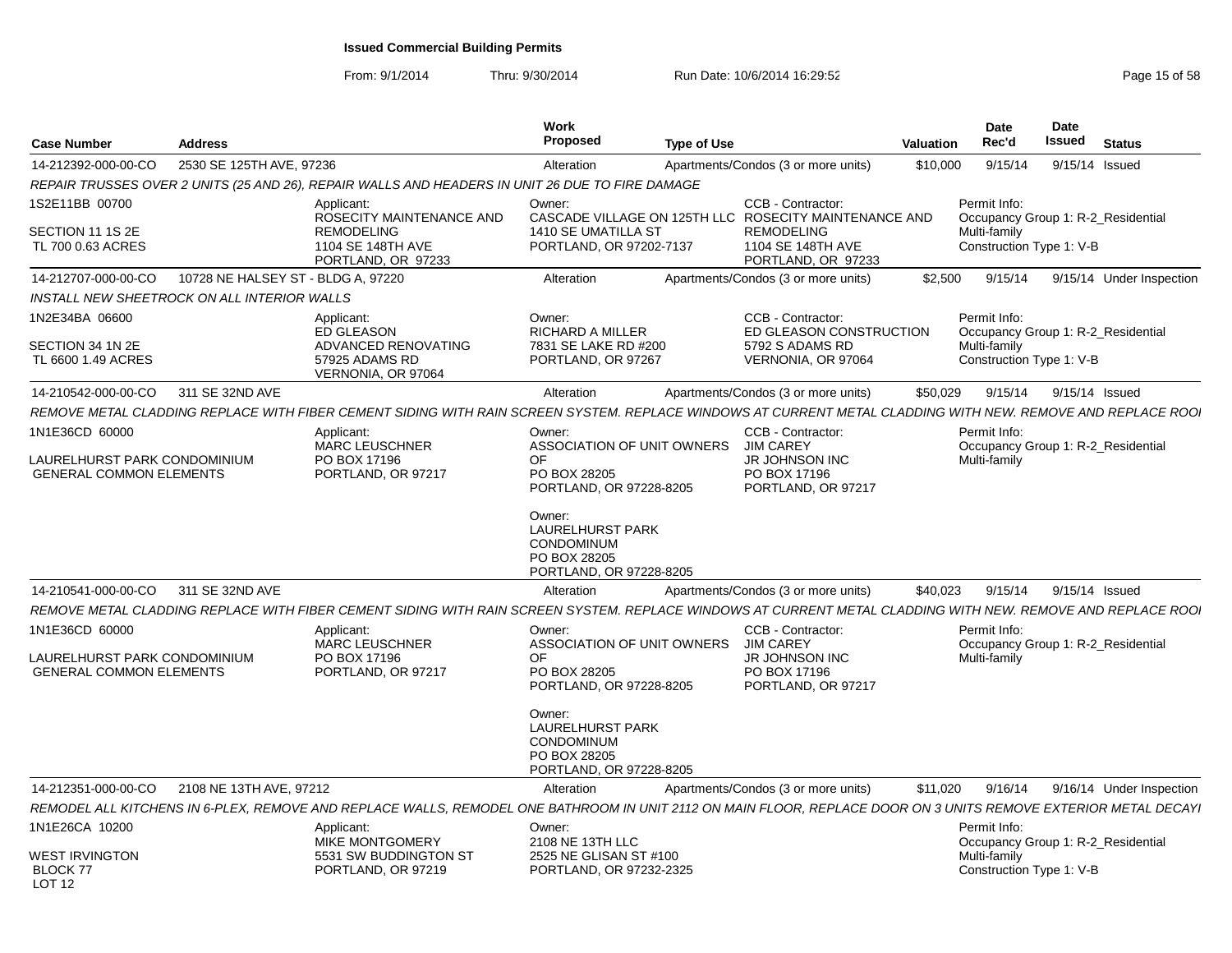| <b>Case Number</b>                                                               | <b>Address</b>                              |                                                                                                                                                                 | Work<br>Proposed<br><b>Type of Use</b>                                                                            |                                                                                               | Valuation | <b>Date</b><br>Rec'd                                     | Date<br>Issued | <b>Status</b>                      |
|----------------------------------------------------------------------------------|---------------------------------------------|-----------------------------------------------------------------------------------------------------------------------------------------------------------------|-------------------------------------------------------------------------------------------------------------------|-----------------------------------------------------------------------------------------------|-----------|----------------------------------------------------------|----------------|------------------------------------|
| 14-212392-000-00-CO                                                              | 2530 SE 125TH AVE, 97236                    |                                                                                                                                                                 | Alteration                                                                                                        | Apartments/Condos (3 or more units)                                                           | \$10,000  | 9/15/14                                                  |                | 9/15/14 Issued                     |
|                                                                                  |                                             | REPAIR TRUSSES OVER 2 UNITS (25 AND 26), REPAIR WALLS AND HEADERS IN UNIT 26 DUE TO FIRE DAMAGE                                                                 |                                                                                                                   |                                                                                               |           |                                                          |                |                                    |
| 1S2E11BB 00700<br>SECTION 11 1S 2E<br>TL 700 0.63 ACRES                          |                                             | Applicant:<br>ROSECITY MAINTENANCE AND<br><b>REMODELING</b><br>1104 SE 148TH AVE<br>PORTLAND, OR 97233                                                          | Owner:<br>CASCADE VILLAGE ON 125TH LLC ROSECITY MAINTENANCE AND<br>1410 SE UMATILLA ST<br>PORTLAND, OR 97202-7137 | CCB - Contractor:<br><b>REMODELING</b><br>1104 SE 148TH AVE<br>PORTLAND, OR 97233             |           | Permit Info:<br>Multi-family<br>Construction Type 1: V-B |                | Occupancy Group 1: R-2 Residential |
| 14-212707-000-00-CO                                                              | 10728 NE HALSEY ST - BLDG A. 97220          |                                                                                                                                                                 | Alteration                                                                                                        | Apartments/Condos (3 or more units)                                                           | \$2.500   | 9/15/14                                                  |                | 9/15/14 Under Inspection           |
|                                                                                  | INSTALL NEW SHEETROCK ON ALL INTERIOR WALLS |                                                                                                                                                                 |                                                                                                                   |                                                                                               |           |                                                          |                |                                    |
| 1N2E34BA 06600<br>SECTION 34 1N 2E<br>TL 6600 1.49 ACRES                         |                                             | Applicant:<br><b>ED GLEASON</b><br>ADVANCED RENOVATING<br>57925 ADAMS RD<br>VERNONIA, OR 97064                                                                  | Owner:<br><b>RICHARD A MILLER</b><br>7831 SE LAKE RD #200<br>PORTLAND, OR 97267                                   | CCB - Contractor:<br>ED GLEASON CONSTRUCTION<br>5792 S ADAMS RD<br>VERNONIA, OR 97064         |           | Permit Info:<br>Multi-family<br>Construction Type 1: V-B |                | Occupancy Group 1: R-2 Residential |
| 14-210542-000-00-CO                                                              | 311 SE 32ND AVE                             |                                                                                                                                                                 | Alteration                                                                                                        | Apartments/Condos (3 or more units)                                                           | \$50,029  | 9/15/14                                                  | 9/15/14 Issued |                                    |
|                                                                                  |                                             | REMOVE METAL CLADDING REPLACE WITH FIBER CEMENT SIDING WITH RAIN SCREEN SYSTEM. REPLACE WINDOWS AT CURRENT METAL CLADDING WITH NEW. REMOVE AND REPLACE ROO      |                                                                                                                   |                                                                                               |           |                                                          |                |                                    |
| 1N1E36CD 60000<br>LAURELHURST PARK CONDOMINIUM<br><b>GENERAL COMMON ELEMENTS</b> |                                             | Applicant:<br><b>MARC LEUSCHNER</b><br>PO BOX 17196<br>PORTLAND, OR 97217                                                                                       | Owner:<br>ASSOCIATION OF UNIT OWNERS<br>OF<br>PO BOX 28205<br>PORTLAND, OR 97228-8205<br>Owner:                   | CCB - Contractor:<br>JIM CAREY<br><b>JR JOHNSON INC</b><br>PO BOX 17196<br>PORTLAND, OR 97217 |           | Permit Info:<br>Multi-family                             |                | Occupancy Group 1: R-2 Residential |
|                                                                                  |                                             |                                                                                                                                                                 | <b>LAURELHURST PARK</b><br><b>CONDOMINUM</b><br>PO BOX 28205<br>PORTLAND, OR 97228-8205                           |                                                                                               |           |                                                          |                |                                    |
| 14-210541-000-00-CO 311 SE 32ND AVE                                              |                                             |                                                                                                                                                                 | Alteration                                                                                                        | Apartments/Condos (3 or more units)                                                           | \$40.023  | 9/15/14                                                  | 9/15/14 Issued |                                    |
|                                                                                  |                                             | REMOVE METAL CLADDING REPLACE WITH FIBER CEMENT SIDING WITH RAIN SCREEN SYSTEM. REPLACE WINDOWS AT CURRENT METAL CLADDING WITH NEW. REMOVE AND REPLACE ROO.     |                                                                                                                   |                                                                                               |           |                                                          |                |                                    |
| 1N1E36CD 60000<br>LAURELHURST PARK CONDOMINIUM<br><b>GENERAL COMMON ELEMENTS</b> |                                             | Applicant:<br><b>MARC LEUSCHNER</b><br>PO BOX 17196<br>PORTLAND, OR 97217                                                                                       | Owner:<br>ASSOCIATION OF UNIT OWNERS<br>OF.<br>PO BOX 28205<br>PORTLAND, OR 97228-8205                            | CCB - Contractor:<br><b>JIM CAREY</b><br>JR JOHNSON INC<br>PO BOX 17196<br>PORTLAND, OR 97217 |           | Permit Info:<br>Multi-family                             |                | Occupancy Group 1: R-2 Residential |
|                                                                                  |                                             |                                                                                                                                                                 | Owner:<br><b>LAURELHURST PARK</b><br>CONDOMINUM<br>PO BOX 28205<br>PORTLAND, OR 97228-8205                        |                                                                                               |           |                                                          |                |                                    |
| 14-212351-000-00-CO                                                              | 2108 NE 13TH AVE, 97212                     |                                                                                                                                                                 | Alteration                                                                                                        | Apartments/Condos (3 or more units)                                                           | \$11,020  | 9/16/14                                                  |                | 9/16/14 Under Inspection           |
|                                                                                  |                                             | REMODEL ALL KITCHENS IN 6-PLEX. REMOVE AND REPLACE WALLS. REMODEL ONE BATHROOM IN UNIT 2112 ON MAIN FLOOR. REPLACE DOOR ON 3 UNITS REMOVE EXTERIOR METAL DECAYI |                                                                                                                   |                                                                                               |           |                                                          |                |                                    |
| 1N1E26CA 10200<br><b>WEST IRVINGTON</b><br><b>BLOCK 77</b>                       |                                             | Applicant:<br>MIKE MONTGOMERY<br>5531 SW BUDDINGTON ST<br>PORTLAND, OR 97219                                                                                    | Owner:<br>2108 NE 13TH LLC<br>2525 NE GLISAN ST #100<br>PORTLAND, OR 97232-2325                                   |                                                                                               |           | Permit Info:<br>Multi-family<br>Construction Type 1: V-B |                | Occupancy Group 1: R-2_Residential |
| <b>LOT 12</b>                                                                    |                                             |                                                                                                                                                                 |                                                                                                                   |                                                                                               |           |                                                          |                |                                    |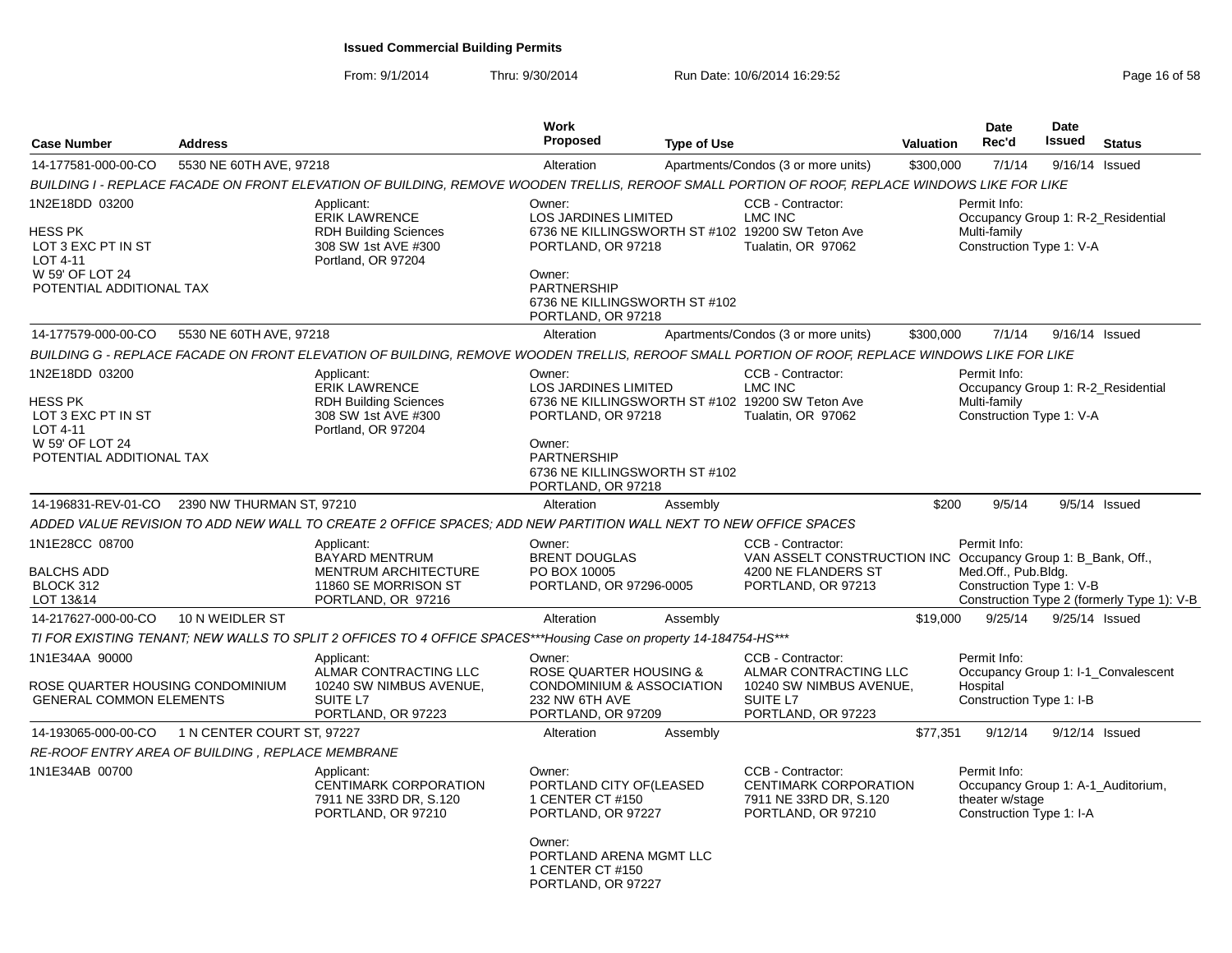| <b>Case Number</b>                                                                                         | <b>Address</b>             |                                                                                                                                                | <b>Work</b><br><b>Proposed</b>                                                                                                                                                                         | <b>Type of Use</b> |                                                                                                                                | <b>Valuation</b> | <b>Date</b><br>Rec'd                                                                              | <b>Date</b><br><b>Issued</b> | <b>Status</b>                              |
|------------------------------------------------------------------------------------------------------------|----------------------------|------------------------------------------------------------------------------------------------------------------------------------------------|--------------------------------------------------------------------------------------------------------------------------------------------------------------------------------------------------------|--------------------|--------------------------------------------------------------------------------------------------------------------------------|------------------|---------------------------------------------------------------------------------------------------|------------------------------|--------------------------------------------|
| 14-177581-000-00-CO                                                                                        | 5530 NE 60TH AVE, 97218    |                                                                                                                                                | Alteration                                                                                                                                                                                             |                    | Apartments/Condos (3 or more units)                                                                                            | \$300,000        | 7/1/14                                                                                            | 9/16/14 Issued               |                                            |
|                                                                                                            |                            | BUILDING I - REPLACE FACADE ON FRONT ELEVATION OF BUILDING, REMOVE WOODEN TRELLIS, REROOF SMALL PORTION OF ROOF, REPLACE WINDOWS LIKE FOR LIKE |                                                                                                                                                                                                        |                    |                                                                                                                                |                  |                                                                                                   |                              |                                            |
| 1N2E18DD 03200<br>HESS PK<br>LOT 3 EXC PT IN ST<br>LOT 4-11<br>W 59' OF LOT 24<br>POTENTIAL ADDITIONAL TAX |                            | Applicant:<br><b>ERIK LAWRENCE</b><br><b>RDH Building Sciences</b><br>308 SW 1st AVE #300<br>Portland, OR 97204                                | Owner:<br><b>LOS JARDINES LIMITED</b><br>6736 NE KILLINGSWORTH ST #102 19200 SW Teton Ave<br>PORTLAND, OR 97218<br>Owner:<br><b>PARTNERSHIP</b><br>6736 NE KILLINGSWORTH ST #102<br>PORTLAND, OR 97218 |                    | CCB - Contractor:<br><b>LMC INC</b><br>Tualatin, OR 97062                                                                      |                  | Permit Info:<br>Occupancy Group 1: R-2_Residential<br>Multi-family<br>Construction Type 1: V-A    |                              |                                            |
| 14-177579-000-00-CO                                                                                        | 5530 NE 60TH AVE, 97218    |                                                                                                                                                | Alteration                                                                                                                                                                                             |                    | Apartments/Condos (3 or more units)                                                                                            | \$300,000        | 7/1/14                                                                                            | 9/16/14 Issued               |                                            |
|                                                                                                            |                            | BUILDING G - REPLACE FACADE ON FRONT ELEVATION OF BUILDING, REMOVE WOODEN TRELLIS, REROOF SMALL PORTION OF ROOF, REPLACE WINDOWS LIKE FOR LIKE |                                                                                                                                                                                                        |                    |                                                                                                                                |                  |                                                                                                   |                              |                                            |
| 1N2E18DD 03200<br>HESS PK<br>LOT 3 EXC PT IN ST<br>LOT 4-11<br>W 59' OF LOT 24<br>POTENTIAL ADDITIONAL TAX |                            | Applicant:<br><b>ERIK LAWRENCE</b><br><b>RDH Building Sciences</b><br>308 SW 1st AVE #300<br>Portland, OR 97204                                | Owner:<br>LOS JARDINES LIMITED<br>6736 NE KILLINGSWORTH ST #102 19200 SW Teton Ave<br>PORTLAND, OR 97218<br>Owner:<br>PARTNERSHIP<br>6736 NE KILLINGSWORTH ST #102<br>PORTLAND, OR 97218               |                    | CCB - Contractor:<br>LMC INC<br>Tualatin, OR 97062                                                                             |                  | Permit Info:<br>Occupancy Group 1: R-2_Residential<br>Multi-family<br>Construction Type 1: V-A    |                              |                                            |
| 14-196831-REV-01-CO                                                                                        | 2390 NW THURMAN ST, 97210  |                                                                                                                                                | Alteration                                                                                                                                                                                             | Assembly           |                                                                                                                                | \$200            | 9/5/14                                                                                            |                              | $9/5/14$ Issued                            |
|                                                                                                            |                            | ADDED VALUE REVISION TO ADD NEW WALL TO CREATE 2 OFFICE SPACES; ADD NEW PARTITION WALL NEXT TO NEW OFFICE SPACES                               |                                                                                                                                                                                                        |                    |                                                                                                                                |                  |                                                                                                   |                              |                                            |
| 1N1E28CC 08700<br>BALCHS ADD<br>BLOCK 312<br>LOT 13&14                                                     |                            | Applicant:<br><b>BAYARD MENTRUM</b><br><b>MENTRUM ARCHITECTURE</b><br>11860 SE MORRISON ST<br>PORTLAND, OR 97216                               | Owner:<br><b>BRENT DOUGLAS</b><br>PO BOX 10005<br>PORTLAND, OR 97296-0005                                                                                                                              |                    | CCB - Contractor:<br>VAN ASSELT CONSTRUCTION INC Occupancy Group 1: B_Bank, Off.,<br>4200 NE FLANDERS ST<br>PORTLAND, OR 97213 |                  | Permit Info:<br>Med.Off., Pub.Bldg.<br>Construction Type 1: V-B                                   |                              | Construction Type 2 (formerly Type 1): V-B |
| 14-217627-000-00-CO                                                                                        | 10 N WEIDLER ST            |                                                                                                                                                | Alteration                                                                                                                                                                                             | Assembly           |                                                                                                                                | \$19,000         | 9/25/14                                                                                           | 9/25/14 Issued               |                                            |
|                                                                                                            |                            | TI FOR EXISTING TENANT; NEW WALLS TO SPLIT 2 OFFICES TO 4 OFFICE SPACES***Housing Case on property 14-184754-HS***                             |                                                                                                                                                                                                        |                    |                                                                                                                                |                  |                                                                                                   |                              |                                            |
| 1N1E34AA 90000<br>ROSE QUARTER HOUSING CONDOMINIUM<br><b>GENERAL COMMON ELEMENTS</b>                       |                            | Applicant:<br>ALMAR CONTRACTING LLC<br>10240 SW NIMBUS AVENUE,<br>SUITE L7<br>PORTLAND, OR 97223                                               | Owner:<br>ROSE QUARTER HOUSING &<br><b>CONDOMINIUM &amp; ASSOCIATION</b><br>232 NW 6TH AVE<br>PORTLAND, OR 97209                                                                                       |                    | CCB - Contractor:<br>ALMAR CONTRACTING LLC<br>10240 SW NIMBUS AVENUE,<br>SUITE L7<br>PORTLAND, OR 97223                        |                  | Permit Info:<br>Hospital<br>Construction Type 1: I-B                                              |                              | Occupancy Group 1: I-1 Convalescent        |
| 14-193065-000-00-CO                                                                                        | 1 N CENTER COURT ST, 97227 |                                                                                                                                                | Alteration                                                                                                                                                                                             | Assembly           |                                                                                                                                | \$77,351         | 9/12/14                                                                                           | $9/12/14$ Issued             |                                            |
| RE-ROOF ENTRY AREA OF BUILDING, REPLACE MEMBRANE                                                           |                            |                                                                                                                                                |                                                                                                                                                                                                        |                    |                                                                                                                                |                  |                                                                                                   |                              |                                            |
| 1N1E34AB 00700                                                                                             |                            | Applicant:<br><b>CENTIMARK CORPORATION</b><br>7911 NE 33RD DR, S.120<br>PORTLAND, OR 97210                                                     | Owner:<br>PORTLAND CITY OF (LEASED<br>1 CENTER CT #150<br>PORTLAND, OR 97227<br>Owner:<br>PORTLAND ARENA MGMT LLC                                                                                      |                    | CCB - Contractor:<br>CENTIMARK CORPORATION<br>7911 NE 33RD DR, S.120<br>PORTLAND, OR 97210                                     |                  | Permit Info:<br>Occupancy Group 1: A-1_Auditorium,<br>theater w/stage<br>Construction Type 1: I-A |                              |                                            |
|                                                                                                            |                            |                                                                                                                                                | 1 CENTER CT #150<br>PORTLAND, OR 97227                                                                                                                                                                 |                    |                                                                                                                                |                  |                                                                                                   |                              |                                            |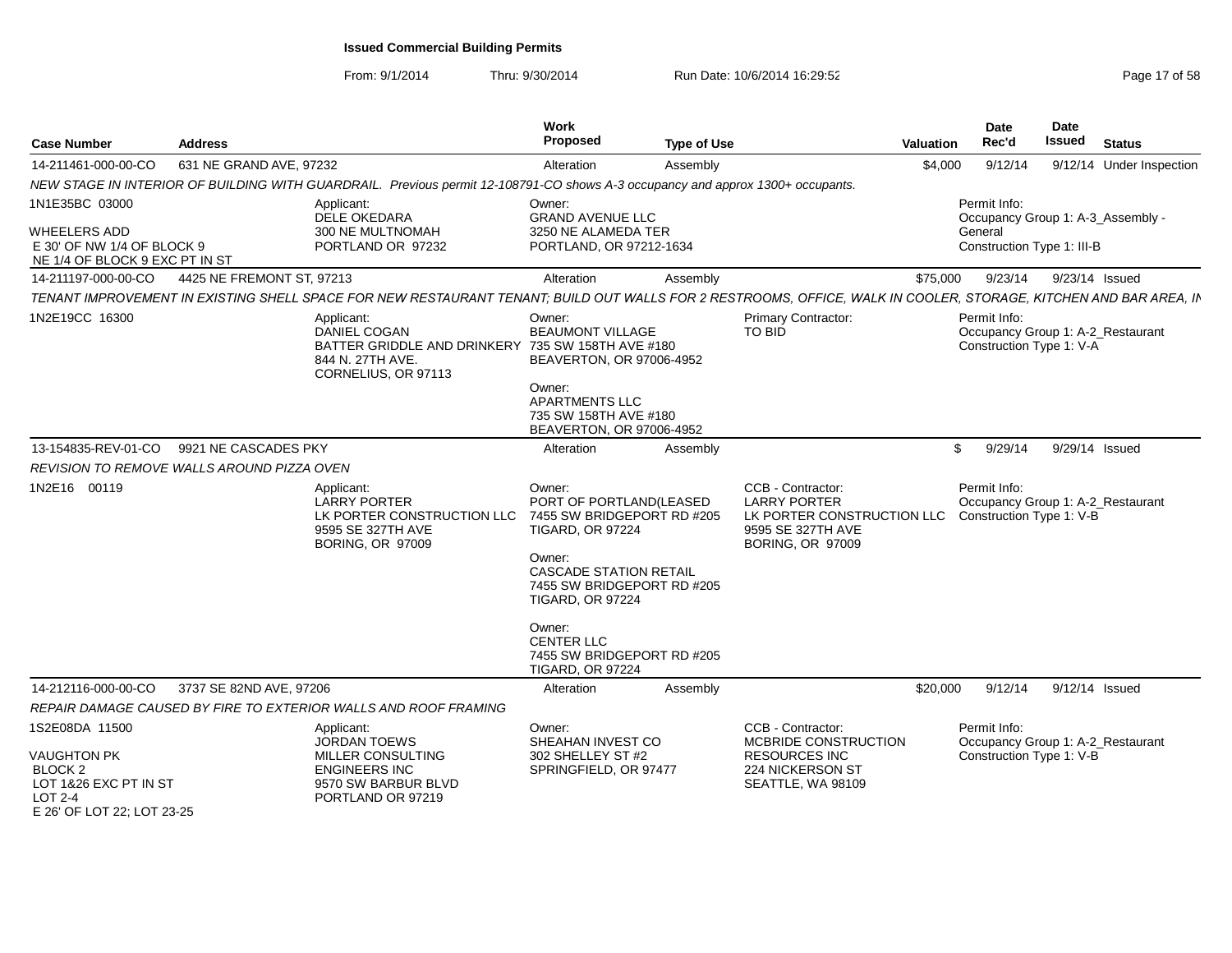From: 9/1/2014

| <b>Case Number</b>                                                                      | Address                   |                                                                                                                                                                  | <b>Work</b><br><b>Proposed</b>                                                                                                                                                                                                                           | <b>Type of Use</b> | Valuation                                                                                                              |          | <b>Date</b><br>Rec'd                     | Date<br>Issued | <b>Status</b>                     |
|-----------------------------------------------------------------------------------------|---------------------------|------------------------------------------------------------------------------------------------------------------------------------------------------------------|----------------------------------------------------------------------------------------------------------------------------------------------------------------------------------------------------------------------------------------------------------|--------------------|------------------------------------------------------------------------------------------------------------------------|----------|------------------------------------------|----------------|-----------------------------------|
| 14-211461-000-00-CO                                                                     | 631 NE GRAND AVE, 97232   |                                                                                                                                                                  | Alteration                                                                                                                                                                                                                                               | Assembly           |                                                                                                                        | \$4,000  | 9/12/14                                  |                | 9/12/14 Under Inspection          |
|                                                                                         |                           | NEW STAGE IN INTERIOR OF BUILDING WITH GUARDRAIL. Previous permit 12-108791-CO shows A-3 occupancy and approx 1300+ occupants.                                   |                                                                                                                                                                                                                                                          |                    |                                                                                                                        |          |                                          |                |                                   |
| 1N1E35BC 03000                                                                          |                           | Applicant:<br>DELE OKEDARA                                                                                                                                       | Owner:<br><b>GRAND AVENUE LLC</b>                                                                                                                                                                                                                        |                    |                                                                                                                        |          | Permit Info:                             |                | Occupancy Group 1: A-3_Assembly - |
| <b>WHEELERS ADD</b><br>E 30' OF NW 1/4 OF BLOCK 9<br>NE 1/4 OF BLOCK 9 EXC PT IN ST     |                           | 300 NE MULTNOMAH<br>PORTLAND OR 97232                                                                                                                            | 3250 NE ALAMEDA TER<br>PORTLAND, OR 97212-1634                                                                                                                                                                                                           |                    |                                                                                                                        |          | General<br>Construction Type 1: III-B    |                |                                   |
| 14-211197-000-00-CO                                                                     | 4425 NE FREMONT ST, 97213 |                                                                                                                                                                  | Alteration                                                                                                                                                                                                                                               | Assembly           |                                                                                                                        | \$75,000 | 9/23/14                                  | 9/23/14 Issued |                                   |
|                                                                                         |                           | TENANT IMPROVEMENT IN EXISTING SHELL SPACE FOR NEW RESTAURANT TENANT; BUILD OUT WALLS FOR 2 RESTROOMS, OFFICE, WALK IN COOLER, STORAGE, KITCHEN AND BAR AREA, IN |                                                                                                                                                                                                                                                          |                    |                                                                                                                        |          |                                          |                |                                   |
| 1N2E19CC 16300                                                                          |                           | Applicant:<br><b>DANIEL COGAN</b><br>BATTER GRIDDLE AND DRINKERY 735 SW 158TH AVE #180<br>844 N. 27TH AVE.<br>CORNELIUS, OR 97113                                | Owner:<br><b>BEAUMONT VILLAGE</b><br>BEAVERTON, OR 97006-4952                                                                                                                                                                                            |                    | Primary Contractor:<br><b>TO BID</b>                                                                                   |          | Permit Info:<br>Construction Type 1: V-A |                | Occupancy Group 1: A-2_Restaurant |
|                                                                                         |                           |                                                                                                                                                                  | Owner:<br><b>APARTMENTS LLC</b><br>735 SW 158TH AVE #180<br>BEAVERTON, OR 97006-4952                                                                                                                                                                     |                    |                                                                                                                        |          |                                          |                |                                   |
| 13-154835-REV-01-CO                                                                     | 9921 NE CASCADES PKY      |                                                                                                                                                                  | Alteration                                                                                                                                                                                                                                               | Assembly           |                                                                                                                        | \$       | 9/29/14                                  | 9/29/14 Issued |                                   |
| REVISION TO REMOVE WALLS AROUND PIZZA OVEN                                              |                           |                                                                                                                                                                  |                                                                                                                                                                                                                                                          |                    |                                                                                                                        |          |                                          |                |                                   |
| 1N2E16 00119                                                                            |                           | Applicant:<br>LARRY PORTER<br>LK PORTER CONSTRUCTION LLC 7455 SW BRIDGEPORT RD #205<br>9595 SE 327TH AVE<br><b>BORING, OR 97009</b>                              | Owner:<br>PORT OF PORTLAND(LEASED<br><b>TIGARD, OR 97224</b><br>Owner:<br><b>CASCADE STATION RETAIL</b><br>7455 SW BRIDGEPORT RD #205<br><b>TIGARD, OR 97224</b><br>Owner:<br><b>CENTER LLC</b><br>7455 SW BRIDGEPORT RD #205<br><b>TIGARD, OR 97224</b> |                    | CCB - Contractor:<br><b>LARRY PORTER</b><br>LK PORTER CONSTRUCTION LLC<br>9595 SE 327TH AVE<br><b>BORING, OR 97009</b> |          | Permit Info:<br>Construction Type 1: V-B |                | Occupancy Group 1: A-2_Restaurant |
| 14-212116-000-00-CO                                                                     | 3737 SE 82ND AVE, 97206   |                                                                                                                                                                  | Alteration                                                                                                                                                                                                                                               | Assembly           | \$20,000                                                                                                               |          | 9/12/14                                  | 9/12/14 Issued |                                   |
|                                                                                         |                           | REPAIR DAMAGE CAUSED BY FIRE TO EXTERIOR WALLS AND ROOF FRAMING                                                                                                  |                                                                                                                                                                                                                                                          |                    |                                                                                                                        |          |                                          |                |                                   |
| 1S2E08DA 11500<br><b>VAUGHTON PK</b>                                                    |                           | Applicant:<br><b>JORDAN TOEWS</b><br>MILLER CONSULTING                                                                                                           | Owner:<br>SHEAHAN INVEST CO<br>302 SHELLEY ST #2                                                                                                                                                                                                         |                    | CCB - Contractor:<br>MCBRIDE CONSTRUCTION<br><b>RESOURCES INC</b>                                                      |          | Permit Info:<br>Construction Type 1: V-B |                | Occupancy Group 1: A-2_Restaurant |
| <b>BLOCK 2</b><br>LOT 1&26 EXC PT IN ST<br><b>LOT 2-4</b><br>E 26' OF LOT 22; LOT 23-25 |                           | <b>ENGINEERS INC</b><br>9570 SW BARBUR BLVD<br>PORTLAND OR 97219                                                                                                 | SPRINGFIELD, OR 97477                                                                                                                                                                                                                                    |                    | 224 NICKERSON ST<br>SEATTLE, WA 98109                                                                                  |          |                                          |                |                                   |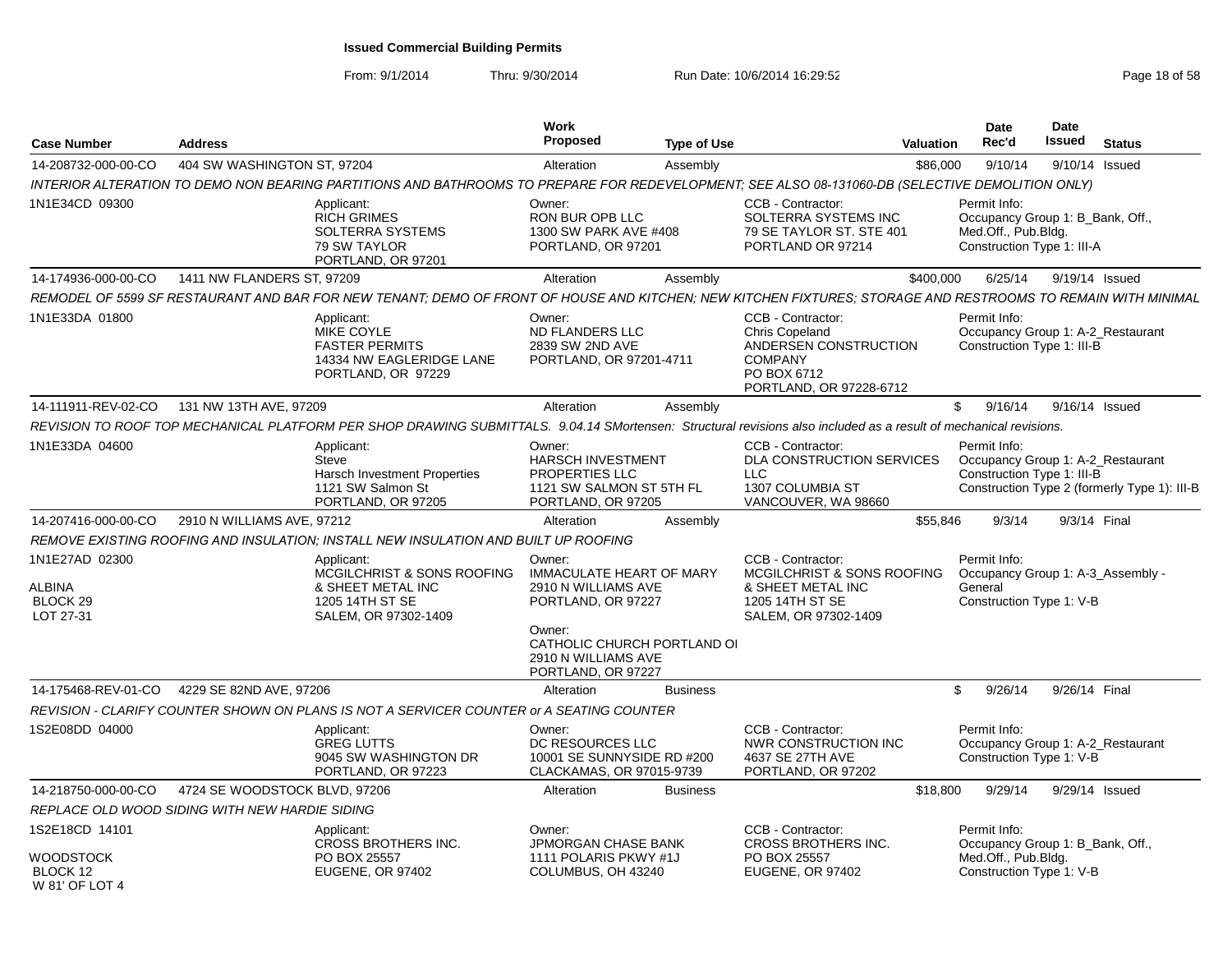From: 9/1/2014

| <b>Case Number</b>                                        | <b>Address</b>                |                                                                                                                                                                   | Work<br><b>Proposed</b>                                                                                                         | <b>Type of Use</b> | <b>Valuation</b>                                                                                                         | <b>Date</b><br>Rec'd    | Date<br><b>Issued</b>                                                                                           | <b>Status</b> |
|-----------------------------------------------------------|-------------------------------|-------------------------------------------------------------------------------------------------------------------------------------------------------------------|---------------------------------------------------------------------------------------------------------------------------------|--------------------|--------------------------------------------------------------------------------------------------------------------------|-------------------------|-----------------------------------------------------------------------------------------------------------------|---------------|
| 14-208732-000-00-CO                                       | 404 SW WASHINGTON ST, 97204   |                                                                                                                                                                   | Alteration                                                                                                                      | Assembly           |                                                                                                                          | \$86,000                | 9/10/14<br>9/10/14 Issued                                                                                       |               |
|                                                           |                               | INTERIOR ALTERATION TO DEMO NON BEARING PARTITIONS AND BATHROOMS TO PREPARE FOR REDEVELOPMENT; SEE ALSO 08-131060-DB (SELECTIVE DEMOLITION ONLY)                  |                                                                                                                                 |                    |                                                                                                                          |                         |                                                                                                                 |               |
| 1N1E34CD 09300                                            |                               | Applicant:<br><b>RICH GRIMES</b><br><b>SOLTERRA SYSTEMS</b><br>79 SW TAYLOR<br>PORTLAND, OR 97201                                                                 | Owner:<br>RON BUR OPB LLC<br>1300 SW PARK AVE #408<br>PORTLAND, OR 97201                                                        |                    | CCB - Contractor:<br>SOLTERRA SYSTEMS INC<br>79 SE TAYLOR ST. STE 401<br>PORTLAND OR 97214                               | Permit Info:            | Occupancy Group 1: B_Bank, Off.,<br>Med.Off., Pub.Bldg.<br>Construction Type 1: III-A                           |               |
| 14-174936-000-00-CO                                       | 1411 NW FLANDERS ST, 97209    |                                                                                                                                                                   | Alteration                                                                                                                      | Assembly           | \$400,000                                                                                                                |                         | 6/25/14<br>9/19/14 Issued                                                                                       |               |
|                                                           |                               | REMODEL OF 5599 SF RESTAURANT AND BAR FOR NEW TENANT; DEMO OF FRONT OF HOUSE AND KITCHEN; NEW KITCHEN FIXTURES; STORAGE AND RESTROOMS TO REMAIN WITH MINIMAL      |                                                                                                                                 |                    |                                                                                                                          |                         |                                                                                                                 |               |
| 1N1E33DA 01800                                            |                               | Applicant:<br>MIKE COYLE<br><b>FASTER PERMITS</b><br>14334 NW EAGLERIDGE LANE<br>PORTLAND, OR 97229                                                               | Owner:<br><b>ND FLANDERS LLC</b><br>2839 SW 2ND AVE<br>PORTLAND, OR 97201-4711                                                  |                    | CCB - Contractor:<br>Chris Copeland<br>ANDERSEN CONSTRUCTION<br><b>COMPANY</b><br>PO BOX 6712<br>PORTLAND, OR 97228-6712 | Permit Info:            | Occupancy Group 1: A-2_Restaurant<br>Construction Type 1: III-B                                                 |               |
| 14-111911-REV-02-CO                                       | 131 NW 13TH AVE, 97209        |                                                                                                                                                                   | Alteration                                                                                                                      | Assembly           |                                                                                                                          | \$                      | 9/16/14<br>9/16/14 Issued                                                                                       |               |
|                                                           |                               | REVISION TO ROOF TOP MECHANICAL PLATFORM PER SHOP DRAWING SUBMITTALS. 9.04.14 SMortensen: Structural revisions also included as a result of mechanical revisions. |                                                                                                                                 |                    |                                                                                                                          |                         |                                                                                                                 |               |
| 1N1E33DA 04600                                            |                               | Applicant:<br>Steve<br><b>Harsch Investment Properties</b><br>1121 SW Salmon St<br>PORTLAND, OR 97205                                                             | Owner:<br>HARSCH INVESTMENT<br>PROPERTIES LLC<br>1121 SW SALMON ST 5TH FL<br>PORTLAND, OR 97205                                 |                    | CCB - Contractor:<br><b>DLA CONSTRUCTION SERVICES</b><br><b>LLC</b><br><b>1307 COLUMBIA ST</b><br>VANCOUVER, WA 98660    | Permit Info:            | Occupancy Group 1: A-2_Restaurant<br>Construction Type 1: III-B<br>Construction Type 2 (formerly Type 1): III-B |               |
| 14-207416-000-00-CO                                       | 2910 N WILLIAMS AVE, 97212    |                                                                                                                                                                   | Alteration                                                                                                                      | Assembly           |                                                                                                                          | \$55,846                | 9/3/14 Final<br>9/3/14                                                                                          |               |
|                                                           |                               | REMOVE EXISTING ROOFING AND INSULATION: INSTALL NEW INSULATION AND BUILT UP ROOFING                                                                               |                                                                                                                                 |                    |                                                                                                                          |                         |                                                                                                                 |               |
| 1N1E27AD 02300<br>ALBINA<br><b>BLOCK 29</b><br>LOT 27-31  |                               | Applicant:<br>MCGILCHRIST & SONS ROOFING<br>& SHEET METAL INC<br>1205 14TH ST SE<br>SALEM, OR 97302-1409                                                          | Owner:<br><b>IMMACULATE HEART OF MARY</b><br>2910 N WILLIAMS AVE<br>PORTLAND, OR 97227<br>Owner:<br>CATHOLIC CHURCH PORTLAND OI |                    | CCB - Contractor:<br>MCGILCHRIST & SONS ROOFING<br>& SHEET METAL INC<br>1205 14TH ST SE<br>SALEM, OR 97302-1409          | Permit Info:<br>General | Occupancy Group 1: A-3_Assembly -<br>Construction Type 1: V-B                                                   |               |
|                                                           |                               |                                                                                                                                                                   | 2910 N WILLIAMS AVE<br>PORTLAND, OR 97227                                                                                       |                    |                                                                                                                          |                         |                                                                                                                 |               |
| 14-175468-REV-01-CO                                       | 4229 SE 82ND AVE, 97206       |                                                                                                                                                                   | Alteration                                                                                                                      | <b>Business</b>    |                                                                                                                          | \$                      | 9/26/14<br>9/26/14 Final                                                                                        |               |
|                                                           |                               | REVISION - CLARIFY COUNTER SHOWN ON PLANS IS NOT A SERVICER COUNTER or A SEATING COUNTER                                                                          |                                                                                                                                 |                    |                                                                                                                          |                         |                                                                                                                 |               |
| 1S2E08DD 04000                                            |                               | Applicant:<br><b>GREG LUTTS</b><br>9045 SW WASHINGTON DR<br>PORTLAND, OR 97223                                                                                    | Owner:<br>DC RESOURCES LLC<br>10001 SE SUNNYSIDE RD #200<br>CLACKAMAS, OR 97015-9739                                            |                    | CCB - Contractor:<br><b>NWR CONSTRUCTION INC</b><br>4637 SE 27TH AVE<br>PORTLAND, OR 97202                               | Permit Info:            | Occupancy Group 1: A-2_Restaurant<br>Construction Type 1: V-B                                                   |               |
| 14-218750-000-00-CO                                       | 4724 SE WOODSTOCK BLVD, 97206 |                                                                                                                                                                   | Alteration                                                                                                                      | <b>Business</b>    |                                                                                                                          | \$18,800                | 9/29/14<br>9/29/14 Issued                                                                                       |               |
| REPLACE OLD WOOD SIDING WITH NEW HARDIE SIDING            |                               |                                                                                                                                                                   |                                                                                                                                 |                    |                                                                                                                          |                         |                                                                                                                 |               |
| 1S2E18CD 14101<br>WOODSTOCK<br>BLOCK 12<br>W 81' OF LOT 4 |                               | Applicant:<br><b>CROSS BROTHERS INC.</b><br>PO BOX 25557<br><b>EUGENE, OR 97402</b>                                                                               | Owner:<br><b>JPMORGAN CHASE BANK</b><br>1111 POLARIS PKWY #1J<br>COLUMBUS, OH 43240                                             |                    | CCB - Contractor:<br><b>CROSS BROTHERS INC.</b><br>PO BOX 25557<br><b>EUGENE, OR 97402</b>                               | Permit Info:            | Occupancy Group 1: B_Bank, Off.,<br>Med.Off., Pub.Bldg.<br>Construction Type 1: V-B                             |               |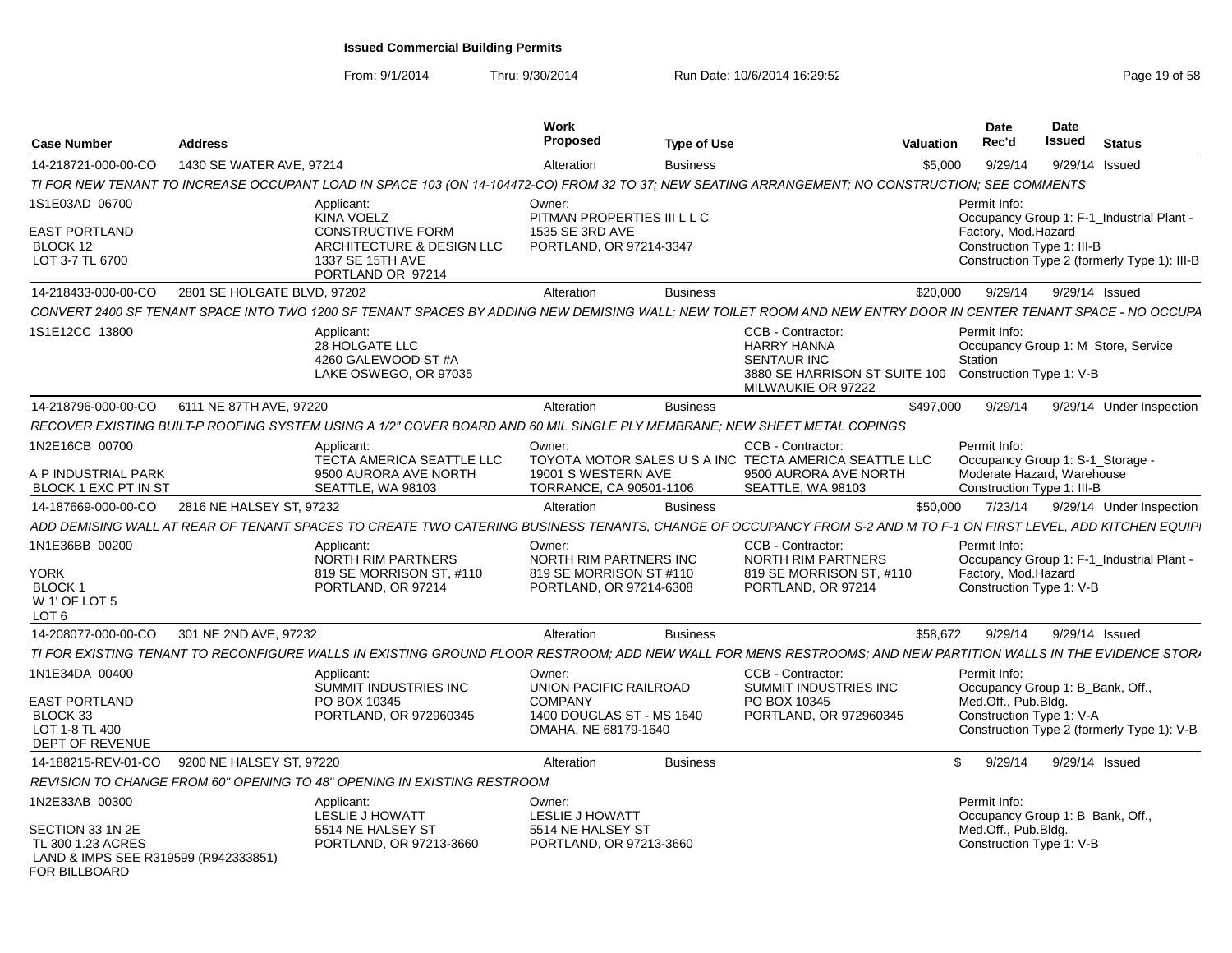From: 9/1/2014

| <b>Case Number</b>                                                                             | <b>Address</b>              |                                                                                                                                                                  | Work<br><b>Proposed</b>                            | <b>Type of Use</b> |                                                                                                                      | Valuation | <b>Date</b><br>Rec'd                                     | <b>Date</b><br><b>Issued</b> | <b>Status</b>                                |
|------------------------------------------------------------------------------------------------|-----------------------------|------------------------------------------------------------------------------------------------------------------------------------------------------------------|----------------------------------------------------|--------------------|----------------------------------------------------------------------------------------------------------------------|-----------|----------------------------------------------------------|------------------------------|----------------------------------------------|
| 14-218721-000-00-CO                                                                            | 1430 SE WATER AVE, 97214    |                                                                                                                                                                  | Alteration                                         | <b>Business</b>    |                                                                                                                      | \$5,000   | 9/29/14                                                  | 9/29/14 Issued               |                                              |
|                                                                                                |                             | TI FOR NEW TENANT TO INCREASE OCCUPANT LOAD IN SPACE 103 (ON 14-104472-CO) FROM 32 TO 37; NEW SEATING ARRANGEMENT; NO CONSTRUCTION; SEE COMMENTS                 |                                                    |                    |                                                                                                                      |           |                                                          |                              |                                              |
| 1S1E03AD 06700                                                                                 |                             | Applicant:<br><b>KINA VOELZ</b>                                                                                                                                  | Owner:<br>PITMAN PROPERTIES III L L C              |                    |                                                                                                                      |           | Permit Info:                                             |                              | Occupancy Group 1: F-1_Industrial Plant -    |
| <b>EAST PORTLAND</b><br>BLOCK 12<br>LOT 3-7 TL 6700                                            |                             | <b>CONSTRUCTIVE FORM</b><br>ARCHITECTURE & DESIGN LLC<br>1337 SE 15TH AVE<br>PORTLAND OR 97214                                                                   | 1535 SE 3RD AVE<br>PORTLAND, OR 97214-3347         |                    |                                                                                                                      |           | Factory, Mod.Hazard<br>Construction Type 1: III-B        |                              | Construction Type 2 (formerly Type 1): III-B |
| 14-218433-000-00-CO                                                                            | 2801 SE HOLGATE BLVD, 97202 |                                                                                                                                                                  | Alteration                                         | <b>Business</b>    |                                                                                                                      | \$20,000  | 9/29/14                                                  | 9/29/14 Issued               |                                              |
|                                                                                                |                             | CONVERT 2400 SF TENANT SPACE INTO TWO 1200 SF TENANT SPACES BY ADDING NEW DEMISING WALL: NEW TOILET ROOM AND NEW ENTRY DOOR IN CENTER TENANT SPACE - NO OCCUPA   |                                                    |                    |                                                                                                                      |           |                                                          |                              |                                              |
| 1S1E12CC 13800                                                                                 |                             | Applicant:<br>28 HOLGATE LLC<br>4260 GALEWOOD ST #A<br>LAKE OSWEGO, OR 97035                                                                                     |                                                    |                    | CCB - Contractor:<br><b>HARRY HANNA</b><br><b>SENTAUR INC</b><br>3880 SE HARRISON ST SUITE 100<br>MILWAUKIE OR 97222 |           | Permit Info:<br>Station<br>Construction Type 1: V-B      |                              | Occupancy Group 1: M_Store, Service          |
| 14-218796-000-00-CO                                                                            | 6111 NE 87TH AVE, 97220     |                                                                                                                                                                  | Alteration                                         | <b>Business</b>    |                                                                                                                      | \$497,000 | 9/29/14                                                  |                              | 9/29/14 Under Inspection                     |
|                                                                                                |                             | RECOVER EXISTING BUILT-P ROOFING SYSTEM USING A 1/2" COVER BOARD AND 60 MIL SINGLE PLY MEMBRANE; NEW SHEET METAL COPINGS                                         |                                                    |                    |                                                                                                                      |           |                                                          |                              |                                              |
| 1N2E16CB 00700                                                                                 |                             | Applicant:<br>TECTA AMERICA SEATTLE LLC                                                                                                                          | Owner:                                             |                    | CCB - Contractor:<br>TOYOTA MOTOR SALES U S A INC TECTA AMERICA SEATTLE LLC                                          |           | Permit Info:<br>Occupancy Group 1: S-1_Storage -         |                              |                                              |
| A P INDUSTRIAL PARK<br>BLOCK 1 EXC PT IN ST                                                    |                             | 9500 AURORA AVE NORTH<br>SEATTLE, WA 98103                                                                                                                       | 19001 S WESTERN AVE<br>TORRANCE, CA 90501-1106     |                    | 9500 AURORA AVE NORTH<br>SEATTLE, WA 98103                                                                           |           | Moderate Hazard, Warehouse<br>Construction Type 1: III-B |                              |                                              |
| 14-187669-000-00-CO                                                                            | 2816 NE HALSEY ST, 97232    |                                                                                                                                                                  | Alteration                                         | <b>Business</b>    |                                                                                                                      | \$50,000  | 7/23/14                                                  |                              | 9/29/14 Under Inspection                     |
|                                                                                                |                             | ADD DEMISING WALL AT REAR OF TENANT SPACES TO CREATE TWO CATERING BUSINESS TENANTS, CHANGE OF OCCUPANCY FROM S-2 AND M TO F-1 ON FIRST LEVEL, ADD KITCHEN EQUIP. |                                                    |                    |                                                                                                                      |           |                                                          |                              |                                              |
| 1N1E36BB 00200                                                                                 |                             | Applicant:<br>NORTH RIM PARTNERS                                                                                                                                 | Owner:<br>NORTH RIM PARTNERS INC                   |                    | CCB - Contractor:<br>NORTH RIM PARTNERS                                                                              |           | Permit Info:                                             |                              | Occupancy Group 1: F-1_Industrial Plant -    |
| YORK<br><b>BLOCK1</b><br>W 1' OF LOT 5<br>LOT <sub>6</sub>                                     |                             | 819 SE MORRISON ST, #110<br>PORTLAND, OR 97214                                                                                                                   | 819 SE MORRISON ST #110<br>PORTLAND, OR 97214-6308 |                    | 819 SE MORRISON ST. #110<br>PORTLAND, OR 97214                                                                       |           | Factory, Mod.Hazard<br>Construction Type 1: V-B          |                              |                                              |
| 14-208077-000-00-CO                                                                            | 301 NE 2ND AVE, 97232       |                                                                                                                                                                  | Alteration                                         | <b>Business</b>    |                                                                                                                      | \$58,672  | 9/29/14                                                  | 9/29/14 Issued               |                                              |
|                                                                                                |                             | TI FOR EXISTING TENANT TO RECONFIGURE WALLS IN EXISTING GROUND FLOOR RESTROOM; ADD NEW WALL FOR MENS RESTROOMS; AND NEW PARTITION WALLS IN THE EVIDENCE STORA    |                                                    |                    |                                                                                                                      |           |                                                          |                              |                                              |
| 1N1E34DA 00400                                                                                 |                             | Applicant:<br><b>SUMMIT INDUSTRIES INC</b>                                                                                                                       | Owner:<br>UNION PACIFIC RAILROAD                   |                    | CCB - Contractor:<br>SUMMIT INDUSTRIES INC                                                                           |           | Permit Info:<br>Occupancy Group 1: B Bank, Off.,         |                              |                                              |
| EAST PORTLAND                                                                                  |                             | PO BOX 10345                                                                                                                                                     | <b>COMPANY</b>                                     |                    | PO BOX 10345                                                                                                         |           | Med.Off., Pub.Blda.                                      |                              |                                              |
| BLOCK 33<br>LOT 1-8 TL 400<br>DEPT OF REVENUE                                                  |                             | PORTLAND, OR 972960345                                                                                                                                           | 1400 DOUGLAS ST - MS 1640<br>OMAHA, NE 68179-1640  |                    | PORTLAND, OR 972960345                                                                                               |           | Construction Type 1: V-A                                 |                              | Construction Type 2 (formerly Type 1): V-B   |
| 14-188215-REV-01-CO                                                                            | 9200 NE HALSEY ST, 97220    |                                                                                                                                                                  | Alteration                                         | <b>Business</b>    |                                                                                                                      | \$        | 9/29/14                                                  | 9/29/14 Issued               |                                              |
|                                                                                                |                             | REVISION TO CHANGE FROM 60" OPENING TO 48" OPENING IN EXISTING RESTROOM                                                                                          |                                                    |                    |                                                                                                                      |           |                                                          |                              |                                              |
| 1N2E33AB 00300                                                                                 |                             | Applicant:<br><b>LESLIE J HOWATT</b>                                                                                                                             | Owner:<br><b>LESLIE J HOWATT</b>                   |                    |                                                                                                                      |           | Permit Info:<br>Occupancy Group 1: B Bank, Off.,         |                              |                                              |
| SECTION 33 1N 2E<br>TL 300 1.23 ACRES<br>LAND & IMPS SEE R319599 (R942333851)<br>FOR BILLBOARD |                             | 5514 NE HALSEY ST<br>PORTLAND, OR 97213-3660                                                                                                                     | 5514 NE HALSEY ST<br>PORTLAND, OR 97213-3660       |                    |                                                                                                                      |           | Med.Off., Pub.Bldg.<br>Construction Type 1: V-B          |                              |                                              |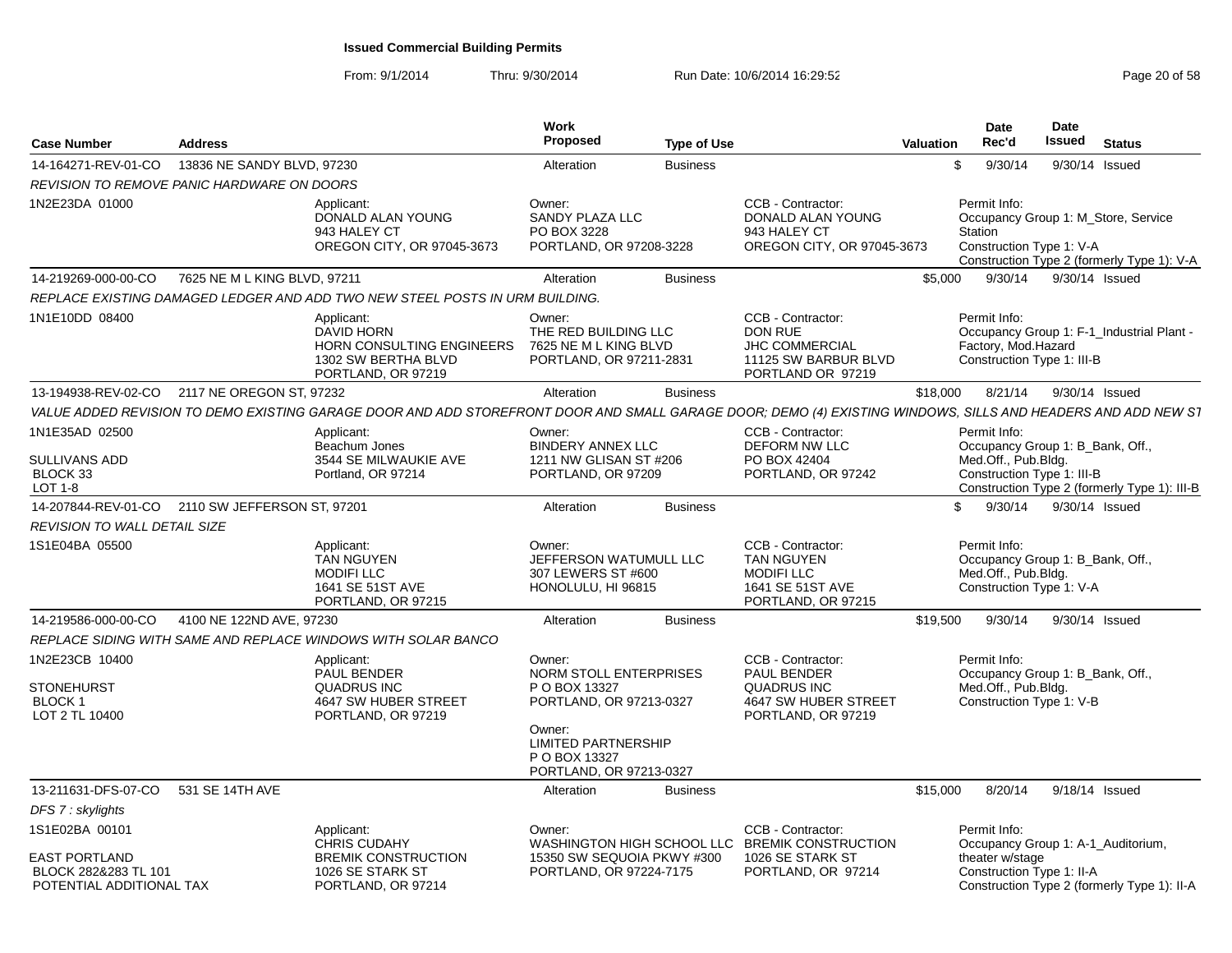| <b>Case Number</b>                                                       | <b>Address</b>               |                                                                                                                                                              | Work<br>Proposed                                                                                                                                                 | <b>Type of Use</b> |                                                                                                             | Valuation | Date<br>Rec'd                                                                                       | <b>Date</b><br><b>Issued</b> | <b>Status</b>                                                                     |  |
|--------------------------------------------------------------------------|------------------------------|--------------------------------------------------------------------------------------------------------------------------------------------------------------|------------------------------------------------------------------------------------------------------------------------------------------------------------------|--------------------|-------------------------------------------------------------------------------------------------------------|-----------|-----------------------------------------------------------------------------------------------------|------------------------------|-----------------------------------------------------------------------------------|--|
| 14-164271-REV-01-CO                                                      | 13836 NE SANDY BLVD, 97230   |                                                                                                                                                              | Alteration                                                                                                                                                       | <b>Business</b>    |                                                                                                             | \$        | 9/30/14                                                                                             |                              | 9/30/14 Issued                                                                    |  |
| REVISION TO REMOVE PANIC HARDWARE ON DOORS                               |                              |                                                                                                                                                              |                                                                                                                                                                  |                    |                                                                                                             |           |                                                                                                     |                              |                                                                                   |  |
| 1N2E23DA 01000                                                           |                              | Applicant:<br>DONALD ALAN YOUNG<br>943 HALEY CT<br>OREGON CITY, OR 97045-3673                                                                                | Owner:<br>SANDY PLAZA LLC<br>PO BOX 3228<br>PORTLAND, OR 97208-3228                                                                                              |                    | CCB - Contractor:<br>DONALD ALAN YOUNG<br>943 HALEY CT<br>OREGON CITY, OR 97045-3673                        |           | Permit Info:<br><b>Station</b><br>Construction Type 1: V-A                                          |                              | Occupancy Group 1: M_Store, Service<br>Construction Type 2 (formerly Type 1): V-A |  |
| 14-219269-000-00-CO                                                      | 7625 NE M L KING BLVD, 97211 |                                                                                                                                                              | Alteration                                                                                                                                                       | <b>Business</b>    |                                                                                                             | \$5,000   | 9/30/14                                                                                             |                              | 9/30/14 Issued                                                                    |  |
|                                                                          |                              | REPLACE EXISTING DAMAGED LEDGER AND ADD TWO NEW STEEL POSTS IN URM BUILDING.                                                                                 |                                                                                                                                                                  |                    |                                                                                                             |           |                                                                                                     |                              |                                                                                   |  |
| 1N1E10DD 08400                                                           |                              | Applicant:<br>DAVID HORN<br>HORN CONSULTING ENGINEERS<br>1302 SW BERTHA BLVD<br>PORTLAND, OR 97219                                                           | Owner:<br>THE RED BUILDING LLC<br>7625 NE M L KING BLVD<br>PORTLAND, OR 97211-2831                                                                               |                    | CCB - Contractor:<br>DON RUE<br><b>JHC COMMERCIAL</b><br>11125 SW BARBUR BLVD<br>PORTLAND OR 97219          |           | Permit Info:<br>Factory, Mod.Hazard<br>Construction Type 1: III-B                                   |                              | Occupancy Group 1: F-1 Industrial Plant -                                         |  |
| 13-194938-REV-02-CO                                                      | 2117 NE OREGON ST, 97232     |                                                                                                                                                              | Alteration                                                                                                                                                       | <b>Business</b>    |                                                                                                             | \$18,000  | 8/21/14                                                                                             |                              | 9/30/14 Issued                                                                    |  |
|                                                                          |                              | VALUE ADDED REVISION TO DEMO EXISTING GARAGE DOOR AND ADD STOREFRONT DOOR AND SMALL GARAGE DOOR; DEMO (4) EXISTING WINDOWS, SILLS AND HEADERS AND ADD NEW S1 |                                                                                                                                                                  |                    |                                                                                                             |           |                                                                                                     |                              |                                                                                   |  |
| 1N1E35AD 02500                                                           |                              | Applicant:                                                                                                                                                   | Owner:                                                                                                                                                           |                    | CCB - Contractor:                                                                                           |           | Permit Info:                                                                                        |                              |                                                                                   |  |
| SULLIVANS ADD<br>BLOCK 33<br>LOT $1-8$                                   |                              | Beachum Jones<br>3544 SE MILWAUKIE AVE<br>Portland, OR 97214                                                                                                 | <b>BINDERY ANNEX LLC</b><br>1211 NW GLISAN ST #206<br>PORTLAND, OR 97209                                                                                         |                    | <b>DEFORM NW LLC</b><br>PO BOX 42404<br>PORTLAND, OR 97242                                                  |           | Occupancy Group 1: B_Bank, Off.,<br>Med.Off., Pub.Bldg.<br>Construction Type 1: III-B               |                              | Construction Type 2 (formerly Type 1): III-B                                      |  |
| 14-207844-REV-01-CO 2110 SW JEFFERSON ST, 97201                          |                              |                                                                                                                                                              | Alteration                                                                                                                                                       | <b>Business</b>    |                                                                                                             | \$        | 9/30/14                                                                                             |                              | 9/30/14 Issued                                                                    |  |
| <b>REVISION TO WALL DETAIL SIZE</b>                                      |                              |                                                                                                                                                              |                                                                                                                                                                  |                    |                                                                                                             |           |                                                                                                     |                              |                                                                                   |  |
| 1S1E04BA 05500                                                           |                              | Applicant:<br><b>TAN NGUYEN</b><br><b>MODIFILLC</b><br>1641 SE 51ST AVE<br>PORTLAND, OR 97215                                                                | Owner:<br>JEFFERSON WATUMULL LLC<br>307 LEWERS ST #600<br>HONOLULU, HI 96815                                                                                     |                    | CCB - Contractor:<br><b>TAN NGUYEN</b><br><b>MODIFILLC</b><br>1641 SE 51ST AVE<br>PORTLAND, OR 97215        |           | Permit Info:<br>Occupancy Group 1: B_Bank, Off.,<br>Med.Off., Pub.Bldg.<br>Construction Type 1: V-A |                              |                                                                                   |  |
| 14-219586-000-00-CO                                                      | 4100 NE 122ND AVE, 97230     |                                                                                                                                                              | Alteration                                                                                                                                                       | <b>Business</b>    |                                                                                                             | \$19,500  | 9/30/14                                                                                             |                              | 9/30/14 Issued                                                                    |  |
|                                                                          |                              | REPLACE SIDING WITH SAME AND REPLACE WINDOWS WITH SOLAR BANCO                                                                                                |                                                                                                                                                                  |                    |                                                                                                             |           |                                                                                                     |                              |                                                                                   |  |
| 1N2E23CB 10400<br><b>STONEHURST</b><br><b>BLOCK1</b><br>LOT 2 TL 10400   |                              | Applicant:<br>PAUL BENDER<br><b>QUADRUS INC</b><br>4647 SW HUBER STREET<br>PORTLAND, OR 97219                                                                | Owner:<br>NORM STOLL ENTERPRISES<br>P O BOX 13327<br>PORTLAND, OR 97213-0327<br>Owner:<br><b>LIMITED PARTNERSHIP</b><br>P O BOX 13327<br>PORTLAND, OR 97213-0327 |                    | CCB - Contractor:<br><b>PAUL BENDER</b><br><b>QUADRUS INC</b><br>4647 SW HUBER STREET<br>PORTLAND, OR 97219 |           | Permit Info:<br>Occupancy Group 1: B Bank, Off.,<br>Med.Off., Pub.Bldg.<br>Construction Type 1: V-B |                              |                                                                                   |  |
| 13-211631-DFS-07-CO                                                      | 531 SE 14TH AVE              |                                                                                                                                                              | Alteration                                                                                                                                                       | <b>Business</b>    |                                                                                                             | \$15,000  | 8/20/14                                                                                             |                              | 9/18/14 Issued                                                                    |  |
| DFS 7: skylights                                                         |                              |                                                                                                                                                              |                                                                                                                                                                  |                    |                                                                                                             |           |                                                                                                     |                              |                                                                                   |  |
| 1S1E02BA 00101                                                           |                              | Applicant:<br><b>CHRIS CUDAHY</b>                                                                                                                            | Owner:                                                                                                                                                           |                    | CCB - Contractor:<br>WASHINGTON HIGH SCHOOL LLC BREMIK CONSTRUCTION                                         |           | Permit Info:                                                                                        |                              | Occupancy Group 1: A-1_Auditorium,                                                |  |
| <b>EAST PORTLAND</b><br>BLOCK 282&283 TL 101<br>POTENTIAL ADDITIONAL TAX |                              | <b>BREMIK CONSTRUCTION</b><br>1026 SE STARK ST<br>PORTLAND, OR 97214                                                                                         | 15350 SW SEQUOIA PKWY #300<br>PORTLAND, OR 97224-7175                                                                                                            |                    | 1026 SE STARK ST<br>PORTLAND, OR 97214                                                                      |           | theater w/stage<br>Construction Type 1: II-A                                                        |                              | Construction Type 2 (formerly Type 1): II-A                                       |  |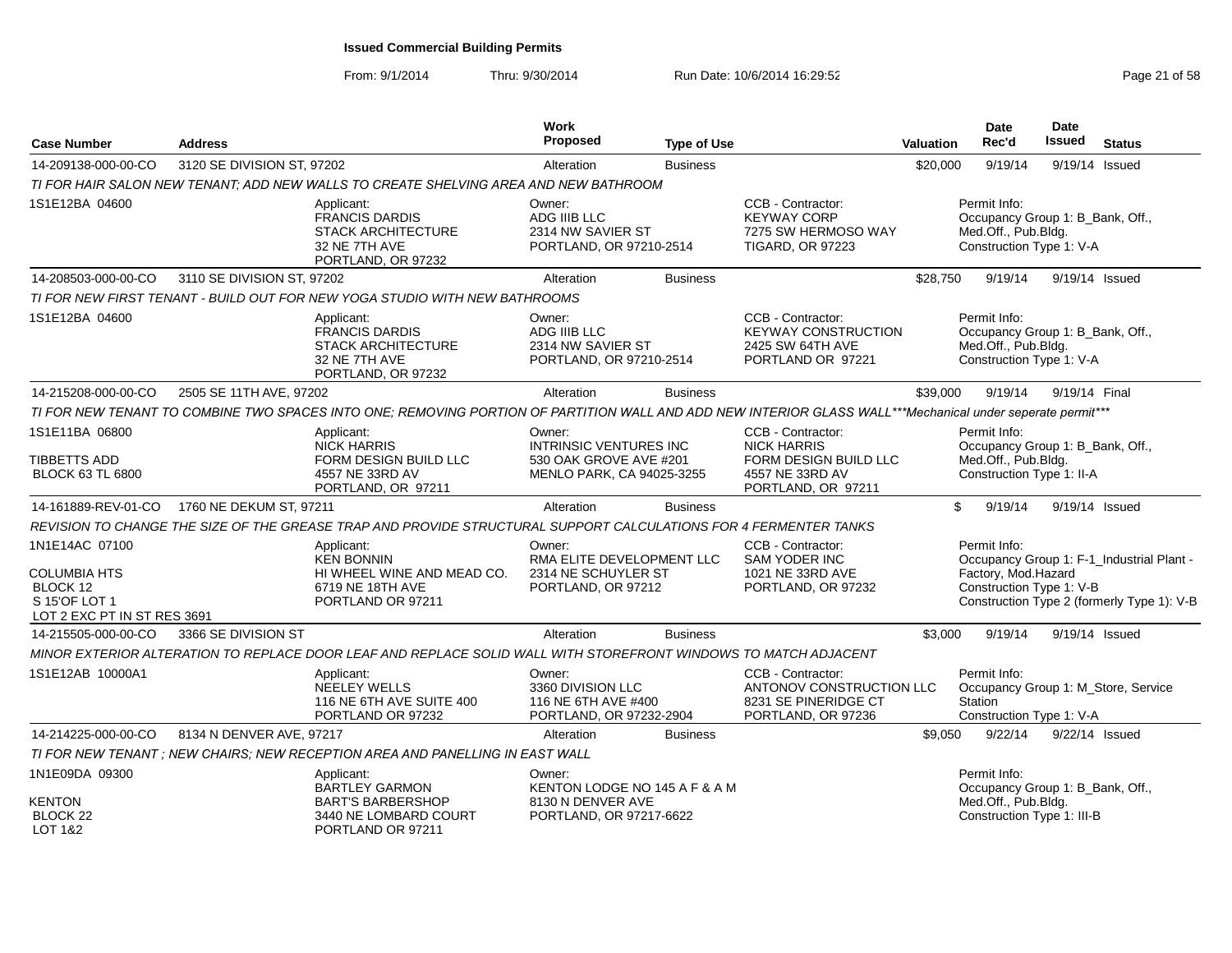From: 9/1/2014

| <b>Case Number</b>                                                                         | <b>Address</b>             |                                                                                                                                                            | Work<br>Proposed                                                                               | <b>Type of Use</b> |                                                                                                           | <b>Valuation</b> | Date<br>Rec'd                                                                                        | <b>Date</b><br><b>Issued</b> | <b>Status</b>                                                                           |
|--------------------------------------------------------------------------------------------|----------------------------|------------------------------------------------------------------------------------------------------------------------------------------------------------|------------------------------------------------------------------------------------------------|--------------------|-----------------------------------------------------------------------------------------------------------|------------------|------------------------------------------------------------------------------------------------------|------------------------------|-----------------------------------------------------------------------------------------|
| 14-209138-000-00-CO                                                                        | 3120 SE DIVISION ST, 97202 |                                                                                                                                                            | Alteration                                                                                     | <b>Business</b>    |                                                                                                           | \$20,000         | 9/19/14                                                                                              | 9/19/14 Issued               |                                                                                         |
|                                                                                            |                            | TI FOR HAIR SALON NEW TENANT: ADD NEW WALLS TO CREATE SHELVING AREA AND NEW BATHROOM                                                                       |                                                                                                |                    |                                                                                                           |                  |                                                                                                      |                              |                                                                                         |
| 1S1E12BA 04600                                                                             |                            | Applicant:<br><b>FRANCIS DARDIS</b><br><b>STACK ARCHITECTURE</b><br>32 NE 7TH AVE<br>PORTLAND, OR 97232                                                    | Owner:<br>ADG IIIB LLC<br>2314 NW SAVIER ST<br>PORTLAND, OR 97210-2514                         |                    | CCB - Contractor:<br><b>KEYWAY CORP</b><br>7275 SW HERMOSO WAY<br><b>TIGARD, OR 97223</b>                 |                  | Permit Info:<br>Occupancy Group 1: B_Bank, Off.,<br>Med.Off., Pub.Bldg.<br>Construction Type 1: V-A  |                              |                                                                                         |
| 14-208503-000-00-CO                                                                        | 3110 SE DIVISION ST, 97202 |                                                                                                                                                            | Alteration                                                                                     | <b>Business</b>    |                                                                                                           | \$28.750         | 9/19/14                                                                                              |                              | 9/19/14 Issued                                                                          |
|                                                                                            |                            | TI FOR NEW FIRST TENANT - BUILD OUT FOR NEW YOGA STUDIO WITH NEW BATHROOMS                                                                                 |                                                                                                |                    |                                                                                                           |                  |                                                                                                      |                              |                                                                                         |
| 1S1E12BA 04600                                                                             |                            | Applicant:<br><b>FRANCIS DARDIS</b><br><b>STACK ARCHITECTURE</b><br>32 NE 7TH AVE<br>PORTLAND, OR 97232                                                    | Owner:<br>ADG IIIB LLC<br>2314 NW SAVIER ST<br>PORTLAND, OR 97210-2514                         |                    | CCB - Contractor:<br><b>KEYWAY CONSTRUCTION</b><br>2425 SW 64TH AVE<br>PORTLAND OR 97221                  |                  | Permit Info:<br>Occupancy Group 1: B_Bank, Off.,<br>Med.Off., Pub.Bldg.<br>Construction Type 1: V-A  |                              |                                                                                         |
| 14-215208-000-00-CO                                                                        | 2505 SE 11TH AVE, 97202    |                                                                                                                                                            | Alteration                                                                                     | <b>Business</b>    |                                                                                                           | \$39,000         | 9/19/14                                                                                              | 9/19/14 Final                |                                                                                         |
|                                                                                            |                            | TI FOR NEW TENANT TO COMBINE TWO SPACES INTO ONE; REMOVING PORTION OF PARTITION WALL AND ADD NEW INTERIOR GLASS WALL***Mechanical under seperate permit*** |                                                                                                |                    |                                                                                                           |                  |                                                                                                      |                              |                                                                                         |
| 1S1E11BA 06800<br><b>TIBBETTS ADD</b><br><b>BLOCK 63 TL 6800</b>                           |                            | Applicant:<br><b>NICK HARRIS</b><br>FORM DESIGN BUILD LLC<br>4557 NE 33RD AV<br>PORTLAND, OR 97211                                                         | Owner:<br><b>INTRINSIC VENTURES INC</b><br>530 OAK GROVE AVE #201<br>MENLO PARK, CA 94025-3255 |                    | CCB - Contractor:<br><b>NICK HARRIS</b><br>FORM DESIGN BUILD LLC<br>4557 NE 33RD AV<br>PORTLAND, OR 97211 |                  | Permit Info:<br>Occupancy Group 1: B_Bank, Off.,<br>Med.Off., Pub.Bldg.<br>Construction Type 1: II-A |                              |                                                                                         |
| 14-161889-REV-01-CO                                                                        | 1760 NE DEKUM ST, 97211    |                                                                                                                                                            | Alteration                                                                                     | <b>Business</b>    |                                                                                                           | \$               | 9/19/14                                                                                              | 9/19/14 Issued               |                                                                                         |
|                                                                                            |                            | REVISION TO CHANGE THE SIZE OF THE GREASE TRAP AND PROVIDE STRUCTURAL SUPPORT CALCULATIONS FOR 4 FERMENTER TANKS                                           |                                                                                                |                    |                                                                                                           |                  |                                                                                                      |                              |                                                                                         |
| 1N1E14AC 07100<br>COLUMBIA HTS<br>BLOCK 12<br>S 15'OF LOT 1<br>LOT 2 EXC PT IN ST RES 3691 |                            | Applicant:<br><b>KEN BONNIN</b><br>HI WHEEL WINE AND MEAD CO.<br>6719 NE 18TH AVE<br>PORTLAND OR 97211                                                     | Owner:<br>RMA ELITE DEVELOPMENT LLC<br>2314 NE SCHUYLER ST<br>PORTLAND, OR 97212               |                    | CCB - Contractor:<br><b>SAM YODER INC</b><br>1021 NE 33RD AVE<br>PORTLAND, OR 97232                       |                  | Permit Info:<br>Factory, Mod.Hazard<br>Construction Type 1: V-B                                      |                              | Occupancy Group 1: F-1_Industrial Plant -<br>Construction Type 2 (formerly Type 1): V-B |
| 14-215505-000-00-CO                                                                        | 3366 SE DIVISION ST        |                                                                                                                                                            | Alteration                                                                                     | <b>Business</b>    |                                                                                                           | \$3,000          | 9/19/14                                                                                              |                              | 9/19/14 Issued                                                                          |
|                                                                                            |                            | MINOR EXTERIOR ALTERATION TO REPLACE DOOR LEAF AND REPLACE SOLID WALL WITH STOREFRONT WINDOWS TO MATCH ADJACENT                                            |                                                                                                |                    |                                                                                                           |                  |                                                                                                      |                              |                                                                                         |
| 1S1E12AB 10000A1                                                                           |                            | Applicant:<br>NEELEY WELLS<br>116 NE 6TH AVE SUITE 400<br>PORTLAND OR 97232                                                                                | Owner:<br>3360 DIVISION LLC<br>116 NE 6TH AVE #400<br>PORTLAND, OR 97232-2904                  |                    | CCB - Contractor:<br>ANTONOV CONSTRUCTION LLC<br>8231 SE PINERIDGE CT<br>PORTLAND, OR 97236               |                  | Permit Info:<br>Station<br>Construction Type 1: V-A                                                  |                              | Occupancy Group 1: M_Store, Service                                                     |
| 14-214225-000-00-CO                                                                        | 8134 N DENVER AVE, 97217   |                                                                                                                                                            | Alteration                                                                                     | <b>Business</b>    |                                                                                                           | \$9,050          | 9/22/14                                                                                              |                              | 9/22/14 Issued                                                                          |
|                                                                                            |                            | TI FOR NEW TENANT : NEW CHAIRS: NEW RECEPTION AREA AND PANELLING IN EAST WALL                                                                              |                                                                                                |                    |                                                                                                           |                  |                                                                                                      |                              |                                                                                         |
| 1N1E09DA 09300<br><b>KENTON</b>                                                            |                            | Applicant:<br><b>BARTLEY GARMON</b><br><b>BART'S BARBERSHOP</b>                                                                                            | Owner:<br>KENTON LODGE NO 145 A F & A M<br>8130 N DENVER AVE                                   |                    |                                                                                                           |                  | Permit Info:<br>Occupancy Group 1: B Bank, Off.,<br>Med.Off., Pub.Bldg.                              |                              |                                                                                         |
| BLOCK 22<br>LOT 1&2                                                                        |                            | 3440 NE LOMBARD COURT<br>PORTLAND OR 97211                                                                                                                 | PORTLAND, OR 97217-6622                                                                        |                    |                                                                                                           |                  | Construction Type 1: III-B                                                                           |                              |                                                                                         |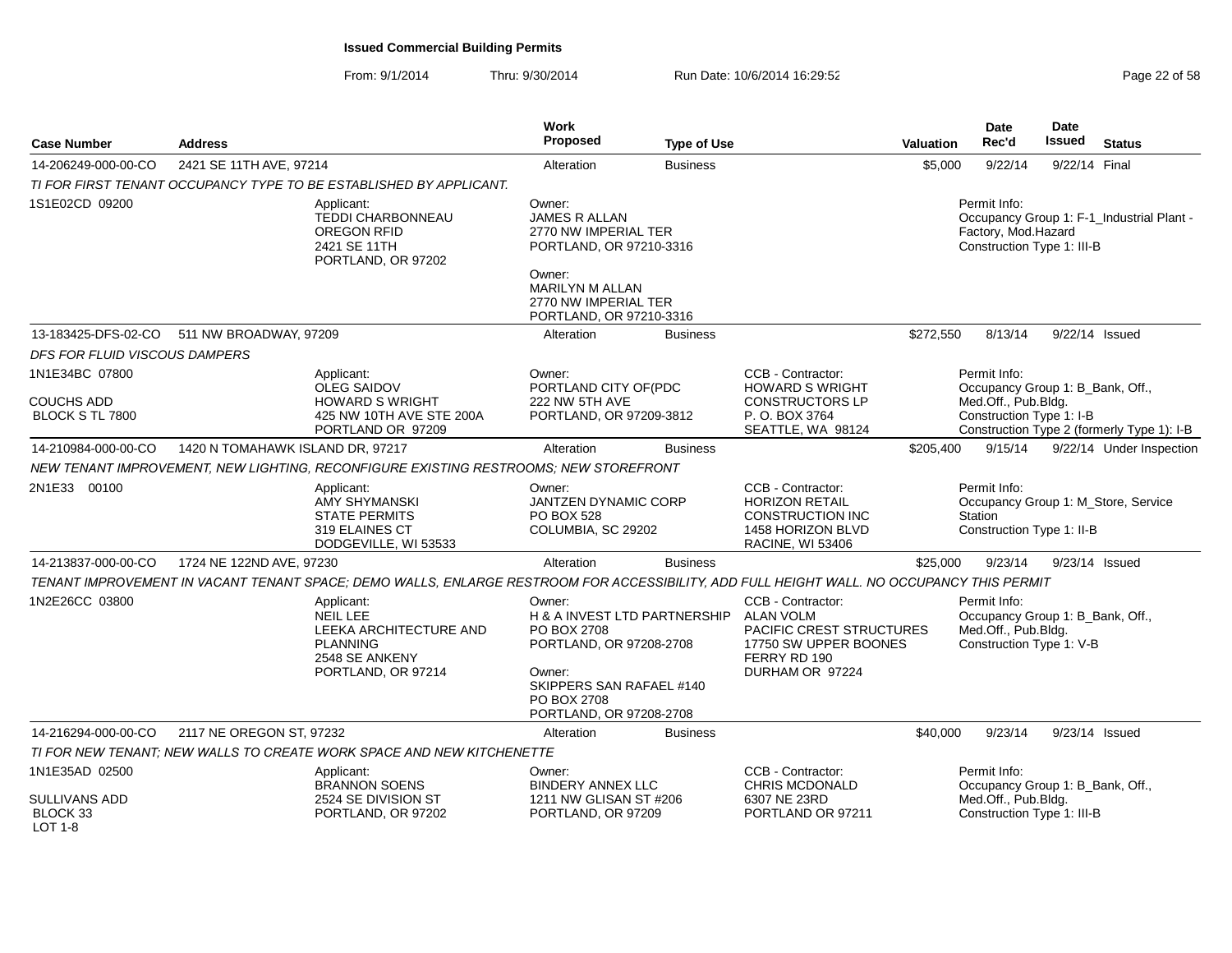| <b>Case Number</b>                              | <b>Address</b>                   |                                                                                                                                           | <b>Work</b><br>Proposed                                                                                                                                           | <b>Type of Use</b> |                                                                                                                               | <b>Valuation</b> | <b>Date</b><br>Rec'd                                                                                | <b>Date</b><br><b>Issued</b> | <b>Status</b>                              |
|-------------------------------------------------|----------------------------------|-------------------------------------------------------------------------------------------------------------------------------------------|-------------------------------------------------------------------------------------------------------------------------------------------------------------------|--------------------|-------------------------------------------------------------------------------------------------------------------------------|------------------|-----------------------------------------------------------------------------------------------------|------------------------------|--------------------------------------------|
| 14-206249-000-00-CO                             | 2421 SE 11TH AVE, 97214          |                                                                                                                                           | Alteration                                                                                                                                                        | <b>Business</b>    |                                                                                                                               | \$5,000          | 9/22/14                                                                                             | 9/22/14 Final                |                                            |
|                                                 |                                  | TI FOR FIRST TENANT OCCUPANCY TYPE TO BE ESTABLISHED BY APPLICANT.                                                                        |                                                                                                                                                                   |                    |                                                                                                                               |                  |                                                                                                     |                              |                                            |
| 1S1E02CD 09200                                  |                                  | Applicant:<br>TEDDI CHARBONNEAU<br>OREGON RFID<br>2421 SE 11TH<br>PORTLAND, OR 97202                                                      | Owner:<br><b>JAMES R ALLAN</b><br>2770 NW IMPERIAL TER<br>PORTLAND, OR 97210-3316<br>Owner:<br>MARILYN M ALLAN<br>2770 NW IMPERIAL TER<br>PORTLAND, OR 97210-3316 |                    |                                                                                                                               |                  | Permit Info:<br>Factory, Mod.Hazard<br>Construction Type 1: III-B                                   |                              | Occupancy Group 1: F-1_Industrial Plant -  |
| 13-183425-DFS-02-CO                             | 511 NW BROADWAY, 97209           |                                                                                                                                           | Alteration                                                                                                                                                        | <b>Business</b>    |                                                                                                                               | \$272,550        | 8/13/14                                                                                             |                              | 9/22/14 Issued                             |
| DFS FOR FLUID VISCOUS DAMPERS                   |                                  |                                                                                                                                           |                                                                                                                                                                   |                    |                                                                                                                               |                  |                                                                                                     |                              |                                            |
| 1N1E34BC 07800<br>COUCHS ADD<br>BLOCK S TL 7800 |                                  | Applicant:<br><b>OLEG SAIDOV</b><br><b>HOWARD S WRIGHT</b><br>425 NW 10TH AVE STE 200A<br>PORTLAND OR 97209                               | Owner:<br>PORTLAND CITY OF(PDC<br>222 NW 5TH AVE<br>PORTLAND, OR 97209-3812                                                                                       |                    | CCB - Contractor:<br><b>HOWARD S WRIGHT</b><br><b>CONSTRUCTORS LP</b><br>P. O. BOX 3764<br>SEATTLE, WA 98124                  |                  | Permit Info:<br>Occupancy Group 1: B_Bank, Off.,<br>Med.Off., Pub.Bldg.<br>Construction Type 1: I-B |                              | Construction Type 2 (formerly Type 1): I-B |
| 14-210984-000-00-CO                             | 1420 N TOMAHAWK ISLAND DR, 97217 |                                                                                                                                           | Alteration                                                                                                                                                        | <b>Business</b>    |                                                                                                                               | \$205,400        | 9/15/14                                                                                             |                              | 9/22/14 Under Inspection                   |
|                                                 |                                  | NEW TENANT IMPROVEMENT, NEW LIGHTING, RECONFIGURE EXISTING RESTROOMS; NEW STOREFRONT                                                      |                                                                                                                                                                   |                    |                                                                                                                               |                  |                                                                                                     |                              |                                            |
| 2N1E33 00100                                    |                                  | Applicant:<br><b>AMY SHYMANSKI</b><br><b>STATE PERMITS</b><br>319 ELAINES CT<br>DODGEVILLE, WI 53533                                      | Owner:<br><b>JANTZEN DYNAMIC CORP</b><br><b>PO BOX 528</b><br>COLUMBIA, SC 29202                                                                                  |                    | CCB - Contractor:<br><b>HORIZON RETAIL</b><br><b>CONSTRUCTION INC</b><br>1458 HORIZON BLVD<br><b>RACINE, WI 53406</b>         |                  | Permit Info:<br>Station<br>Construction Type 1: II-B                                                |                              | Occupancy Group 1: M_Store, Service        |
| 14-213837-000-00-CO                             | 1724 NE 122ND AVE, 97230         |                                                                                                                                           | Alteration                                                                                                                                                        | <b>Business</b>    |                                                                                                                               | \$25,000         | 9/23/14                                                                                             |                              | 9/23/14 Issued                             |
|                                                 |                                  | TENANT IMPROVEMENT IN VACANT TENANT SPACE; DEMO WALLS, ENLARGE RESTROOM FOR ACCESSIBILITY, ADD FULL HEIGHT WALL. NO OCCUPANCY THIS PERMIT |                                                                                                                                                                   |                    |                                                                                                                               |                  |                                                                                                     |                              |                                            |
| 1N2E26CC 03800                                  |                                  | Applicant:<br><b>NEIL LEE</b><br>LEEKA ARCHITECTURE AND<br><b>PLANNING</b><br>2548 SE ANKENY<br>PORTLAND, OR 97214                        | Owner:<br>H & A INVEST LTD PARTNERSHIP<br>PO BOX 2708<br>PORTLAND, OR 97208-2708<br>Owner:<br>SKIPPERS SAN RAFAEL #140<br>PO BOX 2708<br>PORTLAND, OR 97208-2708  |                    | CCB - Contractor:<br><b>ALAN VOLM</b><br>PACIFIC CREST STRUCTURES<br>17750 SW UPPER BOONES<br>FERRY RD 190<br>DURHAM OR 97224 |                  | Permit Info:<br>Occupancy Group 1: B_Bank, Off.,<br>Med.Off., Pub.Bldg.<br>Construction Type 1: V-B |                              |                                            |
| 14-216294-000-00-CO                             | 2117 NE OREGON ST, 97232         |                                                                                                                                           | Alteration                                                                                                                                                        | <b>Business</b>    |                                                                                                                               | \$40,000         | 9/23/14                                                                                             |                              | 9/23/14 Issued                             |
|                                                 |                                  | TI FOR NEW TENANT: NEW WALLS TO CREATE WORK SPACE AND NEW KITCHENETTE                                                                     |                                                                                                                                                                   |                    |                                                                                                                               |                  |                                                                                                     |                              |                                            |
| 1N1E35AD 02500                                  |                                  | Applicant:<br><b>BRANNON SOENS</b>                                                                                                        | Owner:<br><b>BINDERY ANNEX LLC</b>                                                                                                                                |                    | CCB - Contractor:<br>CHRIS MCDONALD                                                                                           |                  | Permit Info:<br>Occupancy Group 1: B_Bank, Off.,                                                    |                              |                                            |
| SULLIVANS ADD<br>BLOCK 33<br>$LOT 1-8$          |                                  | 2524 SE DIVISION ST<br>PORTLAND, OR 97202                                                                                                 | 1211 NW GLISAN ST #206<br>PORTLAND, OR 97209                                                                                                                      |                    | 6307 NE 23RD<br>PORTLAND OR 97211                                                                                             |                  | Med.Off., Pub.Bldg.<br>Construction Type 1: III-B                                                   |                              |                                            |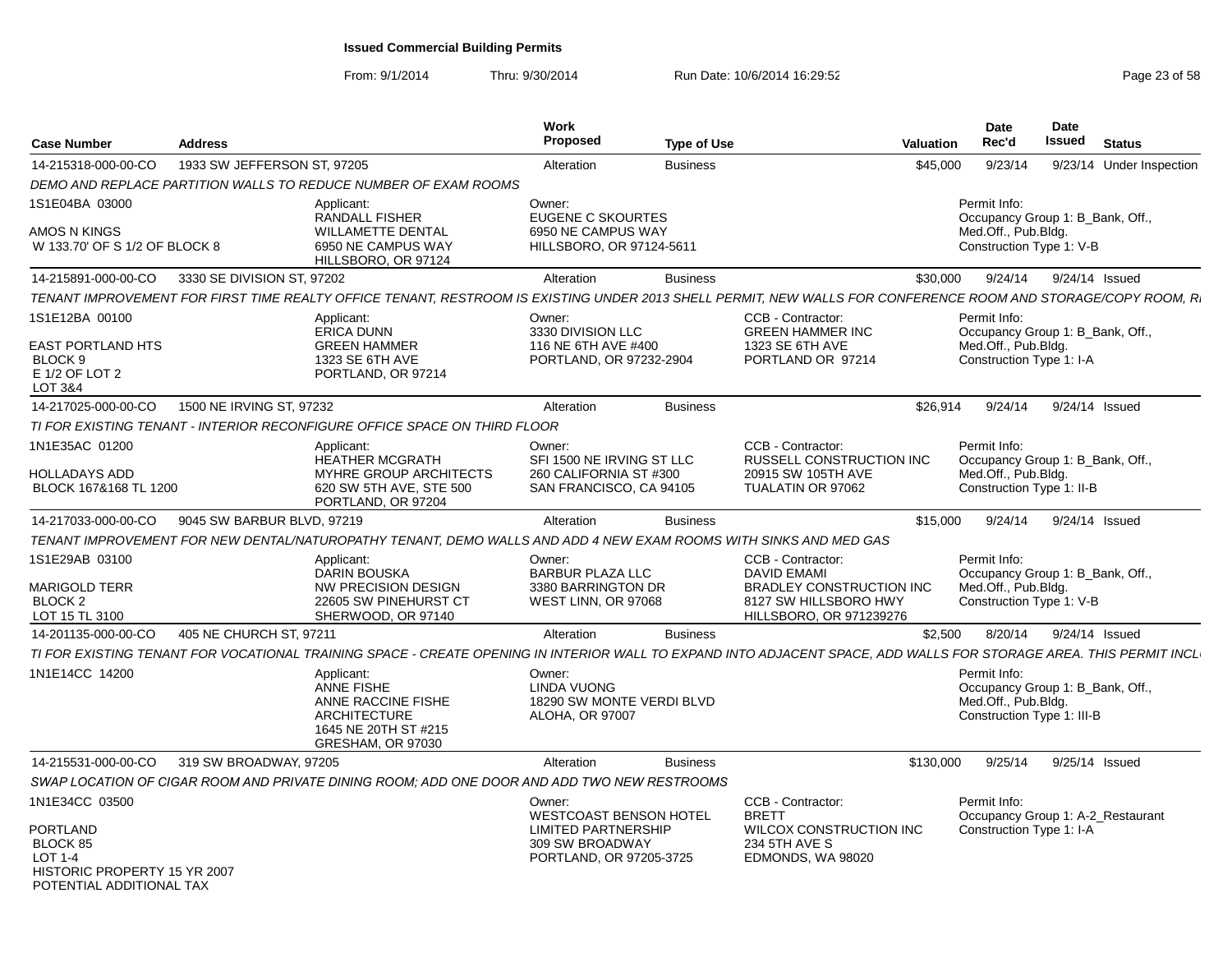| <b>Case Number</b>                                                                                 | <b>Address</b>              |                                                                                                                                                                    | Work<br>Proposed                                                                    | <b>Type of Use</b> |                                                                                                           | Valuation | Date<br>Rec'd                                                                                         | Date<br><b>Issued</b> | <b>Status</b>            |  |
|----------------------------------------------------------------------------------------------------|-----------------------------|--------------------------------------------------------------------------------------------------------------------------------------------------------------------|-------------------------------------------------------------------------------------|--------------------|-----------------------------------------------------------------------------------------------------------|-----------|-------------------------------------------------------------------------------------------------------|-----------------------|--------------------------|--|
| 14-215318-000-00-CO                                                                                | 1933 SW JEFFERSON ST, 97205 |                                                                                                                                                                    | Alteration                                                                          | <b>Business</b>    |                                                                                                           | \$45,000  | 9/23/14                                                                                               |                       | 9/23/14 Under Inspection |  |
|                                                                                                    |                             | DEMO AND REPLACE PARTITION WALLS TO REDUCE NUMBER OF EXAM ROOMS                                                                                                    |                                                                                     |                    |                                                                                                           |           |                                                                                                       |                       |                          |  |
| 1S1E04BA 03000                                                                                     |                             | Applicant:                                                                                                                                                         | Owner:                                                                              |                    |                                                                                                           |           | Permit Info:                                                                                          |                       |                          |  |
| AMOS N KINGS<br>W 133.70' OF S 1/2 OF BLOCK 8                                                      |                             | <b>RANDALL FISHER</b><br><b>WILLAMETTE DENTAL</b><br>6950 NE CAMPUS WAY<br>HILLSBORO, OR 97124                                                                     | <b>EUGENE C SKOURTES</b><br>6950 NE CAMPUS WAY<br>HILLSBORO, OR 97124-5611          |                    |                                                                                                           |           | Occupancy Group 1: B_Bank, Off.,<br>Med.Off., Pub.Bldg.<br>Construction Type 1: V-B                   |                       |                          |  |
| 14-215891-000-00-CO                                                                                | 3330 SE DIVISION ST, 97202  |                                                                                                                                                                    | Alteration                                                                          | <b>Business</b>    |                                                                                                           | \$30,000  | 9/24/14                                                                                               |                       | 9/24/14 Issued           |  |
|                                                                                                    |                             | TENANT IMPROVEMENT FOR FIRST TIME REALTY OFFICE TENANT, RESTROOM IS EXISTING UNDER 2013 SHELL PERMIT, NEW WALLS FOR CONFERENCE ROOM AND STORAGE/COPY ROOM, R.      |                                                                                     |                    |                                                                                                           |           |                                                                                                       |                       |                          |  |
| 1S1E12BA 00100<br><b>EAST PORTLAND HTS</b>                                                         |                             | Applicant:<br><b>ERICA DUNN</b><br><b>GREEN HAMMER</b>                                                                                                             | Owner:<br>3330 DIVISION LLC<br>116 NE 6TH AVE #400                                  |                    | CCB - Contractor:<br><b>GREEN HAMMER INC</b><br>1323 SE 6TH AVE                                           |           | Permit Info:<br>Occupancy Group 1: B_Bank, Off.,<br>Med.Off., Pub.Bldg.                               |                       |                          |  |
| BLOCK <sub>9</sub><br>E 1/2 OF LOT 2<br>LOT 3&4                                                    |                             | 1323 SE 6TH AVE<br>PORTLAND, OR 97214                                                                                                                              | PORTLAND, OR 97232-2904                                                             |                    | PORTLAND OR 97214                                                                                         |           | Construction Type 1: I-A                                                                              |                       |                          |  |
| 14-217025-000-00-CO                                                                                | 1500 NE IRVING ST, 97232    |                                                                                                                                                                    | Alteration                                                                          | <b>Business</b>    |                                                                                                           | \$26.914  | 9/24/14                                                                                               |                       | 9/24/14 Issued           |  |
|                                                                                                    |                             | TI FOR EXISTING TENANT - INTERIOR RECONFIGURE OFFICE SPACE ON THIRD FLOOR                                                                                          |                                                                                     |                    |                                                                                                           |           |                                                                                                       |                       |                          |  |
| 1N1E35AC 01200                                                                                     |                             | Applicant:<br>HEATHER MCGRATH                                                                                                                                      | Owner:<br>SFI 1500 NE IRVING ST LLC                                                 |                    | CCB - Contractor:<br>RUSSELL CONSTRUCTION INC                                                             |           | Permit Info:<br>Occupancy Group 1: B_Bank, Off.,                                                      |                       |                          |  |
| <b>HOLLADAYS ADD</b><br>BLOCK 167&168 TL 1200                                                      |                             | MYHRE GROUP ARCHITECTS<br>620 SW 5TH AVE, STE 500<br>PORTLAND, OR 97204                                                                                            | 260 CALIFORNIA ST #300<br>SAN FRANCISCO, CA 94105                                   |                    | 20915 SW 105TH AVE<br>TUALATIN OR 97062                                                                   |           | Med.Off., Pub.Bldg.<br>Construction Type 1: II-B                                                      |                       |                          |  |
| 14-217033-000-00-CO                                                                                | 9045 SW BARBUR BLVD, 97219  |                                                                                                                                                                    | Alteration                                                                          | <b>Business</b>    |                                                                                                           | \$15,000  | 9/24/14                                                                                               |                       | 9/24/14 Issued           |  |
|                                                                                                    |                             | TENANT IMPROVEMENT FOR NEW DENTAL/NATUROPATHY TENANT, DEMO WALLS AND ADD 4 NEW EXAM ROOMS WITH SINKS AND MED GAS                                                   |                                                                                     |                    |                                                                                                           |           |                                                                                                       |                       |                          |  |
| 1S1E29AB 03100                                                                                     |                             | Applicant:                                                                                                                                                         | Owner:                                                                              |                    | CCB - Contractor:                                                                                         |           | Permit Info:                                                                                          |                       |                          |  |
| <b>MARIGOLD TERR</b><br>BLOCK <sub>2</sub><br>LOT 15 TL 3100                                       |                             | <b>DARIN BOUSKA</b><br><b>NW PRECISION DESIGN</b><br>22605 SW PINEHURST CT<br>SHERWOOD, OR 97140                                                                   | <b>BARBUR PLAZA LLC</b><br>3380 BARRINGTON DR<br>WEST LINN, OR 97068                |                    | <b>DAVID EMAMI</b><br><b>BRADLEY CONSTRUCTION INC</b><br>8127 SW HILLSBORO HWY<br>HILLSBORO, OR 971239276 |           | Occupancy Group 1: B_Bank, Off.,<br>Med.Off., Pub.Bldg.<br>Construction Type 1: V-B                   |                       |                          |  |
| 14-201135-000-00-CO                                                                                | 405 NE CHURCH ST, 97211     |                                                                                                                                                                    | Alteration                                                                          | <b>Business</b>    |                                                                                                           | \$2.500   | 8/20/14                                                                                               |                       | 9/24/14 Issued           |  |
|                                                                                                    |                             | TI FOR EXISTING TENANT FOR VOCATIONAL TRAINING SPACE - CREATE OPENING IN INTERIOR WALL TO EXPAND INTO ADJACENT SPACE, ADD WALLS FOR STORAGE AREA. THIS PERMIT INCL |                                                                                     |                    |                                                                                                           |           |                                                                                                       |                       |                          |  |
| 1N1E14CC 14200                                                                                     |                             | Applicant:<br>ANNE FISHE<br>ANNE RACCINE FISHE<br><b>ARCHITECTURE</b><br>1645 NE 20TH ST #215<br>GRESHAM, OR 97030                                                 | Owner:<br><b>LINDA VUONG</b><br>18290 SW MONTE VERDI BLVD<br><b>ALOHA, OR 97007</b> |                    |                                                                                                           |           | Permit Info:<br>Occupancy Group 1: B_Bank, Off.,<br>Med.Off., Pub.Bldg.<br>Construction Type 1: III-B |                       |                          |  |
| 14-215531-000-00-CO                                                                                | 319 SW BROADWAY, 97205      |                                                                                                                                                                    | Alteration                                                                          | <b>Business</b>    |                                                                                                           | \$130,000 | 9/25/14                                                                                               |                       | 9/25/14 Issued           |  |
|                                                                                                    |                             | SWAP LOCATION OF CIGAR ROOM AND PRIVATE DINING ROOM: ADD ONE DOOR AND ADD TWO NEW RESTROOMS                                                                        |                                                                                     |                    |                                                                                                           |           |                                                                                                       |                       |                          |  |
| 1N1E34CC 03500                                                                                     |                             |                                                                                                                                                                    | Owner:<br><b>WESTCOAST BENSON HOTEL</b>                                             |                    | CCB - Contractor:<br><b>BRETT</b>                                                                         |           | Permit Info:<br>Occupancy Group 1: A-2_Restaurant                                                     |                       |                          |  |
| PORTLAND<br>BLOCK 85<br><b>LOT 1-4</b><br>HISTORIC PROPERTY 15 YR 2007<br>POTENTIAL ADDITIONAL TAX |                             |                                                                                                                                                                    | <b>LIMITED PARTNERSHIP</b><br>309 SW BROADWAY<br>PORTLAND, OR 97205-3725            |                    | WILCOX CONSTRUCTION INC<br>234 5TH AVE S<br>EDMONDS, WA 98020                                             |           | Construction Type 1: I-A                                                                              |                       |                          |  |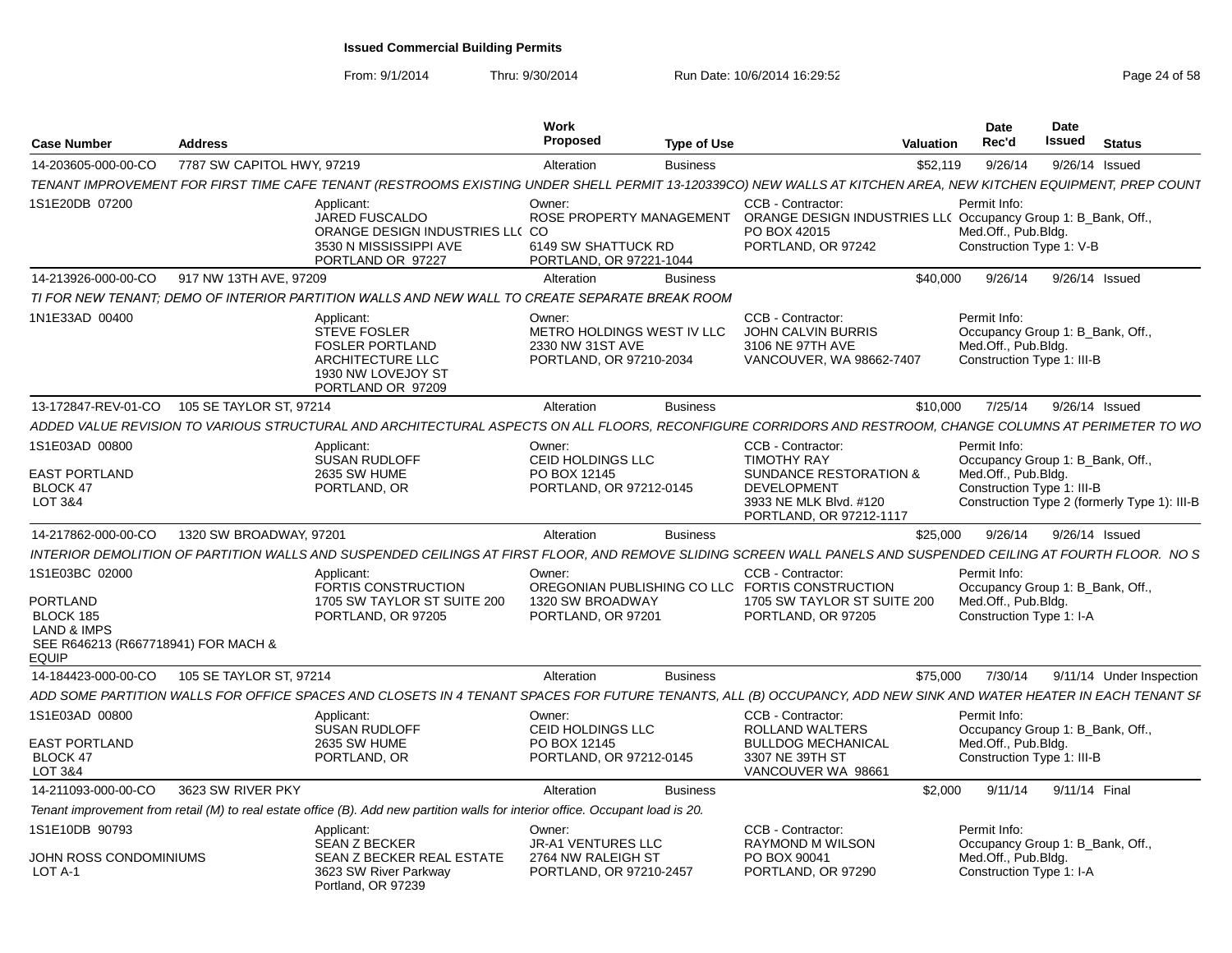| <b>Case Number</b>                                                                                                              | <b>Address</b>             |                                                                                                                                                                  | Work<br><b>Proposed</b>                                                              | <b>Type of Use</b> |                                                                                                                           | Valuation | Date<br>Rec'd                                                                                         | Date<br>Issued | <b>Status</b>                                |
|---------------------------------------------------------------------------------------------------------------------------------|----------------------------|------------------------------------------------------------------------------------------------------------------------------------------------------------------|--------------------------------------------------------------------------------------|--------------------|---------------------------------------------------------------------------------------------------------------------------|-----------|-------------------------------------------------------------------------------------------------------|----------------|----------------------------------------------|
| 14-203605-000-00-CO                                                                                                             | 7787 SW CAPITOL HWY, 97219 |                                                                                                                                                                  | Alteration                                                                           | <b>Business</b>    |                                                                                                                           | \$52,119  | 9/26/14                                                                                               | 9/26/14 Issued |                                              |
|                                                                                                                                 |                            | TENANT IMPROVEMENT FOR FIRST TIME CAFE TENANT (RESTROOMS EXISTING UNDER SHELL PERMIT 13-120339CO) NEW WALLS AT KITCHEN AREA, NEW KITCHEN EQUIPMENT, PREP COUN1   |                                                                                      |                    |                                                                                                                           |           |                                                                                                       |                |                                              |
| 1S1E20DB 07200                                                                                                                  |                            | Applicant:<br><b>JARED FUSCALDO</b><br>ORANGE DESIGN INDUSTRIES LLC CO<br>3530 N MISSISSIPPI AVE<br>PORTLAND OR 97227                                            | Owner:<br>ROSE PROPERTY MANAGEMENT<br>6149 SW SHATTUCK RD<br>PORTLAND, OR 97221-1044 |                    | CCB - Contractor:<br>ORANGE DESIGN INDUSTRIES LL( Occupancy Group 1: B_Bank, Off.,<br>PO BOX 42015<br>PORTLAND, OR 97242  |           | Permit Info:<br>Med.Off., Pub.Bldg.<br>Construction Type 1: V-B                                       |                |                                              |
| 14-213926-000-00-CO                                                                                                             | 917 NW 13TH AVE, 97209     |                                                                                                                                                                  | Alteration                                                                           | <b>Business</b>    |                                                                                                                           | \$40,000  | 9/26/14                                                                                               | 9/26/14 Issued |                                              |
|                                                                                                                                 |                            | TI FOR NEW TENANT; DEMO OF INTERIOR PARTITION WALLS AND NEW WALL TO CREATE SEPARATE BREAK ROOM                                                                   |                                                                                      |                    |                                                                                                                           |           |                                                                                                       |                |                                              |
| 1N1E33AD 00400                                                                                                                  |                            | Applicant:<br><b>STEVE FOSLER</b><br><b>FOSLER PORTLAND</b><br>ARCHITECTURE LLC<br>1930 NW LOVEJOY ST<br>PORTLAND OR 97209                                       | Owner:<br>METRO HOLDINGS WEST IV LLC<br>2330 NW 31ST AVE<br>PORTLAND, OR 97210-2034  |                    | CCB - Contractor:<br><b>JOHN CALVIN BURRIS</b><br>3106 NE 97TH AVE<br>VANCOUVER, WA 98662-7407                            |           | Permit Info:<br>Occupancy Group 1: B_Bank, Off.,<br>Med.Off., Pub.Bldg.<br>Construction Type 1: III-B |                |                                              |
| 13-172847-REV-01-CO  105 SE TAYLOR ST, 97214                                                                                    |                            |                                                                                                                                                                  | Alteration                                                                           | <b>Business</b>    |                                                                                                                           | \$10,000  | 7/25/14                                                                                               | 9/26/14 Issued |                                              |
|                                                                                                                                 |                            | ADDED VALUE REVISION TO VARIOUS STRUCTURAL AND ARCHITECTURAL ASPECTS ON ALL FLOORS. RECONFIGURE CORRIDORS AND RESTROOM. CHANGE COLUMNS AT PERIMETER TO WO        |                                                                                      |                    |                                                                                                                           |           |                                                                                                       |                |                                              |
| 1S1E03AD 00800                                                                                                                  |                            | Applicant:<br><b>SUSAN RUDLOFF</b>                                                                                                                               | Owner:<br>CEID HOLDINGS LLC                                                          |                    | CCB - Contractor:<br><b>TIMOTHY RAY</b>                                                                                   |           | Permit Info:<br>Occupancy Group 1: B_Bank, Off.,                                                      |                |                                              |
| <b>EAST PORTLAND</b><br><b>BLOCK 47</b><br>LOT 3&4                                                                              |                            | <b>2635 SW HUME</b><br>PORTLAND, OR                                                                                                                              | PO BOX 12145<br>PORTLAND, OR 97212-0145                                              |                    | <b>SUNDANCE RESTORATION &amp;</b><br><b>DEVELOPMENT</b><br>3933 NE MLK Blvd. #120<br>PORTLAND, OR 97212-1117              |           | Med.Off., Pub.Bldg.<br>Construction Type 1: III-B                                                     |                | Construction Type 2 (formerly Type 1): III-B |
| 14-217862-000-00-CO                                                                                                             | 1320 SW BROADWAY, 97201    |                                                                                                                                                                  | Alteration                                                                           | <b>Business</b>    |                                                                                                                           | \$25,000  | 9/26/14                                                                                               | 9/26/14 Issued |                                              |
|                                                                                                                                 |                            | INTERIOR DEMOLITION OF PARTITION WALLS AND SUSPENDED CEILINGS AT FIRST FLOOR, AND REMOVE SLIDING SCREEN WALL PANELS AND SUSPENDED CEILING AT FOURTH FLOOR. NO S  |                                                                                      |                    |                                                                                                                           |           |                                                                                                       |                |                                              |
| 1S1E03BC 02000<br><b>PORTLAND</b><br>BLOCK 185<br><b>LAND &amp; IMPS</b><br>SEE R646213 (R667718941) FOR MACH &<br><b>EQUIP</b> |                            | Applicant:<br>FORTIS CONSTRUCTION<br>1705 SW TAYLOR ST SUITE 200<br>PORTLAND, OR 97205                                                                           | Owner:<br>1320 SW BROADWAY<br>PORTLAND, OR 97201                                     |                    | CCB - Contractor:<br>OREGONIAN PUBLISHING CO LLC FORTIS CONSTRUCTION<br>1705 SW TAYLOR ST SUITE 200<br>PORTLAND, OR 97205 |           | Permit Info:<br>Occupancy Group 1: B_Bank, Off.,<br>Med.Off., Pub.Bldg.<br>Construction Type 1: I-A   |                |                                              |
| 14-184423-000-00-CO                                                                                                             | 105 SE TAYLOR ST, 97214    |                                                                                                                                                                  | Alteration                                                                           | <b>Business</b>    |                                                                                                                           | \$75,000  | 7/30/14                                                                                               |                | 9/11/14 Under Inspection                     |
|                                                                                                                                 |                            | ADD SOME PARTITION WALLS FOR OFFICE SPACES AND CLOSETS IN 4 TENANT SPACES FOR FUTURE TENANTS, ALL (B) OCCUPANCY, ADD NEW SINK AND WATER HEATER IN EACH TENANT SI |                                                                                      |                    |                                                                                                                           |           |                                                                                                       |                |                                              |
| 1S1E03AD 00800                                                                                                                  |                            | Applicant:<br><b>SUSAN RUDLOFF</b>                                                                                                                               | Owner:<br>CEID HOLDINGS LLC                                                          |                    | CCB - Contractor:<br>ROLLAND WALTERS                                                                                      |           | Permit Info:<br>Occupancy Group 1: B_Bank, Off.,                                                      |                |                                              |
| EAST PORTLAND<br>BLOCK 47<br>LOT 3&4                                                                                            |                            | <b>2635 SW HUME</b><br>PORTLAND, OR                                                                                                                              | PO BOX 12145<br>PORTLAND, OR 97212-0145                                              |                    | <b>BULLDOG MECHANICAL</b><br>3307 NE 39TH ST<br>VANCOUVER WA 9866                                                         |           | Med.Off., Pub.Bldg.<br>Construction Type 1: III-B                                                     |                |                                              |
| 14-211093-000-00-CO                                                                                                             | 3623 SW RIVER PKY          |                                                                                                                                                                  | Alteration                                                                           | <b>Business</b>    |                                                                                                                           | \$2,000   | 9/11/14                                                                                               | 9/11/14 Final  |                                              |
|                                                                                                                                 |                            | Tenant improvement from retail (M) to real estate office (B). Add new partition walls for interior office. Occupant load is 20.                                  |                                                                                      |                    |                                                                                                                           |           |                                                                                                       |                |                                              |
| 1S1E10DB 90793<br>JOHN ROSS CONDOMINIUMS                                                                                        |                            | Applicant:<br><b>SEAN Z BECKER</b><br>SEAN Z BECKER REAL ESTATE                                                                                                  | Owner:<br>JR-A1 VENTURES LLC<br>2764 NW RALEIGH ST                                   |                    | CCB - Contractor:<br><b>RAYMOND M WILSON</b><br>PO BOX 90041                                                              |           | Permit Info:<br>Occupancy Group 1: B Bank, Off.,<br>Med.Off., Pub.Bldg.                               |                |                                              |
| LOT A-1                                                                                                                         |                            | 3623 SW River Parkway<br>Portland, OR 97239                                                                                                                      | PORTLAND, OR 97210-2457                                                              |                    | PORTLAND, OR 97290                                                                                                        |           | Construction Type 1: I-A                                                                              |                |                                              |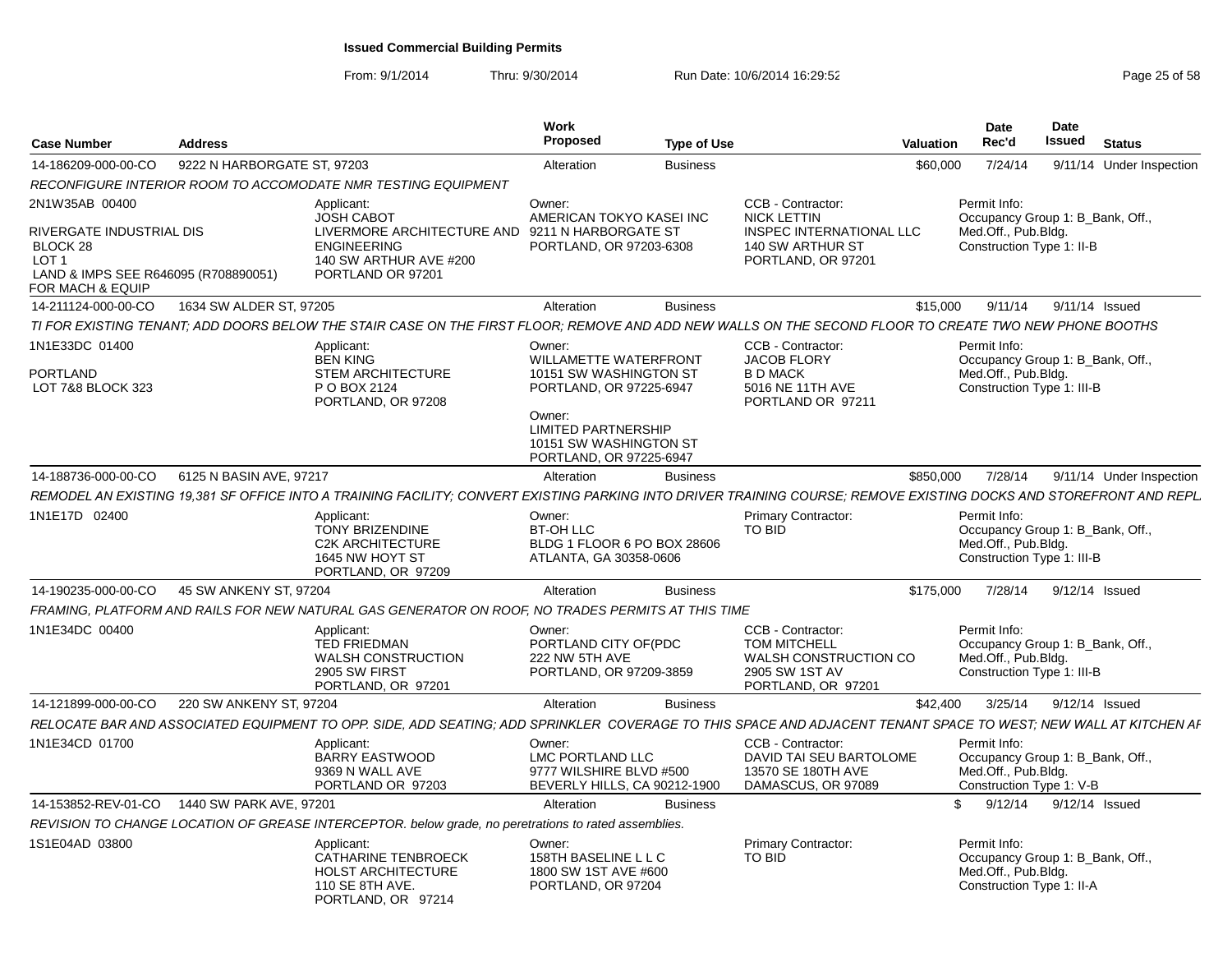| <b>Case Number</b>                                                                                                   | <b>Address</b>              |                                                                                                                                                                     | Work<br><b>Proposed</b>                                                                                                                                                 | <b>Type of Use</b> |                                                                                                                  | <b>Valuation</b> | <b>Date</b><br>Rec'd                                                                                  | <b>Date</b><br>Issued | <b>Status</b>  |                          |
|----------------------------------------------------------------------------------------------------------------------|-----------------------------|---------------------------------------------------------------------------------------------------------------------------------------------------------------------|-------------------------------------------------------------------------------------------------------------------------------------------------------------------------|--------------------|------------------------------------------------------------------------------------------------------------------|------------------|-------------------------------------------------------------------------------------------------------|-----------------------|----------------|--------------------------|
| 14-186209-000-00-CO                                                                                                  | 9222 N HARBORGATE ST. 97203 |                                                                                                                                                                     | Alteration                                                                                                                                                              | <b>Business</b>    |                                                                                                                  | \$60,000         | 7/24/14                                                                                               |                       |                | 9/11/14 Under Inspection |
|                                                                                                                      |                             | RECONFIGURE INTERIOR ROOM TO ACCOMODATE NMR TESTING EQUIPMENT                                                                                                       |                                                                                                                                                                         |                    |                                                                                                                  |                  |                                                                                                       |                       |                |                          |
| 2N1W35AB 00400                                                                                                       |                             | Applicant:                                                                                                                                                          | Owner:                                                                                                                                                                  |                    | CCB - Contractor:                                                                                                |                  | Permit Info:                                                                                          |                       |                |                          |
| RIVERGATE INDUSTRIAL DIS<br>BLOCK 28<br>LOT <sub>1</sub><br>LAND & IMPS SEE R646095 (R708890051)<br>FOR MACH & EQUIP |                             | <b>JOSH CABOT</b><br>LIVERMORE ARCHITECTURE AND 9211 N HARBORGATE ST<br><b>ENGINEERING</b><br>140 SW ARTHUR AVE #200<br>PORTLAND OR 97201                           | AMERICAN TOKYO KASEI INC<br>PORTLAND, OR 97203-6308                                                                                                                     |                    | <b>NICK LETTIN</b><br><b>INSPEC INTERNATIONAL LLC</b><br>140 SW ARTHUR ST<br>PORTLAND, OR 97201                  |                  | Occupancy Group 1: B Bank. Off<br>Med.Off., Pub.Bldg.<br>Construction Type 1: II-B                    |                       |                |                          |
| 14-211124-000-00-CO                                                                                                  | 1634 SW ALDER ST, 97205     |                                                                                                                                                                     | Alteration                                                                                                                                                              | <b>Business</b>    |                                                                                                                  | \$15,000         | 9/11/14                                                                                               |                       | 9/11/14 Issued |                          |
|                                                                                                                      |                             | TI FOR EXISTING TENANT; ADD DOORS BELOW THE STAIR CASE ON THE FIRST FLOOR; REMOVE AND ADD NEW WALLS ON THE SECOND FLOOR TO CREATE TWO NEW PHONE BOOTHS              |                                                                                                                                                                         |                    |                                                                                                                  |                  |                                                                                                       |                       |                |                          |
| 1N1E33DC 01400                                                                                                       |                             | Applicant:                                                                                                                                                          | Owner:                                                                                                                                                                  |                    | CCB - Contractor:                                                                                                |                  | Permit Info:                                                                                          |                       |                |                          |
| PORTLAND<br>LOT 7&8 BLOCK 323                                                                                        |                             | <b>BEN KING</b><br><b>STEM ARCHITECTURE</b><br>P O BOX 2124<br>PORTLAND, OR 97208                                                                                   | WILLAMETTE WATERFRONT<br>10151 SW WASHINGTON ST<br>PORTLAND, OR 97225-6947<br>Owner:<br><b>LIMITED PARTNERSHIP</b><br>10151 SW WASHINGTON ST<br>PORTLAND, OR 97225-6947 |                    | <b>JACOB FLORY</b><br><b>B D MACK</b><br>5016 NE 11TH AVE<br>PORTLAND OR 97211                                   |                  | Occupancy Group 1: B_Bank, Off.,<br>Med.Off., Pub.Bldg.<br>Construction Type 1: III-B                 |                       |                |                          |
| 14-188736-000-00-CO                                                                                                  | 6125 N BASIN AVE, 97217     |                                                                                                                                                                     | Alteration                                                                                                                                                              | <b>Business</b>    |                                                                                                                  | \$850,000        | 7/28/14                                                                                               |                       |                | 9/11/14 Under Inspection |
|                                                                                                                      |                             |                                                                                                                                                                     |                                                                                                                                                                         |                    |                                                                                                                  |                  |                                                                                                       |                       |                |                          |
|                                                                                                                      |                             | REMODEL AN EXISTING 19.381 SF OFFICE INTO A TRAINING FACILITY: CONVERT EXISTING PARKING INTO DRIVER TRAINING COURSE: REMOVE EXISTING DOCKS AND STOREFRONT AND REPL. |                                                                                                                                                                         |                    |                                                                                                                  |                  |                                                                                                       |                       |                |                          |
| 1N1E17D 02400                                                                                                        |                             | Applicant:<br><b>TONY BRIZENDINE</b><br><b>C2K ARCHITECTURE</b><br>1645 NW HOYT ST<br>PORTLAND, OR 97209                                                            | Owner:<br>BT-OH LLC<br>BLDG 1 FLOOR 6 PO BOX 28606<br>ATLANTA, GA 30358-0606                                                                                            |                    | Primary Contractor:<br>TO BID                                                                                    |                  | Permit Info:<br>Occupancy Group 1: B_Bank, Off.,<br>Med.Off., Pub.Bldg.<br>Construction Type 1: III-B |                       |                |                          |
| 14-190235-000-00-CO                                                                                                  | 45 SW ANKENY ST, 97204      |                                                                                                                                                                     | Alteration                                                                                                                                                              | <b>Business</b>    |                                                                                                                  | \$175,000        | 7/28/14                                                                                               |                       | 9/12/14 Issued |                          |
|                                                                                                                      |                             | FRAMING, PLATFORM AND RAILS FOR NEW NATURAL GAS GENERATOR ON ROOF, NO TRADES PERMITS AT THIS TIME                                                                   |                                                                                                                                                                         |                    |                                                                                                                  |                  |                                                                                                       |                       |                |                          |
| 1N1E34DC 00400                                                                                                       |                             | Applicant:<br><b>TED FRIEDMAN</b><br><b>WALSH CONSTRUCTION</b><br>2905 SW FIRST<br>PORTLAND, OR 97201                                                               | Owner:<br>PORTLAND CITY OF(PDC<br>222 NW 5TH AVE<br>PORTLAND, OR 97209-3859                                                                                             |                    | <b>CCB - Contractor:</b><br><b>TOM MITCHELL</b><br>WALSH CONSTRUCTION CO<br>2905 SW 1ST AV<br>PORTLAND, OR 97201 |                  | Permit Info:<br>Occupancy Group 1: B_Bank, Off.,<br>Med.Off., Pub.Bldg.<br>Construction Type 1: III-B |                       |                |                          |
| 14-121899-000-00-CO                                                                                                  | 220 SW ANKENY ST, 97204     |                                                                                                                                                                     | Alteration                                                                                                                                                              | <b>Business</b>    |                                                                                                                  | \$42.400         | 3/25/14                                                                                               |                       | 9/12/14 Issued |                          |
|                                                                                                                      |                             | RELOCATE BAR AND ASSOCIATED EQUIPMENT TO OPP. SIDE. ADD SEATING: ADD SPRINKLER  COVERAGE TO THIS SPACE AND ADJACENT TENANT SPACE TO WEST: NEW WALL AT KITCHEN AF    |                                                                                                                                                                         |                    |                                                                                                                  |                  |                                                                                                       |                       |                |                          |
| 1N1E34CD 01700                                                                                                       |                             | Applicant:<br><b>BARRY EASTWOOD</b><br>9369 N WALL AVE<br>PORTLAND OR 97203                                                                                         | Owner:<br>LMC PORTLAND LLC<br>9777 WILSHIRE BLVD #500<br>BEVERLY HILLS, CA 90212-1900                                                                                   |                    | <b>CCB - Contractor:</b><br>DAVID TAI SEU BARTOLOME<br>13570 SE 180TH AVE<br>DAMASCUS, OR 97089                  |                  | Permit Info:<br>Occupancy Group 1: B Bank, Off.,<br>Med.Off., Pub.Bldg.<br>Construction Type 1: V-B   |                       |                |                          |
| 14-153852-REV-01-CO                                                                                                  | 1440 SW PARK AVE, 97201     |                                                                                                                                                                     | Alteration                                                                                                                                                              | <b>Business</b>    |                                                                                                                  |                  | 9/12/14                                                                                               |                       | 9/12/14 Issued |                          |
|                                                                                                                      |                             | REVISION TO CHANGE LOCATION OF GREASE INTERCEPTOR. below grade, no peretrations to rated assemblies.                                                                |                                                                                                                                                                         |                    |                                                                                                                  |                  |                                                                                                       |                       |                |                          |
| 1S1E04AD 03800                                                                                                       |                             | Applicant:<br><b>CATHARINE TENBROECK</b><br><b>HOLST ARCHITECTURE</b><br>110 SE 8TH AVE.<br>PORTLAND, OR 97214                                                      | Owner:<br>158TH BASELINE L L C<br>1800 SW 1ST AVE #600<br>PORTLAND, OR 97204                                                                                            |                    | <b>Primary Contractor:</b><br>TO BID                                                                             |                  | Permit Info:<br>Occupancy Group 1: B Bank, Off.,<br>Med.Off., Pub.Bldg.<br>Construction Type 1: II-A  |                       |                |                          |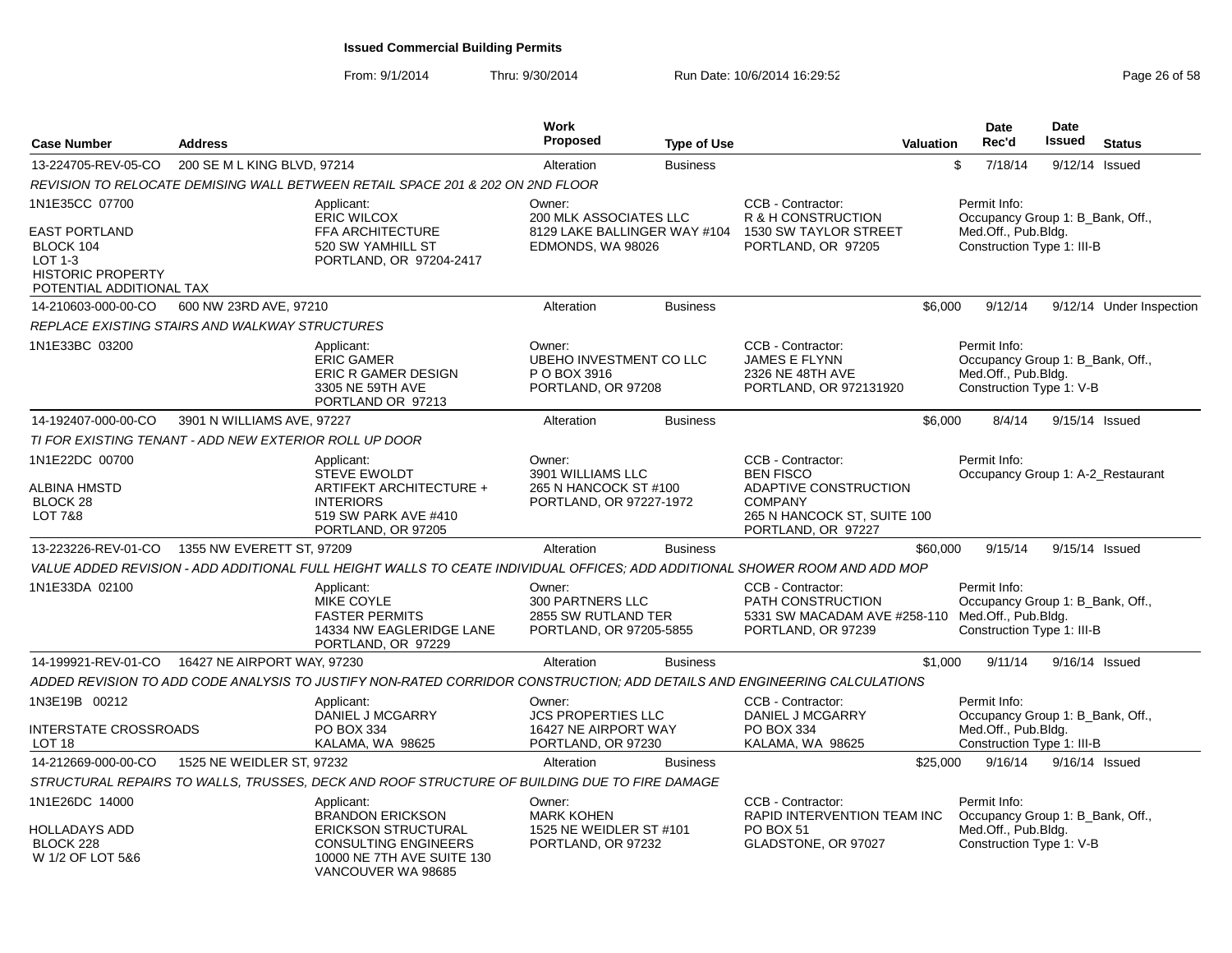| <b>Case Number</b>                                                                                                     | <b>Address</b>                                         |                                                                                                                                                        | <b>Work</b><br><b>Proposed</b>                                                        | <b>Type of Use</b> |                                                                                                                                       | <b>Valuation</b> | Date<br>Rec'd                                                                                         | <b>Date</b><br>Issued | <b>Status</b>            |
|------------------------------------------------------------------------------------------------------------------------|--------------------------------------------------------|--------------------------------------------------------------------------------------------------------------------------------------------------------|---------------------------------------------------------------------------------------|--------------------|---------------------------------------------------------------------------------------------------------------------------------------|------------------|-------------------------------------------------------------------------------------------------------|-----------------------|--------------------------|
| 13-224705-REV-05-CO                                                                                                    | 200 SE M L KING BLVD, 97214                            |                                                                                                                                                        | Alteration                                                                            | <b>Business</b>    |                                                                                                                                       | \$               | 7/18/14                                                                                               | 9/12/14 Issued        |                          |
|                                                                                                                        |                                                        | REVISION TO RELOCATE DEMISING WALL BETWEEN RETAIL SPACE 201 & 202 ON 2ND FLOOR                                                                         |                                                                                       |                    |                                                                                                                                       |                  |                                                                                                       |                       |                          |
| 1N1E35CC 07700<br><b>EAST PORTLAND</b><br>BLOCK 104<br>LOT 1-3<br><b>HISTORIC PROPERTY</b><br>POTENTIAL ADDITIONAL TAX |                                                        | Applicant:<br><b>ERIC WILCOX</b><br>FFA ARCHITECTURE<br>520 SW YAMHILL ST<br>PORTLAND, OR 97204-2417                                                   | Owner:<br>200 MLK ASSOCIATES LLC<br>8129 LAKE BALLINGER WAY #104<br>EDMONDS, WA 98026 |                    | CCB - Contractor:<br>R & H CONSTRUCTION<br>1530 SW TAYLOR STREET<br>PORTLAND, OR 97205                                                |                  | Permit Info:<br>Occupancy Group 1: B_Bank, Off.,<br>Med.Off., Pub.Bldg.<br>Construction Type 1: III-B |                       |                          |
| 14-210603-000-00-CO                                                                                                    | 600 NW 23RD AVE, 97210                                 |                                                                                                                                                        | Alteration                                                                            | <b>Business</b>    |                                                                                                                                       | \$6,000          | 9/12/14                                                                                               |                       | 9/12/14 Under Inspection |
|                                                                                                                        | REPLACE EXISTING STAIRS AND WALKWAY STRUCTURES         |                                                                                                                                                        |                                                                                       |                    |                                                                                                                                       |                  |                                                                                                       |                       |                          |
| 1N1E33BC 03200                                                                                                         |                                                        | Applicant:<br><b>ERIC GAMER</b><br>ERIC R GAMER DESIGN<br>3305 NE 59TH AVE<br>PORTLAND OR 97213                                                        | Owner:<br>UBEHO INVESTMENT CO LLC<br>P O BOX 3916<br>PORTLAND, OR 97208               |                    | CCB - Contractor:<br><b>JAMES E FLYNN</b><br>2326 NE 48TH AVE<br>PORTLAND, OR 972131920                                               |                  | Permit Info:<br>Occupancy Group 1: B_Bank, Off.,<br>Med.Off., Pub.Bldg.<br>Construction Type 1: V-B   |                       |                          |
| 14-192407-000-00-CO                                                                                                    | 3901 N WILLIAMS AVE, 97227                             |                                                                                                                                                        | Alteration                                                                            | <b>Business</b>    |                                                                                                                                       | \$6,000          | 8/4/14                                                                                                | 9/15/14 Issued        |                          |
|                                                                                                                        | TI FOR EXISTING TENANT - ADD NEW EXTERIOR ROLL UP DOOR |                                                                                                                                                        |                                                                                       |                    |                                                                                                                                       |                  |                                                                                                       |                       |                          |
| 1N1E22DC 00700<br><b>ALBINA HMSTD</b><br>BLOCK 28<br><b>LOT 7&amp;8</b>                                                |                                                        | Applicant:<br><b>STEVE EWOLDT</b><br>ARTIFEKT ARCHITECTURE +<br><b>INTERIORS</b><br>519 SW PARK AVE #410<br>PORTLAND, OR 97205                         | Owner:<br>3901 WILLIAMS LLC<br>265 N HANCOCK ST #100<br>PORTLAND, OR 97227-1972       |                    | CCB - Contractor:<br><b>BEN FISCO</b><br>ADAPTIVE CONSTRUCTION<br><b>COMPANY</b><br>265 N HANCOCK ST, SUITE 100<br>PORTLAND, OR 97227 |                  | Permit Info:<br>Occupancy Group 1: A-2 Restaurant                                                     |                       |                          |
| 13-223226-REV-01-CO                                                                                                    | 1355 NW EVERETT ST, 97209                              |                                                                                                                                                        | Alteration                                                                            | <b>Business</b>    |                                                                                                                                       | \$60,000         | 9/15/14                                                                                               | 9/15/14 Issued        |                          |
|                                                                                                                        |                                                        | VALUE ADDED REVISION - ADD ADDITIONAL FULL HEIGHT WALLS TO CEATE INDIVIDUAL OFFICES: ADD ADDITIONAL SHOWER ROOM AND ADD MOP                            |                                                                                       |                    |                                                                                                                                       |                  |                                                                                                       |                       |                          |
| 1N1E33DA 02100                                                                                                         |                                                        | Applicant:<br>MIKE COYLE<br><b>FASTER PERMITS</b><br>14334 NW EAGLERIDGE LANE<br>PORTLAND, OR 97229                                                    | Owner:<br><b>300 PARTNERS LLC</b><br>2855 SW RUTLAND TER<br>PORTLAND, OR 97205-5855   |                    | CCB - Contractor:<br><b>PATH CONSTRUCTION</b><br>5331 SW MACADAM AVE #258-110<br>PORTLAND, OR 97239                                   |                  | Permit Info:<br>Occupancy Group 1: B Bank, Off.,<br>Med.Off., Pub.Bldg.<br>Construction Type 1: III-B |                       |                          |
| 14-199921-REV-01-CO                                                                                                    | 16427 NE AIRPORT WAY, 97230                            |                                                                                                                                                        | Alteration                                                                            | <b>Business</b>    |                                                                                                                                       | \$1,000          | 9/11/14                                                                                               | 9/16/14 Issued        |                          |
|                                                                                                                        |                                                        | ADDED REVISION TO ADD CODE ANALYSIS TO JUSTIFY NON-RATED CORRIDOR CONSTRUCTION; ADD DETAILS AND ENGINEERING CALCULATIONS                               |                                                                                       |                    |                                                                                                                                       |                  |                                                                                                       |                       |                          |
| 1N3E19B 00212<br>INTERSTATE CROSSROADS<br>LOT <sub>18</sub>                                                            |                                                        | Applicant:<br>DANIEL J MCGARRY<br>PO BOX 334<br>KALAMA, WA 98625                                                                                       | Owner:<br><b>JCS PROPERTIES LLC</b><br>16427 NE AIRPORT WAY<br>PORTLAND, OR 97230     |                    | CCB - Contractor:<br>DANIEL J MCGARRY<br>PO BOX 334<br>KALAMA, WA 98625                                                               |                  | Permit Info:<br>Occupancy Group 1: B Bank, Off.,<br>Med.Off., Pub.Bldg.<br>Construction Type 1: III-B |                       |                          |
| 14-212669-000-00-CO                                                                                                    | 1525 NE WEIDLER ST, 97232                              |                                                                                                                                                        | Alteration                                                                            | <b>Business</b>    |                                                                                                                                       | \$25,000         | 9/16/14                                                                                               | 9/16/14 Issued        |                          |
|                                                                                                                        |                                                        | STRUCTURAL REPAIRS TO WALLS, TRUSSES, DECK AND ROOF STRUCTURE OF BUILDING DUE TO FIRE DAMAGE                                                           |                                                                                       |                    |                                                                                                                                       |                  |                                                                                                       |                       |                          |
| 1N1E26DC 14000<br><b>HOLLADAYS ADD</b><br>BLOCK 228<br>W 1/2 OF LOT 5&6                                                |                                                        | Applicant:<br><b>BRANDON ERICKSON</b><br><b>ERICKSON STRUCTURAL</b><br><b>CONSULTING ENGINEERS</b><br>10000 NE 7TH AVE SUITE 130<br>VANCOUVER WA 98685 | Owner:<br><b>MARK KOHEN</b><br>1525 NE WEIDLER ST #101<br>PORTLAND, OR 97232          |                    | CCB - Contractor:<br>RAPID INTERVENTION TEAM INC<br>PO BOX 51<br>GLADSTONE, OR 97027                                                  |                  | Permit Info:<br>Occupancy Group 1: B_Bank, Off.,<br>Med.Off., Pub.Bldg.<br>Construction Type 1: V-B   |                       |                          |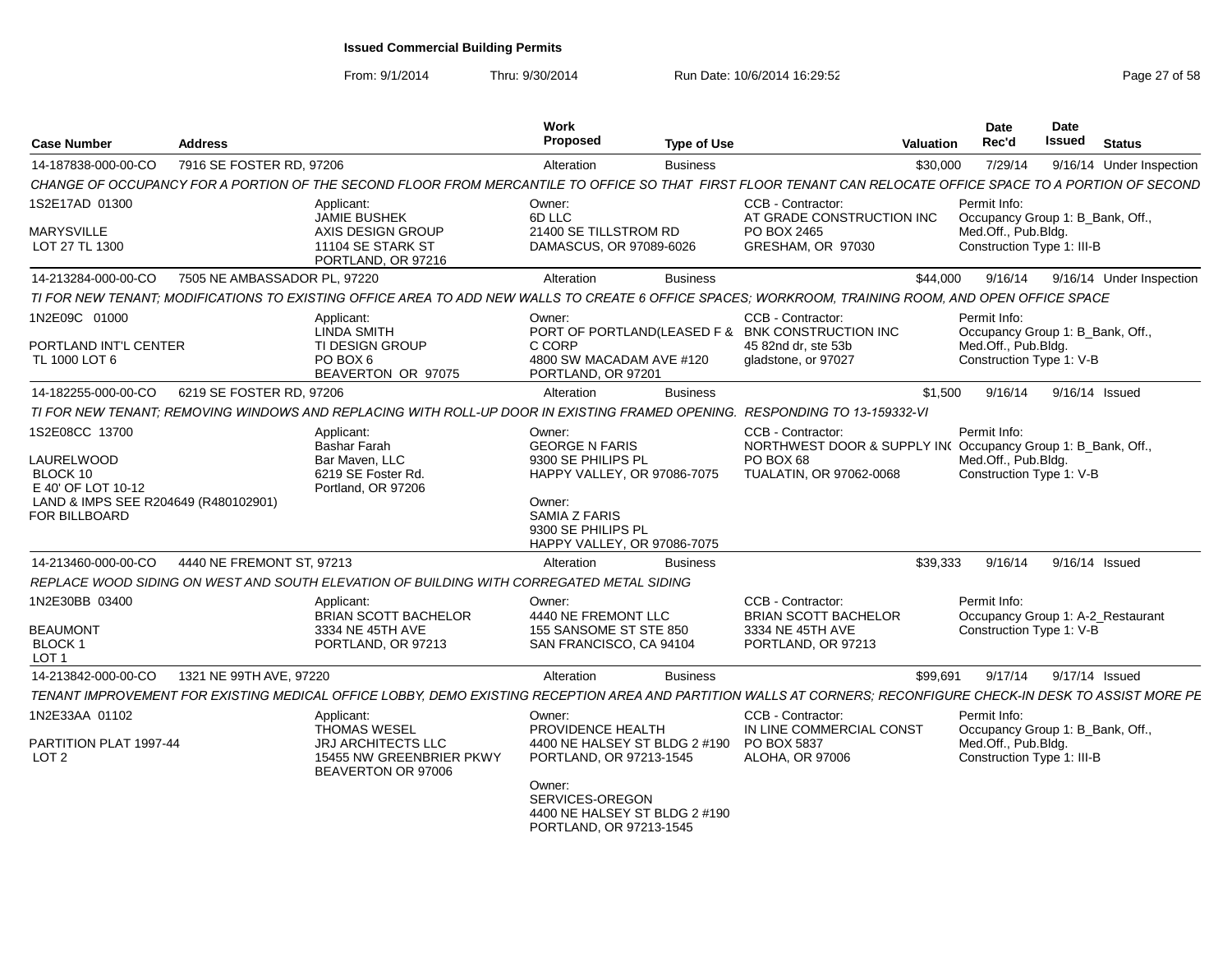From: 9/1/2014

| <b>Case Number</b>                                      | <b>Address</b>               |                                                                                                                                                                | Work<br>Proposed                                                                      | <b>Type of Use</b> |                                                                                                                     | <b>Valuation</b> | Date<br>Rec'd                                                                                       | Date<br>Issued | <b>Status</b>            |
|---------------------------------------------------------|------------------------------|----------------------------------------------------------------------------------------------------------------------------------------------------------------|---------------------------------------------------------------------------------------|--------------------|---------------------------------------------------------------------------------------------------------------------|------------------|-----------------------------------------------------------------------------------------------------|----------------|--------------------------|
| 14-187838-000-00-CO                                     | 7916 SE FOSTER RD, 97206     |                                                                                                                                                                | Alteration                                                                            | <b>Business</b>    |                                                                                                                     | \$30,000         | 7/29/14                                                                                             |                | 9/16/14 Under Inspection |
|                                                         |                              | CHANGE OF OCCUPANCY FOR A PORTION OF THE SECOND FLOOR FROM MERCANTILE TO OFFICE SO THAT FIRST FLOOR TENANT CAN RELOCATE OFFICE SPACE TO A PORTION OF SECOND    |                                                                                       |                    |                                                                                                                     |                  |                                                                                                     |                |                          |
| 1S2E17AD 01300                                          |                              | Applicant:                                                                                                                                                     | Owner:                                                                                |                    | CCB - Contractor:                                                                                                   |                  | Permit Info:                                                                                        |                |                          |
| <b>MARYSVILLE</b><br>LOT 27 TL 1300                     |                              | <b>JAMIE BUSHEK</b><br>AXIS DESIGN GROUP<br>11104 SE STARK ST<br>PORTLAND, OR 97216                                                                            | 6D LLC<br>21400 SE TILLSTROM RD<br>DAMASCUS, OR 97089-6026                            |                    | AT GRADE CONSTRUCTION INC<br>PO BOX 2465<br>GRESHAM, OR 97030                                                       |                  | Occupancy Group 1: B_Bank, Off.,<br>Med.Off., Pub.Bldg.<br>Construction Type 1: III-B               |                |                          |
| 14-213284-000-00-CO                                     | 7505 NE AMBASSADOR PL, 97220 |                                                                                                                                                                | Alteration                                                                            | <b>Business</b>    |                                                                                                                     | \$44,000         | 9/16/14                                                                                             |                | 9/16/14 Under Inspection |
|                                                         |                              | TI FOR NEW TENANT; MODIFICATIONS TO EXISTING OFFICE AREA TO ADD NEW WALLS TO CREATE 6 OFFICE SPACES; WORKROOM, TRAINING ROOM, AND OPEN OFFICE SPACE            |                                                                                       |                    |                                                                                                                     |                  |                                                                                                     |                |                          |
| 1N2E09C 01000<br>PORTLAND INT'L CENTER<br>TL 1000 LOT 6 |                              | Applicant:<br><b>LINDA SMITH</b><br><b>TI DESIGN GROUP</b><br>PO BOX 6<br>BEAVERTON OR 97075                                                                   | Owner:<br>C CORP<br>4800 SW MACADAM AVE #120<br>PORTLAND, OR 97201                    |                    | CCB - Contractor:<br>PORT OF PORTLAND(LEASED F & BNK CONSTRUCTION INC<br>45 82nd dr. ste 53b<br>gladstone, or 97027 |                  | Permit Info:<br>Occupancy Group 1: B_Bank, Off.,<br>Med.Off., Pub.Bldg.<br>Construction Type 1: V-B |                |                          |
| 14-182255-000-00-CO                                     | 6219 SE FOSTER RD, 97206     |                                                                                                                                                                | Alteration                                                                            | <b>Business</b>    |                                                                                                                     | \$1,500          | 9/16/14                                                                                             |                | 9/16/14 Issued           |
|                                                         |                              | TI FOR NEW TENANT; REMOVING WINDOWS AND REPLACING WITH ROLL-UP DOOR IN EXISTING FRAMED OPENING.                                                                |                                                                                       |                    | <b>RESPONDING TO 13-159332-VI</b>                                                                                   |                  |                                                                                                     |                |                          |
| 1S2E08CC 13700                                          |                              | Applicant:<br><b>Bashar Farah</b>                                                                                                                              | Owner:<br><b>GEORGE N FARIS</b>                                                       |                    | CCB - Contractor:<br>NORTHWEST DOOR & SUPPLY IN(Occupancy Group 1: B_Bank, Off.,                                    |                  | Permit Info:                                                                                        |                |                          |
| LAURELWOOD<br>BLOCK 10<br>E 40' OF LOT 10-12            |                              | Bar Maven, LLC<br>6219 SE Foster Rd.<br>Portland, OR 97206                                                                                                     | 9300 SE PHILIPS PL<br>HAPPY VALLEY, OR 97086-7075                                     |                    | PO BOX 68<br>TUALATIN, OR 97062-0068                                                                                |                  | Med.Off., Pub.Bldg.<br>Construction Type 1: V-B                                                     |                |                          |
| LAND & IMPS SEE R204649 (R480102901)<br>FOR BILLBOARD   |                              |                                                                                                                                                                | Owner:<br>SAMIA Z FARIS<br>9300 SE PHILIPS PL<br>HAPPY VALLEY, OR 97086-7075          |                    |                                                                                                                     |                  |                                                                                                     |                |                          |
| 14-213460-000-00-CO                                     | 4440 NE FREMONT ST. 97213    |                                                                                                                                                                | Alteration                                                                            | <b>Business</b>    |                                                                                                                     | \$39.333         | 9/16/14                                                                                             |                | 9/16/14 Issued           |
|                                                         |                              | REPLACE WOOD SIDING ON WEST AND SOUTH ELEVATION OF BUILDING WITH CORREGATED METAL SIDING                                                                       |                                                                                       |                    |                                                                                                                     |                  |                                                                                                     |                |                          |
| 1N2E30BB 03400                                          |                              | Applicant:<br><b>BRIAN SCOTT BACHELOR</b>                                                                                                                      | Owner:<br>4440 NE FREMONT LLC                                                         |                    | CCB - Contractor:<br><b>BRIAN SCOTT BACHELOR</b>                                                                    |                  | Permit Info:<br>Occupancy Group 1: A-2 Restaurant                                                   |                |                          |
| <b>BEAUMONT</b><br>BLOCK 1<br>LOT <sub>1</sub>          |                              | 3334 NE 45TH AVE<br>PORTLAND, OR 97213                                                                                                                         | 155 SANSOME ST STE 850<br>SAN FRANCISCO, CA 94104                                     |                    | 3334 NE 45TH AVE<br>PORTLAND, OR 97213                                                                              |                  | Construction Type 1: V-B                                                                            |                |                          |
| 14-213842-000-00-CO                                     | 1321 NE 99TH AVE, 97220      |                                                                                                                                                                | Alteration                                                                            | <b>Business</b>    |                                                                                                                     | \$99,691         | 9/17/14                                                                                             |                | 9/17/14 Issued           |
|                                                         |                              | TENANT IMPROVEMENT FOR EXISTING MEDICAL OFFICE LOBBY, DEMO EXISTING RECEPTION AREA AND PARTITION WALLS AT CORNERS; RECONFIGURE CHECK-IN DESK TO ASSIST MORE PE |                                                                                       |                    |                                                                                                                     |                  |                                                                                                     |                |                          |
| 1N2E33AA 01102                                          |                              | Applicant:<br><b>THOMAS WESEL</b>                                                                                                                              | Owner:<br>PROVIDENCE HEALTH                                                           |                    | CCB - Contractor:<br>IN LINE COMMERCIAL CONST                                                                       |                  | Permit Info:<br>Occupancy Group 1: B_Bank, Off.,                                                    |                |                          |
| PARTITION PLAT 1997-44<br>LOT 2                         |                              | <b>JRJ ARCHITECTS LLC</b><br>15455 NW GREENBRIER PKWY<br>BEAVERTON OR 97006                                                                                    | 4400 NE HALSEY ST BLDG 2 #190<br>PORTLAND, OR 97213-1545                              |                    | PO BOX 5837<br><b>ALOHA, OR 97006</b>                                                                               |                  | Med.Off., Pub.Bldg.<br>Construction Type 1: III-B                                                   |                |                          |
|                                                         |                              |                                                                                                                                                                | Owner:<br>SERVICES-OREGON<br>4400 NE HALSEY ST BLDG 2 #190<br>PORTLAND, OR 97213-1545 |                    |                                                                                                                     |                  |                                                                                                     |                |                          |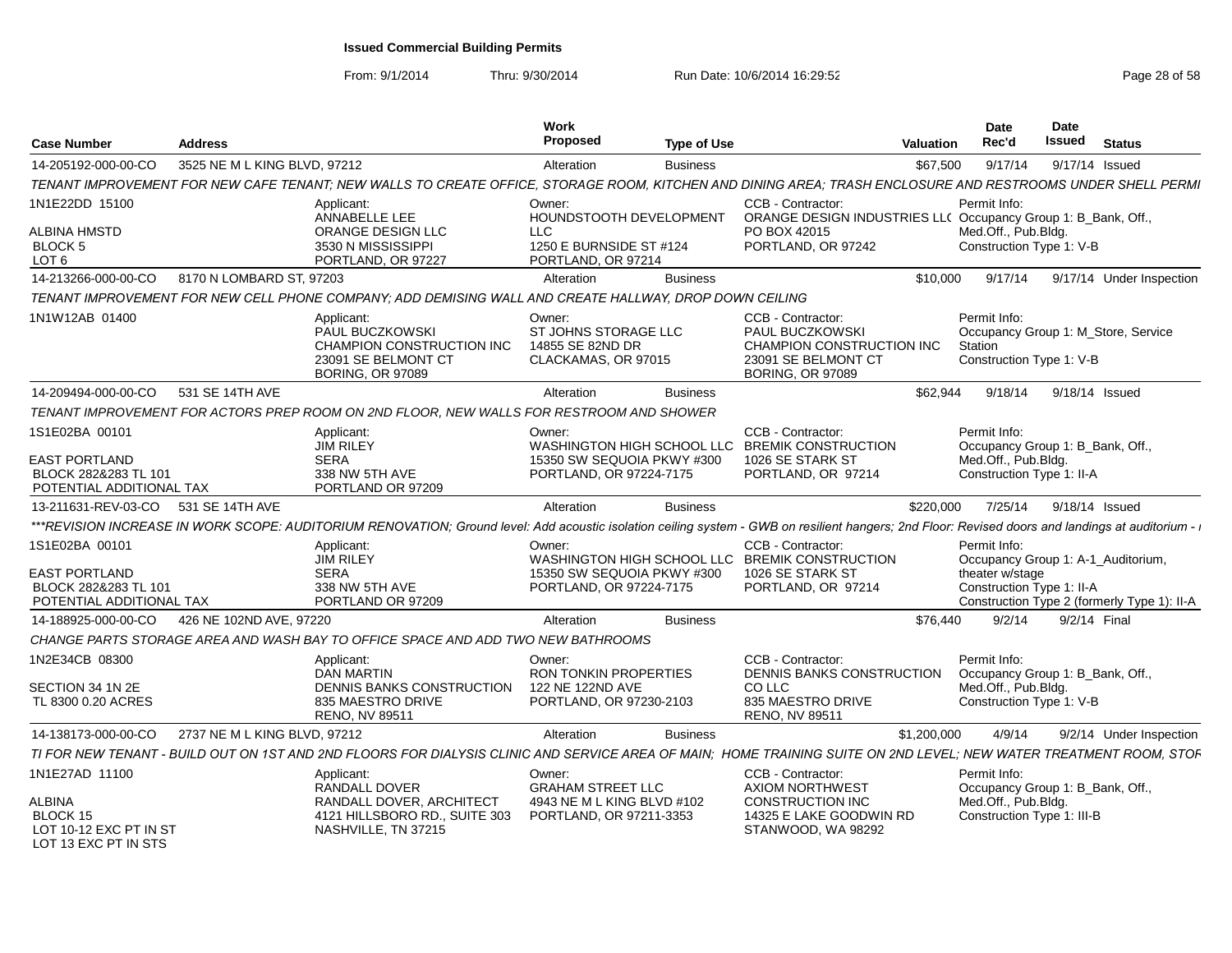| <b>Case Number</b>                                                       | <b>Address</b>               |                                                                                                                                                                                                    | Work<br>Proposed                                                          | <b>Type of Use</b> |                                                                                                                     | Valuation   | <b>Date</b><br>Rec'd                                | Date<br>Issued | <b>Status</b>                               |
|--------------------------------------------------------------------------|------------------------------|----------------------------------------------------------------------------------------------------------------------------------------------------------------------------------------------------|---------------------------------------------------------------------------|--------------------|---------------------------------------------------------------------------------------------------------------------|-------------|-----------------------------------------------------|----------------|---------------------------------------------|
| 14-205192-000-00-CO                                                      | 3525 NE M L KING BLVD, 97212 |                                                                                                                                                                                                    | Alteration                                                                | <b>Business</b>    |                                                                                                                     | \$67,500    | 9/17/14                                             |                | 9/17/14 Issued                              |
|                                                                          |                              | TENANT IMPROVEMENT FOR NEW CAFE TENANT; NEW WALLS TO CREATE OFFICE, STORAGE ROOM, KITCHEN AND DINING AREA; TRASH ENCLOSURE AND RESTROOMS UNDER SHELL PERMI                                         |                                                                           |                    |                                                                                                                     |             |                                                     |                |                                             |
| 1N1E22DD 15100                                                           |                              | Applicant:<br>ANNABELLE LEE                                                                                                                                                                        | Owner:<br>HOUNDSTOOTH DEVELOPMENT                                         |                    | CCB - Contractor:<br>ORANGE DESIGN INDUSTRIES LL( Occupancy Group 1: B Bank, Off.,                                  |             | Permit Info:                                        |                |                                             |
| <b>ALBINA HMSTD</b><br>BLOCK 5<br>LOT <sub>6</sub>                       |                              | ORANGE DESIGN LLC<br>3530 N MISSISSIPPI<br>PORTLAND, OR 97227                                                                                                                                      | LLC.<br>1250 E BURNSIDE ST #124<br>PORTLAND, OR 97214                     |                    | PO BOX 42015<br>PORTLAND, OR 97242                                                                                  |             | Med.Off., Pub.Bldg.<br>Construction Type 1: V-B     |                |                                             |
| 14-213266-000-00-CO                                                      | 8170 N LOMBARD ST, 97203     |                                                                                                                                                                                                    | Alteration                                                                | <b>Business</b>    |                                                                                                                     | \$10,000    | 9/17/14                                             |                | 9/17/14 Under Inspection                    |
|                                                                          |                              | TENANT IMPROVEMENT FOR NEW CELL PHONE COMPANY; ADD DEMISING WALL AND CREATE HALLWAY, DROP DOWN CEILING                                                                                             |                                                                           |                    |                                                                                                                     |             |                                                     |                |                                             |
| 1N1W12AB 01400                                                           |                              | Applicant:<br>PAUL BUCZKOWSKI<br>CHAMPION CONSTRUCTION INC<br>23091 SE BELMONT CT<br><b>BORING, OR 97089</b>                                                                                       | Owner:<br>ST JOHNS STORAGE LLC<br>14855 SE 82ND DR<br>CLACKAMAS, OR 97015 |                    | CCB - Contractor:<br>PAUL BUCZKOWSKI<br>CHAMPION CONSTRUCTION INC<br>23091 SE BELMONT CT<br><b>BORING, OR 97089</b> |             | Permit Info:<br>Station<br>Construction Type 1: V-B |                | Occupancy Group 1: M Store, Service         |
| 14-209494-000-00-CO                                                      | 531 SE 14TH AVE              |                                                                                                                                                                                                    | Alteration                                                                | <b>Business</b>    |                                                                                                                     | \$62,944    | 9/18/14                                             |                | 9/18/14 Issued                              |
|                                                                          |                              | TENANT IMPROVEMENT FOR ACTORS PREP ROOM ON 2ND FLOOR. NEW WALLS FOR RESTROOM AND SHOWER                                                                                                            |                                                                           |                    |                                                                                                                     |             |                                                     |                |                                             |
| 1S1E02BA 00101                                                           |                              | Applicant:<br><b>JIM RILEY</b>                                                                                                                                                                     | Owner:<br>WASHINGTON HIGH SCHOOL LLC                                      |                    | CCB - Contractor:<br><b>BREMIK CONSTRUCTION</b>                                                                     |             | Permit Info:<br>Occupancy Group 1: B Bank, Off.,    |                |                                             |
| <b>EAST PORTLAND</b><br>BLOCK 282&283 TL 101<br>POTENTIAL ADDITIONAL TAX |                              | <b>SERA</b><br>338 NW 5TH AVE<br>PORTLAND OR 97209                                                                                                                                                 | 15350 SW SEQUOIA PKWY #300<br>PORTLAND, OR 97224-7175                     |                    | 1026 SE STARK ST<br>PORTLAND, OR 97214                                                                              |             | Med.Off., Pub.Bldg.<br>Construction Type 1: II-A    |                |                                             |
| 13-211631-REV-03-CO 531 SE 14TH AVE                                      |                              |                                                                                                                                                                                                    | Alteration                                                                | <b>Business</b>    |                                                                                                                     | \$220,000   | 7/25/14                                             |                | 9/18/14 Issued                              |
|                                                                          |                              | ***REVISION INCREASE IN WORK SCOPE: AUDITORIUM RENOVATION; Ground level: Add acoustic isolation ceiling system - GWB on resilient hangers; 2nd Floor: Revised doors and landings at auditorium - i |                                                                           |                    |                                                                                                                     |             |                                                     |                |                                             |
| 1S1E02BA 00101                                                           |                              | Applicant:<br><b>JIM RILEY</b>                                                                                                                                                                     | Owner:                                                                    |                    | CCB - Contractor:<br>WASHINGTON HIGH SCHOOL LLC BREMIK CONSTRUCTION                                                 |             | Permit Info:                                        |                | Occupancy Group 1: A-1_Auditorium,          |
| EAST PORTLAND<br>BLOCK 282&283 TL 101<br>POTENTIAL ADDITIONAL TAX        |                              | <b>SERA</b><br>338 NW 5TH AVE<br>PORTLAND OR 97209                                                                                                                                                 | 15350 SW SEQUOIA PKWY #300<br>PORTLAND, OR 97224-7175                     |                    | 1026 SE STARK ST<br>PORTLAND, OR 97214                                                                              |             | theater w/stage<br>Construction Type 1: II-A        |                | Construction Type 2 (formerly Type 1): II-A |
| 14-188925-000-00-CO                                                      | 426 NE 102ND AVE, 97220      |                                                                                                                                                                                                    | Alteration                                                                | <b>Business</b>    |                                                                                                                     | \$76,440    | 9/2/14                                              |                | 9/2/14 Final                                |
|                                                                          |                              | CHANGE PARTS STORAGE AREA AND WASH BAY TO OFFICE SPACE AND ADD TWO NEW BATHROOMS                                                                                                                   |                                                                           |                    |                                                                                                                     |             |                                                     |                |                                             |
| 1N2E34CB 08300                                                           |                              | Applicant:<br><b>DAN MARTIN</b>                                                                                                                                                                    | Owner:<br><b>RON TONKIN PROPERTIES</b>                                    |                    | CCB - Contractor:<br><b>DENNIS BANKS CONSTRUCTION</b>                                                               |             | Permit Info:<br>Occupancy Group 1: B Bank, Off.,    |                |                                             |
| SECTION 34 1N 2E<br>TL 8300 0.20 ACRES                                   |                              | DENNIS BANKS CONSTRUCTION<br>835 MAESTRO DRIVE<br><b>RENO, NV 89511</b>                                                                                                                            | 122 NE 122ND AVE<br>PORTLAND, OR 97230-2103                               |                    | CO LLC<br>835 MAESTRO DRIVE<br>RENO, NV 89511                                                                       |             | Med.Off., Pub.Blda.<br>Construction Type 1: V-B     |                |                                             |
| 14-138173-000-00-CO                                                      | 2737 NE M L KING BLVD, 97212 |                                                                                                                                                                                                    | Alteration                                                                | <b>Business</b>    |                                                                                                                     | \$1,200,000 | 4/9/14                                              |                | 9/2/14 Under Inspection                     |
|                                                                          |                              | TI FOR NEW TENANT - BUILD OUT ON 1ST AND 2ND FLOORS FOR DIALYSIS CLINIC AND SERVICE AREA OF MAIN; HOME TRAINING SUITE ON 2ND LEVEL; NEW WATER TREATMENT ROOM, STOF                                 |                                                                           |                    |                                                                                                                     |             |                                                     |                |                                             |
| 1N1E27AD 11100                                                           |                              | Applicant:<br>RANDALL DOVER                                                                                                                                                                        | Owner:<br><b>GRAHAM STREET LLC</b>                                        |                    | CCB - Contractor:<br><b>AXIOM NORTHWEST</b>                                                                         |             | Permit Info:<br>Occupancy Group 1: B_Bank, Off.,    |                |                                             |
| ALBINA<br>BLOCK 15<br>LOT 10-12 EXC PT IN ST<br>LOT 13 EXC PT IN STS     |                              | RANDALL DOVER, ARCHITECT<br>4121 HILLSBORO RD., SUITE 303<br>NASHVILLE, TN 37215                                                                                                                   | 4943 NE M L KING BLVD #102<br>PORTLAND, OR 97211-3353                     |                    | <b>CONSTRUCTION INC</b><br>14325 E LAKE GOODWIN RD<br>STANWOOD, WA 98292                                            |             | Med.Off., Pub.Bldg.<br>Construction Type 1: III-B   |                |                                             |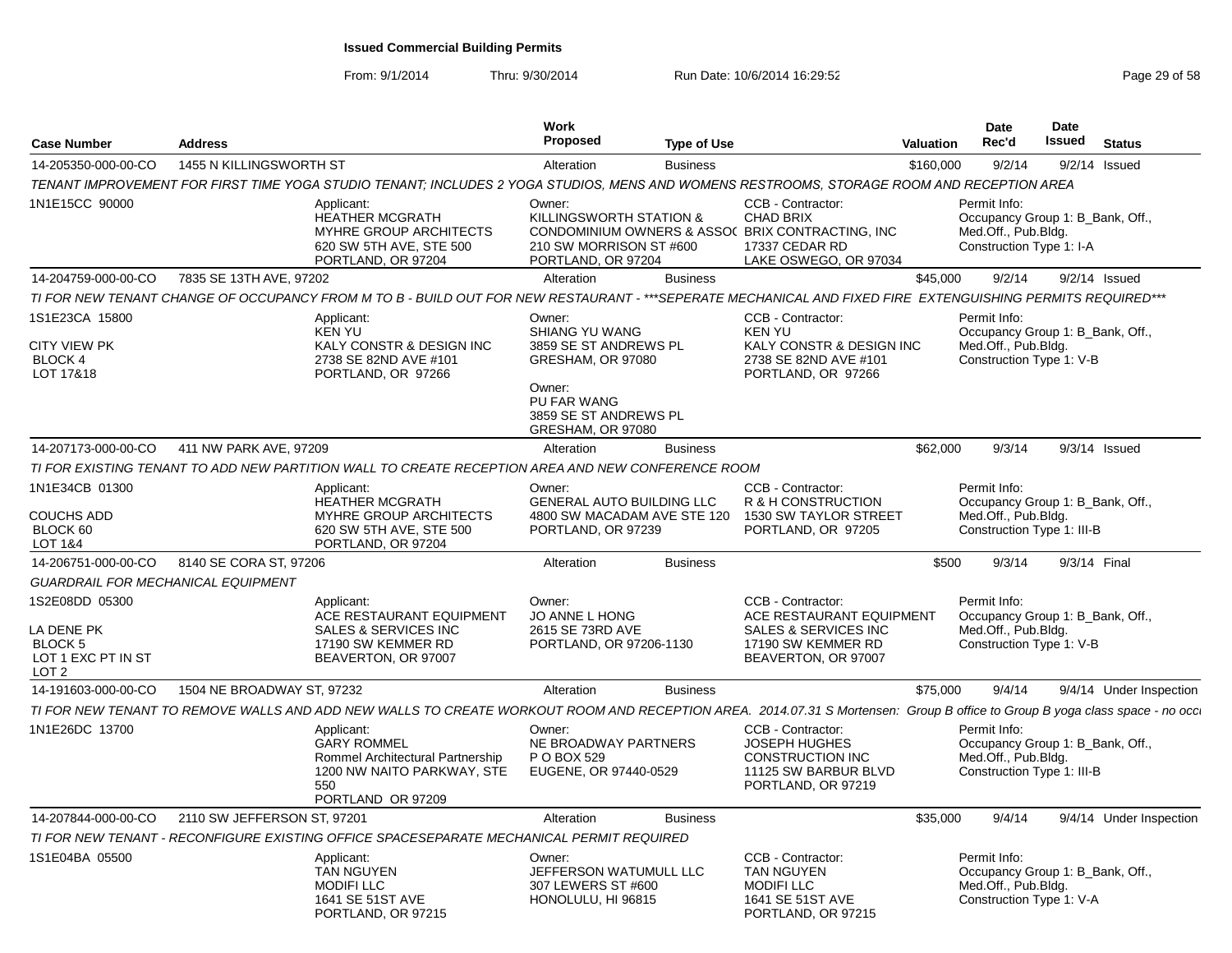From: 9/1/2014

| <b>Case Number</b>                                              | <b>Address</b>              |                                                                                                                                                                             | <b>Work</b><br>Proposed                                                                                                  | <b>Type of Use</b> |                                                                                                                                      | <b>Valuation</b> | <b>Date</b><br>Rec'd                                                                                  | <b>Date</b><br><b>Issued</b> | <b>Status</b>           |
|-----------------------------------------------------------------|-----------------------------|-----------------------------------------------------------------------------------------------------------------------------------------------------------------------------|--------------------------------------------------------------------------------------------------------------------------|--------------------|--------------------------------------------------------------------------------------------------------------------------------------|------------------|-------------------------------------------------------------------------------------------------------|------------------------------|-------------------------|
| 14-205350-000-00-CO                                             | 1455 N KILLINGSWORTH ST     |                                                                                                                                                                             | Alteration                                                                                                               | <b>Business</b>    |                                                                                                                                      | \$160,000        | 9/2/14                                                                                                | 9/2/14                       | Issued                  |
|                                                                 |                             | TENANT IMPROVEMENT FOR FIRST TIME YOGA STUDIO TENANT; INCLUDES 2 YOGA STUDIOS, MENS AND WOMENS RESTROOMS, STORAGE ROOM AND RECEPTION AREA                                   |                                                                                                                          |                    |                                                                                                                                      |                  |                                                                                                       |                              |                         |
| 1N1E15CC 90000                                                  |                             | Applicant:<br><b>HEATHER MCGRATH</b><br>MYHRE GROUP ARCHITECTS<br>620 SW 5TH AVE, STE 500<br>PORTLAND, OR 97204                                                             | Owner:<br>KILLINGSWORTH STATION &<br>210 SW MORRISON ST #600<br>PORTLAND, OR 97204                                       |                    | CCB - Contractor:<br><b>CHAD BRIX</b><br>CONDOMINIUM OWNERS & ASSO( BRIX CONTRACTING, INC<br>17337 CEDAR RD<br>LAKE OSWEGO, OR 97034 |                  | Permit Info:<br>Occupancy Group 1: B_Bank, Off.,<br>Med.Off., Pub.Bldg.<br>Construction Type 1: I-A   |                              |                         |
| 14-204759-000-00-CO                                             | 7835 SE 13TH AVE, 97202     |                                                                                                                                                                             | Alteration                                                                                                               | <b>Business</b>    |                                                                                                                                      | \$45,000         | 9/2/14                                                                                                |                              | $9/2/14$ Issued         |
|                                                                 |                             | TI FOR NEW TENANT CHANGE OF OCCUPANCY FROM M TO B - BUILD OUT FOR NEW RESTAURANT - ***SEPERATE MECHANICAL AND FIXED FIRE EXTENGUISHING PERMITS REQUIRED***                  |                                                                                                                          |                    |                                                                                                                                      |                  |                                                                                                       |                              |                         |
| 1S1E23CA 15800                                                  |                             | Applicant:<br><b>KEN YU</b>                                                                                                                                                 | Owner:<br>SHIANG YU WANG                                                                                                 |                    | CCB - Contractor:<br><b>KEN YU</b>                                                                                                   |                  | Permit Info:<br>Occupancy Group 1: B_Bank, Off.,                                                      |                              |                         |
| <b>CITY VIEW PK</b><br><b>BLOCK 4</b><br>LOT 17&18              |                             | KALY CONSTR & DESIGN INC<br>2738 SE 82ND AVE #101<br>PORTLAND, OR 97266                                                                                                     | 3859 SE ST ANDREWS PL<br>GRESHAM, OR 97080<br>Owner:<br><b>PU FAR WANG</b><br>3859 SE ST ANDREWS PL<br>GRESHAM, OR 97080 |                    | KALY CONSTR & DESIGN INC<br>2738 SE 82ND AVE #101<br>PORTLAND, OR 97266                                                              |                  | Med.Off., Pub.Bldg.<br>Construction Type 1: V-B                                                       |                              |                         |
| 14-207173-000-00-CO                                             | 411 NW PARK AVE, 97209      |                                                                                                                                                                             | Alteration                                                                                                               | <b>Business</b>    |                                                                                                                                      | \$62,000         | 9/3/14                                                                                                |                              | $9/3/14$ Issued         |
|                                                                 |                             | TI FOR EXISTING TENANT TO ADD NEW PARTITION WALL TO CREATE RECEPTION AREA AND NEW CONFERENCE ROOM                                                                           |                                                                                                                          |                    |                                                                                                                                      |                  |                                                                                                       |                              |                         |
| 1N1E34CB 01300                                                  |                             | Applicant:<br><b>HEATHER MCGRATH</b>                                                                                                                                        | Owner:<br><b>GENERAL AUTO BUILDING LLC</b>                                                                               |                    | CCB - Contractor:<br>R & H CONSTRUCTION                                                                                              |                  | Permit Info:<br>Occupancy Group 1: B Bank, Off.,                                                      |                              |                         |
| <b>COUCHS ADD</b><br>BLOCK 60<br>LOT 1&4                        |                             | <b>MYHRE GROUP ARCHITECTS</b><br>620 SW 5TH AVE, STE 500<br>PORTLAND, OR 97204                                                                                              | 4800 SW MACADAM AVE STE 120<br>PORTLAND, OR 97239                                                                        |                    | 1530 SW TAYLOR STREET<br>PORTLAND, OR 97205                                                                                          |                  | Med.Off., Pub.Blda.<br>Construction Type 1: III-B                                                     |                              |                         |
| 14-206751-000-00-CO                                             | 8140 SE CORA ST, 97206      |                                                                                                                                                                             | Alteration                                                                                                               | <b>Business</b>    |                                                                                                                                      | \$500            | 9/3/14                                                                                                |                              | 9/3/14 Final            |
| <b>GUARDRAIL FOR MECHANICAL EQUIPMENT</b>                       |                             |                                                                                                                                                                             |                                                                                                                          |                    |                                                                                                                                      |                  |                                                                                                       |                              |                         |
| 1S2E08DD 05300                                                  |                             | Applicant:<br>ACE RESTAURANT EQUIPMENT                                                                                                                                      | Owner:<br>JO ANNE L HONG                                                                                                 |                    | CCB - Contractor:<br>ACE RESTAURANT EQUIPMENT                                                                                        |                  | Permit Info:<br>Occupancy Group 1: B_Bank, Off.,                                                      |                              |                         |
| LA DENE PK<br>BLOCK 5<br>LOT 1 EXC PT IN ST<br>LOT <sub>2</sub> |                             | SALES & SERVICES INC<br>17190 SW KEMMER RD<br>BEAVERTON, OR 97007                                                                                                           | 2615 SE 73RD AVE<br>PORTLAND, OR 97206-1130                                                                              |                    | <b>SALES &amp; SERVICES INC</b><br>17190 SW KEMMER RD<br>BEAVERTON, OR 97007                                                         |                  | Med.Off., Pub.Bldg.<br>Construction Type 1: V-B                                                       |                              |                         |
| 14-191603-000-00-CO                                             | 1504 NE BROADWAY ST, 97232  |                                                                                                                                                                             | Alteration                                                                                                               | <b>Business</b>    |                                                                                                                                      | \$75,000         | 9/4/14                                                                                                |                              | 9/4/14 Under Inspection |
|                                                                 |                             | TI FOR NEW TENANT TO REMOVE WALLS AND ADD NEW WALLS TO CREATE WORKOUT ROOM AND RECEPTION AREA. 2014.07.31 S Mortensen: Group B office to Group B yoga class space - no occ. |                                                                                                                          |                    |                                                                                                                                      |                  |                                                                                                       |                              |                         |
| 1N1E26DC 13700                                                  |                             | Applicant:<br><b>GARY ROMMEL</b><br>Rommel Architectural Partnership<br>1200 NW NAITO PARKWAY, STE<br>550<br>PORTLAND OR 97209                                              | Owner:<br>NE BROADWAY PARTNERS<br>P O BOX 529<br>EUGENE, OR 97440-0529                                                   |                    | CCB - Contractor:<br><b>JOSEPH HUGHES</b><br><b>CONSTRUCTION INC</b><br>11125 SW BARBUR BLVD<br>PORTLAND, OR 97219                   |                  | Permit Info:<br>Occupancy Group 1: B_Bank, Off.,<br>Med.Off., Pub.Bldg.<br>Construction Type 1: III-B |                              |                         |
| 14-207844-000-00-CO                                             | 2110 SW JEFFERSON ST, 97201 |                                                                                                                                                                             | Alteration                                                                                                               | <b>Business</b>    |                                                                                                                                      | \$35,000         | 9/4/14                                                                                                |                              | 9/4/14 Under Inspection |
|                                                                 |                             | TI FOR NEW TENANT - RECONFIGURE EXISTING OFFICE SPACESEPARATE MECHANICAL PERMIT REQUIRED                                                                                    |                                                                                                                          |                    |                                                                                                                                      |                  |                                                                                                       |                              |                         |
| 1S1E04BA 05500                                                  |                             | Applicant:<br><b>TAN NGUYEN</b><br><b>MODIFILLC</b><br>1641 SE 51ST AVE<br>PORTLAND, OR 97215                                                                               | Owner:<br>JEFFERSON WATUMULL LLC<br>307 LEWERS ST #600<br>HONOLULU, HI 96815                                             |                    | CCB - Contractor:<br><b>TAN NGUYEN</b><br><b>MODIFILLC</b><br>1641 SE 51ST AVE<br>PORTLAND, OR 97215                                 |                  | Permit Info:<br>Occupancy Group 1: B_Bank, Off.,<br>Med.Off., Pub.Bldg.<br>Construction Type 1: V-A   |                              |                         |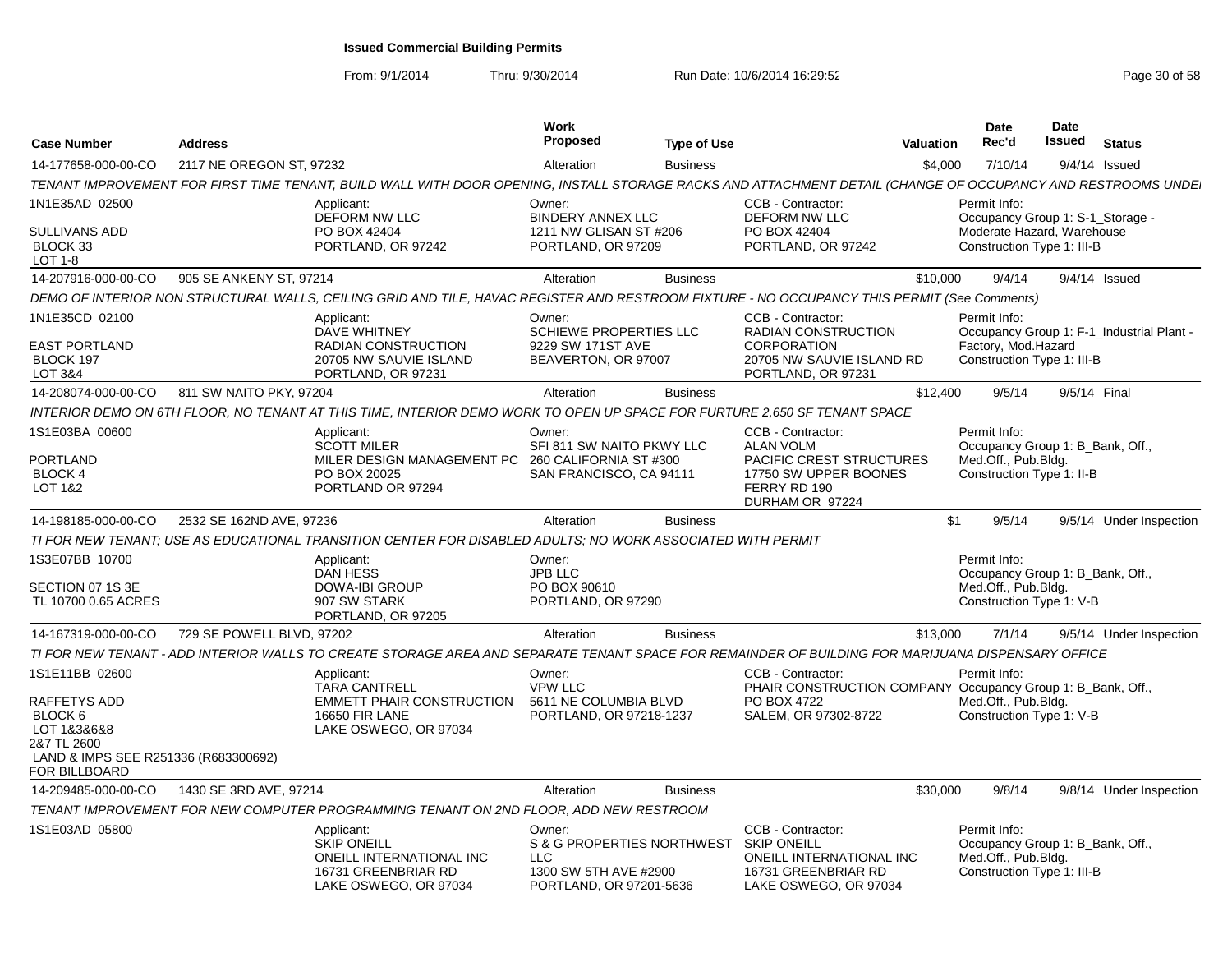From: 9/1/2014

| <b>Case Number</b>                                                                                             | <b>Address</b>            |                                                                                                                                                              | <b>Work</b><br><b>Proposed</b>                                                                   | <b>Type of Use</b> |                                                                                                                     | Valuation | Date<br>Rec'd                                                                                         | Date<br><b>Issued</b> | <b>Status</b>                             |
|----------------------------------------------------------------------------------------------------------------|---------------------------|--------------------------------------------------------------------------------------------------------------------------------------------------------------|--------------------------------------------------------------------------------------------------|--------------------|---------------------------------------------------------------------------------------------------------------------|-----------|-------------------------------------------------------------------------------------------------------|-----------------------|-------------------------------------------|
| 14-177658-000-00-CO                                                                                            | 2117 NE OREGON ST, 97232  |                                                                                                                                                              | Alteration                                                                                       | <b>Business</b>    |                                                                                                                     | \$4,000   | 7/10/14                                                                                               |                       | $9/4/14$ Issued                           |
|                                                                                                                |                           | TENANT IMPROVEMENT FOR FIRST TIME TENANT, BUILD WALL WITH DOOR OPENING, INSTALL STORAGE RACKS AND ATTACHMENT DETAIL (CHANGE OF OCCUPANCY AND RESTROOMS UNDE. |                                                                                                  |                    |                                                                                                                     |           |                                                                                                       |                       |                                           |
| 1N1E35AD 02500                                                                                                 |                           | Applicant:<br><b>DEFORM NW LLC</b>                                                                                                                           | Owner:<br><b>BINDERY ANNEX LLC</b>                                                               |                    | CCB - Contractor:<br><b>DEFORM NW LLC</b>                                                                           |           | Permit Info:<br>Occupancy Group 1: S-1_Storage -                                                      |                       |                                           |
| <b>SULLIVANS ADD</b><br>BLOCK 33<br>LOT 1-8                                                                    |                           | PO BOX 42404<br>PORTLAND, OR 97242                                                                                                                           | 1211 NW GLISAN ST #206<br>PORTLAND, OR 97209                                                     |                    | PO BOX 42404<br>PORTLAND, OR 97242                                                                                  |           | Moderate Hazard, Warehouse<br>Construction Type 1: III-B                                              |                       |                                           |
| 14-207916-000-00-CO                                                                                            | 905 SE ANKENY ST, 97214   |                                                                                                                                                              | Alteration                                                                                       | <b>Business</b>    |                                                                                                                     | \$10,000  | 9/4/14                                                                                                |                       | $9/4/14$ Issued                           |
|                                                                                                                |                           | DEMO OF INTERIOR NON STRUCTURAL WALLS, CEILING GRID AND TILE, HAVAC REGISTER AND RESTROOM FIXTURE - NO OCCUPANCY THIS PERMIT (See Comments)                  |                                                                                                  |                    |                                                                                                                     |           |                                                                                                       |                       |                                           |
|                                                                                                                |                           |                                                                                                                                                              |                                                                                                  |                    |                                                                                                                     |           |                                                                                                       |                       |                                           |
| 1N1E35CD 02100<br><b>EAST PORTLAND</b><br>BLOCK 197<br>LOT 3&4                                                 |                           | Applicant:<br><b>DAVE WHITNEY</b><br>RADIAN CONSTRUCTION<br>20705 NW SAUVIE ISLAND<br>PORTLAND, OR 97231                                                     | Owner:<br>SCHIEWE PROPERTIES LLC<br>9229 SW 171ST AVE<br>BEAVERTON, OR 97007                     |                    | CCB - Contractor:<br>RADIAN CONSTRUCTION<br><b>CORPORATION</b><br>20705 NW SAUVIE ISLAND RD<br>PORTLAND, OR 97231   |           | Permit Info:<br>Factory, Mod.Hazard<br>Construction Type 1: III-B                                     |                       | Occupancy Group 1: F-1_Industrial Plant - |
| 14-208074-000-00-CO                                                                                            | 811 SW NAITO PKY, 97204   |                                                                                                                                                              | Alteration                                                                                       | <b>Business</b>    |                                                                                                                     | \$12,400  | 9/5/14                                                                                                | 9/5/14 Final          |                                           |
|                                                                                                                |                           | INTERIOR DEMO ON 6TH FLOOR, NO TENANT AT THIS TIME, INTERIOR DEMO WORK TO OPEN UP SPACE FOR FURTURE 2,650 SF TENANT SPACE                                    |                                                                                                  |                    |                                                                                                                     |           |                                                                                                       |                       |                                           |
| 1S1E03BA 00600                                                                                                 |                           | Applicant:                                                                                                                                                   | Owner:                                                                                           |                    | CCB - Contractor:                                                                                                   |           | Permit Info:                                                                                          |                       |                                           |
| <b>PORTLAND</b><br><b>BLOCK 4</b><br>LOT 1&2                                                                   |                           | <b>SCOTT MILER</b><br>MILER DESIGN MANAGEMENT PC<br>PO BOX 20025<br>PORTLAND OR 97294                                                                        | SFI 811 SW NAITO PKWY LLC<br>260 CALIFORNIA ST #300<br>SAN FRANCISCO, CA 94111                   |                    | <b>ALAN VOLM</b><br><b>PACIFIC CREST STRUCTURES</b><br>17750 SW UPPER BOONES<br>FERRY RD 190<br>DURHAM OR 97224     |           | Occupancy Group 1: B_Bank, Off.,<br>Med.Off., Pub.Bldg.<br>Construction Type 1: II-B                  |                       |                                           |
| 14-198185-000-00-CO                                                                                            | 2532 SE 162ND AVE, 97236  |                                                                                                                                                              | Alteration                                                                                       | <b>Business</b>    |                                                                                                                     | \$1       | 9/5/14                                                                                                |                       | 9/5/14 Under Inspection                   |
|                                                                                                                |                           | TI FOR NEW TENANT: USE AS EDUCATIONAL TRANSITION CENTER FOR DISABLED ADULTS: NO WORK ASSOCIATED WITH PERMIT                                                  |                                                                                                  |                    |                                                                                                                     |           |                                                                                                       |                       |                                           |
| 1S3E07BB 10700                                                                                                 |                           | Applicant:                                                                                                                                                   | Owner:                                                                                           |                    |                                                                                                                     |           | Permit Info:                                                                                          |                       |                                           |
| SECTION 07 1S 3E<br>TL 10700 0.65 ACRES                                                                        |                           | <b>DAN HESS</b><br><b>DOWA-IBI GROUP</b><br>907 SW STARK<br>PORTLAND, OR 97205                                                                               | <b>JPB LLC</b><br>PO BOX 90610<br>PORTLAND, OR 97290                                             |                    |                                                                                                                     |           | Occupancy Group 1: B_Bank, Off.,<br>Med.Off., Pub.Bldg.<br>Construction Type 1: V-B                   |                       |                                           |
| 14-167319-000-00-CO                                                                                            | 729 SE POWELL BLVD, 97202 |                                                                                                                                                              | Alteration                                                                                       | <b>Business</b>    |                                                                                                                     | \$13,000  | 7/1/14                                                                                                |                       | 9/5/14 Under Inspection                   |
|                                                                                                                |                           | TI FOR NEW TENANT - ADD INTERIOR WALLS TO CREATE STORAGE AREA AND SEPARATE TENANT SPACE FOR REMAINDER OF BUILDING FOR MARIJUANA DISPENSARY OFFICE            |                                                                                                  |                    |                                                                                                                     |           |                                                                                                       |                       |                                           |
| 1S1E11BB 02600                                                                                                 |                           | Applicant:<br><b>TARA CANTRELL</b>                                                                                                                           | Owner:<br><b>VPW LLC</b>                                                                         |                    | CCB - Contractor:<br>PHAIR CONSTRUCTION COMPANY Occupancy Group 1: B_Bank, Off.,                                    |           | Permit Info:                                                                                          |                       |                                           |
| RAFFETYS ADD<br>BLOCK 6<br>LOT 1&3&6&8<br>2&7 TL 2600<br>LAND & IMPS SEE R251336 (R683300692)<br>FOR BILLBOARD |                           | <b>EMMETT PHAIR CONSTRUCTION</b><br><b>16650 FIR LANE</b><br>LAKE OSWEGO, OR 97034                                                                           | 5611 NE COLUMBIA BLVD<br>PORTLAND, OR 97218-1237                                                 |                    | PO BOX 4722<br>SALEM, OR 97302-8722                                                                                 |           | Med.Off., Pub.Bldg.<br>Construction Type 1: V-B                                                       |                       |                                           |
| 14-209485-000-00-CO                                                                                            | 1430 SE 3RD AVE, 97214    |                                                                                                                                                              | Alteration                                                                                       | <b>Business</b>    |                                                                                                                     | \$30,000  | 9/8/14                                                                                                |                       | 9/8/14 Under Inspection                   |
|                                                                                                                |                           | TENANT IMPROVEMENT FOR NEW COMPUTER PROGRAMMING TENANT ON 2ND FLOOR, ADD NEW RESTROOM                                                                        |                                                                                                  |                    |                                                                                                                     |           |                                                                                                       |                       |                                           |
| 1S1E03AD 05800                                                                                                 |                           | Applicant:<br><b>SKIP ONEILL</b><br>ONEILL INTERNATIONAL INC<br>16731 GREENBRIAR RD<br>LAKE OSWEGO, OR 97034                                                 | Owner:<br>S & G PROPERTIES NORTHWEST<br>LLC.<br>1300 SW 5TH AVE #2900<br>PORTLAND, OR 97201-5636 |                    | CCB - Contractor:<br><b>SKIP ONEILL</b><br>ONEILL INTERNATIONAL INC<br>16731 GREENBRIAR RD<br>LAKE OSWEGO, OR 97034 |           | Permit Info:<br>Occupancy Group 1: B Bank, Off.,<br>Med.Off., Pub.Bldg.<br>Construction Type 1: III-B |                       |                                           |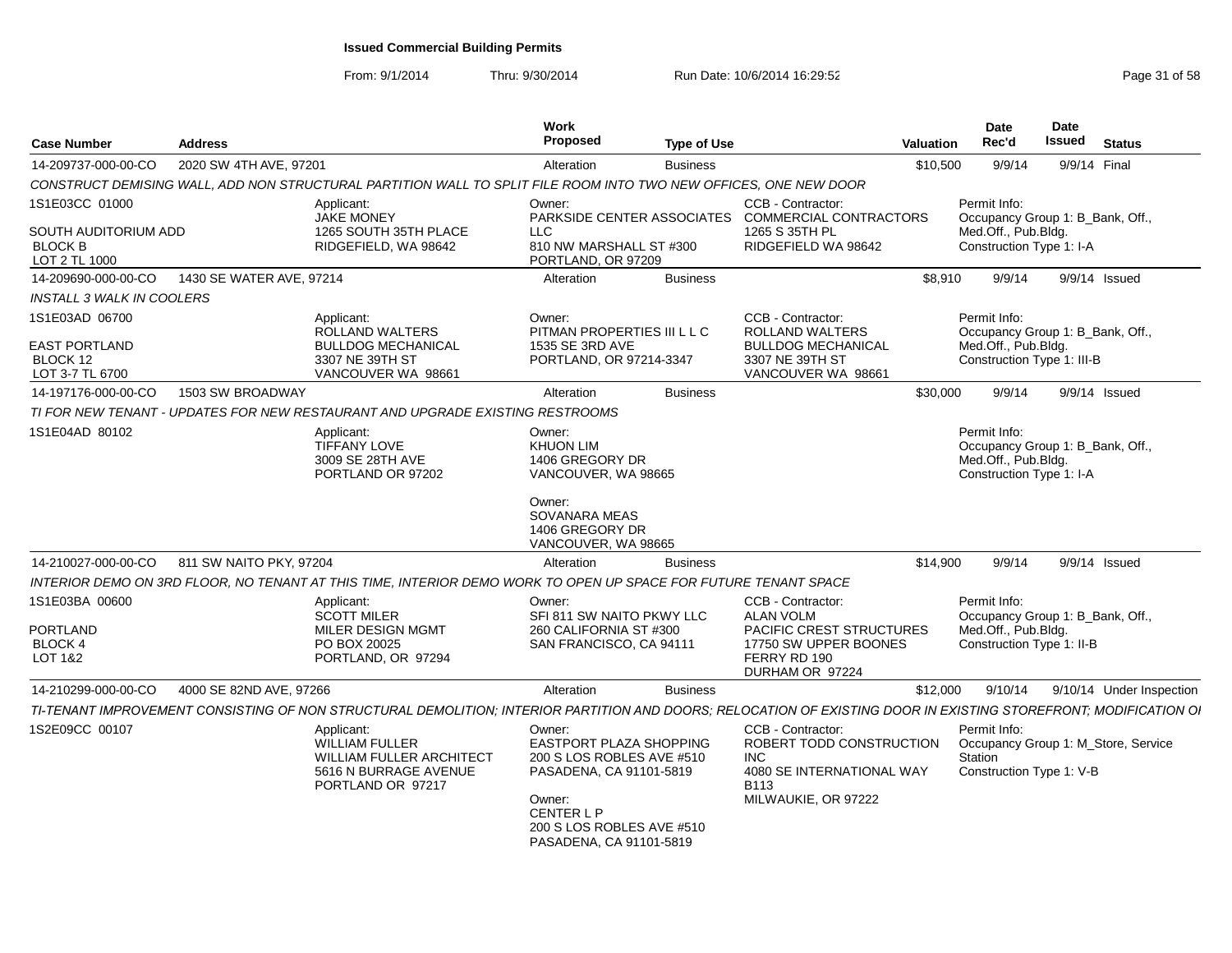| <b>Case Number</b>                                                        | <b>Address</b>           |                                                                                                                                                                  | Work<br>Proposed                                                                                    | <b>Type of Use</b> |                                                                                                                                       | <b>Valuation</b> | <b>Date</b><br>Rec'd                                                                                  | Date<br>Issued | <b>Status</b>                       |
|---------------------------------------------------------------------------|--------------------------|------------------------------------------------------------------------------------------------------------------------------------------------------------------|-----------------------------------------------------------------------------------------------------|--------------------|---------------------------------------------------------------------------------------------------------------------------------------|------------------|-------------------------------------------------------------------------------------------------------|----------------|-------------------------------------|
| 14-209737-000-00-CO                                                       | 2020 SW 4TH AVE, 97201   |                                                                                                                                                                  | Alteration                                                                                          | <b>Business</b>    |                                                                                                                                       | \$10,500         | 9/9/14                                                                                                |                | 9/9/14 Final                        |
|                                                                           |                          | CONSTRUCT DEMISING WALL, ADD NON STRUCTURAL PARTITION WALL TO SPLIT FILE ROOM INTO TWO NEW OFFICES, ONE NEW DOOR                                                 |                                                                                                     |                    |                                                                                                                                       |                  |                                                                                                       |                |                                     |
| 1S1E03CC 01000<br>SOUTH AUDITORIUM ADD<br><b>BLOCK B</b><br>LOT 2 TL 1000 |                          | Applicant:<br><b>JAKE MONEY</b><br>1265 SOUTH 35TH PLACE<br>RIDGEFIELD, WA 98642                                                                                 | Owner:<br><b>LLC</b><br>810 NW MARSHALL ST #300<br>PORTLAND, OR 97209                               |                    | CCB - Contractor:<br>PARKSIDE CENTER ASSOCIATES COMMERCIAL CONTRACTORS<br>1265 S 35TH PL<br>RIDGEFIELD WA 98642                       |                  | Permit Info:<br>Occupancy Group 1: B_Bank, Off.<br>Med.Off., Pub.Bldg.<br>Construction Type 1: I-A    |                |                                     |
| 14-209690-000-00-CO                                                       | 1430 SE WATER AVE, 97214 |                                                                                                                                                                  | Alteration                                                                                          | <b>Business</b>    |                                                                                                                                       | \$8.910          | 9/9/14                                                                                                |                | 9/9/14 Issued                       |
| <b>INSTALL 3 WALK IN COOLERS</b>                                          |                          |                                                                                                                                                                  |                                                                                                     |                    |                                                                                                                                       |                  |                                                                                                       |                |                                     |
| 1S1E03AD 06700<br><b>EAST PORTLAND</b><br>BLOCK 12<br>LOT 3-7 TL 6700     |                          | Applicant:<br><b>ROLLAND WALTERS</b><br><b>BULLDOG MECHANICAL</b><br>3307 NE 39TH ST<br>VANCOUVER WA 98661                                                       | Owner:<br>PITMAN PROPERTIES III L L C<br>1535 SE 3RD AVE<br>PORTLAND, OR 97214-3347                 |                    | CCB - Contractor:<br><b>ROLLAND WALTERS</b><br><b>BULLDOG MECHANICAL</b><br>3307 NE 39TH ST<br>VANCOUVER WA 98661                     |                  | Permit Info:<br>Occupancy Group 1: B_Bank, Off.,<br>Med.Off., Pub.Bldg.<br>Construction Type 1: III-B |                |                                     |
| 14-197176-000-00-CO                                                       | 1503 SW BROADWAY         |                                                                                                                                                                  | Alteration                                                                                          | <b>Business</b>    |                                                                                                                                       | \$30,000         | 9/9/14                                                                                                |                | $9/9/14$ Issued                     |
|                                                                           |                          | TI FOR NEW TENANT - UPDATES FOR NEW RESTAURANT AND UPGRADE EXISTING RESTROOMS                                                                                    |                                                                                                     |                    |                                                                                                                                       |                  |                                                                                                       |                |                                     |
| 1S1E04AD 80102                                                            |                          | Applicant:<br><b>TIFFANY LOVE</b><br>3009 SE 28TH AVE<br>PORTLAND OR 97202                                                                                       | Owner:<br><b>KHUON LIM</b><br>1406 GREGORY DR<br>VANCOUVER, WA 98665                                |                    |                                                                                                                                       |                  | Permit Info:<br>Occupancy Group 1: B_Bank, Off.,<br>Med.Off., Pub.Bldg.<br>Construction Type 1: I-A   |                |                                     |
|                                                                           |                          |                                                                                                                                                                  | Owner:<br>SOVANARA MEAS<br>1406 GREGORY DR<br>VANCOUVER, WA 98665                                   |                    |                                                                                                                                       |                  |                                                                                                       |                |                                     |
| 14-210027-000-00-CO                                                       | 811 SW NAITO PKY, 97204  |                                                                                                                                                                  | Alteration                                                                                          | <b>Business</b>    |                                                                                                                                       | \$14.900         | 9/9/14                                                                                                |                | $9/9/14$ Issued                     |
|                                                                           |                          | INTERIOR DEMO ON 3RD FLOOR, NO TENANT AT THIS TIME, INTERIOR DEMO WORK TO OPEN UP SPACE FOR FUTURE TENANT SPACE                                                  |                                                                                                     |                    |                                                                                                                                       |                  |                                                                                                       |                |                                     |
| 1S1E03BA 00600<br>PORTLAND<br><b>BLOCK 4</b>                              |                          | Applicant:<br><b>SCOTT MILER</b><br>MILER DESIGN MGMT<br>PO BOX 20025                                                                                            | Owner:<br>SFI 811 SW NAITO PKWY LLC<br>260 CALIFORNIA ST #300<br>SAN FRANCISCO, CA 94111            |                    | CCB - Contractor:<br><b>ALAN VOLM</b><br>PACIFIC CREST STRUCTURES<br>17750 SW UPPER BOONES                                            |                  | Permit Info:<br>Occupancy Group 1: B_Bank, Off.,<br>Med.Off., Pub.Bldg.<br>Construction Type 1: II-B  |                |                                     |
| LOT 1&2                                                                   |                          | PORTLAND, OR 97294                                                                                                                                               |                                                                                                     |                    | FERRY RD 190<br>DURHAM OR 97224                                                                                                       |                  |                                                                                                       |                |                                     |
| 14-210299-000-00-CO                                                       | 4000 SE 82ND AVE, 97266  |                                                                                                                                                                  | Alteration                                                                                          | <b>Business</b>    |                                                                                                                                       | \$12,000         | 9/10/14                                                                                               |                | 9/10/14 Under Inspection            |
|                                                                           |                          | TI-TENANT IMPROVEMENT CONSISTING OF NON STRUCTURAL DEMOLITION; INTERIOR PARTITION AND DOORS; RELOCATION OF EXISTING DOOR IN EXISTING STOREFRONT; MODIFICATION OI |                                                                                                     |                    |                                                                                                                                       |                  |                                                                                                       |                |                                     |
| 1S2E09CC 00107                                                            |                          | Applicant:<br><b>WILLIAM FULLER</b><br><b>WILLIAM FULLER ARCHITECT</b><br>5616 N BURRAGE AVENUE<br>PORTLAND OR 97217                                             | Owner:<br>EASTPORT PLAZA SHOPPING<br>200 S LOS ROBLES AVE #510<br>PASADENA, CA 91101-5819<br>Owner: |                    | <b>CCB - Contractor:</b><br>ROBERT TODD CONSTRUCTION<br><b>INC</b><br>4080 SE INTERNATIONAL WAY<br><b>B113</b><br>MILWAUKIE, OR 97222 |                  | Permit Info:<br><b>Station</b><br>Construction Type 1: V-B                                            |                | Occupancy Group 1: M Store, Service |
|                                                                           |                          |                                                                                                                                                                  | <b>CENTERLP</b><br>200 S LOS ROBLES AVE #510<br>PASADENA, CA 91101-5819                             |                    |                                                                                                                                       |                  |                                                                                                       |                |                                     |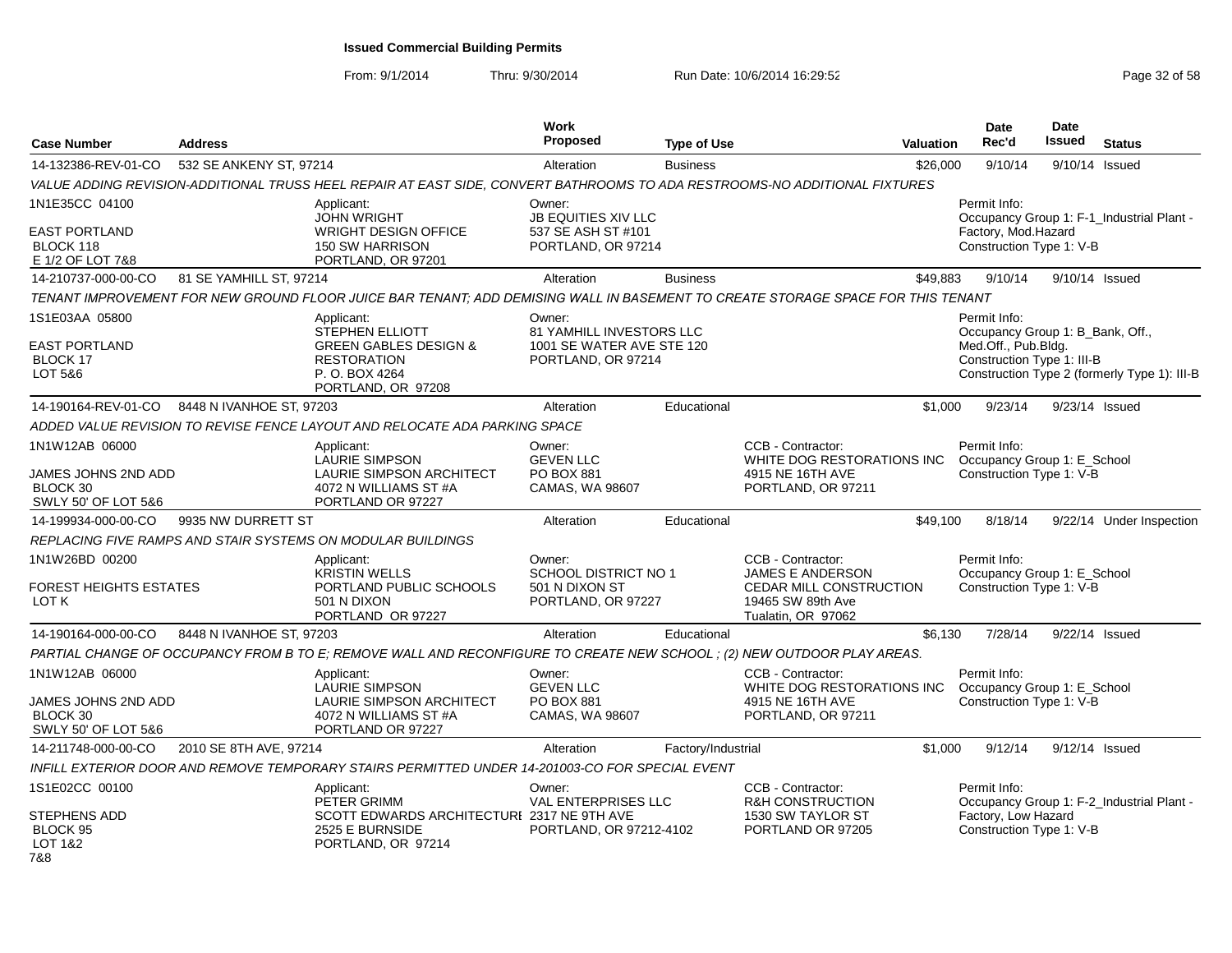From: 9/1/2014

| <b>Case Number</b>                                            | <b>Address</b>           |                                                                                                                                 | <b>Work</b><br><b>Proposed</b>                                                        | <b>Type of Use</b> |                                                                    | Valuation | <b>Date</b><br>Rec'd                                                                                  | Date<br>Issued | <b>Status</b>                                |
|---------------------------------------------------------------|--------------------------|---------------------------------------------------------------------------------------------------------------------------------|---------------------------------------------------------------------------------------|--------------------|--------------------------------------------------------------------|-----------|-------------------------------------------------------------------------------------------------------|----------------|----------------------------------------------|
| 14-132386-REV-01-CO                                           | 532 SE ANKENY ST, 97214  |                                                                                                                                 | Alteration                                                                            | <b>Business</b>    |                                                                    | \$26,000  | 9/10/14                                                                                               | 9/10/14        | Issued                                       |
|                                                               |                          | VALUE ADDING REVISION-ADDITIONAL TRUSS HEEL REPAIR AT EAST SIDE, CONVERT BATHROOMS TO ADA RESTROOMS-NO ADDITIONAL FIXTURES      |                                                                                       |                    |                                                                    |           |                                                                                                       |                |                                              |
| 1N1E35CC 04100                                                |                          | Applicant:<br><b>JOHN WRIGHT</b>                                                                                                | Owner:<br><b>JB EQUITIES XIV LLC</b>                                                  |                    |                                                                    |           | Permit Info:                                                                                          |                | Occupancy Group 1: F-1_Industrial Plant -    |
| <b>EAST PORTLAND</b><br>BLOCK 118<br>E 1/2 OF LOT 7&8         |                          | <b>WRIGHT DESIGN OFFICE</b><br><b>150 SW HARRISON</b><br>PORTLAND, OR 97201                                                     | 537 SE ASH ST #101<br>PORTLAND, OR 97214                                              |                    |                                                                    |           | Factory, Mod.Hazard<br>Construction Type 1: V-B                                                       |                |                                              |
| 14-210737-000-00-CO                                           | 81 SE YAMHILL ST, 97214  |                                                                                                                                 | Alteration                                                                            | <b>Business</b>    |                                                                    | \$49,883  | 9/10/14                                                                                               |                | 9/10/14 Issued                               |
|                                                               |                          | TENANT IMPROVEMENT FOR NEW GROUND FLOOR JUICE BAR TENANT; ADD DEMISING WALL IN BASEMENT TO CREATE STORAGE SPACE FOR THIS TENANT |                                                                                       |                    |                                                                    |           |                                                                                                       |                |                                              |
| 1S1E03AA 05800<br><b>EAST PORTLAND</b><br>BLOCK 17<br>LOT 5&6 |                          | Applicant:<br>STEPHEN ELLIOTT<br><b>GREEN GABLES DESIGN &amp;</b><br><b>RESTORATION</b><br>P. O. BOX 4264<br>PORTLAND, OR 97208 | Owner:<br>81 YAMHILL INVESTORS LLC<br>1001 SE WATER AVE STE 120<br>PORTLAND, OR 97214 |                    |                                                                    |           | Permit Info:<br>Occupancy Group 1: B_Bank, Off.,<br>Med.Off., Pub.Bldg.<br>Construction Type 1: III-B |                | Construction Type 2 (formerly Type 1): III-B |
| 14-190164-REV-01-CO                                           | 8448 N IVANHOE ST, 97203 |                                                                                                                                 | Alteration                                                                            | Educational        |                                                                    | \$1.000   | 9/23/14                                                                                               |                | 9/23/14 Issued                               |
|                                                               |                          | ADDED VALUE REVISION TO REVISE FENCE LAYOUT AND RELOCATE ADA PARKING SPACE                                                      |                                                                                       |                    |                                                                    |           |                                                                                                       |                |                                              |
| 1N1W12AB 06000                                                |                          | Applicant:<br>LAURIE SIMPSON                                                                                                    | Owner:<br><b>GEVEN LLC</b>                                                            |                    | CCB - Contractor:<br>WHITE DOG RESTORATIONS INC                    |           | Permit Info:<br>Occupancy Group 1: E_School                                                           |                |                                              |
| JAMES JOHNS 2ND ADD<br>BLOCK 30<br>SWLY 50' OF LOT 5&6        |                          | LAURIE SIMPSON ARCHITECT<br>4072 N WILLIAMS ST #A<br>PORTLAND OR 97227                                                          | PO BOX 881<br>CAMAS, WA 98607                                                         |                    | 4915 NE 16TH AVE<br>PORTLAND, OR 97211                             |           | Construction Type 1: V-B                                                                              |                |                                              |
| 14-199934-000-00-CO                                           | 9935 NW DURRETT ST       |                                                                                                                                 | Alteration                                                                            | Educational        |                                                                    | \$49,100  | 8/18/14                                                                                               |                | 9/22/14 Under Inspection                     |
|                                                               |                          | REPLACING FIVE RAMPS AND STAIR SYSTEMS ON MODULAR BUILDINGS                                                                     |                                                                                       |                    |                                                                    |           |                                                                                                       |                |                                              |
| 1N1W26BD 00200                                                |                          | Applicant:<br><b>KRISTIN WELLS</b>                                                                                              | Owner:<br><b>SCHOOL DISTRICT NO 1</b>                                                 |                    | CCB - Contractor:<br>JAMES E ANDERSON                              |           | Permit Info:<br>Occupancy Group 1: E_School                                                           |                |                                              |
| <b>FOREST HEIGHTS ESTATES</b><br>LOT K                        |                          | PORTLAND PUBLIC SCHOOLS<br>501 N DIXON<br>PORTLAND OR 97227                                                                     | 501 N DIXON ST<br>PORTLAND, OR 97227                                                  |                    | CEDAR MILL CONSTRUCTION<br>19465 SW 89th Ave<br>Tualatin, OR 97062 |           | Construction Type 1: V-B                                                                              |                |                                              |
| 14-190164-000-00-CO                                           | 8448 N IVANHOE ST, 97203 |                                                                                                                                 | Alteration                                                                            | Educational        |                                                                    | \$6,130   | 7/28/14                                                                                               |                | 9/22/14 Issued                               |
|                                                               |                          | PARTIAL CHANGE OF OCCUPANCY FROM B TO E; REMOVE WALL AND RECONFIGURE TO CREATE NEW SCHOOL; (2) NEW OUTDOOR PLAY AREAS.          |                                                                                       |                    |                                                                    |           |                                                                                                       |                |                                              |
| 1N1W12AB 06000                                                |                          | Applicant:<br>LAURIE SIMPSON                                                                                                    | Owner:<br><b>GEVEN LLC</b>                                                            |                    | CCB - Contractor:<br>WHITE DOG RESTORATIONS INC                    |           | Permit Info:<br>Occupancy Group 1: E_School                                                           |                |                                              |
| JAMES JOHNS 2ND ADD<br>BLOCK 30<br>SWLY 50' OF LOT 5&6        |                          | <b>LAURIE SIMPSON ARCHITECT</b><br>4072 N WILLIAMS ST #A<br>PORTLAND OR 97227                                                   | PO BOX 881<br>CAMAS, WA 98607                                                         |                    | 4915 NE 16TH AVE<br>PORTLAND, OR 97211                             |           | Construction Type 1: V-B                                                                              |                |                                              |
| 14-211748-000-00-CO                                           | 2010 SE 8TH AVE, 97214   |                                                                                                                                 | Alteration                                                                            | Factory/Industrial |                                                                    | \$1,000   | 9/12/14                                                                                               |                | 9/12/14 Issued                               |
|                                                               |                          | INFILL EXTERIOR DOOR AND REMOVE TEMPORARY STAIRS PERMITTED UNDER 14-201003-CO FOR SPECIAL EVENT                                 |                                                                                       |                    |                                                                    |           |                                                                                                       |                |                                              |
| 1S1E02CC 00100                                                |                          | Applicant:<br>PETER GRIMM                                                                                                       | Owner:<br><b>VAL ENTERPRISES LLC</b>                                                  |                    | CCB - Contractor:<br><b>R&amp;H CONSTRUCTION</b>                   |           | Permit Info:                                                                                          |                | Occupancy Group 1: F-2_Industrial Plant -    |
| STEPHENS ADD<br>BLOCK 95<br>LOT 1&2<br>7&8                    |                          | SCOTT EDWARDS ARCHITECTURI 2317 NE 9TH AVE<br>2525 E BURNSIDE<br>PORTLAND, OR 97214                                             | PORTLAND, OR 97212-4102                                                               |                    | 1530 SW TAYLOR ST<br>PORTLAND OR 97205                             |           | Factory, Low Hazard<br>Construction Type 1: V-B                                                       |                |                                              |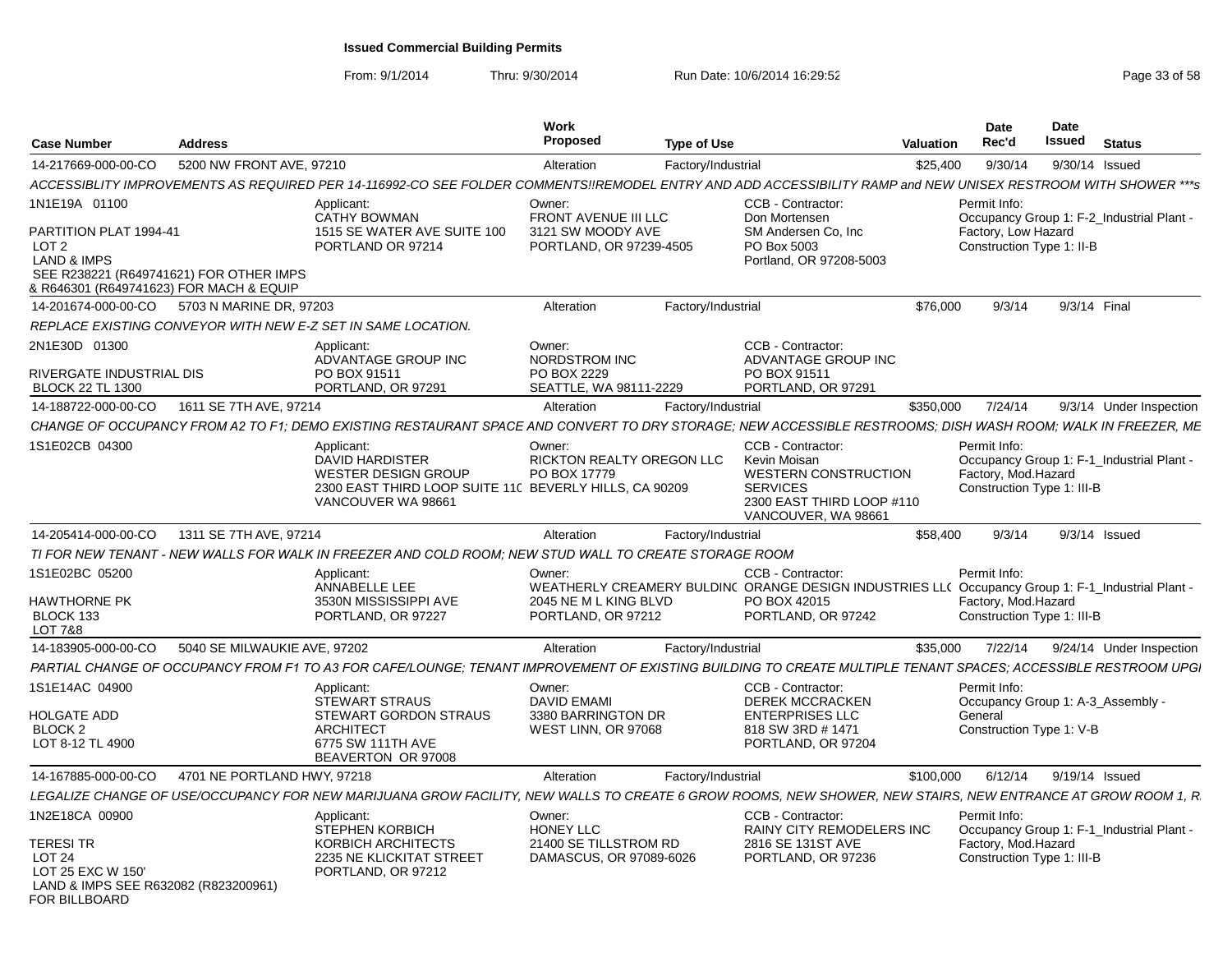| <b>Case Number</b>                                                                                                               | <b>Address</b>               |                                                                                                                                                               | Work<br>Proposed                                                          | <b>Type of Use</b> |                                                                                                                                         | <b>Valuation</b> | <b>Date</b><br>Rec'd                                | Date<br>Issued<br>Status                                                |
|----------------------------------------------------------------------------------------------------------------------------------|------------------------------|---------------------------------------------------------------------------------------------------------------------------------------------------------------|---------------------------------------------------------------------------|--------------------|-----------------------------------------------------------------------------------------------------------------------------------------|------------------|-----------------------------------------------------|-------------------------------------------------------------------------|
| 14-217669-000-00-CO                                                                                                              | 5200 NW FRONT AVE, 97210     |                                                                                                                                                               | Alteration                                                                | Factory/Industrial |                                                                                                                                         | \$25.400         | 9/30/14                                             | 9/30/14 Issued                                                          |
|                                                                                                                                  |                              | ACCESSIBLITY IMPROVEMENTS AS REQUIRED PER 14-116992-CO SEE FOLDER COMMENTS!!REMODEL ENTRY AND ADD ACCESSIBILITY RAMP and NEW UNISEX RESTROOM WITH SHOWER ***s |                                                                           |                    |                                                                                                                                         |                  |                                                     |                                                                         |
| 1N1E19A 01100<br>PARTITION PLAT 1994-41                                                                                          |                              | Applicant:<br><b>CATHY BOWMAN</b><br>1515 SE WATER AVE SUITE 100                                                                                              | Owner:<br>FRONT AVENUE III LLC<br>3121 SW MOODY AVE                       |                    | CCB - Contractor:<br>Don Mortensen<br>SM Andersen Co. Inc.                                                                              |                  | Permit Info:<br>Factory, Low Hazard                 | Occupancy Group 1: F-2_Industrial Plant -                               |
| LOT <sub>2</sub><br><b>LAND &amp; IMPS</b><br>SEE R238221 (R649741621) FOR OTHER IMPS<br>& R646301 (R649741623) FOR MACH & EQUIP |                              | PORTLAND OR 97214                                                                                                                                             | PORTLAND, OR 97239-4505                                                   |                    | PO Box 5003<br>Portland, OR 97208-5003                                                                                                  |                  | Construction Type 1: II-B                           |                                                                         |
| 14-201674-000-00-CO 5703 N MARINE DR. 97203                                                                                      |                              |                                                                                                                                                               | Alteration                                                                | Factory/Industrial |                                                                                                                                         | \$76,000         | 9/3/14                                              | 9/3/14 Final                                                            |
|                                                                                                                                  |                              | REPLACE EXISTING CONVEYOR WITH NEW E-Z SET IN SAME LOCATION.                                                                                                  |                                                                           |                    |                                                                                                                                         |                  |                                                     |                                                                         |
| 2N1E30D 01300                                                                                                                    |                              | Applicant:<br>ADVANTAGE GROUP INC                                                                                                                             | Owner:<br>NORDSTROM INC                                                   |                    | <b>CCB - Contractor:</b><br>ADVANTAGE GROUP INC                                                                                         |                  |                                                     |                                                                         |
| RIVERGATE INDUSTRIAL DIS<br><b>BLOCK 22 TL 1300</b>                                                                              |                              | PO BOX 91511<br>PORTLAND, OR 97291                                                                                                                            | PO BOX 2229<br>SEATTLE, WA 98111-2229                                     |                    | PO BOX 91511<br>PORTLAND, OR 97291                                                                                                      |                  |                                                     |                                                                         |
| 14-188722-000-00-CO                                                                                                              | 1611 SE 7TH AVE, 97214       |                                                                                                                                                               | Alteration                                                                | Factory/Industrial |                                                                                                                                         | \$350,000        | 7/24/14                                             | 9/3/14 Under Inspection                                                 |
|                                                                                                                                  |                              | CHANGE OF OCCUPANCY FROM A2 TO F1: DEMO EXISTING RESTAURANT SPACE AND CONVERT TO DRY STORAGE: NEW ACCESSIBLE RESTROOMS: DISH WASH ROOM: WALK IN FREEZER. ME   |                                                                           |                    |                                                                                                                                         |                  |                                                     |                                                                         |
| 1S1E02CB 04300                                                                                                                   |                              | Applicant:<br><b>DAVID HARDISTER</b><br>WESTER DESIGN GROUP<br>2300 EAST THIRD LOOP SUITE 11C BEVERLY HILLS, CA 90209<br>VANCOUVER WA 98661                   | Owner:<br>RICKTON REALTY OREGON LLC<br>PO BOX 17779                       |                    | CCB - Contractor:<br>Kevin Moisan<br><b>WESTERN CONSTRUCTION</b><br><b>SERVICES</b><br>2300 EAST THIRD LOOP #110<br>VANCOUVER, WA 98661 |                  | Permit Info:<br>Factory, Mod. Hazard                | Occupancy Group 1: F-1 Industrial Plant -<br>Construction Type 1: III-B |
| 14-205414-000-00-CO                                                                                                              | 1311 SE 7TH AVE, 97214       |                                                                                                                                                               | Alteration                                                                | Factory/Industrial |                                                                                                                                         | \$58.400         | 9/3/14                                              | $9/3/14$ Issued                                                         |
|                                                                                                                                  |                              | TI FOR NEW TENANT - NEW WALLS FOR WALK IN FREEZER AND COLD ROOM: NEW STUD WALL TO CREATE STORAGE ROOM                                                         |                                                                           |                    |                                                                                                                                         |                  |                                                     |                                                                         |
| 1S1E02BC 05200                                                                                                                   |                              | Applicant:                                                                                                                                                    | Owner:                                                                    |                    | CCB - Contractor:                                                                                                                       |                  | Permit Info:                                        |                                                                         |
| <b>HAWTHORNE PK</b><br>BLOCK 133<br><b>LOT 7&amp;8</b>                                                                           |                              | ANNABELLE LEE<br>3530N MISSISSIPPI AVE<br>PORTLAND, OR 97227                                                                                                  | 2045 NE M L KING BLVD<br>PORTLAND, OR 97212                               |                    | WEATHERLY CREAMERY BULDIN( ORANGE DESIGN INDUSTRIES LL( Occupancy Group 1: F-1_Industrial Plant -<br>PO BOX 42015<br>PORTLAND, OR 97242 |                  | Factory, Mod.Hazard                                 | Construction Type 1: III-B                                              |
| 14-183905-000-00-CO                                                                                                              | 5040 SE MILWAUKIE AVE, 97202 |                                                                                                                                                               | Alteration                                                                | Factory/Industrial |                                                                                                                                         | \$35.000         |                                                     | 7/22/14 9/24/14 Under Inspection                                        |
|                                                                                                                                  |                              | PARTIAL CHANGE OF OCCUPANCY FROM F1 TO A3 FOR CAFE/LOUNGE; TENANT IMPROVEMENT OF EXISTING BUILDING TO CREATE MULTIPLE TENANT SPACES; ACCESSIBLE RESTROOM UPGI |                                                                           |                    |                                                                                                                                         |                  |                                                     |                                                                         |
| 1S1E14AC 04900<br><b>HOLGATE ADD</b><br>BLOCK <sub>2</sub>                                                                       |                              | Applicant:<br><b>STEWART STRAUS</b><br>STEWART GORDON STRAUS<br><b>ARCHITECT</b>                                                                              | Owner:<br><b>DAVID EMAMI</b><br>3380 BARRINGTON DR<br>WEST LINN, OR 97068 |                    | CCB - Contractor:<br><b>DEREK MCCRACKEN</b><br><b>ENTERPRISES LLC</b><br>818 SW 3RD #1471                                               |                  | Permit Info:<br>General<br>Construction Type 1: V-B | Occupancy Group 1: A-3_Assembly -                                       |
| LOT 8-12 TL 4900                                                                                                                 |                              | 6775 SW 111TH AVE<br>BEAVERTON OR 97008                                                                                                                       |                                                                           |                    | PORTLAND, OR 97204                                                                                                                      |                  |                                                     |                                                                         |
| 14-167885-000-00-CO                                                                                                              | 4701 NE PORTLAND HWY, 97218  |                                                                                                                                                               | Alteration                                                                | Factory/Industrial |                                                                                                                                         | \$100,000        |                                                     | 6/12/14 9/19/14 Issued                                                  |
|                                                                                                                                  |                              | LEGALIZE CHANGE OF USE/OCCUPANCY FOR NEW MARIJUANA GROW FACILITY, NEW WALLS TO CREATE 6 GROW ROOMS, NEW SHOWER, NEW STAIRS, NEW ENTRANCE AT GROW ROOM 1, R    |                                                                           |                    |                                                                                                                                         |                  |                                                     |                                                                         |
| 1N2E18CA 00900                                                                                                                   |                              | Applicant:<br><b>STEPHEN KORBICH</b>                                                                                                                          | Owner:<br><b>HONEY LLC</b>                                                |                    | CCB - Contractor:<br><b>RAINY CITY REMODELERS INC</b>                                                                                   |                  | Permit Info:                                        | Occupancy Group 1: F-1 Industrial Plant -                               |
| <b>TERESI TR</b><br>LOT <sub>24</sub><br>LOT 25 EXC W 150'<br>LAND & IMPS SEE R632082 (R823200961)<br>FOR BILLBOARD              |                              | KORBICH ARCHITECTS<br>2235 NE KLICKITAT STREET<br>PORTLAND, OR 97212                                                                                          | 21400 SE TILLSTROM RD<br>DAMASCUS, OR 97089-6026                          |                    | 2816 SE 131ST AVE<br>PORTLAND, OR 97236                                                                                                 |                  | Factory, Mod. Hazard                                | Construction Type 1: III-B                                              |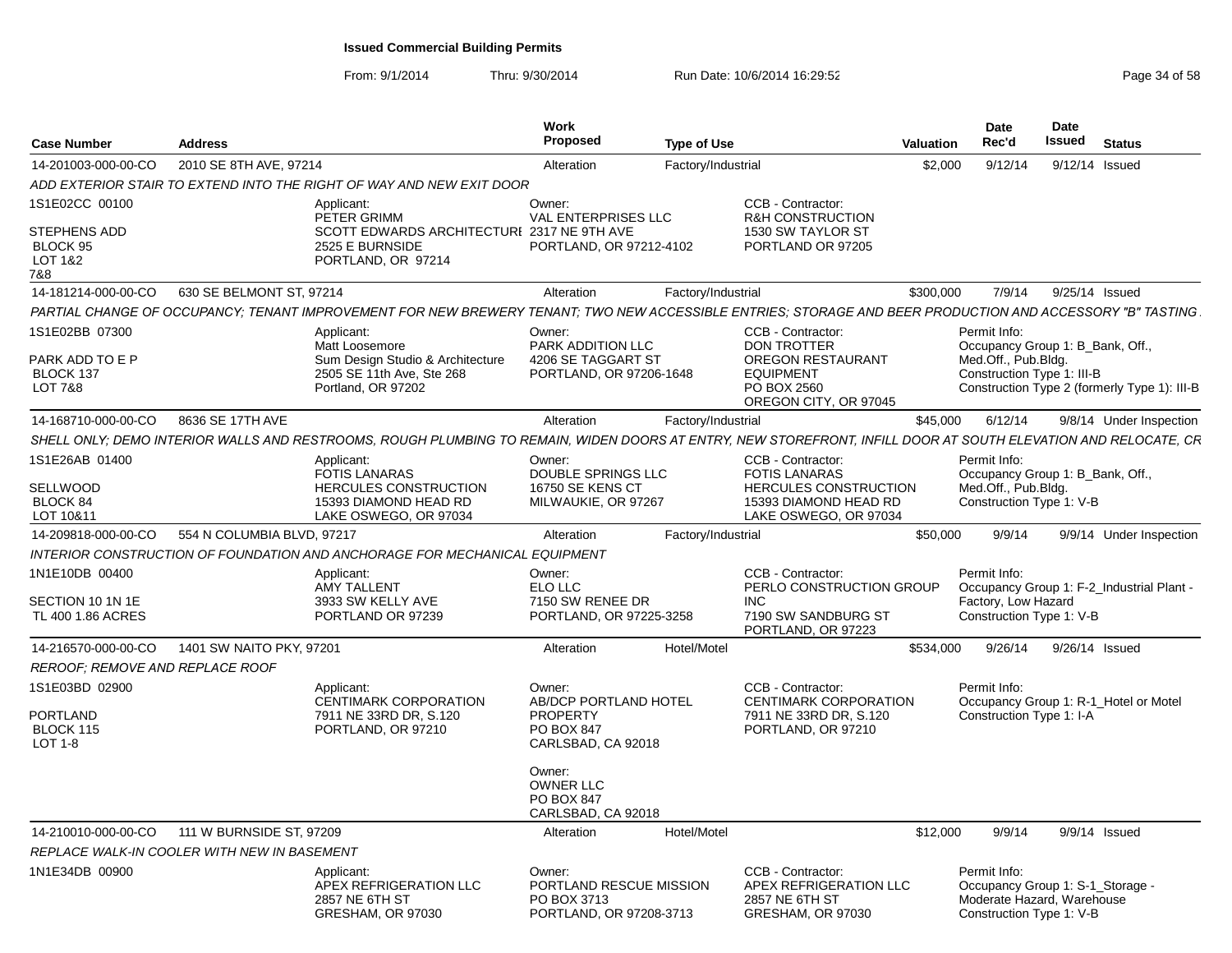| <b>Case Number</b>                           | <b>Address</b>             |                                                                                                                                                                | Work<br>Proposed                                                            | <b>Type of Use</b> |                                                                                    | <b>Valuation</b> | Date<br>Rec'd                                                                                              | Date<br>Issued | <b>Status</b>           |  |
|----------------------------------------------|----------------------------|----------------------------------------------------------------------------------------------------------------------------------------------------------------|-----------------------------------------------------------------------------|--------------------|------------------------------------------------------------------------------------|------------------|------------------------------------------------------------------------------------------------------------|----------------|-------------------------|--|
| 14-201003-000-00-CO                          | 2010 SE 8TH AVE, 97214     |                                                                                                                                                                | Alteration                                                                  | Factory/Industrial |                                                                                    | \$2,000          | 9/12/14                                                                                                    |                | 9/12/14 Issued          |  |
|                                              |                            | ADD EXTERIOR STAIR TO EXTEND INTO THE RIGHT OF WAY AND NEW EXIT DOOR                                                                                           |                                                                             |                    |                                                                                    |                  |                                                                                                            |                |                         |  |
| 1S1E02CC 00100                               |                            | Applicant:<br>PETER GRIMM                                                                                                                                      | Owner:<br>VAL ENTERPRISES LLC                                               |                    | CCB - Contractor:<br><b>R&amp;H CONSTRUCTION</b>                                   |                  |                                                                                                            |                |                         |  |
| STEPHENS ADD<br>BLOCK 95<br>LOT 1&2<br>7&8   |                            | SCOTT EDWARDS ARCHITECTURI 2317 NE 9TH AVE<br>2525 E BURNSIDE<br>PORTLAND, OR 97214                                                                            | PORTLAND, OR 97212-4102                                                     |                    | 1530 SW TAYLOR ST<br>PORTLAND OR 97205                                             |                  |                                                                                                            |                |                         |  |
| 14-181214-000-00-CO                          | 630 SE BELMONT ST, 97214   |                                                                                                                                                                | Alteration                                                                  | Factory/Industrial |                                                                                    | \$300,000        | 7/9/14                                                                                                     |                | 9/25/14 Issued          |  |
|                                              |                            | PARTIAL CHANGE OF OCCUPANCY; TENANT IMPROVEMENT FOR NEW BREWERY TENANT; TWO NEW ACCESSIBLE ENTRIES; STORAGE AND BEER PRODUCTION AND ACCESSORY "B" TASTING.     |                                                                             |                    |                                                                                    |                  |                                                                                                            |                |                         |  |
| 1S1E02BB 07300                               |                            | Applicant:<br>Matt Loosemore                                                                                                                                   | Owner:<br><b>PARK ADDITION LLC</b>                                          |                    | CCB - Contractor:<br><b>DON TROTTER</b>                                            |                  | Permit Info:<br>Occupancy Group 1: B_Bank, Off.,                                                           |                |                         |  |
| PARK ADD TO E P<br>BLOCK 137                 |                            | Sum Design Studio & Architecture<br>2505 SE 11th Ave, Ste 268                                                                                                  | 4206 SE TAGGART ST<br>PORTLAND, OR 97206-1648                               |                    | OREGON RESTAURANT<br><b>EQUIPMENT</b>                                              |                  | Med.Off., Pub.Bldg.<br>Construction Type 1: III-B                                                          |                |                         |  |
| LOT 7&8                                      |                            | Portland, OR 97202                                                                                                                                             |                                                                             |                    | PO BOX 2560<br>OREGON CITY, OR 97045                                               |                  | Construction Type 2 (formerly Type 1): III-B                                                               |                |                         |  |
| 14-168710-000-00-CO 8636 SE 17TH AVE         |                            |                                                                                                                                                                | Alteration                                                                  | Factory/Industrial |                                                                                    | \$45,000         | 6/12/14                                                                                                    |                | 9/8/14 Under Inspection |  |
|                                              |                            | SHELL ONLY; DEMO INTERIOR WALLS AND RESTROOMS, ROUGH PLUMBING TO REMAIN, WIDEN DOORS AT ENTRY, NEW STOREFRONT, INFILL DOOR AT SOUTH ELEVATION AND RELOCATE, CR |                                                                             |                    |                                                                                    |                  |                                                                                                            |                |                         |  |
| 1S1E26AB 01400                               |                            | Applicant:<br>FOTIS LANARAS                                                                                                                                    | Owner:<br>DOUBLE SPRINGS LLC                                                |                    | CCB - Contractor:<br><b>FOTIS LANARAS</b>                                          |                  | Permit Info:<br>Occupancy Group 1: B_Bank, Off.,                                                           |                |                         |  |
| SELLWOOD                                     |                            | HERCULES CONSTRUCTION                                                                                                                                          | 16750 SE KENS CT                                                            |                    | <b>HERCULES CONSTRUCTION</b>                                                       |                  | Med.Off., Pub.Bldg.                                                                                        |                |                         |  |
| BLOCK 84<br>LOT 10&11                        |                            | 15393 DIAMOND HEAD RD<br>LAKE OSWEGO, OR 97034                                                                                                                 | MILWAUKIE, OR 97267                                                         |                    | 15393 DIAMOND HEAD RD<br>LAKE OSWEGO, OR 97034                                     |                  | Construction Type 1: V-B                                                                                   |                |                         |  |
| 14-209818-000-00-CO                          | 554 N COLUMBIA BLVD, 97217 |                                                                                                                                                                | Alteration                                                                  | Factory/Industrial |                                                                                    | \$50,000         | 9/9/14                                                                                                     |                | 9/9/14 Under Inspection |  |
|                                              |                            | INTERIOR CONSTRUCTION OF FOUNDATION AND ANCHORAGE FOR MECHANICAL EQUIPMENT                                                                                     |                                                                             |                    |                                                                                    |                  |                                                                                                            |                |                         |  |
| 1N1E10DB 00400                               |                            | Applicant:                                                                                                                                                     | Owner:                                                                      |                    | CCB - Contractor:                                                                  |                  | Permit Info:                                                                                               |                |                         |  |
|                                              |                            | AMY TALLENT                                                                                                                                                    | ELO LLC                                                                     |                    | PERLO CONSTRUCTION GROUP                                                           |                  | Occupancy Group 1: F-2_Industrial Plant -                                                                  |                |                         |  |
| SECTION 10 1N 1E<br>TL 400 1.86 ACRES        |                            | 3933 SW KELLY AVE<br>PORTLAND OR 97239                                                                                                                         | 7150 SW RENEE DR<br>PORTLAND, OR 97225-3258                                 |                    | INC<br>7190 SW SANDBURG ST<br>PORTLAND, OR 97223                                   |                  | Factory, Low Hazard<br>Construction Type 1: V-B                                                            |                |                         |  |
| 14-216570-000-00-CO                          | 1401 SW NAITO PKY, 97201   |                                                                                                                                                                | Alteration                                                                  | Hotel/Motel        |                                                                                    | \$534,000        | 9/26/14                                                                                                    |                | 9/26/14 Issued          |  |
| REROOF; REMOVE AND REPLACE ROOF              |                            |                                                                                                                                                                |                                                                             |                    |                                                                                    |                  |                                                                                                            |                |                         |  |
| 1S1E03BD 02900                               |                            | Applicant:<br>CENTIMARK CORPORATION                                                                                                                            | Owner:<br>AB/DCP PORTLAND HOTEL                                             |                    | CCB - Contractor:<br>CENTIMARK CORPORATION                                         |                  | Permit Info:<br>Occupancy Group 1: R-1_Hotel or Motel                                                      |                |                         |  |
| <b>PORTLAND</b><br>BLOCK 115<br>LOT 1-8      |                            | 7911 NE 33RD DR, S.120<br>PORTLAND, OR 97210                                                                                                                   | PROPERTY<br><b>PO BOX 847</b><br>CARLSBAD, CA 92018                         |                    | 7911 NE 33RD DR, S.120<br>PORTLAND, OR 97210                                       |                  | Construction Type 1: I-A                                                                                   |                |                         |  |
|                                              |                            |                                                                                                                                                                | Owner:<br><b>OWNER LLC</b><br><b>PO BOX 847</b><br>CARLSBAD, CA 92018       |                    |                                                                                    |                  |                                                                                                            |                |                         |  |
| 14-210010-000-00-CO 111 W BURNSIDE ST, 97209 |                            |                                                                                                                                                                | Alteration                                                                  | Hotel/Motel        |                                                                                    | \$12,000         | 9/9/14                                                                                                     |                | 9/9/14 Issued           |  |
| REPLACE WALK-IN COOLER WITH NEW IN BASEMENT  |                            |                                                                                                                                                                |                                                                             |                    |                                                                                    |                  |                                                                                                            |                |                         |  |
| 1N1E34DB 00900                               |                            | Applicant:<br>APEX REFRIGERATION LLC<br>2857 NE 6TH ST<br>GRESHAM, OR 97030                                                                                    | Owner:<br>PORTLAND RESCUE MISSION<br>PO BOX 3713<br>PORTLAND, OR 97208-3713 |                    | CCB - Contractor:<br>APEX REFRIGERATION LLC<br>2857 NE 6TH ST<br>GRESHAM, OR 97030 |                  | Permit Info:<br>Occupancy Group 1: S-1_Storage -<br>Moderate Hazard, Warehouse<br>Construction Type 1: V-B |                |                         |  |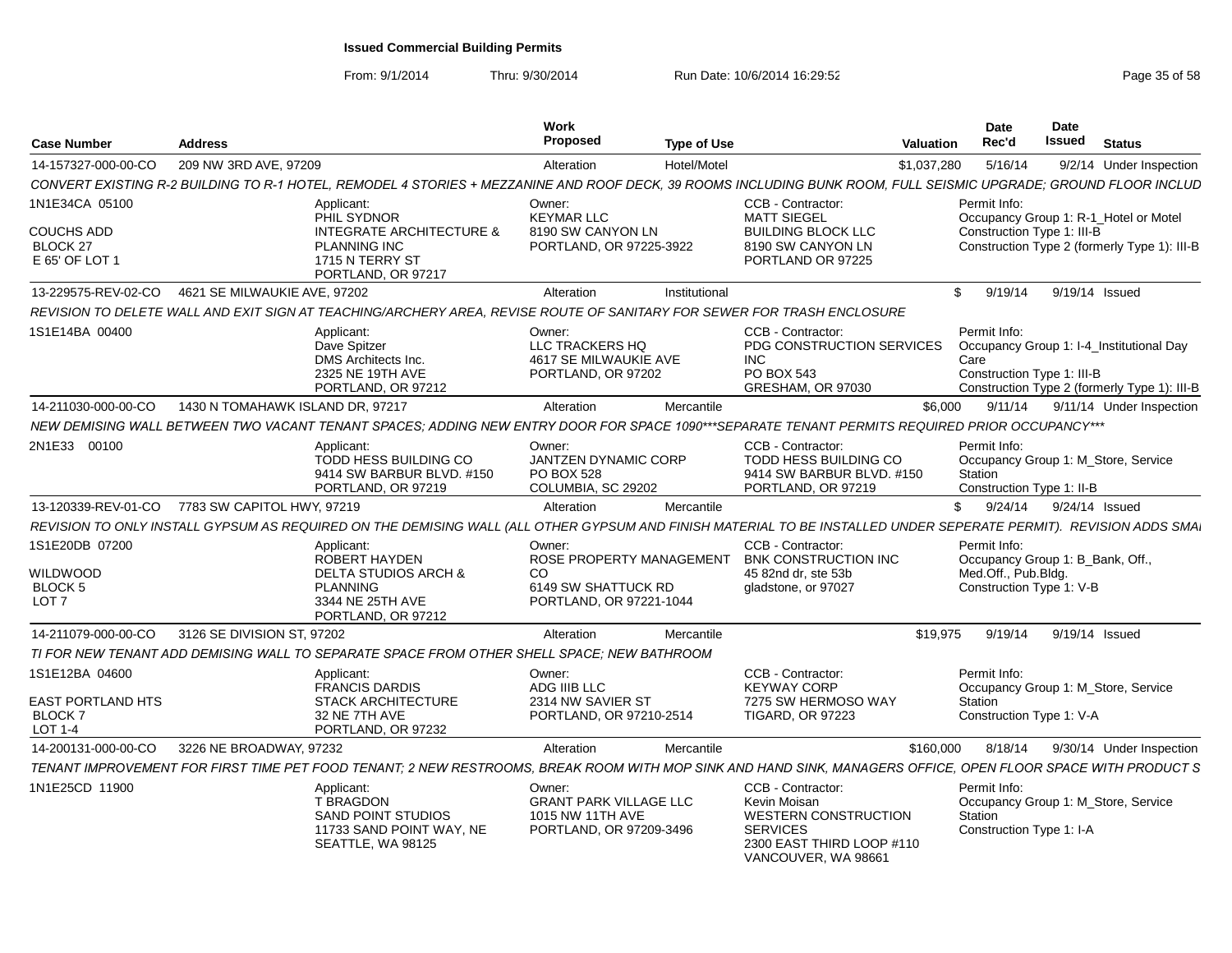From: 9/1/2014

|                                                                        |                                                |                                                                                                                                                                  | Work                                                                                   |                                                                                                                        |                                                          | Date                                                            | Date                                                                                     |
|------------------------------------------------------------------------|------------------------------------------------|------------------------------------------------------------------------------------------------------------------------------------------------------------------|----------------------------------------------------------------------------------------|------------------------------------------------------------------------------------------------------------------------|----------------------------------------------------------|-----------------------------------------------------------------|------------------------------------------------------------------------------------------|
| Case Number                                                            | <b>Address</b>                                 |                                                                                                                                                                  | Propose                                                                                | <b>Type of Use</b>                                                                                                     | <b>Valuation</b>                                         | Rec'd                                                           | <b>Issued</b> Status                                                                     |
| 14-157327-000-00-CO                                                    | 209 NW 3RD AVE, 97209                          |                                                                                                                                                                  | Alteration                                                                             | Hotel/Motel                                                                                                            | \$1,037,280                                              | 5/16/14                                                         | 9/2/14 Under Inspection                                                                  |
|                                                                        |                                                | CONVERT EXISTING R-2 BUILDING TO R-1 HOTEL, REMODEL 4 STORIES + MEZZANINE AND ROOF DECK, 39 ROOMS INCLUDING BUNK ROOM, FULL SEISMIC UPGRADE; GROUND FLOOR INCLUD |                                                                                        |                                                                                                                        |                                                          |                                                                 |                                                                                          |
| 1N1E34CA 05100<br>COUCHS ADD<br>BLOCK 27<br>E 65' OF LOT 1             |                                                | Applicant:<br>PHIL SYDNOR<br>INTEGRATE ARCHITECTURE &<br><b>PLANNING INC</b><br>1715 N TERRY ST<br>PORTLAND, OR 97217                                            | Owner:<br><b>KEYMAR LLC</b><br>8190 SW CANYON LN<br>PORTLAND, OR 97225-3922            | <b>CCB - Contractor:</b><br><b>MATT SIEGEL</b><br><b>BUILDING BLOCK LLC</b><br>8190 SW CANYON LN<br>PORTLAND OR 97225  |                                                          | Permit Info:<br>Construction Type 1: III-B                      | Occupancy Group 1: R-1 Hotel or Motel<br>Construction Type 2 (formerly Type 1): III-B    |
|                                                                        |                                                |                                                                                                                                                                  | Alteration                                                                             | Institutional                                                                                                          |                                                          |                                                                 | \$ 9/19/14 9/19/14 Issued                                                                |
|                                                                        |                                                | REVISION TO DELETE WALL AND EXIT SIGN AT TEACHING/ARCHERY AREA, REVISE ROUTE OF SANITARY FOR SEWER FOR TRASH ENCLOSURE                                           |                                                                                        |                                                                                                                        |                                                          |                                                                 |                                                                                          |
| 1S1E14BA 00400                                                         |                                                | Applicant:<br>Dave Spitzer<br>DMS Architects Inc.<br>2325 NE 19TH AVE<br>PORTLAND, OR 97212                                                                      | Owner:<br>LLC TRACKERS HQ<br>4617 SE MILWAUKIE AVE<br>PORTLAND, OR 97202               | CCB - Contractor:<br>INC<br>PO BOX 543<br><b>GRESHAM, OR 97030</b>                                                     | PDG CONSTRUCTION SERVICES                                | Permit Info:<br>Care<br>Construction Type 1: III-B              | Occupancy Group 1: I-4_Institutional Day<br>Construction Type 2 (formerly Type 1): III-B |
| 14-211030-000-00-CO                                                    | 1430 N TOMAHAWK ISLAND DR, 97217               |                                                                                                                                                                  | Alteration                                                                             | Mercantile                                                                                                             |                                                          | \$6,000                                                         | 9/11/14 9/11/14 Under Inspection                                                         |
|                                                                        |                                                | NEW DEMISING WALL BETWEEN TWO VACANT TENANT SPACES; ADDING NEW                                                                                                   |                                                                                        | ' ENTRY DOOR FOR SPACE 1090***SEPARATE TENANT PERMITS REQUIRED PRIOR OCCUPANCY**                                       |                                                          |                                                                 |                                                                                          |
| 2N1E33 00100                                                           |                                                | Applicant:<br>TODD HESS BUILDING CO<br>9414 SW BARBUR BLVD. #150<br>PORTLAND, OR 97219                                                                           | Owner:<br><b>JANTZEN DYNAMIC CORP</b><br>PO BOX 528<br>COLUMBIA, SC 29202              | CCB - Contractor:<br>PORTLAND, OR 97219                                                                                | TODD HESS BUILDING CO<br>9414 SW BARBUR BLVD. #150       | Permit Info:<br>Station<br>Construction Type 1: II-B            | Occupancy Group 1: M_Store, Service                                                      |
|                                                                        | 13-120339-REV-01-CO 7783 SW CAPITOL HWY, 97219 |                                                                                                                                                                  | Alteration                                                                             | Mercantile                                                                                                             |                                                          |                                                                 | \$ 9/24/14 9/24/14 Issued                                                                |
|                                                                        |                                                | REVISION TO ONLY INSTALL GYPSUM AS REQUIRED ON THE DEMISING WALL (ALL OTHER GYPSUM AND FINISH MATERIAL TO BE INSTALLED UNDER SEPERATE PERMIT). REVISION ADDS SMA |                                                                                        |                                                                                                                        |                                                          |                                                                 |                                                                                          |
| 1S1E20DB 07200<br>WILDWOOD<br>BLOCK 5<br>LOT <sub>7</sub>              |                                                | Applicant:<br>ROBERT HAYDEN<br><b>DELTA STUDIOS ARCH &amp;</b><br><b>PLANNING</b><br>3344 NE 25TH AVE<br>PORTLAND, OR 97212                                      | Owner:<br>CO<br>6149 SW SHATTUCK RD<br>PORTLAND, OR 97221-1044                         | <b>CCB - Contractor</b><br>ROSE PROPERTY MANAGEMENT BNK CONSTRUCTION INC<br>45 82nd dr. ste 53b<br>gladstone, or 97027 |                                                          | Permit Info:<br>Med.Off., Pub.Bldg.<br>Construction Type 1: V-B | Occupancy Group 1: B_Bank, Off.,                                                         |
|                                                                        | 14-211079-000-00-CO 3126 SE DIVISION ST, 97202 |                                                                                                                                                                  | Alteration                                                                             | Mercantile                                                                                                             |                                                          |                                                                 | \$19,975 9/19/14 9/19/14 Issued                                                          |
|                                                                        |                                                | TI FOR NEW TENANT ADD DEMISING WALL TO SEPARATE SPACE FROM OTHER SHELL SPACE; NEW BATHROOM                                                                       |                                                                                        |                                                                                                                        |                                                          |                                                                 |                                                                                          |
| 1S1E12BA 04600<br><b>EAST PORTLAND HTS</b><br><b>BLOCK7</b><br>LOT 1-4 |                                                | Applicant:<br><b>FRANCIS DARDIS</b><br><b>STACK ARCHITECTURE</b><br>32 NE 7TH AVE<br>PORTLAND, OR 97232                                                          | Owner:<br>ADG IIIB LLC<br>2314 NW SAVIER ST<br>PORTLAND, OR 97210-2514                 | CCB - Contractor:<br><b>KEYWAY CORP</b><br><b>TIGARD, OR 97223</b>                                                     | 7275 SW HERMOSO WAY                                      | Permit Info:<br>Station<br>Construction Type 1: V-A             | Occupancy Group 1: M_Store, Service                                                      |
|                                                                        | 14-200131-000-00-CO 3226 NE BROADWAY, 97232    |                                                                                                                                                                  | Alteration                                                                             | Mercantile                                                                                                             |                                                          |                                                                 | \$160,000 8/18/14 9/30/14 Under Inspection                                               |
|                                                                        |                                                | TENANT IMPROVEMENT FOR FIRST TIME PET FOOD TENANT; 2 NEW RESTROOMS, BREAK ROOM WITH MOP SINK AND HAND SINK, MANAGERS OFFICE, OPEN FLOOR SPACE WITH PRODUCT S     |                                                                                        |                                                                                                                        |                                                          |                                                                 |                                                                                          |
| 1N1E25CD 11900                                                         |                                                | Applicant:<br><b>T BRAGDON</b><br><b>SAND POINT STUDIOS</b><br>11733 SAND POINT WAY, NE<br>SEATTLE, WA 98125                                                     | Owner:<br><b>GRANT PARK VILLAGE LLC</b><br>1015 NW 11TH AVE<br>PORTLAND, OR 97209-3496 | <b>CCB - Contractor:</b><br>Kevin Moisan<br><b>SERVICES</b><br>VANCOUVER, WA 98661                                     | <b>WESTERN CONSTRUCTION</b><br>2300 EAST THIRD LOOP #110 | Permit Info:<br>Station<br>Construction Type 1: I-A             | Occupancy Group 1: M_Store, Service                                                      |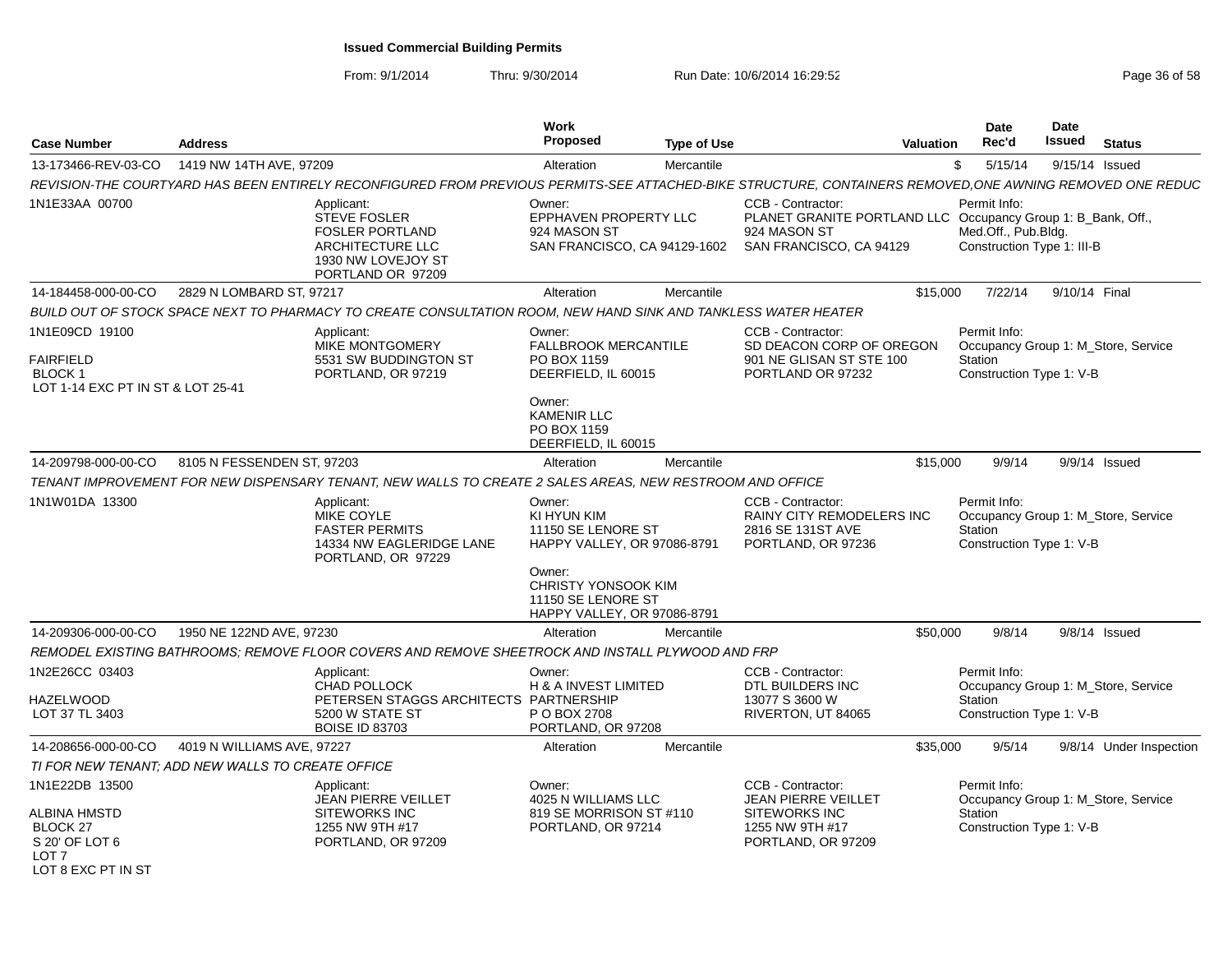| <b>Case Number</b>                                                                 | <b>Address</b>                                    |                                                                                                                                                           | Work<br><b>Proposed</b>                                                                   | <b>Type of Use</b> | <b>Valuation</b>                                                                                                             |          | <b>Date</b><br>Rec'd                                              | Date<br>Issued | <b>Status</b>                       |
|------------------------------------------------------------------------------------|---------------------------------------------------|-----------------------------------------------------------------------------------------------------------------------------------------------------------|-------------------------------------------------------------------------------------------|--------------------|------------------------------------------------------------------------------------------------------------------------------|----------|-------------------------------------------------------------------|----------------|-------------------------------------|
| 13-173466-REV-03-CO                                                                | 1419 NW 14TH AVE, 97209                           |                                                                                                                                                           | Alteration                                                                                | Mercantile         |                                                                                                                              | \$       | 5/15/14                                                           |                | 9/15/14 Issued                      |
|                                                                                    |                                                   | REVISION-THE COURTYARD HAS BEEN ENTIRELY RECONFIGURED FROM PREVIOUS PERMITS-SEE ATTACHED-BIKE STRUCTURE, CONTAINERS REMOVED, ONE AWNING REMOVED ONE REDUC |                                                                                           |                    |                                                                                                                              |          |                                                                   |                |                                     |
| 1N1E33AA 00700                                                                     |                                                   | Applicant:<br><b>STEVE FOSLER</b><br><b>FOSLER PORTLAND</b><br><b>ARCHITECTURE LLC</b><br>1930 NW LOVEJOY ST<br>PORTLAND OR 97209                         | Owner:<br><b>EPPHAVEN PROPERTY LLC</b><br>924 MASON ST<br>SAN FRANCISCO, CA 94129-1602    |                    | CCB - Contractor:<br>PLANET GRANITE PORTLAND LLC Occupancy Group 1: B Bank, Off.,<br>924 MASON ST<br>SAN FRANCISCO, CA 94129 |          | Permit Info:<br>Med.Off., Pub.Bldg.<br>Construction Type 1: III-B |                |                                     |
| 14-184458-000-00-CO                                                                | 2829 N LOMBARD ST, 97217                          |                                                                                                                                                           | Alteration                                                                                | Mercantile         |                                                                                                                              | \$15,000 | 7/22/14                                                           | 9/10/14 Final  |                                     |
|                                                                                    |                                                   | BUILD OUT OF STOCK SPACE NEXT TO PHARMACY TO CREATE CONSULTATION ROOM, NEW HAND SINK AND TANKLESS WATER HEATER                                            |                                                                                           |                    |                                                                                                                              |          |                                                                   |                |                                     |
| 1N1E09CD 19100<br><b>FAIRFIELD</b><br>BLOCK 1<br>LOT 1-14 EXC PT IN ST & LOT 25-41 |                                                   | Applicant:<br><b>MIKE MONTGOMERY</b><br>5531 SW BUDDINGTON ST<br>PORTLAND, OR 97219                                                                       | Owner:<br>FALLBROOK MERCANTILE<br>PO BOX 1159<br>DEERFIELD, IL 60015                      |                    | CCB - Contractor:<br>SD DEACON CORP OF OREGON<br>901 NE GLISAN ST STE 100<br>PORTLAND OR 97232                               |          | Permit Info:<br>Station<br>Construction Type 1: V-B               |                | Occupancy Group 1: M_Store, Service |
|                                                                                    |                                                   |                                                                                                                                                           | Owner:<br><b>KAMENIR LLC</b><br>PO BOX 1159<br>DEERFIELD, IL 60015                        |                    |                                                                                                                              |          |                                                                   |                |                                     |
| 14-209798-000-00-CO                                                                | 8105 N FESSENDEN ST. 97203                        |                                                                                                                                                           | Alteration                                                                                | Mercantile         |                                                                                                                              | \$15,000 | 9/9/14                                                            |                | 9/9/14 Issued                       |
|                                                                                    |                                                   | TENANT IMPROVEMENT FOR NEW DISPENSARY TENANT, NEW WALLS TO CREATE 2 SALES AREAS, NEW RESTROOM AND OFFICE                                                  |                                                                                           |                    |                                                                                                                              |          |                                                                   |                |                                     |
| 1N1W01DA 13300                                                                     |                                                   | Applicant:<br><b>MIKE COYLE</b><br><b>FASTER PERMITS</b><br>14334 NW EAGLERIDGE LANE<br>PORTLAND, OR 97229                                                | Owner:<br>KI HYUN KIM<br>11150 SE LENORE ST<br>HAPPY VALLEY, OR 97086-8791                |                    | CCB - Contractor:<br><b>RAINY CITY REMODELERS INC</b><br>2816 SE 131ST AVE<br>PORTLAND, OR 97236                             |          | Permit Info:<br>Station<br>Construction Type 1: V-B               |                | Occupancy Group 1: M_Store, Service |
|                                                                                    |                                                   |                                                                                                                                                           | Owner:<br><b>CHRISTY YONSOOK KIM</b><br>11150 SE LENORE ST<br>HAPPY VALLEY, OR 97086-8791 |                    |                                                                                                                              |          |                                                                   |                |                                     |
| 14-209306-000-00-CO                                                                | 1950 NE 122ND AVE, 97230                          |                                                                                                                                                           | Alteration                                                                                | Mercantile         |                                                                                                                              | \$50,000 | 9/8/14                                                            |                | $9/8/14$ Issued                     |
|                                                                                    |                                                   | REMODEL EXISTING BATHROOMS: REMOVE FLOOR COVERS AND REMOVE SHEETROCK AND INSTALL PLYWOOD AND FRP                                                          |                                                                                           |                    |                                                                                                                              |          |                                                                   |                |                                     |
| 1N2E26CC 03403<br><b>HAZELWOOD</b>                                                 |                                                   | Applicant:<br>CHAD POLLOCK<br>PETERSEN STAGGS ARCHITECTS PARTNERSHIP<br>5200 W STATE ST                                                                   | Owner:<br><b>H &amp; A INVEST LIMITED</b>                                                 |                    | CCB - Contractor:<br>DTL BUILDERS INC<br>13077 S 3600 W                                                                      |          | Permit Info:<br>Station                                           |                | Occupancy Group 1: M_Store, Service |
| LOT 37 TL 3403                                                                     |                                                   | <b>BOISE ID 83703</b>                                                                                                                                     | P O BOX 2708<br>PORTLAND, OR 97208                                                        |                    | RIVERTON, UT 84065                                                                                                           |          | Construction Type 1: V-B                                          |                |                                     |
| 14-208656-000-00-CO                                                                | 4019 N WILLIAMS AVE, 97227                        |                                                                                                                                                           | Alteration                                                                                | Mercantile         |                                                                                                                              | \$35,000 | 9/5/14                                                            |                | 9/8/14 Under Inspection             |
|                                                                                    | TI FOR NEW TENANT: ADD NEW WALLS TO CREATE OFFICE |                                                                                                                                                           |                                                                                           |                    |                                                                                                                              |          |                                                                   |                |                                     |
| 1N1E22DB 13500<br>ALBINA HMSTD                                                     |                                                   | Applicant:<br>JEAN PIERRE VEILLET<br><b>SITEWORKS INC</b>                                                                                                 | Owner:<br>4025 N WILLIAMS LLC<br>819 SE MORRISON ST #110                                  |                    | CCB - Contractor:<br><b>JEAN PIERRE VEILLET</b><br>SITEWORKS INC                                                             |          | Permit Info:<br>Station                                           |                | Occupancy Group 1: M_Store, Service |
| BLOCK 27<br>S 20' OF LOT 6<br>LOT <sub>7</sub><br>LOT 8 EXC PT IN ST               |                                                   | 1255 NW 9TH #17<br>PORTLAND, OR 97209                                                                                                                     | PORTLAND, OR 97214                                                                        |                    | 1255 NW 9TH #17<br>PORTLAND, OR 97209                                                                                        |          | Construction Type 1: V-B                                          |                |                                     |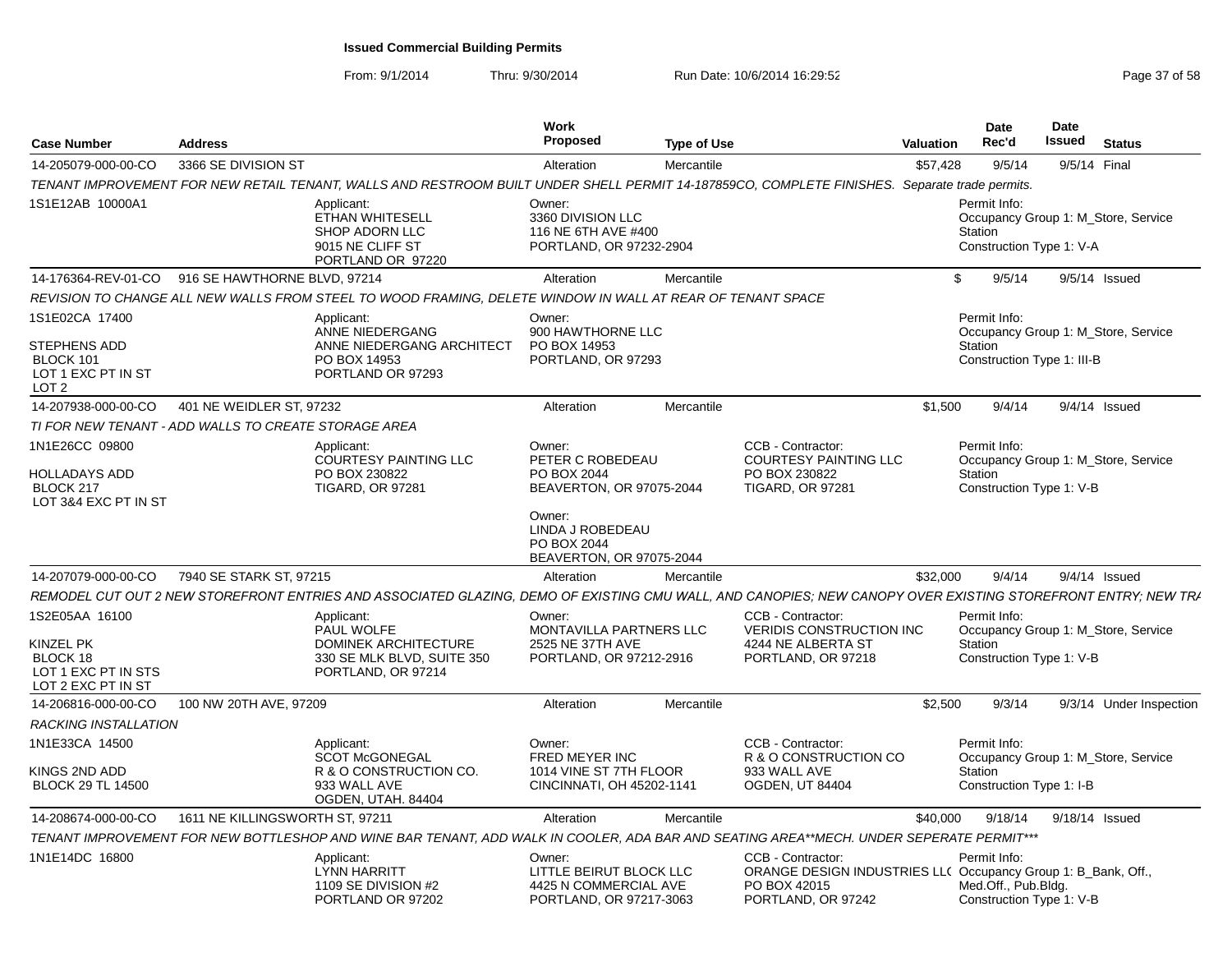From: 9/1/2014

| <b>Case Number</b>                                                                   | <b>Address</b>                                       |                                                                                                                                                              | Work<br>Proposed                                                                                                                               | <b>Type of Use</b> |                                                                                                                          | <b>Valuation</b> | Date<br>Rec'd                                                                                | <b>Date</b><br>Issued |              | <b>Status</b>           |
|--------------------------------------------------------------------------------------|------------------------------------------------------|--------------------------------------------------------------------------------------------------------------------------------------------------------------|------------------------------------------------------------------------------------------------------------------------------------------------|--------------------|--------------------------------------------------------------------------------------------------------------------------|------------------|----------------------------------------------------------------------------------------------|-----------------------|--------------|-------------------------|
| 14-205079-000-00-CO                                                                  | 3366 SE DIVISION ST                                  |                                                                                                                                                              | Alteration                                                                                                                                     | Mercantile         |                                                                                                                          | \$57.428         | 9/5/14                                                                                       |                       | 9/5/14 Final |                         |
|                                                                                      |                                                      | TENANT IMPROVEMENT FOR NEW RETAIL TENANT, WALLS AND RESTROOM BUILT UNDER SHELL PERMIT 14-187859CO, COMPLETE FINISHES. Separate trade permits.                |                                                                                                                                                |                    |                                                                                                                          |                  |                                                                                              |                       |              |                         |
| 1S1E12AB 10000A1                                                                     |                                                      | Applicant:<br><b>ETHAN WHITESELL</b><br><b>SHOP ADORN LLC</b><br>9015 NE CLIFF ST<br>PORTLAND OR 97220                                                       | Owner:<br>3360 DIVISION LLC<br>116 NE 6TH AVE #400<br>PORTLAND, OR 97232-2904                                                                  |                    |                                                                                                                          |                  | Permit Info:<br>Occupancy Group 1: M_Store, Service<br>Station<br>Construction Type 1: V-A   |                       |              |                         |
|                                                                                      | 14-176364-REV-01-CO 916 SE HAWTHORNE BLVD, 97214     |                                                                                                                                                              | Alteration                                                                                                                                     | Mercantile         |                                                                                                                          | \$.              | 9/5/14                                                                                       | 9/5/14 Issued         |              |                         |
|                                                                                      |                                                      | REVISION TO CHANGE ALL NEW WALLS FROM STEEL TO WOOD FRAMING, DELETE WINDOW IN WALL AT REAR OF TENANT SPACE                                                   |                                                                                                                                                |                    |                                                                                                                          |                  |                                                                                              |                       |              |                         |
| 1S1E02CA 17400<br><b>STEPHENS ADD</b><br>BLOCK 101<br>LOT 1 EXC PT IN ST<br>LOT 2    |                                                      | Applicant:<br>ANNE NIEDERGANG<br>ANNE NIEDERGANG ARCHITECT<br>PO BOX 14953<br>PORTLAND OR 97293                                                              | Owner:<br>900 HAWTHORNE LLC<br>PO BOX 14953<br>PORTLAND, OR 97293                                                                              |                    |                                                                                                                          |                  | Permit Info:<br>Occupancy Group 1: M_Store, Service<br>Station<br>Construction Type 1: III-B |                       |              |                         |
| 14-207938-000-00-CO                                                                  | 401 NE WEIDLER ST, 97232                             |                                                                                                                                                              | Alteration                                                                                                                                     | Mercantile         |                                                                                                                          | \$1,500          | 9/4/14                                                                                       | $9/4/14$ Issued       |              |                         |
|                                                                                      | TI FOR NEW TENANT - ADD WALLS TO CREATE STORAGE AREA |                                                                                                                                                              |                                                                                                                                                |                    |                                                                                                                          |                  |                                                                                              |                       |              |                         |
| 1N1E26CC 09800<br><b>HOLLADAYS ADD</b><br>BLOCK 217<br>LOT 3&4 EXC PT IN ST          |                                                      | Applicant:<br><b>COURTESY PAINTING LLC</b><br>PO BOX 230822<br><b>TIGARD, OR 97281</b>                                                                       | Owner:<br>PETER C ROBEDEAU<br>PO BOX 2044<br>BEAVERTON, OR 97075-2044<br>Owner:<br>LINDA J ROBEDEAU<br>PO BOX 2044<br>BEAVERTON, OR 97075-2044 |                    | CCB - Contractor:<br><b>COURTESY PAINTING LLC</b><br>PO BOX 230822<br><b>TIGARD, OR 97281</b>                            |                  | Permit Info:<br>Occupancy Group 1: M Store, Service<br>Station<br>Construction Type 1: V-B   |                       |              |                         |
| 14-207079-000-00-CO                                                                  | 7940 SE STARK ST, 97215                              |                                                                                                                                                              | Alteration                                                                                                                                     | Mercantile         |                                                                                                                          | \$32,000         | 9/4/14                                                                                       | $9/4/14$ Issued       |              |                         |
|                                                                                      |                                                      | REMODEL CUT OUT 2 NEW STOREFRONT ENTRIES AND ASSOCIATED GLAZING, DEMO OF EXISTING CMU WALL, AND CANOPIES; NEW CANOPY OVER EXISTING STOREFRONT ENTRY; NEW TRA |                                                                                                                                                |                    |                                                                                                                          |                  |                                                                                              |                       |              |                         |
| 1S2E05AA 16100<br>KINZEL PK<br>BLOCK 18<br>LOT 1 EXC PT IN STS<br>LOT 2 EXC PT IN ST |                                                      | Applicant:<br>PAUL WOLFE<br>DOMINEK ARCHITECTURE<br>330 SE MLK BLVD, SUITE 350<br>PORTLAND, OR 97214                                                         | Owner:<br>MONTAVILLA PARTNERS LLC<br>2525 NE 37TH AVE<br>PORTLAND, OR 97212-2916                                                               |                    | CCB - Contractor:<br><b>VERIDIS CONSTRUCTION INC</b><br>4244 NE ALBERTA ST<br>PORTLAND, OR 97218                         |                  | Permit Info:<br>Occupancy Group 1: M_Store, Service<br>Station<br>Construction Type 1: V-B   |                       |              |                         |
| 14-206816-000-00-CO                                                                  | 100 NW 20TH AVE, 97209                               |                                                                                                                                                              | Alteration                                                                                                                                     | Mercantile         |                                                                                                                          | \$2,500          | 9/3/14                                                                                       |                       |              | 9/3/14 Under Inspection |
| <b>RACKING INSTALLATION</b>                                                          |                                                      |                                                                                                                                                              |                                                                                                                                                |                    |                                                                                                                          |                  |                                                                                              |                       |              |                         |
| 1N1E33CA 14500<br>KINGS 2ND ADD<br><b>BLOCK 29 TL 14500</b>                          |                                                      | Applicant:<br><b>SCOT McGONEGAL</b><br>R & O CONSTRUCTION CO.<br>933 WALL AVE<br>OGDEN, UTAH. 84404                                                          | Owner:<br><b>FRED MEYER INC</b><br>1014 VINE ST 7TH FLOOR<br>CINCINNATI, OH 45202-1141                                                         |                    | CCB - Contractor:<br>R & O CONSTRUCTION CO<br>933 WALL AVE<br><b>OGDEN, UT 84404</b>                                     |                  | Permit Info:<br>Occupancy Group 1: M_Store, Service<br>Station<br>Construction Type 1: I-B   |                       |              |                         |
| 14-208674-000-00-CO                                                                  | 1611 NE KILLINGSWORTH ST, 97211                      |                                                                                                                                                              | Alteration                                                                                                                                     | Mercantile         |                                                                                                                          | \$40,000         | 9/18/14                                                                                      | 9/18/14 Issued        |              |                         |
|                                                                                      |                                                      | TENANT IMPROVEMENT FOR NEW BOTTLESHOP AND WINE BAR TENANT, ADD WALK IN COOLER, ADA BAR AND SEATING AREA**MECH. UNDER SEPERATE PERMIT***                      |                                                                                                                                                |                    |                                                                                                                          |                  |                                                                                              |                       |              |                         |
| 1N1E14DC 16800                                                                       |                                                      | Applicant:<br><b>LYNN HARRITT</b><br>1109 SE DIVISION #2<br>PORTLAND OR 97202                                                                                | Owner:<br>LITTLE BEIRUT BLOCK LLC<br>4425 N COMMERCIAL AVE<br>PORTLAND, OR 97217-3063                                                          |                    | CCB - Contractor:<br>ORANGE DESIGN INDUSTRIES LL( Occupancy Group 1: B_Bank, Off.,<br>PO BOX 42015<br>PORTLAND, OR 97242 |                  | Permit Info:<br>Med.Off., Pub.Blda.<br>Construction Type 1: V-B                              |                       |              |                         |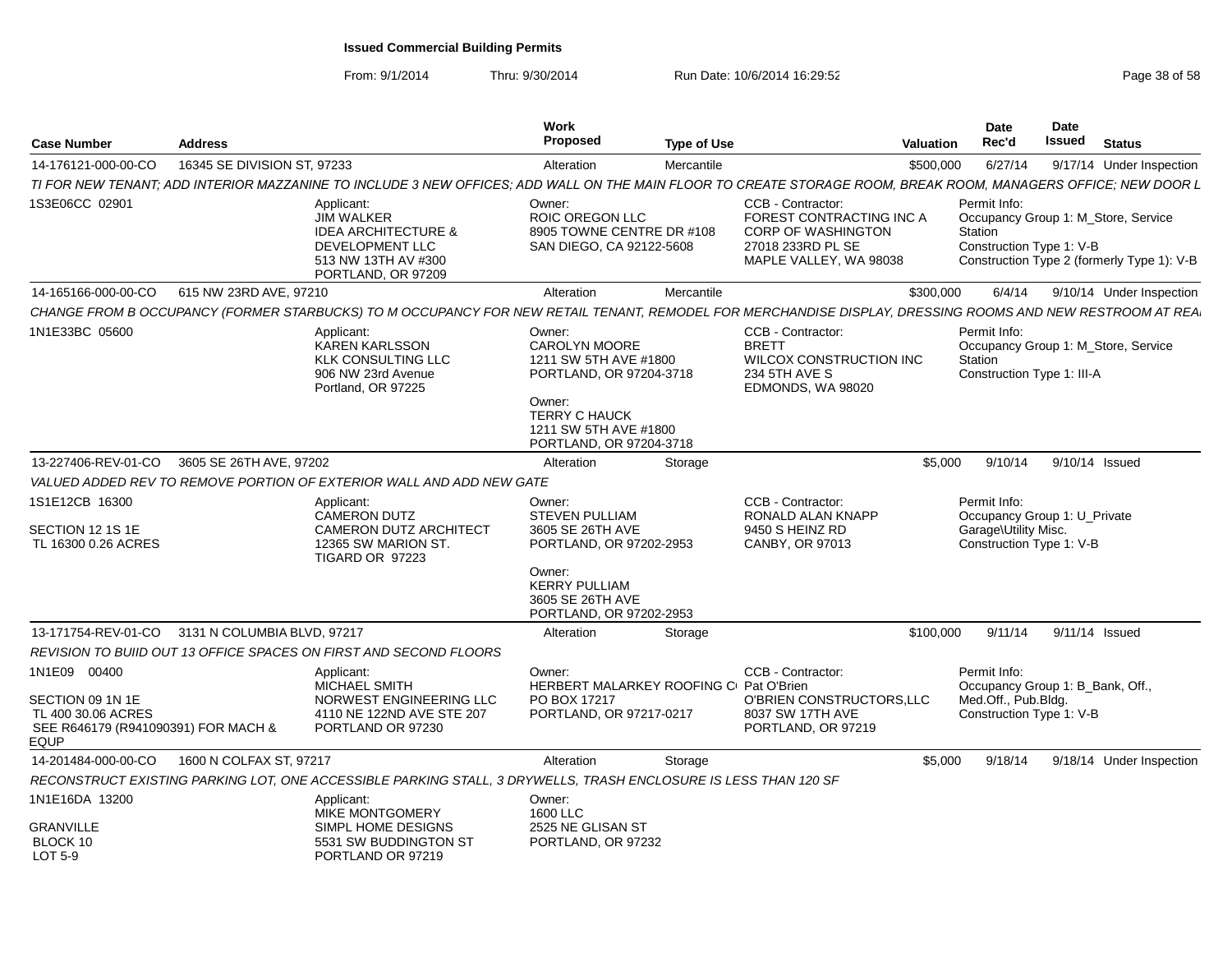| <b>Case Number</b>                                                                                           | <b>Address</b>              |                                                                                                                                                                | Work<br>Proposed                                                                                                                                                         | <b>Type of Use</b> |                                                                                                                          | <b>Valuation</b> | Date<br>Rec'd                        | <b>Date</b><br>Issued<br><b>Status</b>                                                                        |
|--------------------------------------------------------------------------------------------------------------|-----------------------------|----------------------------------------------------------------------------------------------------------------------------------------------------------------|--------------------------------------------------------------------------------------------------------------------------------------------------------------------------|--------------------|--------------------------------------------------------------------------------------------------------------------------|------------------|--------------------------------------|---------------------------------------------------------------------------------------------------------------|
| 14-176121-000-00-CO                                                                                          | 16345 SE DIVISION ST, 97233 |                                                                                                                                                                | Alteration                                                                                                                                                               | Mercantile         |                                                                                                                          | \$500,000        | 6/27/14                              | 9/17/14 Under Inspection                                                                                      |
|                                                                                                              |                             | TI FOR NEW TENANT; ADD INTERIOR MAZZANINE TO INCLUDE 3 NEW OFFICES; ADD WALL ON THE MAIN FLOOR TO CREATE STORAGE ROOM, BREAK ROOM, MANAGERS OFFICE; NEW DOOR L |                                                                                                                                                                          |                    |                                                                                                                          |                  |                                      |                                                                                                               |
| 1S3E06CC 02901                                                                                               |                             | Applicant:<br><b>JIM WALKER</b><br><b>IDEA ARCHITECTURE &amp;</b><br><b>DEVELOPMENT LLC</b><br>513 NW 13TH AV #300<br>PORTLAND, OR 97209                       | Owner:<br>ROIC OREGON LLC<br>8905 TOWNE CENTRE DR #108<br>SAN DIEGO, CA 92122-5608                                                                                       |                    | CCB - Contractor<br>FOREST CONTRACTING INC A<br><b>CORP OF WASHINGTON</b><br>27018 233RD PL SE<br>MAPLE VALLEY, WA 98038 |                  | Permit Info:<br>Station              | Occupancy Group 1: M_Store, Service<br>Construction Type 1: V-B<br>Construction Type 2 (formerly Type 1): V-B |
| 14-165166-000-00-CO   615 NW 23RD AVE, 97210                                                                 |                             |                                                                                                                                                                | Alteration                                                                                                                                                               | Mercantile         |                                                                                                                          | \$300,000        |                                      | 6/4/14 9/10/14 Under Inspection                                                                               |
|                                                                                                              |                             | CHANGE FROM B OCCUPANCY (FORMER STARBUCKS) TO M OCCUPANCY FOR NEW RETAIL TENANT, REMODEL FOR MERCHANDISE DISPLAY, DRESSING ROOMS AND NEW RESTROOM AT REA       |                                                                                                                                                                          |                    |                                                                                                                          |                  |                                      |                                                                                                               |
| 1N1E33BC 05600                                                                                               |                             | Applicant:<br><b>KAREN KARLSSON</b><br><b>KLK CONSULTING LLC</b><br>906 NW 23rd Avenue<br>Portland, OR 97225                                                   | Owner:<br><b>CAROLYN MOORE</b><br>1211 SW 5TH AVE #1800<br>PORTLAND, OR 97204-3718<br>Owner:<br><b>TERRY C HAUCK</b><br>1211 SW 5TH AVE #1800<br>PORTLAND, OR 97204-3718 |                    | CCB - Contractor:<br><b>BRETT</b><br>WILCOX CONSTRUCTION INC<br>234 5TH AVE S<br>EDMONDS, WA 98020                       |                  | Permit Info:<br>Station              | Occupancy Group 1: M_Store, Service<br>Construction Type 1: III-A                                             |
| 13-227406-REV-01-CO 3605 SE 26TH AVE, 97202                                                                  |                             |                                                                                                                                                                | Alteration                                                                                                                                                               | Storage            |                                                                                                                          | \$5,000          |                                      | 9/10/14 9/10/14 Issued                                                                                        |
|                                                                                                              |                             | VALUED ADDED REV TO REMOVE PORTION OF EXTERIOR WALL AND ADD NEW GATE                                                                                           |                                                                                                                                                                          |                    |                                                                                                                          |                  |                                      |                                                                                                               |
| 1S1E12CB 16300<br>SECTION 12 1S 1E<br>TL 16300 0.26 ACRES                                                    |                             | Applicant:<br><b>CAMERON DUTZ</b><br><b>CAMERON DUTZ ARCHITECT</b><br>12365 SW MARION ST.<br>TIGARD OR 97223                                                   | Owner:<br><b>STEVEN PULLIAM</b><br>3605 SE 26TH AVE<br>PORTLAND, OR 97202-2953<br>Owner:<br><b>KERRY PULLIAM</b><br>3605 SE 26TH AVE<br>PORTLAND, OR 97202-2953          |                    | CCB - Contractor:<br>RONALD ALAN KNAPP<br>9450 S HEINZ RD<br>CANBY, OR 97013                                             |                  | Permit Info:<br>Garage\Utility Misc. | Occupancy Group 1: U_Private<br>Construction Type 1: V-B                                                      |
| 13-171754-REV-01-CO 3131 N COLUMBIA BLVD, 97217                                                              |                             |                                                                                                                                                                | Alteration                                                                                                                                                               | Storage            |                                                                                                                          | \$100.000        |                                      | 9/11/14 9/11/14 Issued                                                                                        |
|                                                                                                              |                             | REVISION TO BUIID OUT 13 OFFICE SPACES ON FIRST AND SECOND FLOORS                                                                                              |                                                                                                                                                                          |                    |                                                                                                                          |                  |                                      |                                                                                                               |
| 1N1E09 00400<br>SECTION 09 1N 1E<br>TL 400 30.06 ACRES<br>SEE R646179 (R941090391) FOR MACH &<br><b>EQUP</b> |                             | Applicant:<br><b>MICHAEL SMITH</b><br>NORWEST ENGINEERING LLC<br>4110 NE 122ND AVE STE 207<br>PORTLAND OR 97230                                                | Owner:<br>HERBERT MALARKEY ROOFING C Pat O'Brien<br>PO BOX 17217<br>PORTLAND, OR 97217-0217                                                                              |                    | CCB - Contractor:<br>O'BRIEN CONSTRUCTORS, LLC<br>8037 SW 17TH AVE<br>PORTLAND, OR 97219                                 |                  | Permit Info:<br>Med.Off., Pub.Bldg.  | Occupancy Group 1: B_Bank, Off.,<br>Construction Type 1: V-B                                                  |
| 14-201484-000-00-CO                                                                                          | 1600 N COLFAX ST. 97217     |                                                                                                                                                                | Alteration                                                                                                                                                               | Storage            |                                                                                                                          | \$5.000          |                                      | 9/18/14 9/18/14 Under Inspection                                                                              |
|                                                                                                              |                             | RECONSTRUCT EXISTING PARKING LOT, ONE ACCESSIBLE PARKING STALL, 3 DRYWELLS, TRASH ENCLOSURE IS LESS THAN 120 SF                                                |                                                                                                                                                                          |                    |                                                                                                                          |                  |                                      |                                                                                                               |
| 1N1E16DA 13200<br><b>GRANVILLE</b><br>BLOCK 10<br>LOT 5-9                                                    |                             | Applicant:<br><b>MIKE MONTGOMERY</b><br>SIMPL HOME DESIGNS<br>5531 SW BUDDINGTON ST<br>PORTLAND OR 97219                                                       | Owner:<br>1600 LLC<br>2525 NE GLISAN ST<br>PORTLAND, OR 97232                                                                                                            |                    |                                                                                                                          |                  |                                      |                                                                                                               |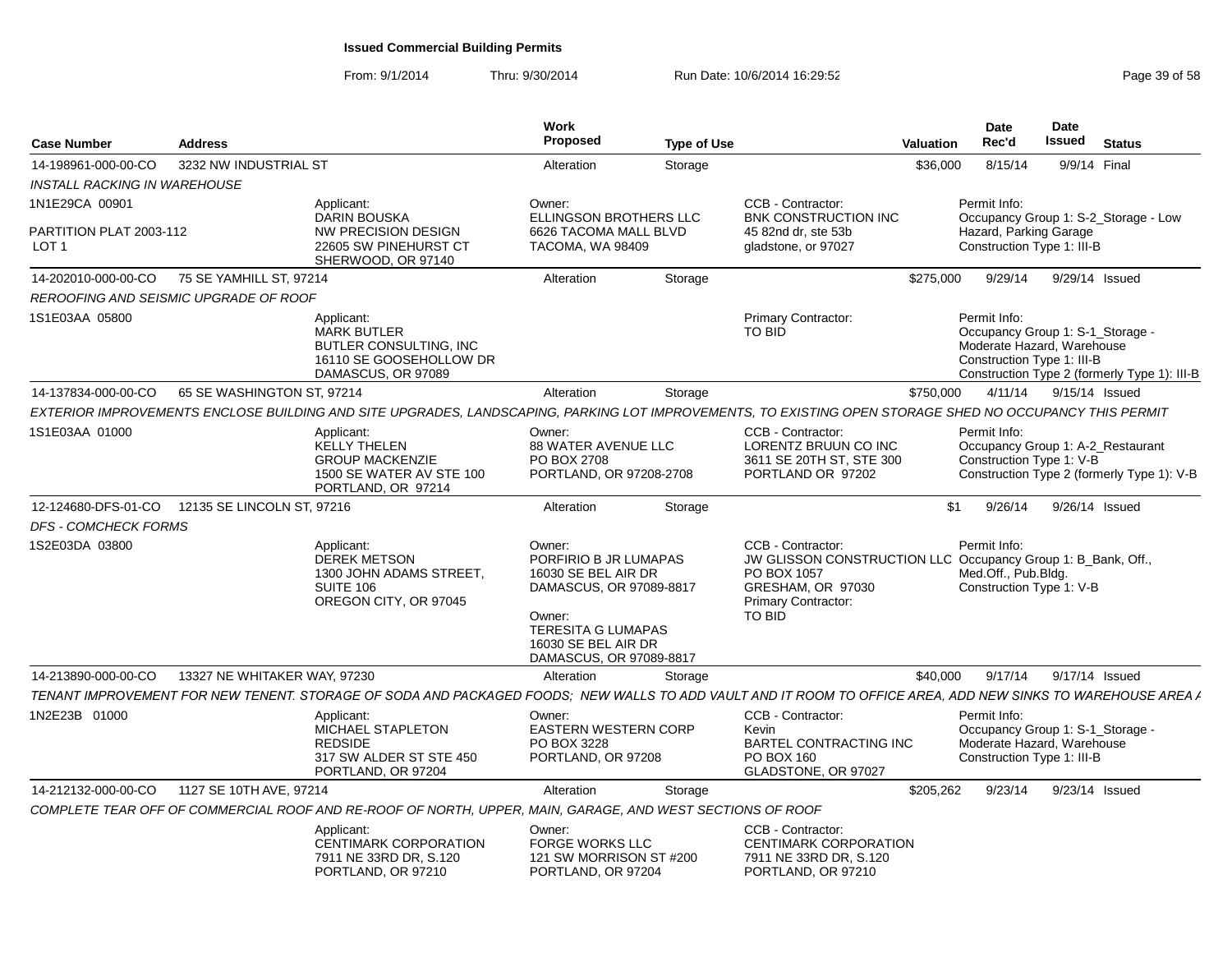| 3232 NW INDUSTRIAL ST<br>Storage<br>8/15/14<br>9/9/14 Final<br>14-198961-000-00-CO<br>Alteration<br>\$36,000<br>INSTALL RACKING IN WAREHOUSE<br>1N1E29CA 00901<br>Applicant:<br>Owner:<br>CCB - Contractor:<br>Permit Info:<br><b>DARIN BOUSKA</b><br>ELLINGSON BROTHERS LLC<br>BNK CONSTRUCTION INC<br>Occupancy Group 1: S-2_Storage - Low<br>Hazard, Parking Garage<br><b>NW PRECISION DESIGN</b><br>6626 TACOMA MALL BLVD<br>45 82nd dr, ste 53b<br>Construction Type 1: III-B<br>LOT <sub>1</sub><br>22605 SW PINEHURST CT<br>TACOMA, WA 98409<br>gladstone, or 97027<br>SHERWOOD, OR 97140<br>75 SE YAMHILL ST, 97214<br>Storage<br>\$275,000<br>9/29/14<br>9/29/14 Issued<br>14-202010-000-00-CO<br>Alteration<br>REROOFING AND SEISMIC UPGRADE OF ROOF<br>Primary Contractor:<br>Permit Info:<br>1S1E03AA 05800<br>Applicant:<br><b>MARK BUTLER</b><br><b>TO BID</b><br>Occupancy Group 1: S-1_Storage -<br>Moderate Hazard, Warehouse<br>BUTLER CONSULTING, INC<br>16110 SE GOOSEHOLLOW DR<br>Construction Type 1: III-B<br>DAMASCUS, OR 97089<br>Construction Type 2 (formerly Type 1): III-B<br>65 SE WASHINGTON ST, 97214<br>4/11/14<br>9/15/14 Issued<br>14-137834-000-00-CO<br>Alteration<br>Storage<br>\$750,000<br>EXTERIOR IMPROVEMENTS ENCLOSE BUILDING AND SITE UPGRADES, LANDSCAPING, PARKING LOT IMPROVEMENTS, TO EXISTING OPEN STORAGE SHED NO OCCUPANCY THIS PERMIT<br>1S1E03AA 01000<br>CCB - Contractor:<br>Permit Info:<br>Applicant:<br>Owner:<br><b>KELLY THELEN</b><br><b>88 WATER AVENUE LLC</b><br>LORENTZ BRUUN CO INC<br>Occupancy Group 1: A-2_Restaurant<br><b>GROUP MACKENZIE</b><br>PO BOX 2708<br>3611 SE 20TH ST, STE 300<br>Construction Type 1: V-B<br>Construction Type 2 (formerly Type 1): V-B<br>1500 SE WATER AV STE 100<br>PORTLAND, OR 97208-2708<br>PORTLAND OR 97202<br>PORTLAND, OR 97214<br>12-124680-DFS-01-CO<br>12135 SE LINCOLN ST. 97216<br>\$1<br>9/26/14<br>9/26/14 Issued<br>Alteration<br>Storage<br>DFS - COMCHECK FORMS<br>1S2E03DA 03800<br>CCB - Contractor:<br>Applicant:<br>Permit Info:<br>Owner:<br><b>DEREK METSON</b><br>PORFIRIO B JR LUMAPAS<br>JW GLISSON CONSTRUCTION LLC Occupancy Group 1: B_Bank, Off.,<br>16030 SE BEL AIR DR<br>PO BOX 1057<br>Med.Off., Pub.Bldg.<br>1300 JOHN ADAMS STREET,<br>DAMASCUS, OR 97089-8817<br>GRESHAM, OR 97030<br>Construction Type 1: V-B<br>SUITE 106<br>OREGON CITY, OR 97045<br><b>Primary Contractor:</b><br>Owner:<br><b>TO BID</b><br><b>TERESITA G LUMAPAS</b><br>16030 SE BEL AIR DR<br>DAMASCUS, OR 97089-8817<br>14-213890-000-00-CO<br>13327 NE WHITAKER WAY, 97230<br>9/17/14<br>9/17/14 Issued<br>Storage<br>\$40,000<br>Alteration<br>TENANT IMPROVEMENT FOR NEW TENENT. STORAGE OF SODA AND PACKAGED FOODS: NEW WALLS TO ADD VAULT AND IT ROOM TO OFFICE AREA. ADD NEW SINKS TO WAREHOUSE AREA /<br>1N2E23B 01000<br>Applicant:<br>CCB - Contractor:<br>Permit Info:<br>Owner:<br>MICHAEL STAPLETON<br><b>EASTERN WESTERN CORP</b><br>Occupancy Group 1: S-1_Storage -<br>Kevin<br><b>REDSIDE</b><br>Moderate Hazard, Warehouse<br>PO BOX 3228<br><b>BARTEL CONTRACTING INC</b><br>Construction Type 1: III-B<br>317 SW ALDER ST STE 450<br>PORTLAND, OR 97208<br>PO BOX 160 | Case Number | <b>Address</b> | Work<br><b>Proposed</b> | <b>Type of Use</b> | Valuation | Date<br>Rec'd | <b>Date</b><br>Issued | <b>Status</b> |
|-------------------------------------------------------------------------------------------------------------------------------------------------------------------------------------------------------------------------------------------------------------------------------------------------------------------------------------------------------------------------------------------------------------------------------------------------------------------------------------------------------------------------------------------------------------------------------------------------------------------------------------------------------------------------------------------------------------------------------------------------------------------------------------------------------------------------------------------------------------------------------------------------------------------------------------------------------------------------------------------------------------------------------------------------------------------------------------------------------------------------------------------------------------------------------------------------------------------------------------------------------------------------------------------------------------------------------------------------------------------------------------------------------------------------------------------------------------------------------------------------------------------------------------------------------------------------------------------------------------------------------------------------------------------------------------------------------------------------------------------------------------------------------------------------------------------------------------------------------------------------------------------------------------------------------------------------------------------------------------------------------------------------------------------------------------------------------------------------------------------------------------------------------------------------------------------------------------------------------------------------------------------------------------------------------------------------------------------------------------------------------------------------------------------------------------------------------------------------------------------------------------------------------------------------------------------------------------------------------------------------------------------------------------------------------------------------------------------------------------------------------------------------------------------------------------------------------------------------------------------------------------------------------------------------------------------------------------------------------------------------------------------------------------------------------------------------------------------------------------------------------------------------------------------------------------------------------------|-------------|----------------|-------------------------|--------------------|-----------|---------------|-----------------------|---------------|
|                                                                                                                                                                                                                                                                                                                                                                                                                                                                                                                                                                                                                                                                                                                                                                                                                                                                                                                                                                                                                                                                                                                                                                                                                                                                                                                                                                                                                                                                                                                                                                                                                                                                                                                                                                                                                                                                                                                                                                                                                                                                                                                                                                                                                                                                                                                                                                                                                                                                                                                                                                                                                                                                                                                                                                                                                                                                                                                                                                                                                                                                                                                                                                                                             |             |                |                         |                    |           |               |                       |               |
| PARTITION PLAT 2003-112                                                                                                                                                                                                                                                                                                                                                                                                                                                                                                                                                                                                                                                                                                                                                                                                                                                                                                                                                                                                                                                                                                                                                                                                                                                                                                                                                                                                                                                                                                                                                                                                                                                                                                                                                                                                                                                                                                                                                                                                                                                                                                                                                                                                                                                                                                                                                                                                                                                                                                                                                                                                                                                                                                                                                                                                                                                                                                                                                                                                                                                                                                                                                                                     |             |                |                         |                    |           |               |                       |               |
|                                                                                                                                                                                                                                                                                                                                                                                                                                                                                                                                                                                                                                                                                                                                                                                                                                                                                                                                                                                                                                                                                                                                                                                                                                                                                                                                                                                                                                                                                                                                                                                                                                                                                                                                                                                                                                                                                                                                                                                                                                                                                                                                                                                                                                                                                                                                                                                                                                                                                                                                                                                                                                                                                                                                                                                                                                                                                                                                                                                                                                                                                                                                                                                                             |             |                |                         |                    |           |               |                       |               |
|                                                                                                                                                                                                                                                                                                                                                                                                                                                                                                                                                                                                                                                                                                                                                                                                                                                                                                                                                                                                                                                                                                                                                                                                                                                                                                                                                                                                                                                                                                                                                                                                                                                                                                                                                                                                                                                                                                                                                                                                                                                                                                                                                                                                                                                                                                                                                                                                                                                                                                                                                                                                                                                                                                                                                                                                                                                                                                                                                                                                                                                                                                                                                                                                             |             |                |                         |                    |           |               |                       |               |
|                                                                                                                                                                                                                                                                                                                                                                                                                                                                                                                                                                                                                                                                                                                                                                                                                                                                                                                                                                                                                                                                                                                                                                                                                                                                                                                                                                                                                                                                                                                                                                                                                                                                                                                                                                                                                                                                                                                                                                                                                                                                                                                                                                                                                                                                                                                                                                                                                                                                                                                                                                                                                                                                                                                                                                                                                                                                                                                                                                                                                                                                                                                                                                                                             |             |                |                         |                    |           |               |                       |               |
|                                                                                                                                                                                                                                                                                                                                                                                                                                                                                                                                                                                                                                                                                                                                                                                                                                                                                                                                                                                                                                                                                                                                                                                                                                                                                                                                                                                                                                                                                                                                                                                                                                                                                                                                                                                                                                                                                                                                                                                                                                                                                                                                                                                                                                                                                                                                                                                                                                                                                                                                                                                                                                                                                                                                                                                                                                                                                                                                                                                                                                                                                                                                                                                                             |             |                |                         |                    |           |               |                       |               |
|                                                                                                                                                                                                                                                                                                                                                                                                                                                                                                                                                                                                                                                                                                                                                                                                                                                                                                                                                                                                                                                                                                                                                                                                                                                                                                                                                                                                                                                                                                                                                                                                                                                                                                                                                                                                                                                                                                                                                                                                                                                                                                                                                                                                                                                                                                                                                                                                                                                                                                                                                                                                                                                                                                                                                                                                                                                                                                                                                                                                                                                                                                                                                                                                             |             |                |                         |                    |           |               |                       |               |
|                                                                                                                                                                                                                                                                                                                                                                                                                                                                                                                                                                                                                                                                                                                                                                                                                                                                                                                                                                                                                                                                                                                                                                                                                                                                                                                                                                                                                                                                                                                                                                                                                                                                                                                                                                                                                                                                                                                                                                                                                                                                                                                                                                                                                                                                                                                                                                                                                                                                                                                                                                                                                                                                                                                                                                                                                                                                                                                                                                                                                                                                                                                                                                                                             |             |                |                         |                    |           |               |                       |               |
|                                                                                                                                                                                                                                                                                                                                                                                                                                                                                                                                                                                                                                                                                                                                                                                                                                                                                                                                                                                                                                                                                                                                                                                                                                                                                                                                                                                                                                                                                                                                                                                                                                                                                                                                                                                                                                                                                                                                                                                                                                                                                                                                                                                                                                                                                                                                                                                                                                                                                                                                                                                                                                                                                                                                                                                                                                                                                                                                                                                                                                                                                                                                                                                                             |             |                |                         |                    |           |               |                       |               |
|                                                                                                                                                                                                                                                                                                                                                                                                                                                                                                                                                                                                                                                                                                                                                                                                                                                                                                                                                                                                                                                                                                                                                                                                                                                                                                                                                                                                                                                                                                                                                                                                                                                                                                                                                                                                                                                                                                                                                                                                                                                                                                                                                                                                                                                                                                                                                                                                                                                                                                                                                                                                                                                                                                                                                                                                                                                                                                                                                                                                                                                                                                                                                                                                             |             |                |                         |                    |           |               |                       |               |
|                                                                                                                                                                                                                                                                                                                                                                                                                                                                                                                                                                                                                                                                                                                                                                                                                                                                                                                                                                                                                                                                                                                                                                                                                                                                                                                                                                                                                                                                                                                                                                                                                                                                                                                                                                                                                                                                                                                                                                                                                                                                                                                                                                                                                                                                                                                                                                                                                                                                                                                                                                                                                                                                                                                                                                                                                                                                                                                                                                                                                                                                                                                                                                                                             |             |                |                         |                    |           |               |                       |               |
|                                                                                                                                                                                                                                                                                                                                                                                                                                                                                                                                                                                                                                                                                                                                                                                                                                                                                                                                                                                                                                                                                                                                                                                                                                                                                                                                                                                                                                                                                                                                                                                                                                                                                                                                                                                                                                                                                                                                                                                                                                                                                                                                                                                                                                                                                                                                                                                                                                                                                                                                                                                                                                                                                                                                                                                                                                                                                                                                                                                                                                                                                                                                                                                                             |             |                |                         |                    |           |               |                       |               |
|                                                                                                                                                                                                                                                                                                                                                                                                                                                                                                                                                                                                                                                                                                                                                                                                                                                                                                                                                                                                                                                                                                                                                                                                                                                                                                                                                                                                                                                                                                                                                                                                                                                                                                                                                                                                                                                                                                                                                                                                                                                                                                                                                                                                                                                                                                                                                                                                                                                                                                                                                                                                                                                                                                                                                                                                                                                                                                                                                                                                                                                                                                                                                                                                             |             |                |                         |                    |           |               |                       |               |
|                                                                                                                                                                                                                                                                                                                                                                                                                                                                                                                                                                                                                                                                                                                                                                                                                                                                                                                                                                                                                                                                                                                                                                                                                                                                                                                                                                                                                                                                                                                                                                                                                                                                                                                                                                                                                                                                                                                                                                                                                                                                                                                                                                                                                                                                                                                                                                                                                                                                                                                                                                                                                                                                                                                                                                                                                                                                                                                                                                                                                                                                                                                                                                                                             |             |                |                         |                    |           |               |                       |               |
|                                                                                                                                                                                                                                                                                                                                                                                                                                                                                                                                                                                                                                                                                                                                                                                                                                                                                                                                                                                                                                                                                                                                                                                                                                                                                                                                                                                                                                                                                                                                                                                                                                                                                                                                                                                                                                                                                                                                                                                                                                                                                                                                                                                                                                                                                                                                                                                                                                                                                                                                                                                                                                                                                                                                                                                                                                                                                                                                                                                                                                                                                                                                                                                                             |             |                |                         |                    |           |               |                       |               |
| PORTLAND, OR 97204<br>GLADSTONE, OR 97027                                                                                                                                                                                                                                                                                                                                                                                                                                                                                                                                                                                                                                                                                                                                                                                                                                                                                                                                                                                                                                                                                                                                                                                                                                                                                                                                                                                                                                                                                                                                                                                                                                                                                                                                                                                                                                                                                                                                                                                                                                                                                                                                                                                                                                                                                                                                                                                                                                                                                                                                                                                                                                                                                                                                                                                                                                                                                                                                                                                                                                                                                                                                                                   |             |                |                         |                    |           |               |                       |               |
| 14-212132-000-00-CO<br>1127 SE 10TH AVE, 97214<br>Alteration<br>\$205.262<br>9/23/14<br>9/23/14 Issued<br>Storage                                                                                                                                                                                                                                                                                                                                                                                                                                                                                                                                                                                                                                                                                                                                                                                                                                                                                                                                                                                                                                                                                                                                                                                                                                                                                                                                                                                                                                                                                                                                                                                                                                                                                                                                                                                                                                                                                                                                                                                                                                                                                                                                                                                                                                                                                                                                                                                                                                                                                                                                                                                                                                                                                                                                                                                                                                                                                                                                                                                                                                                                                           |             |                |                         |                    |           |               |                       |               |
| COMPLETE TEAR OFF OF COMMERCIAL ROOF AND RE-ROOF OF NORTH, UPPER, MAIN, GARAGE, AND WEST SECTIONS OF ROOF                                                                                                                                                                                                                                                                                                                                                                                                                                                                                                                                                                                                                                                                                                                                                                                                                                                                                                                                                                                                                                                                                                                                                                                                                                                                                                                                                                                                                                                                                                                                                                                                                                                                                                                                                                                                                                                                                                                                                                                                                                                                                                                                                                                                                                                                                                                                                                                                                                                                                                                                                                                                                                                                                                                                                                                                                                                                                                                                                                                                                                                                                                   |             |                |                         |                    |           |               |                       |               |
| Owner:<br>CCB - Contractor:<br>Applicant:<br><b>FORGE WORKS LLC</b><br><b>CENTIMARK CORPORATION</b><br><b>CENTIMARK CORPORATION</b><br>7911 NE 33RD DR, S.120<br>121 SW MORRISON ST #200<br>7911 NE 33RD DR, S.120<br>PORTLAND, OR 97210<br>PORTLAND, OR 97210<br>PORTLAND, OR 97204                                                                                                                                                                                                                                                                                                                                                                                                                                                                                                                                                                                                                                                                                                                                                                                                                                                                                                                                                                                                                                                                                                                                                                                                                                                                                                                                                                                                                                                                                                                                                                                                                                                                                                                                                                                                                                                                                                                                                                                                                                                                                                                                                                                                                                                                                                                                                                                                                                                                                                                                                                                                                                                                                                                                                                                                                                                                                                                        |             |                |                         |                    |           |               |                       |               |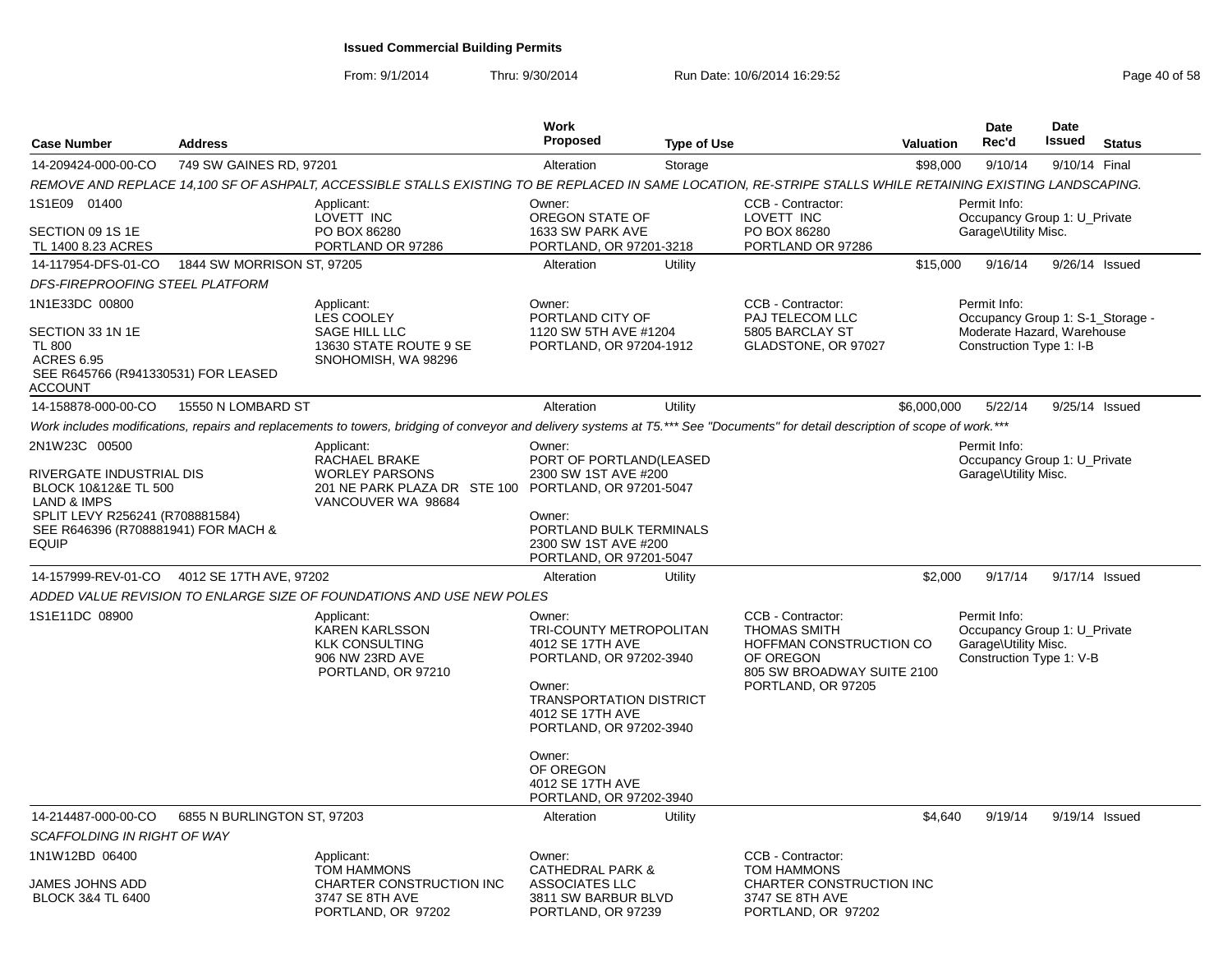| <b>Case Number</b>                                                                     | <b>Address</b>              |                                                                                                                                                                                  | Work<br><b>Proposed</b>                                                                                                                                                     | <b>Type of Use</b> |                                                                                                                                      | <b>Valuation</b> | <b>Date</b><br>Rec'd                                                                                       | Date<br><b>Issued</b> | <b>Status</b>  |
|----------------------------------------------------------------------------------------|-----------------------------|----------------------------------------------------------------------------------------------------------------------------------------------------------------------------------|-----------------------------------------------------------------------------------------------------------------------------------------------------------------------------|--------------------|--------------------------------------------------------------------------------------------------------------------------------------|------------------|------------------------------------------------------------------------------------------------------------|-----------------------|----------------|
| 14-209424-000-00-CO                                                                    | 749 SW GAINES RD, 97201     |                                                                                                                                                                                  | Alteration                                                                                                                                                                  | Storage            |                                                                                                                                      | \$98,000         | 9/10/14                                                                                                    | 9/10/14 Final         |                |
|                                                                                        |                             | REMOVE AND REPLACE 14,100 SF OF ASHPALT, ACCESSIBLE STALLS EXISTING TO BE REPLACED IN SAME LOCATION, RE-STRIPE STALLS WHILE RETAINING EXISTING LANDSCAPING.                      |                                                                                                                                                                             |                    |                                                                                                                                      |                  |                                                                                                            |                       |                |
| 1S1E09 01400<br>SECTION 09 1S 1E<br>TL 1400 8.23 ACRES                                 |                             | Applicant:<br>LOVETT INC<br>PO BOX 86280<br>PORTLAND OR 97286                                                                                                                    | Owner:<br>OREGON STATE OF<br>1633 SW PARK AVE<br>PORTLAND, OR 97201-3218                                                                                                    |                    | CCB - Contractor:<br>LOVETT INC<br>PO BOX 86280<br>PORTLAND OR 97286                                                                 |                  | Permit Info:<br>Occupancy Group 1: U_Private<br>Garage\Utility Misc.                                       |                       |                |
| 14-117954-DFS-01-CO                                                                    | 1844 SW MORRISON ST, 97205  |                                                                                                                                                                                  | Alteration                                                                                                                                                                  | Utility            |                                                                                                                                      | \$15,000         | 9/16/14                                                                                                    |                       | 9/26/14 Issued |
| DFS-FIREPROOFING STEEL PLATFORM                                                        |                             |                                                                                                                                                                                  |                                                                                                                                                                             |                    |                                                                                                                                      |                  |                                                                                                            |                       |                |
| 1N1E33DC 00800<br>SECTION 33 1N 1E<br><b>TL 800</b>                                    |                             | Applicant:<br>LES COOLEY<br>SAGE HILL LLC<br>13630 STATE ROUTE 9 SE                                                                                                              | Owner:<br>PORTLAND CITY OF<br>1120 SW 5TH AVE #1204<br>PORTLAND, OR 97204-1912                                                                                              |                    | CCB - Contractor:<br>PAJ TELECOM LLC<br>5805 BARCLAY ST<br>GLADSTONE, OR 97027                                                       |                  | Permit Info:<br>Occupancy Group 1: S-1_Storage -<br>Moderate Hazard, Warehouse<br>Construction Type 1: I-B |                       |                |
| <b>ACRES 6.95</b><br>SEE R645766 (R941330531) FOR LEASED<br>ACCOUNT                    |                             | SNOHOMISH, WA 98296                                                                                                                                                              |                                                                                                                                                                             |                    |                                                                                                                                      |                  |                                                                                                            |                       |                |
| 14-158878-000-00-CO                                                                    | 15550 N LOMBARD ST          |                                                                                                                                                                                  | Alteration                                                                                                                                                                  | Utility            |                                                                                                                                      | \$6,000,000      | 5/22/14                                                                                                    |                       | 9/25/14 Issued |
|                                                                                        |                             | Work includes modifications, repairs and replacements to towers, bridging of conveyor and delivery systems at T5.*** See "Documents" for detail description of scope of work.*** |                                                                                                                                                                             |                    |                                                                                                                                      |                  |                                                                                                            |                       |                |
| 2N1W23C 00500                                                                          |                             | Applicant:<br>RACHAEL BRAKE                                                                                                                                                      | Owner:<br>PORT OF PORTLAND(LEASED                                                                                                                                           |                    |                                                                                                                                      |                  | Permit Info:<br>Occupancy Group 1: U_Private                                                               |                       |                |
| RIVERGATE INDUSTRIAL DIS<br>BLOCK 10&12&E TL 500<br>LAND & IMPS                        |                             | <b>WORLEY PARSONS</b><br>201 NE PARK PLAZA DR STE 100 PORTLAND, OR 97201-5047<br>VANCOUVER WA 98684                                                                              | 2300 SW 1ST AVE #200                                                                                                                                                        |                    |                                                                                                                                      |                  | Garage\Utility Misc.                                                                                       |                       |                |
| SPLIT LEVY R256241 (R708881584)<br>SEE R646396 (R708881941) FOR MACH &<br><b>EQUIP</b> |                             |                                                                                                                                                                                  | Owner:<br>PORTLAND BULK TERMINALS<br>2300 SW 1ST AVE #200<br>PORTLAND, OR 97201-5047                                                                                        |                    |                                                                                                                                      |                  |                                                                                                            |                       |                |
| 14-157999-REV-01-CO                                                                    | 4012 SE 17TH AVE, 97202     |                                                                                                                                                                                  | Alteration                                                                                                                                                                  | Utility            |                                                                                                                                      | \$2,000          | 9/17/14                                                                                                    |                       | 9/17/14 Issued |
|                                                                                        |                             | ADDED VALUE REVISION TO ENLARGE SIZE OF FOUNDATIONS AND USE NEW POLES                                                                                                            |                                                                                                                                                                             |                    |                                                                                                                                      |                  |                                                                                                            |                       |                |
| 1S1E11DC 08900                                                                         |                             | Applicant:<br><b>KAREN KARLSSON</b><br><b>KLK CONSULTING</b><br>906 NW 23RD AVE<br>PORTLAND, OR 97210                                                                            | Owner:<br>TRI-COUNTY METROPOLITAN<br>4012 SE 17TH AVE<br>PORTLAND, OR 97202-3940<br>Owner:<br><b>TRANSPORTATION DISTRICT</b><br>4012 SE 17TH AVE<br>PORTLAND, OR 97202-3940 |                    | CCB - Contractor:<br><b>THOMAS SMITH</b><br>HOFFMAN CONSTRUCTION CO<br>OF OREGON<br>805 SW BROADWAY SUITE 2100<br>PORTLAND, OR 97205 |                  | Permit Info:<br>Occupancy Group 1: U_Private<br>Garage\Utility Misc.<br>Construction Type 1: V-B           |                       |                |
|                                                                                        |                             |                                                                                                                                                                                  | Owner:<br>OF OREGON<br>4012 SE 17TH AVE<br>PORTLAND, OR 97202-3940                                                                                                          |                    |                                                                                                                                      |                  |                                                                                                            |                       |                |
| 14-214487-000-00-CO                                                                    | 6855 N BURLINGTON ST, 97203 |                                                                                                                                                                                  | Alteration                                                                                                                                                                  | Utility            |                                                                                                                                      | \$4,640          | 9/19/14                                                                                                    |                       | 9/19/14 Issued |
| SCAFFOLDING IN RIGHT OF WAY                                                            |                             |                                                                                                                                                                                  |                                                                                                                                                                             |                    |                                                                                                                                      |                  |                                                                                                            |                       |                |
| 1N1W12BD 06400                                                                         |                             | Applicant:<br>TOM HAMMONS                                                                                                                                                        | Owner:<br><b>CATHEDRAL PARK &amp;</b>                                                                                                                                       |                    | CCB - Contractor:<br><b>TOM HAMMONS</b>                                                                                              |                  |                                                                                                            |                       |                |
| JAMES JOHNS ADD<br><b>BLOCK 3&amp;4 TL 6400</b>                                        |                             | <b>CHARTER CONSTRUCTION INC</b><br>3747 SE 8TH AVE<br>PORTLAND, OR 97202                                                                                                         | ASSOCIATES LLC<br>3811 SW BARBUR BLVD<br>PORTLAND, OR 97239                                                                                                                 |                    | <b>CHARTER CONSTRUCTION INC</b><br>3747 SE 8TH AVE<br>PORTLAND, OR 97202                                                             |                  |                                                                                                            |                       |                |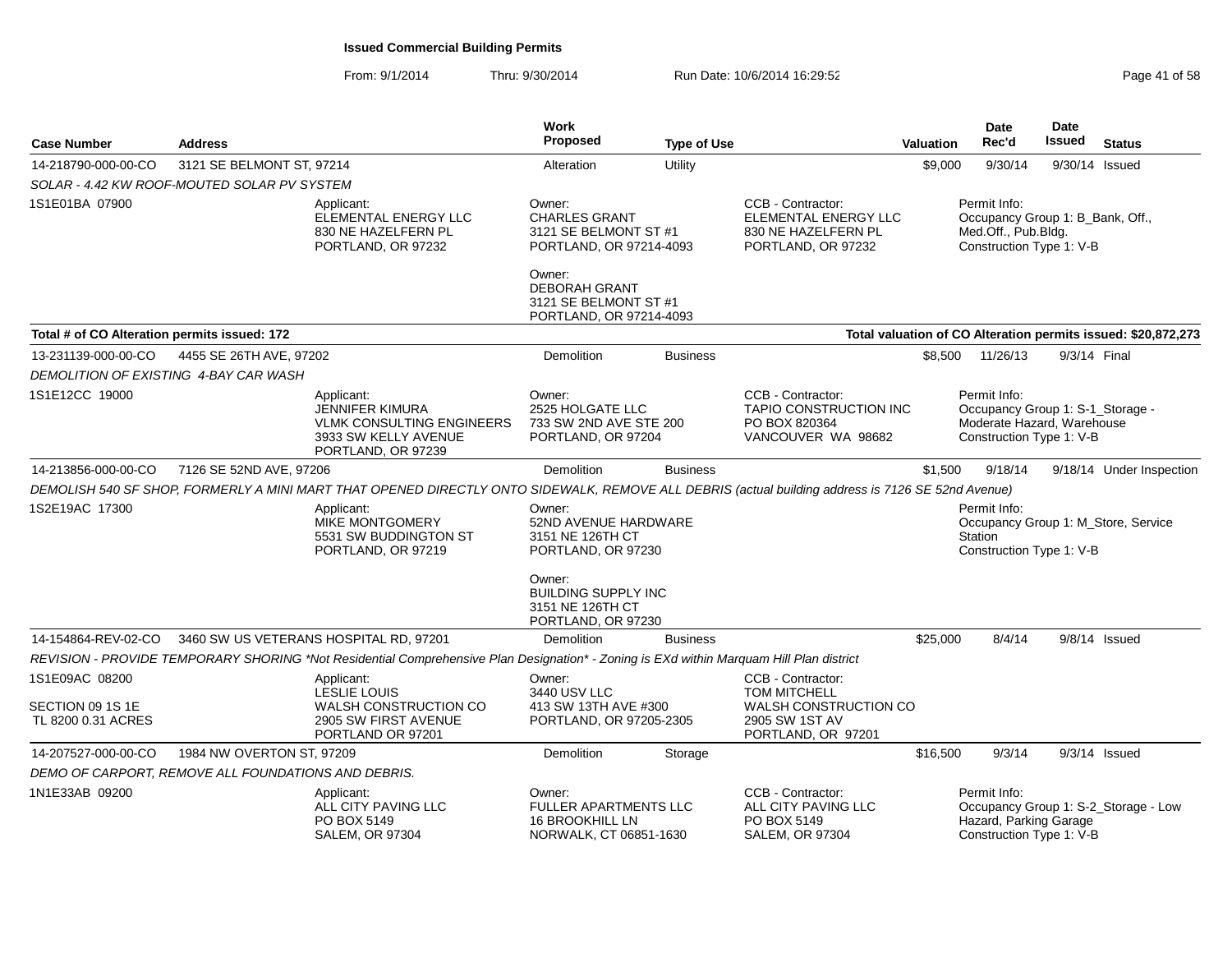| <b>Case Number</b>                           | <b>Address</b>                                      |                                                                                                                                                   | Work<br><b>Proposed</b>                                                             | <b>Type of Use</b> |                                                                                        | <b>Valuation</b> | Date<br>Rec'd                                                                                              | Date<br><b>Issued</b> | <b>Status</b>                                                 |
|----------------------------------------------|-----------------------------------------------------|---------------------------------------------------------------------------------------------------------------------------------------------------|-------------------------------------------------------------------------------------|--------------------|----------------------------------------------------------------------------------------|------------------|------------------------------------------------------------------------------------------------------------|-----------------------|---------------------------------------------------------------|
| 14-218790-000-00-CO                          | 3121 SE BELMONT ST, 97214                           |                                                                                                                                                   | Alteration                                                                          | Utility            |                                                                                        | \$9,000          | 9/30/14                                                                                                    |                       | 9/30/14 Issued                                                |
|                                              | SOLAR - 4.42 KW ROOF-MOUTED SOLAR PV SYSTEM         |                                                                                                                                                   |                                                                                     |                    |                                                                                        |                  |                                                                                                            |                       |                                                               |
| 1S1E01BA 07900                               |                                                     | Applicant:<br>ELEMENTAL ENERGY LLC<br>830 NE HAZELFERN PL<br>PORTLAND, OR 97232                                                                   | Owner:<br><b>CHARLES GRANT</b><br>3121 SE BELMONT ST #1<br>PORTLAND, OR 97214-4093  |                    | CCB - Contractor:<br>ELEMENTAL ENERGY LLC<br>830 NE HAZELFERN PL<br>PORTLAND, OR 97232 |                  | Permit Info:<br>Occupancy Group 1: B_Bank, Off.,<br>Med.Off., Pub.Bldg.<br>Construction Type 1: V-B        |                       |                                                               |
|                                              |                                                     |                                                                                                                                                   | Owner:<br><b>DEBORAH GRANT</b><br>3121 SE BELMONT ST #1<br>PORTLAND, OR 97214-4093  |                    |                                                                                        |                  |                                                                                                            |                       |                                                               |
| Total # of CO Alteration permits issued: 172 |                                                     |                                                                                                                                                   |                                                                                     |                    |                                                                                        |                  |                                                                                                            |                       | Total valuation of CO Alteration permits issued: \$20,872,273 |
| 13-231139-000-00-CO                          | 4455 SE 26TH AVE, 97202                             |                                                                                                                                                   | Demolition                                                                          | <b>Business</b>    |                                                                                        | \$8,500          | 11/26/13                                                                                                   |                       | 9/3/14 Final                                                  |
|                                              | DEMOLITION OF EXISTING 4-BAY CAR WASH               |                                                                                                                                                   |                                                                                     |                    |                                                                                        |                  |                                                                                                            |                       |                                                               |
| 1S1E12CC 19000                               |                                                     | Applicant:<br><b>JENNIFER KIMURA</b><br><b>VLMK CONSULTING ENGINEERS</b><br>3933 SW KELLY AVENUE<br>PORTLAND, OR 97239                            | Owner:<br>2525 HOLGATE LLC<br>733 SW 2ND AVE STE 200<br>PORTLAND, OR 97204          |                    | CCB - Contractor:<br>TAPIO CONSTRUCTION INC<br>PO BOX 820364<br>VANCOUVER WA 98682     |                  | Permit Info:<br>Occupancy Group 1: S-1_Storage -<br>Moderate Hazard, Warehouse<br>Construction Type 1: V-B |                       |                                                               |
| 14-213856-000-00-CO                          | 7126 SE 52ND AVE, 97206                             |                                                                                                                                                   | <b>Demolition</b>                                                                   | <b>Business</b>    |                                                                                        | \$1,500          | 9/18/14                                                                                                    |                       | 9/18/14 Under Inspection                                      |
|                                              |                                                     | DEMOLISH 540 SF SHOP, FORMERLY A MINI MART THAT OPENED DIRECTLY ONTO SIDEWALK, REMOVE ALL DEBRIS (actual building address is 7126 SE 52nd Avenue) |                                                                                     |                    |                                                                                        |                  |                                                                                                            |                       |                                                               |
| 1S2E19AC 17300                               |                                                     | Applicant:<br>MIKE MONTGOMERY<br>5531 SW BUDDINGTON ST<br>PORTLAND, OR 97219                                                                      | Owner:<br>52ND AVENUE HARDWARE<br>3151 NE 126TH CT<br>PORTLAND, OR 97230            |                    |                                                                                        |                  | Permit Info:<br><b>Station</b><br>Construction Type 1: V-B                                                 |                       | Occupancy Group 1: M_Store, Service                           |
|                                              |                                                     |                                                                                                                                                   | Owner:<br><b>BUILDING SUPPLY INC</b><br>3151 NE 126TH CT<br>PORTLAND, OR 97230      |                    |                                                                                        |                  |                                                                                                            |                       |                                                               |
| 14-154864-REV-02-CO                          |                                                     | 3460 SW US VETERANS HOSPITAL RD, 97201                                                                                                            | Demolition                                                                          | <b>Business</b>    |                                                                                        | \$25,000         | 8/4/14                                                                                                     |                       | $9/8/14$ Issued                                               |
|                                              |                                                     | REVISION - PROVIDE TEMPORARY SHORING *Not Residential Comprehensive Plan Designation* - Zoning is EXd within Marquam Hill Plan district           |                                                                                     |                    |                                                                                        |                  |                                                                                                            |                       |                                                               |
| 1S1E09AC 08200                               |                                                     | Applicant:<br><b>LESLIE LOUIS</b>                                                                                                                 | Owner:<br>3440 USV LLC                                                              |                    | CCB - Contractor:<br><b>TOM MITCHELL</b>                                               |                  |                                                                                                            |                       |                                                               |
| SECTION 09 1S 1E<br>TL 8200 0.31 ACRES       |                                                     | <b>WALSH CONSTRUCTION CO</b><br>2905 SW FIRST AVENUE<br>PORTLAND OR 97201                                                                         | 413 SW 13TH AVE #300<br>PORTLAND, OR 97205-2305                                     |                    | WALSH CONSTRUCTION CO<br>2905 SW 1ST AV<br>PORTLAND, OR 97201                          |                  |                                                                                                            |                       |                                                               |
| 14-207527-000-00-CO                          | 1984 NW OVERTON ST, 97209                           |                                                                                                                                                   | Demolition                                                                          | Storage            |                                                                                        | \$16,500         | 9/3/14                                                                                                     |                       | $9/3/14$ Issued                                               |
|                                              | DEMO OF CARPORT, REMOVE ALL FOUNDATIONS AND DEBRIS. |                                                                                                                                                   |                                                                                     |                    |                                                                                        |                  |                                                                                                            |                       |                                                               |
| 1N1E33AB 09200                               |                                                     | Applicant:<br>ALL CITY PAVING LLC<br>PO BOX 5149<br><b>SALEM, OR 97304</b>                                                                        | Owner:<br><b>FULLER APARTMENTS LLC</b><br>16 BROOKHILL LN<br>NORWALK, CT 06851-1630 |                    | CCB - Contractor:<br>ALL CITY PAVING LLC<br>PO BOX 5149<br><b>SALEM, OR 97304</b>      |                  | Permit Info:<br>Hazard, Parking Garage<br>Construction Type 1: V-B                                         |                       | Occupancy Group 1: S-2_Storage - Low                          |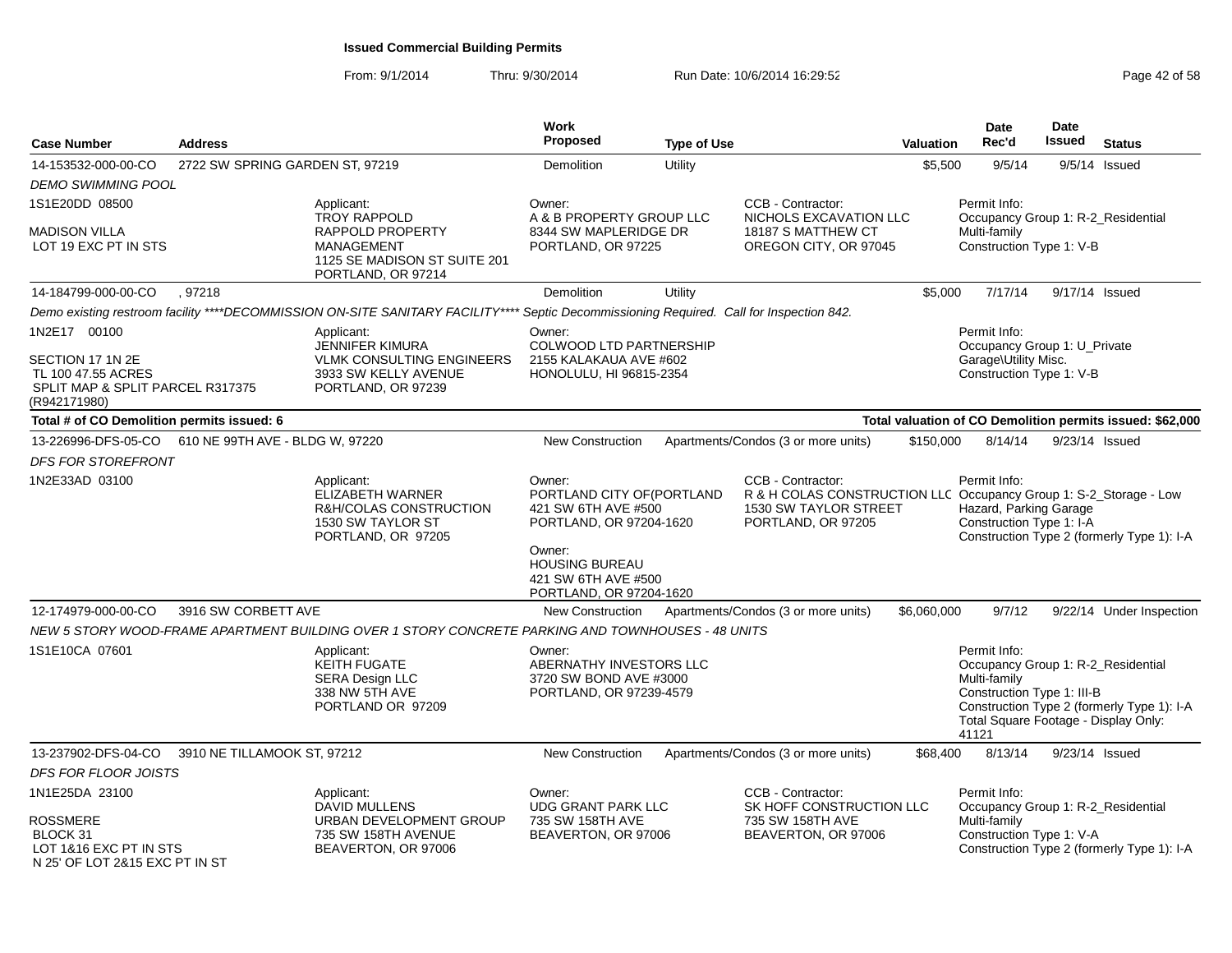| <b>Case Number</b>                                                                         | <b>Address</b>                  |                                                                                                                                          | <b>Work</b><br><b>Proposed</b>                                                         | <b>Type of Use</b> |                                                                                                                                       | Valuation   | Date<br>Rec'd                                                                                                                                     | <b>Date</b><br><b>Issued</b> | <b>Status</b>                                             |
|--------------------------------------------------------------------------------------------|---------------------------------|------------------------------------------------------------------------------------------------------------------------------------------|----------------------------------------------------------------------------------------|--------------------|---------------------------------------------------------------------------------------------------------------------------------------|-------------|---------------------------------------------------------------------------------------------------------------------------------------------------|------------------------------|-----------------------------------------------------------|
| 14-153532-000-00-CO                                                                        | 2722 SW SPRING GARDEN ST, 97219 |                                                                                                                                          | Demolition                                                                             | Utility            |                                                                                                                                       | \$5,500     | 9/5/14                                                                                                                                            |                              | $9/5/14$ Issued                                           |
| <b>DEMO SWIMMING POOL</b>                                                                  |                                 |                                                                                                                                          |                                                                                        |                    |                                                                                                                                       |             |                                                                                                                                                   |                              |                                                           |
| 1S1E20DD 08500                                                                             |                                 | Applicant:                                                                                                                               | Owner:                                                                                 |                    | CCB - Contractor:                                                                                                                     |             | Permit Info:                                                                                                                                      |                              |                                                           |
| MADISON VILLA<br>LOT 19 EXC PT IN STS                                                      |                                 | <b>TROY RAPPOLD</b><br>RAPPOLD PROPERTY<br><b>MANAGEMENT</b><br>1125 SE MADISON ST SUITE 201<br>PORTLAND, OR 97214                       | A & B PROPERTY GROUP LLC<br>8344 SW MAPLERIDGE DR<br>PORTLAND, OR 97225                |                    | NICHOLS EXCAVATION LLC<br>18187 S MATTHEW CT<br>OREGON CITY, OR 97045                                                                 |             | Occupancy Group 1: R-2_Residential<br>Multi-family<br>Construction Type 1: V-B                                                                    |                              |                                                           |
| 14-184799-000-00-CO                                                                        | .97218                          |                                                                                                                                          | <b>Demolition</b>                                                                      | Utility            |                                                                                                                                       | \$5,000     | 7/17/14                                                                                                                                           | 9/17/14 Issued               |                                                           |
|                                                                                            |                                 | Demo existing restroom facility ****DECOMMISSION ON-SITE SANITARY FACILITY**** Septic Decommissioning Required. Call for Inspection 842. |                                                                                        |                    |                                                                                                                                       |             |                                                                                                                                                   |                              |                                                           |
| 1N2E17 00100                                                                               |                                 | Applicant:<br><b>JENNIFER KIMURA</b>                                                                                                     | Owner:<br>COLWOOD LTD PARTNERSHIP                                                      |                    |                                                                                                                                       |             | Permit Info:<br>Occupancy Group 1: U_Private                                                                                                      |                              |                                                           |
| SECTION 17 1N 2E<br>TL 100 47.55 ACRES<br>SPLIT MAP & SPLIT PARCEL R317375<br>(R942171980) |                                 | <b>VLMK CONSULTING ENGINEERS</b><br>3933 SW KELLY AVENUE<br>PORTLAND, OR 97239                                                           | 2155 KALAKAUA AVE #602<br>HONOLULU, HI 96815-2354                                      |                    |                                                                                                                                       |             | Garage\Utility Misc.<br>Construction Type 1: V-B                                                                                                  |                              |                                                           |
| Total # of CO Demolition permits issued: 6                                                 |                                 |                                                                                                                                          |                                                                                        |                    |                                                                                                                                       |             |                                                                                                                                                   |                              | Total valuation of CO Demolition permits issued: \$62,000 |
| 13-226996-DFS-05-CO                                                                        | 610 NE 99TH AVE - BLDG W, 97220 |                                                                                                                                          | <b>New Construction</b>                                                                |                    | Apartments/Condos (3 or more units)                                                                                                   | \$150,000   | 8/14/14                                                                                                                                           |                              | 9/23/14 Issued                                            |
| DFS FOR STOREFRONT                                                                         |                                 |                                                                                                                                          |                                                                                        |                    |                                                                                                                                       |             |                                                                                                                                                   |                              |                                                           |
| 1N2E33AD 03100                                                                             |                                 | Applicant:<br><b>ELIZABETH WARNER</b><br>R&H/COLAS CONSTRUCTION<br>1530 SW TAYLOR ST<br>PORTLAND, OR 97205                               | Owner:<br>PORTLAND CITY OF (PORTLAND<br>421 SW 6TH AVE #500<br>PORTLAND, OR 97204-1620 |                    | CCB - Contractor:<br>R & H COLAS CONSTRUCTION LLC Occupancy Group 1: S-2_Storage - Low<br>1530 SW TAYLOR STREET<br>PORTLAND, OR 97205 |             | Permit Info:<br>Hazard, Parking Garage<br>Construction Type 1: I-A                                                                                |                              | Construction Type 2 (formerly Type 1): I-A                |
|                                                                                            |                                 |                                                                                                                                          | Owner:<br><b>HOUSING BUREAU</b><br>421 SW 6TH AVE #500<br>PORTLAND, OR 97204-1620      |                    |                                                                                                                                       |             |                                                                                                                                                   |                              |                                                           |
| 12-174979-000-00-CO                                                                        | 3916 SW CORBETT AVE             |                                                                                                                                          | <b>New Construction</b>                                                                |                    | Apartments/Condos (3 or more units)                                                                                                   | \$6,060,000 | 9/7/12                                                                                                                                            |                              | 9/22/14 Under Inspection                                  |
|                                                                                            |                                 | NEW 5 STORY WOOD-FRAME APARTMENT BUILDING OVER 1 STORY CONCRETE PARKING AND TOWNHOUSES - 48 UNITS                                        |                                                                                        |                    |                                                                                                                                       |             |                                                                                                                                                   |                              |                                                           |
| 1S1E10CA 07601                                                                             |                                 | Applicant:<br><b>KEITH FUGATE</b><br><b>SERA Design LLC</b><br>338 NW 5TH AVE<br>PORTLAND OR 97209                                       | Owner:<br>ABERNATHY INVESTORS LLC<br>3720 SW BOND AVE #3000<br>PORTLAND, OR 97239-4579 |                    |                                                                                                                                       |             | Permit Info:<br>Occupancy Group 1: R-2_Residential<br>Multi-family<br>Construction Type 1: III-B<br>Total Square Footage - Display Only:<br>41121 |                              | Construction Type 2 (formerly Type 1): I-A                |
| 13-237902-DFS-04-CO                                                                        | 3910 NE TILLAMOOK ST, 97212     |                                                                                                                                          | <b>New Construction</b>                                                                |                    | Apartments/Condos (3 or more units)                                                                                                   | \$68,400    | 8/13/14                                                                                                                                           |                              | 9/23/14 Issued                                            |
| <b>DFS FOR FLOOR JOISTS</b>                                                                |                                 |                                                                                                                                          |                                                                                        |                    |                                                                                                                                       |             |                                                                                                                                                   |                              |                                                           |
| 1N1E25DA 23100                                                                             |                                 | Applicant:                                                                                                                               | Owner:                                                                                 |                    | CCB - Contractor:                                                                                                                     |             | Permit Info:                                                                                                                                      |                              |                                                           |
| <b>ROSSMERE</b><br>BLOCK 31<br>LOT 1&16 EXC PT IN STS<br>N 25' OF LOT 2&15 EXC PT IN ST    |                                 | <b>DAVID MULLENS</b><br>URBAN DEVELOPMENT GROUP<br>735 SW 158TH AVENUE<br>BEAVERTON, OR 97006                                            | <b>UDG GRANT PARK LLC</b><br>735 SW 158TH AVE<br>BEAVERTON, OR 97006                   |                    | SK HOFF CONSTRUCTION LLC<br>735 SW 158TH AVE<br>BEAVERTON, OR 97006                                                                   |             | Occupancy Group 1: R-2_Residential<br>Multi-family<br>Construction Type 1: V-A                                                                    |                              | Construction Type 2 (formerly Type 1): I-A                |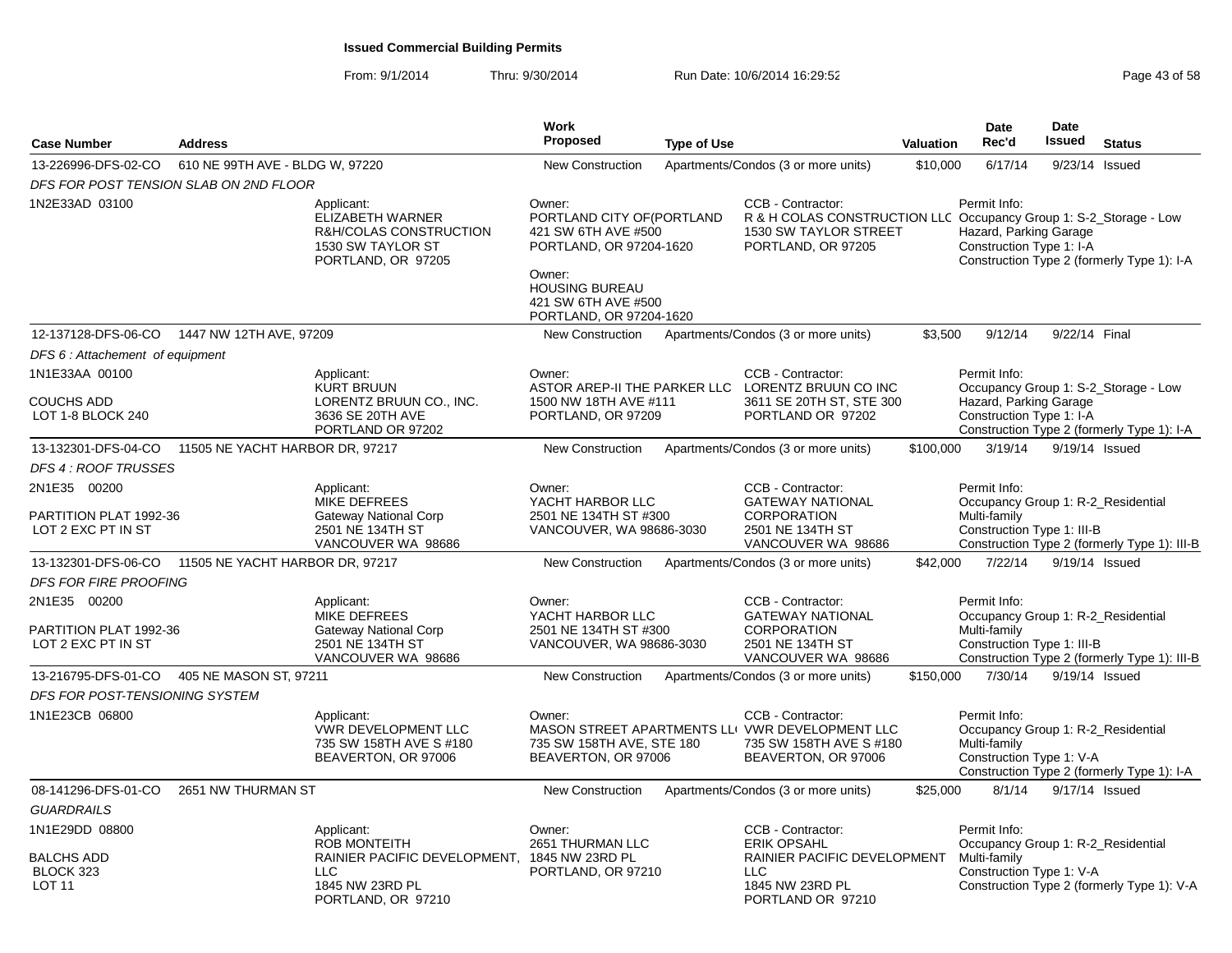| <b>Case Number</b>                                           | <b>Address</b>                  |                                                                                                             | Work<br><b>Proposed</b>                                                                                                                                                     | <b>Type of Use</b> |                                                                                                                                       | <b>Valuation</b> | <b>Date</b><br>Rec'd                                                                             | <b>Date</b><br><b>Issued</b> | <b>Status</b>                                                                      |
|--------------------------------------------------------------|---------------------------------|-------------------------------------------------------------------------------------------------------------|-----------------------------------------------------------------------------------------------------------------------------------------------------------------------------|--------------------|---------------------------------------------------------------------------------------------------------------------------------------|------------------|--------------------------------------------------------------------------------------------------|------------------------------|------------------------------------------------------------------------------------|
| 13-226996-DFS-02-CO                                          | 610 NE 99TH AVE - BLDG W, 97220 |                                                                                                             | <b>New Construction</b>                                                                                                                                                     |                    | Apartments/Condos (3 or more units)                                                                                                   | \$10,000         | 6/17/14                                                                                          | 9/23/14 Issued               |                                                                                    |
| DFS FOR POST TENSION SLAB ON 2ND FLOOR                       |                                 |                                                                                                             |                                                                                                                                                                             |                    |                                                                                                                                       |                  |                                                                                                  |                              |                                                                                    |
| 1N2E33AD 03100                                               |                                 | Applicant:<br>ELIZABETH WARNER<br>R&H/COLAS CONSTRUCTION<br>1530 SW TAYLOR ST<br>PORTLAND, OR 97205         | Owner:<br>PORTLAND CITY OF (PORTLAND<br>421 SW 6TH AVE #500<br>PORTLAND, OR 97204-1620<br>Owner:<br><b>HOUSING BUREAU</b><br>421 SW 6TH AVE #500<br>PORTLAND, OR 97204-1620 |                    | CCB - Contractor:<br>R & H COLAS CONSTRUCTION LLC Occupancy Group 1: S-2_Storage - Low<br>1530 SW TAYLOR STREET<br>PORTLAND, OR 97205 |                  | Permit Info:<br>Hazard, Parking Garage<br>Construction Type 1: I-A                               |                              | Construction Type 2 (formerly Type 1): I-A                                         |
| 12-137128-DFS-06-CO  1447 NW 12TH AVE, 97209                 |                                 |                                                                                                             | <b>New Construction</b>                                                                                                                                                     |                    | Apartments/Condos (3 or more units)                                                                                                   | \$3,500          | 9/12/14                                                                                          | 9/22/14 Final                |                                                                                    |
| DFS 6: Attachement of equipment                              |                                 |                                                                                                             |                                                                                                                                                                             |                    |                                                                                                                                       |                  |                                                                                                  |                              |                                                                                    |
| 1N1E33AA 00100<br><b>COUCHS ADD</b><br>LOT 1-8 BLOCK 240     |                                 | Applicant:<br><b>KURT BRUUN</b><br>LORENTZ BRUUN CO., INC.<br>3636 SE 20TH AVE<br>PORTLAND OR 97202         | Owner:<br>1500 NW 18TH AVE #111<br>PORTLAND, OR 97209                                                                                                                       |                    | CCB - Contractor:<br>ASTOR AREP-II THE PARKER LLC LORENTZ BRUUN CO INC<br>3611 SE 20TH ST, STE 300<br>PORTLAND OR 97202               |                  | Permit Info:<br>Hazard, Parking Garage<br>Construction Type 1: I-A                               |                              | Occupancy Group 1: S-2_Storage - Low<br>Construction Type 2 (formerly Type 1): I-A |
| 13-132301-DFS-04-CO 11505 NE YACHT HARBOR DR, 97217          |                                 |                                                                                                             | <b>New Construction</b>                                                                                                                                                     |                    | Apartments/Condos (3 or more units)                                                                                                   | \$100,000        | 3/19/14                                                                                          | 9/19/14 Issued               |                                                                                    |
| <b>DFS 4: ROOF TRUSSES</b>                                   |                                 |                                                                                                             |                                                                                                                                                                             |                    |                                                                                                                                       |                  |                                                                                                  |                              |                                                                                    |
| 2N1E35 00200<br>PARTITION PLAT 1992-36<br>LOT 2 EXC PT IN ST |                                 | Applicant:<br><b>MIKE DEFREES</b><br>Gateway National Corp<br>2501 NE 134TH ST<br>VANCOUVER WA 98686        | Owner:<br>YACHT HARBOR LLC<br>2501 NE 134TH ST #300<br>VANCOUVER, WA 98686-3030                                                                                             |                    | CCB - Contractor:<br><b>GATEWAY NATIONAL</b><br><b>CORPORATION</b><br>2501 NE 134TH ST<br>VANCOUVER WA 98686                          |                  | Permit Info:<br>Occupancy Group 1: R-2_Residential<br>Multi-family<br>Construction Type 1: III-B |                              | Construction Type 2 (formerly Type 1): III-B                                       |
| 13-132301-DFS-06-CO                                          | 11505 NE YACHT HARBOR DR, 97217 |                                                                                                             | <b>New Construction</b>                                                                                                                                                     |                    | Apartments/Condos (3 or more units)                                                                                                   | \$42,000         | 7/22/14                                                                                          | 9/19/14 Issued               |                                                                                    |
| <b>DFS FOR FIRE PROOFING</b>                                 |                                 |                                                                                                             |                                                                                                                                                                             |                    |                                                                                                                                       |                  |                                                                                                  |                              |                                                                                    |
| 2N1E35 00200<br>PARTITION PLAT 1992-36<br>LOT 2 EXC PT IN ST |                                 | Applicant:<br><b>MIKE DEFREES</b><br><b>Gateway National Corp</b><br>2501 NE 134TH ST<br>VANCOUVER WA 98686 | Owner:<br>YACHT HARBOR LLC<br>2501 NE 134TH ST #300<br>VANCOUVER, WA 98686-3030                                                                                             |                    | CCB - Contractor:<br><b>GATEWAY NATIONAL</b><br><b>CORPORATION</b><br>2501 NE 134TH ST<br>VANCOUVER WA 98686                          |                  | Permit Info:<br>Occupancy Group 1: R-2_Residential<br>Multi-family<br>Construction Type 1: III-B |                              | Construction Type 2 (formerly Type 1): III-B                                       |
| 13-216795-DFS-01-CO                                          | 405 NE MASON ST, 97211          |                                                                                                             | <b>New Construction</b>                                                                                                                                                     |                    | Apartments/Condos (3 or more units)                                                                                                   | \$150,000        | 7/30/14                                                                                          | 9/19/14 Issued               |                                                                                    |
| DFS FOR POST-TENSIONING SYSTEM                               |                                 |                                                                                                             |                                                                                                                                                                             |                    |                                                                                                                                       |                  |                                                                                                  |                              |                                                                                    |
| 1N1E23CB 06800                                               |                                 | Applicant:<br><b>VWR DEVELOPMENT LLC</b><br>735 SW 158TH AVE S #180<br>BEAVERTON, OR 97006                  | Owner:<br>735 SW 158TH AVE, STE 180<br>BEAVERTON, OR 97006                                                                                                                  |                    | CCB - Contractor:<br>MASON STREET APARTMENTS LLI VWR DEVELOPMENT LLC<br>735 SW 158TH AVE S #180<br>BEAVERTON, OR 97006                |                  | Permit Info:<br>Occupancy Group 1: R-2_Residential<br>Multi-family<br>Construction Type 1: V-A   |                              | Construction Type 2 (formerly Type 1): I-A                                         |
| 08-141296-DFS-01-CO                                          | 2651 NW THURMAN ST              |                                                                                                             | <b>New Construction</b>                                                                                                                                                     |                    | Apartments/Condos (3 or more units)                                                                                                   | \$25,000         | 8/1/14                                                                                           | 9/17/14 Issued               |                                                                                    |
| <b>GUARDRAILS</b>                                            |                                 |                                                                                                             |                                                                                                                                                                             |                    |                                                                                                                                       |                  |                                                                                                  |                              |                                                                                    |
| 1N1E29DD 08800<br><b>BALCHS ADD</b><br>BLOCK 323             |                                 | Applicant:<br><b>ROB MONTEITH</b><br>RAINIER PACIFIC DEVELOPMENT, 1845 NW 23RD PL<br><b>LLC</b>             | Owner:<br>2651 THURMAN LLC<br>PORTLAND, OR 97210                                                                                                                            |                    | CCB - Contractor:<br><b>ERIK OPSAHL</b><br>RAINIER PACIFIC DEVELOPMENT<br><b>LLC</b>                                                  |                  | Permit Info:<br>Occupancy Group 1: R-2 Residential<br>Multi-family<br>Construction Type 1: V-A   |                              |                                                                                    |
| LOT <sub>11</sub>                                            |                                 | 1845 NW 23RD PL<br>PORTLAND, OR 97210                                                                       |                                                                                                                                                                             |                    | 1845 NW 23RD PL<br>PORTLAND OR 97210                                                                                                  |                  |                                                                                                  |                              | Construction Type 2 (formerly Type 1): V-A                                         |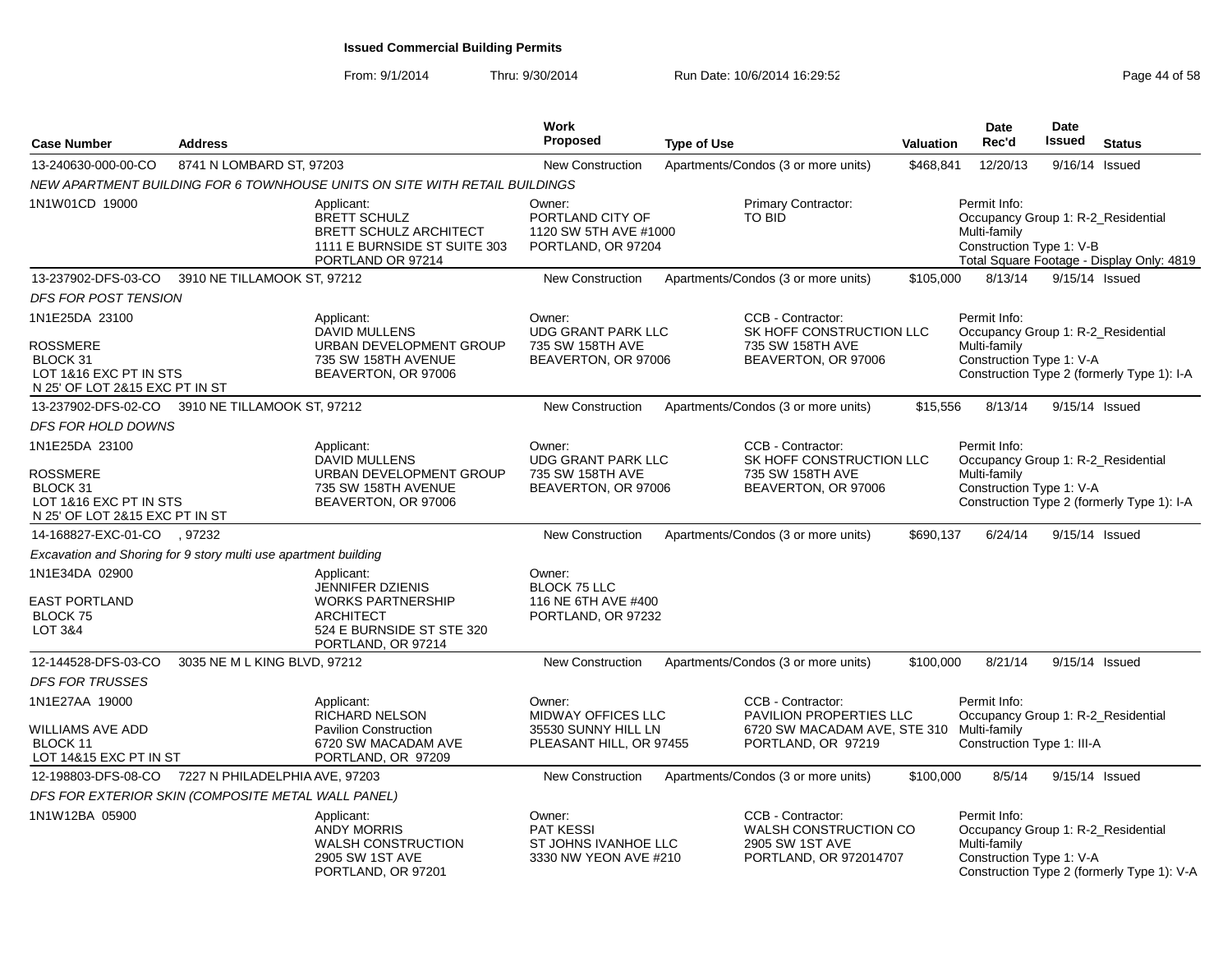| <b>Case Number</b>                                                                                        | <b>Address</b>                                                  |                                                                                                                                          | Work<br>Proposed                                                               | <b>Type of Use</b> |                                                                                                                 | Valuation | <b>Date</b><br>Rec'd                                                                           | Date<br><b>Issued</b> | <b>Status</b>                              |
|-----------------------------------------------------------------------------------------------------------|-----------------------------------------------------------------|------------------------------------------------------------------------------------------------------------------------------------------|--------------------------------------------------------------------------------|--------------------|-----------------------------------------------------------------------------------------------------------------|-----------|------------------------------------------------------------------------------------------------|-----------------------|--------------------------------------------|
| 13-240630-000-00-CO                                                                                       | 8741 N LOMBARD ST, 97203                                        |                                                                                                                                          | New Construction                                                               |                    | Apartments/Condos (3 or more units)                                                                             | \$468,841 | 12/20/13                                                                                       | 9/16/14               | Issued                                     |
|                                                                                                           |                                                                 | NEW APARTMENT BUILDING FOR 6 TOWNHOUSE UNITS ON SITE WITH RETAIL BUILDINGS                                                               |                                                                                |                    |                                                                                                                 |           |                                                                                                |                       |                                            |
| 1N1W01CD 19000                                                                                            |                                                                 | Applicant:<br><b>BRETT SCHULZ</b><br><b>BRETT SCHULZ ARCHITECT</b><br>1111 E BURNSIDE ST SUITE 303<br>PORTLAND OR 97214                  | Owner:<br>PORTLAND CITY OF<br>1120 SW 5TH AVE #1000<br>PORTLAND, OR 97204      |                    | Primary Contractor:<br><b>TO BID</b>                                                                            |           | Permit Info:<br>Occupancy Group 1: R-2_Residential<br>Multi-family<br>Construction Type 1: V-B |                       | Total Square Footage - Display Only: 4819  |
| 13-237902-DFS-03-CO                                                                                       | 3910 NE TILLAMOOK ST, 97212                                     |                                                                                                                                          | New Construction                                                               |                    | Apartments/Condos (3 or more units)                                                                             | \$105,000 | 8/13/14                                                                                        | 9/15/14 Issued        |                                            |
| DFS FOR POST TENSION                                                                                      |                                                                 |                                                                                                                                          |                                                                                |                    |                                                                                                                 |           |                                                                                                |                       |                                            |
| 1N1E25DA 23100<br>ROSSMERE<br>BLOCK 31<br>LOT 1&16 EXC PT IN STS<br>N 25' OF LOT 2&15 EXC PT IN ST        |                                                                 | Applicant:<br><b>DAVID MULLENS</b><br>URBAN DEVELOPMENT GROUP<br>735 SW 158TH AVENUE<br>BEAVERTON, OR 97006                              | Owner:<br><b>UDG GRANT PARK LLC</b><br>735 SW 158TH AVE<br>BEAVERTON, OR 97006 |                    | CCB - Contractor:<br>SK HOFF CONSTRUCTION LLC<br>735 SW 158TH AVE<br>BEAVERTON, OR 97006                        |           | Permit Info:<br>Occupancy Group 1: R-2_Residential<br>Multi-family<br>Construction Type 1: V-A |                       | Construction Type 2 (formerly Type 1): I-A |
| 13-237902-DFS-02-CO                                                                                       | 3910 NE TILLAMOOK ST, 97212                                     |                                                                                                                                          | <b>New Construction</b>                                                        |                    | Apartments/Condos (3 or more units)                                                                             | \$15,556  | 8/13/14                                                                                        | 9/15/14 Issued        |                                            |
| <b>DFS FOR HOLD DOWNS</b>                                                                                 |                                                                 |                                                                                                                                          |                                                                                |                    |                                                                                                                 |           |                                                                                                |                       |                                            |
| 1N1E25DA 23100<br><b>ROSSMERE</b><br>BLOCK 31<br>LOT 1&16 EXC PT IN STS<br>N 25' OF LOT 2&15 EXC PT IN ST |                                                                 | Applicant:<br><b>DAVID MULLENS</b><br>URBAN DEVELOPMENT GROUP<br>735 SW 158TH AVENUE<br>BEAVERTON, OR 97006                              | Owner:<br><b>UDG GRANT PARK LLC</b><br>735 SW 158TH AVE<br>BEAVERTON, OR 97006 |                    | CCB - Contractor:<br>SK HOFF CONSTRUCTION LLC<br>735 SW 158TH AVE<br>BEAVERTON, OR 97006                        |           | Permit Info:<br>Occupancy Group 1: R-2_Residential<br>Multi-family<br>Construction Type 1: V-A |                       | Construction Type 2 (formerly Type 1): I-A |
| 14-168827-EXC-01-CO                                                                                       | , 97232                                                         |                                                                                                                                          | New Construction                                                               |                    | Apartments/Condos (3 or more units)                                                                             | \$690,137 | 6/24/14                                                                                        | 9/15/14 Issued        |                                            |
|                                                                                                           | Excavation and Shoring for 9 story multi use apartment building |                                                                                                                                          |                                                                                |                    |                                                                                                                 |           |                                                                                                |                       |                                            |
| 1N1E34DA 02900<br><b>EAST PORTLAND</b><br>BLOCK 75<br>LOT 3&4                                             |                                                                 | Applicant:<br><b>JENNIFER DZIENIS</b><br><b>WORKS PARTNERSHIP</b><br><b>ARCHITECT</b><br>524 E BURNSIDE ST STE 320<br>PORTLAND, OR 97214 | Owner:<br><b>BLOCK 75 LLC</b><br>116 NE 6TH AVE #400<br>PORTLAND, OR 97232     |                    |                                                                                                                 |           |                                                                                                |                       |                                            |
| 12-144528-DFS-03-CO                                                                                       | 3035 NE M L KING BLVD, 97212                                    |                                                                                                                                          | <b>New Construction</b>                                                        |                    | Apartments/Condos (3 or more units)                                                                             | \$100,000 | 8/21/14                                                                                        | 9/15/14 Issued        |                                            |
| <b>DFS FOR TRUSSES</b>                                                                                    |                                                                 |                                                                                                                                          |                                                                                |                    |                                                                                                                 |           |                                                                                                |                       |                                            |
| 1N1E27AA 19000<br>WILLIAMS AVE ADD<br>BLOCK 11<br>LOT 14&15 EXC PT IN ST                                  |                                                                 | Applicant:<br>RICHARD NELSON<br><b>Pavilion Construction</b><br>6720 SW MACADAM AVE<br>PORTLAND, OR 97209                                | Owner:<br>MIDWAY OFFICES LLC<br>35530 SUNNY HILL LN<br>PLEASANT HILL, OR 97455 |                    | CCB - Contractor:<br>PAVILION PROPERTIES LLC<br>6720 SW MACADAM AVE, STE 310 Multi-family<br>PORTLAND, OR 97219 |           | Permit Info:<br>Occupancy Group 1: R-2_Residential<br>Construction Type 1: III-A               |                       |                                            |
|                                                                                                           | 12-198803-DFS-08-CO 7227 N PHILADELPHIA AVE, 97203              |                                                                                                                                          | <b>New Construction</b>                                                        |                    | Apartments/Condos (3 or more units)                                                                             | \$100,000 | 8/5/14                                                                                         | 9/15/14 Issued        |                                            |
|                                                                                                           | DFS FOR EXTERIOR SKIN (COMPOSITE METAL WALL PANEL)              |                                                                                                                                          |                                                                                |                    |                                                                                                                 |           |                                                                                                |                       |                                            |
| 1N1W12BA 05900                                                                                            |                                                                 | Applicant:<br><b>ANDY MORRIS</b><br><b>WALSH CONSTRUCTION</b><br>2905 SW 1ST AVE<br>PORTLAND, OR 97201                                   | Owner:<br><b>PAT KESSI</b><br>ST JOHNS IVANHOE LLC<br>3330 NW YEON AVE #210    |                    | CCB - Contractor:<br><b>WALSH CONSTRUCTION CO</b><br>2905 SW 1ST AVE<br>PORTLAND, OR 972014707                  |           | Permit Info:<br>Occupancy Group 1: R-2_Residential<br>Multi-family<br>Construction Type 1: V-A |                       | Construction Type 2 (formerly Type 1): V-A |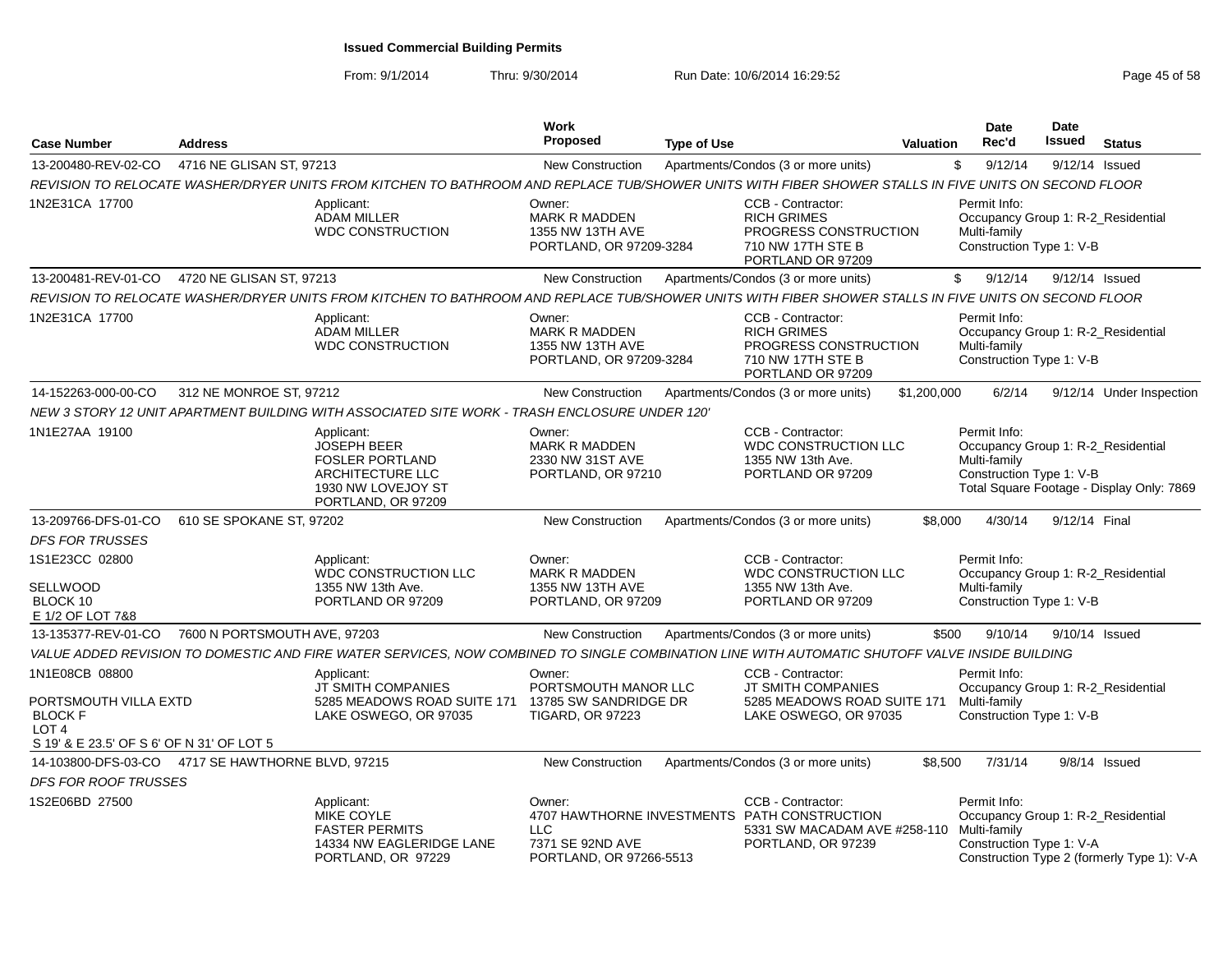| <b>Case Number</b>                                                            | <b>Address</b>                |                                                                                                                                                      | Work<br><b>Proposed</b>                                                       | <b>Type of Use</b> |                                                                                                                         | <b>Valuation</b> | <b>Date</b><br>Rec'd                                                                           | Date<br><b>Issued</b> | <b>Status</b>                              |
|-------------------------------------------------------------------------------|-------------------------------|------------------------------------------------------------------------------------------------------------------------------------------------------|-------------------------------------------------------------------------------|--------------------|-------------------------------------------------------------------------------------------------------------------------|------------------|------------------------------------------------------------------------------------------------|-----------------------|--------------------------------------------|
| 13-200480-REV-02-CO                                                           | 4716 NE GLISAN ST, 97213      |                                                                                                                                                      | <b>New Construction</b>                                                       |                    | Apartments/Condos (3 or more units)                                                                                     |                  | \$<br>9/12/14                                                                                  |                       | 9/12/14 Issued                             |
|                                                                               |                               | REVISION TO RELOCATE WASHER/DRYER UNITS FROM KITCHEN TO BATHROOM AND REPLACE TUB/SHOWER UNITS WITH FIBER SHOWER STALLS IN FIVE UNITS ON SECOND FLOOR |                                                                               |                    |                                                                                                                         |                  |                                                                                                |                       |                                            |
| 1N2E31CA 17700                                                                |                               | Applicant:<br><b>ADAM MILLER</b><br><b>WDC CONSTRUCTION</b>                                                                                          | Owner:<br><b>MARK R MADDEN</b><br>1355 NW 13TH AVE<br>PORTLAND, OR 97209-3284 |                    | CCB - Contractor:<br><b>RICH GRIMES</b><br>PROGRESS CONSTRUCTION<br>710 NW 17TH STE B<br>PORTLAND OR 97209              |                  | Permit Info:<br>Occupancy Group 1: R-2 Residential<br>Multi-family<br>Construction Type 1: V-B |                       |                                            |
| 13-200481-REV-01-CO                                                           | 4720 NE GLISAN ST, 97213      |                                                                                                                                                      | <b>New Construction</b>                                                       |                    | Apartments/Condos (3 or more units)                                                                                     |                  | 9/12/14<br>\$                                                                                  |                       | 9/12/14 Issued                             |
|                                                                               |                               | REVISION TO RELOCATE WASHER/DRYER UNITS FROM KITCHEN TO BATHROOM AND REPLACE TUB/SHOWER UNITS WITH FIBER SHOWER STALLS IN FIVE UNITS ON SECOND FLOOR |                                                                               |                    |                                                                                                                         |                  |                                                                                                |                       |                                            |
| 1N2E31CA 17700                                                                |                               | Applicant:<br><b>ADAM MILLER</b><br><b>WDC CONSTRUCTION</b>                                                                                          | Owner:<br><b>MARK R MADDEN</b><br>1355 NW 13TH AVE<br>PORTLAND, OR 97209-3284 |                    | CCB - Contractor:<br><b>RICH GRIMES</b><br>PROGRESS CONSTRUCTION<br>710 NW 17TH STE B<br>PORTLAND OR 97209              |                  | Permit Info:<br>Occupancy Group 1: R-2_Residential<br>Multi-family<br>Construction Type 1: V-B |                       |                                            |
| 14-152263-000-00-CO                                                           | 312 NE MONROE ST, 97212       |                                                                                                                                                      | <b>New Construction</b>                                                       |                    | Apartments/Condos (3 or more units)                                                                                     | \$1,200,000      | 6/2/14                                                                                         |                       | 9/12/14 Under Inspection                   |
|                                                                               |                               | NEW 3 STORY 12 UNIT APARTMENT BUILDING WITH ASSOCIATED SITE WORK - TRASH ENCLOSURE UNDER 120'                                                        |                                                                               |                    |                                                                                                                         |                  |                                                                                                |                       |                                            |
| 1N1E27AA 19100                                                                |                               | Applicant:<br><b>JOSEPH BEER</b><br><b>FOSLER PORTLAND</b><br>ARCHITECTURE LLC<br>1930 NW LOVEJOY ST<br>PORTLAND, OR 97209                           | Owner:<br><b>MARK R MADDEN</b><br>2330 NW 31ST AVE<br>PORTLAND, OR 97210      |                    | CCB - Contractor:<br><b>WDC CONSTRUCTION LLC</b><br>1355 NW 13th Ave.<br>PORTLAND OR 97209                              |                  | Permit Info:<br>Occupancy Group 1: R-2_Residential<br>Multi-family<br>Construction Type 1: V-B |                       | Total Square Footage - Display Only: 7869  |
| 13-209766-DFS-01-CO                                                           | 610 SE SPOKANE ST, 97202      |                                                                                                                                                      | <b>New Construction</b>                                                       |                    | Apartments/Condos (3 or more units)                                                                                     | \$8,000          | 4/30/14                                                                                        | 9/12/14 Final         |                                            |
| <b>DFS FOR TRUSSES</b>                                                        |                               |                                                                                                                                                      |                                                                               |                    |                                                                                                                         |                  |                                                                                                |                       |                                            |
| 1S1E23CC 02800<br>SELLWOOD<br>BLOCK 10<br>E 1/2 OF LOT 7&8                    |                               | Applicant:<br>WDC CONSTRUCTION LLC<br>1355 NW 13th Ave.<br>PORTLAND OR 97209                                                                         | Owner:<br><b>MARK R MADDEN</b><br>1355 NW 13TH AVE<br>PORTLAND, OR 97209      |                    | CCB - Contractor:<br><b>WDC CONSTRUCTION LLC</b><br>1355 NW 13th Ave.<br>PORTLAND OR 97209                              |                  | Permit Info:<br>Occupancy Group 1: R-2_Residential<br>Multi-family<br>Construction Type 1: V-B |                       |                                            |
| 13-135377-REV-01-CO                                                           | 7600 N PORTSMOUTH AVE, 97203  |                                                                                                                                                      | <b>New Construction</b>                                                       |                    | Apartments/Condos (3 or more units)                                                                                     | \$500            | 9/10/14                                                                                        |                       | 9/10/14 Issued                             |
|                                                                               |                               | VALUE ADDED REVISION TO DOMESTIC AND FIRE WATER SERVICES, NOW COMBINED TO SINGLE COMBINATION LINE WITH AUTOMATIC SHUTOFF VALVE INSIDE BUILDING       |                                                                               |                    |                                                                                                                         |                  |                                                                                                |                       |                                            |
| 1N1E08CB 08800<br>PORTSMOUTH VILLA EXTD<br><b>BLOCK F</b><br>LOT <sub>4</sub> |                               | Applicant:<br>JT SMITH COMPANIES<br>5285 MEADOWS ROAD SUITE 171 13785 SW SANDRIDGE DR<br>LAKE OSWEGO, OR 97035                                       | Owner:<br>PORTSMOUTH MANOR LLC<br><b>TIGARD, OR 97223</b>                     |                    | CCB - Contractor:<br><b>JT SMITH COMPANIES</b><br>5285 MEADOWS ROAD SUITE 171<br>LAKE OSWEGO, OR 97035                  |                  | Permit Info:<br>Occupancy Group 1: R-2 Residential<br>Multi-family<br>Construction Type 1: V-B |                       |                                            |
| S 19' & E 23.5' OF S 6' OF N 31' OF LOT 5                                     |                               |                                                                                                                                                      |                                                                               |                    |                                                                                                                         |                  |                                                                                                |                       |                                            |
| 14-103800-DFS-03-CO                                                           | 4717 SE HAWTHORNE BLVD, 97215 |                                                                                                                                                      | <b>New Construction</b>                                                       |                    | Apartments/Condos (3 or more units)                                                                                     | \$8,500          | 7/31/14                                                                                        |                       | $9/8/14$ Issued                            |
| <b>DFS FOR ROOF TRUSSES</b>                                                   |                               |                                                                                                                                                      |                                                                               |                    |                                                                                                                         |                  |                                                                                                |                       |                                            |
| 1S2E06BD 27500                                                                |                               | Applicant:<br>MIKE COYLE<br><b>FASTER PERMITS</b><br>14334 NW EAGLERIDGE LANE<br>PORTLAND, OR 97229                                                  | Owner:<br><b>LLC</b><br>7371 SE 92ND AVE<br>PORTLAND, OR 97266-5513           |                    | CCB - Contractor:<br>4707 HAWTHORNE INVESTMENTS PATH CONSTRUCTION<br>5331 SW MACADAM AVE #258-110<br>PORTLAND, OR 97239 |                  | Permit Info:<br>Occupancy Group 1: R-2_Residential<br>Multi-family<br>Construction Type 1: V-A |                       | Construction Type 2 (formerly Type 1): V-A |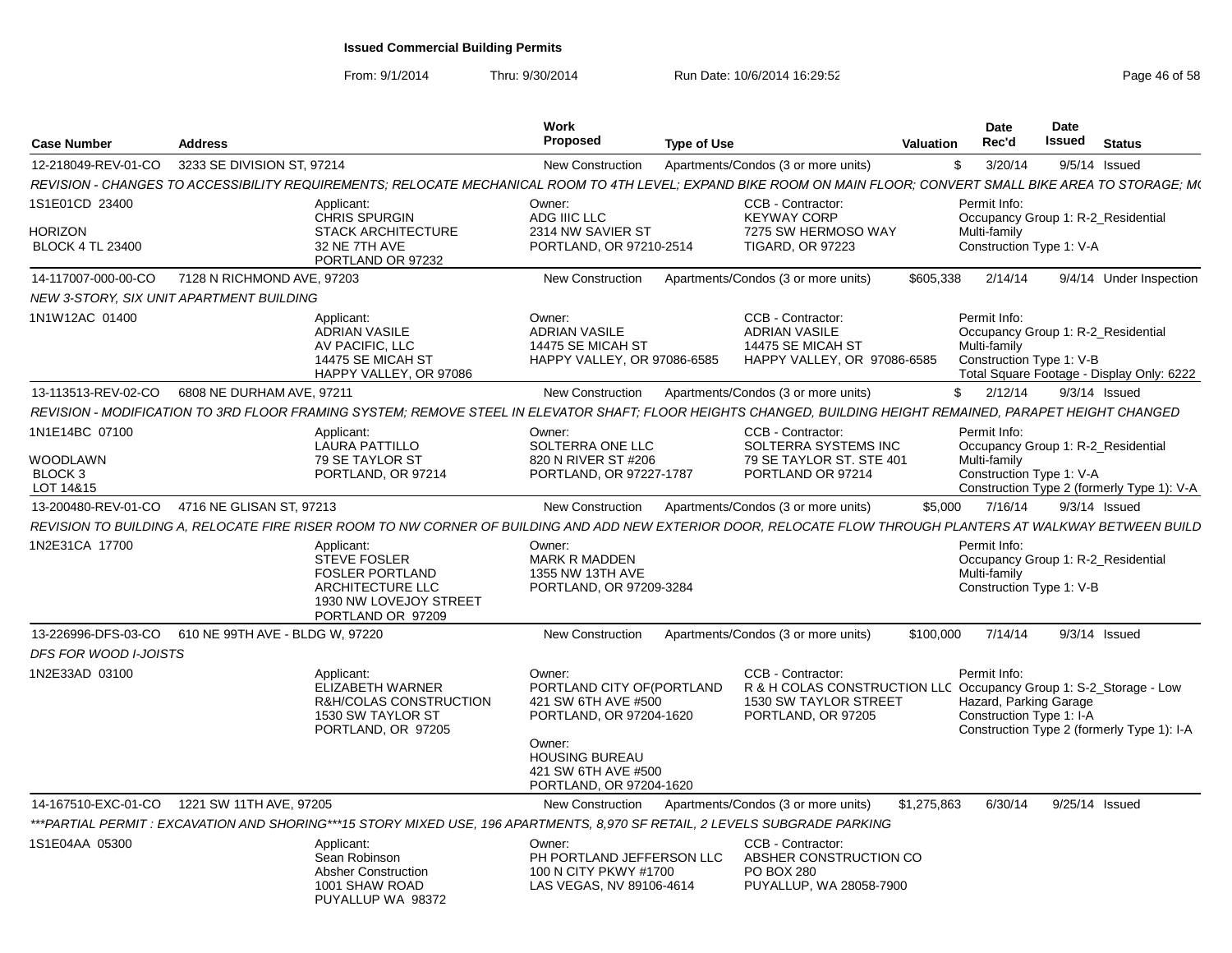| <b>Case Number</b>                                            | <b>Address</b>                           |                                                                                                                                                                 | <b>Work</b><br>Proposed                                                                                                                                                     | <b>Type of Use</b> |                                                                                                                                       | Valuation   | <b>Date</b><br>Rec'd                                                                           | Date<br><b>Issued</b> | <b>Status</b>                              |
|---------------------------------------------------------------|------------------------------------------|-----------------------------------------------------------------------------------------------------------------------------------------------------------------|-----------------------------------------------------------------------------------------------------------------------------------------------------------------------------|--------------------|---------------------------------------------------------------------------------------------------------------------------------------|-------------|------------------------------------------------------------------------------------------------|-----------------------|--------------------------------------------|
| 12-218049-REV-01-CO                                           | 3233 SE DIVISION ST, 97214               |                                                                                                                                                                 | <b>New Construction</b>                                                                                                                                                     |                    | Apartments/Condos (3 or more units)                                                                                                   | \$          | 3/20/14                                                                                        |                       | 9/5/14 Issued                              |
|                                                               |                                          | REVISION - CHANGES TO ACCESSIBILITY REQUIREMENTS; RELOCATE MECHANICAL ROOM TO 4TH LEVEL; EXPAND BIKE ROOM ON MAIN FLOOR; CONVERT SMALL BIKE AREA TO STORAGE; M( |                                                                                                                                                                             |                    |                                                                                                                                       |             |                                                                                                |                       |                                            |
| 1S1E01CD 23400<br><b>HORIZON</b><br><b>BLOCK 4 TL 23400</b>   |                                          | Applicant:<br><b>CHRIS SPURGIN</b><br><b>STACK ARCHITECTURE</b><br>32 NE 7TH AVE<br>PORTLAND OR 97232                                                           | Owner:<br>ADG IIIC LLC<br>2314 NW SAVIER ST<br>PORTLAND, OR 97210-2514                                                                                                      |                    | CCB - Contractor:<br><b>KEYWAY CORP</b><br>7275 SW HERMOSO WAY<br><b>TIGARD, OR 97223</b>                                             |             | Permit Info:<br>Occupancy Group 1: R-2_Residential<br>Multi-family<br>Construction Type 1: V-A |                       |                                            |
| 14-117007-000-00-CO                                           | 7128 N RICHMOND AVE, 97203               |                                                                                                                                                                 | New Construction                                                                                                                                                            |                    | Apartments/Condos (3 or more units)                                                                                                   | \$605,338   | 2/14/14                                                                                        |                       | 9/4/14 Under Inspection                    |
|                                                               | NEW 3-STORY. SIX UNIT APARTMENT BUILDING |                                                                                                                                                                 |                                                                                                                                                                             |                    |                                                                                                                                       |             |                                                                                                |                       |                                            |
| 1N1W12AC 01400                                                |                                          | Applicant:<br><b>ADRIAN VASILE</b><br>AV PACIFIC, LLC<br>14475 SE MICAH ST<br>HAPPY VALLEY, OR 97086                                                            | Owner:<br><b>ADRIAN VASILE</b><br>14475 SE MICAH ST<br>HAPPY VALLEY, OR 97086-6585                                                                                          |                    | CCB - Contractor:<br><b>ADRIAN VASILE</b><br>14475 SE MICAH ST<br>HAPPY VALLEY, OR 97086-6585                                         |             | Permit Info:<br>Occupancy Group 1: R-2_Residential<br>Multi-family<br>Construction Type 1: V-B |                       | Total Square Footage - Display Only: 6222  |
| 13-113513-REV-02-CO                                           | 6808 NE DURHAM AVE, 97211                |                                                                                                                                                                 | New Construction                                                                                                                                                            |                    | Apartments/Condos (3 or more units)                                                                                                   | \$          | 2/12/14                                                                                        |                       | $9/3/14$ Issued                            |
|                                                               |                                          | REVISION - MODIFICATION TO 3RD FLOOR FRAMING SYSTEM; REMOVE STEEL IN ELEVATOR SHAFT; FLOOR HEIGHTS CHANGED, BUILDING HEIGHT REMAINED, PARAPET HEIGHT CHANGED    |                                                                                                                                                                             |                    |                                                                                                                                       |             |                                                                                                |                       |                                            |
| 1N1E14BC 07100<br>WOODLAWN<br>BLOCK <sub>3</sub><br>LOT 14&15 |                                          | Applicant:<br><b>LAURA PATTILLO</b><br><b>79 SE TAYLOR ST</b><br>PORTLAND, OR 97214                                                                             | Owner:<br>SOLTERRA ONE LLC<br>820 N RIVER ST #206<br>PORTLAND, OR 97227-1787                                                                                                |                    | CCB - Contractor:<br>SOLTERRA SYSTEMS INC<br>79 SE TAYLOR ST. STE 401<br>PORTLAND OR 97214                                            |             | Permit Info:<br>Occupancy Group 1: R-2_Residential<br>Multi-family<br>Construction Type 1: V-A |                       | Construction Type 2 (formerly Type 1): V-A |
| 13-200480-REV-01-CO                                           | 4716 NE GLISAN ST. 97213                 |                                                                                                                                                                 | <b>New Construction</b>                                                                                                                                                     |                    | Apartments/Condos (3 or more units)                                                                                                   | \$5,000     | 7/16/14                                                                                        |                       | $9/3/14$ Issued                            |
|                                                               |                                          | REVISION TO BUILDING A, RELOCATE FIRE RISER ROOM TO NW CORNER OF BUILDING AND ADD NEW EXTERIOR DOOR, RELOCATE FLOW THROUGH PLANTERS AT WALKWAY BETWEEN BUILD    |                                                                                                                                                                             |                    |                                                                                                                                       |             |                                                                                                |                       |                                            |
| 1N2E31CA 17700                                                |                                          | Applicant:<br><b>STEVE FOSLER</b><br><b>FOSLER PORTLAND</b><br><b>ARCHITECTURE LLC</b><br>1930 NW LOVEJOY STREET<br>PORTLAND OR 97209                           | Owner:<br><b>MARK R MADDEN</b><br>1355 NW 13TH AVE<br>PORTLAND, OR 97209-3284                                                                                               |                    |                                                                                                                                       |             | Permit Info:<br>Occupancy Group 1: R-2_Residential<br>Multi-family<br>Construction Type 1: V-B |                       |                                            |
| 13-226996-DFS-03-CO                                           | 610 NE 99TH AVE - BLDG W, 97220          |                                                                                                                                                                 | <b>New Construction</b>                                                                                                                                                     |                    | Apartments/Condos (3 or more units)                                                                                                   | \$100,000   | 7/14/14                                                                                        |                       | $9/3/14$ Issued                            |
| <b>DFS FOR WOOD I-JOISTS</b>                                  |                                          |                                                                                                                                                                 |                                                                                                                                                                             |                    |                                                                                                                                       |             |                                                                                                |                       |                                            |
| 1N2E33AD 03100                                                |                                          | Applicant:<br><b>ELIZABETH WARNER</b><br>R&H/COLAS CONSTRUCTION<br>1530 SW TAYLOR ST<br>PORTLAND, OR 97205                                                      | Owner:<br>PORTLAND CITY OF (PORTLAND<br>421 SW 6TH AVE #500<br>PORTLAND, OR 97204-1620<br>Owner:<br><b>HOUSING BUREAU</b><br>421 SW 6TH AVE #500<br>PORTLAND, OR 97204-1620 |                    | CCB - Contractor:<br>R & H COLAS CONSTRUCTION LLC Occupancy Group 1: S-2_Storage - Low<br>1530 SW TAYLOR STREET<br>PORTLAND, OR 97205 |             | Permit Info:<br>Hazard, Parking Garage<br>Construction Type 1: I-A                             |                       | Construction Type 2 (formerly Type 1): I-A |
|                                                               |                                          |                                                                                                                                                                 |                                                                                                                                                                             |                    |                                                                                                                                       |             |                                                                                                |                       | 9/25/14 Issued                             |
| 14-167510-EXC-01-CO                                           | 1221 SW 11TH AVE, 97205                  | ***PARTIAL PERMIT : EXCAVATION AND SHORING***15 STORY MIXED USE, 196 APARTMENTS, 8,970 SF RETAIL, 2 LEVELS SUBGRADE PARKING                                     | <b>New Construction</b>                                                                                                                                                     |                    | Apartments/Condos (3 or more units)                                                                                                   | \$1,275,863 | 6/30/14                                                                                        |                       |                                            |
| 1S1E04AA 05300                                                |                                          | Applicant:                                                                                                                                                      | Owner:                                                                                                                                                                      |                    | CCB - Contractor:                                                                                                                     |             |                                                                                                |                       |                                            |
|                                                               |                                          | Sean Robinson<br><b>Absher Construction</b><br>1001 SHAW ROAD<br>PUYALLUP WA 98372                                                                              | PH PORTLAND JEFFERSON LLC<br>100 N CITY PKWY #1700<br>LAS VEGAS, NV 89106-4614                                                                                              |                    | ABSHER CONSTRUCTION CO<br><b>PO BOX 280</b><br>PUYALLUP, WA 28058-7900                                                                |             |                                                                                                |                       |                                            |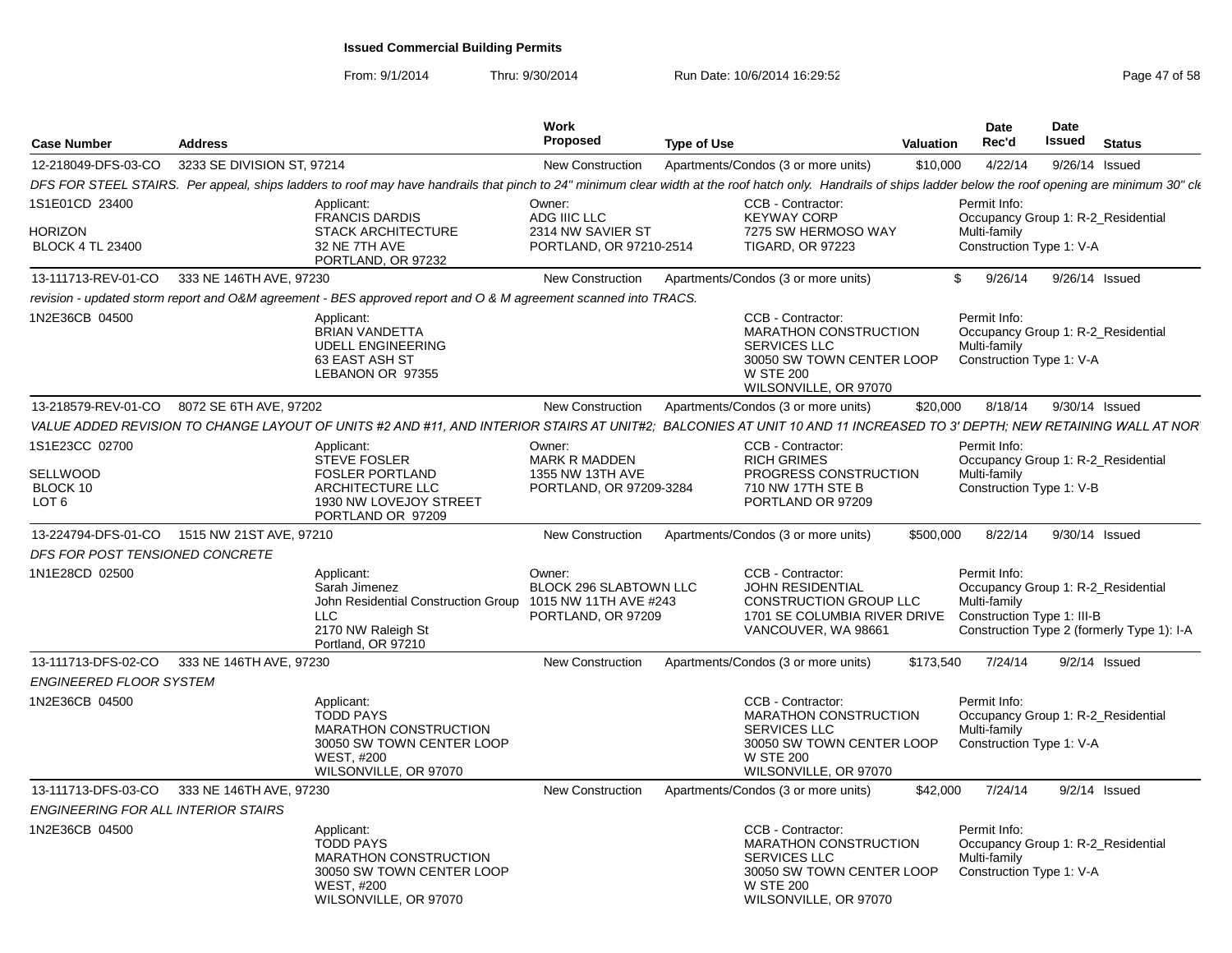| <b>Case Number</b>                                   | <b>Address</b>                              |                                                                                                                                                                                                              | Work<br><b>Proposed</b>                                                | <b>Type of Use</b> |                                                                                                                                                    | <b>Valuation</b> | <b>Date</b><br>Rec'd                                                                             | <b>Date</b><br>Issued | <b>Status</b> |                                            |
|------------------------------------------------------|---------------------------------------------|--------------------------------------------------------------------------------------------------------------------------------------------------------------------------------------------------------------|------------------------------------------------------------------------|--------------------|----------------------------------------------------------------------------------------------------------------------------------------------------|------------------|--------------------------------------------------------------------------------------------------|-----------------------|---------------|--------------------------------------------|
| 12-218049-DFS-03-CO                                  | 3233 SE DIVISION ST, 97214                  |                                                                                                                                                                                                              | New Construction                                                       |                    | Apartments/Condos (3 or more units)                                                                                                                | \$10,000         | 4/22/14                                                                                          | 9/26/14 Issued        |               |                                            |
|                                                      |                                             | DFS FOR STEEL STAIRS. Per appeal, ships ladders to roof may have handrails that pinch to 24" minimum clear width at the roof hatch only. Handrails of ships ladder below the roof opening are minimum 30" ck |                                                                        |                    |                                                                                                                                                    |                  |                                                                                                  |                       |               |                                            |
| 1S1E01CD 23400<br>HORIZON<br><b>BLOCK 4 TL 23400</b> |                                             | Applicant:<br><b>FRANCIS DARDIS</b><br><b>STACK ARCHITECTURE</b><br>32 NE 7TH AVE<br>PORTLAND, OR 97232                                                                                                      | Owner:<br>ADG IIIC LLC<br>2314 NW SAVIER ST<br>PORTLAND, OR 97210-2514 |                    | CCB - Contractor:<br><b>KEYWAY CORP</b><br>7275 SW HERMOSO WAY<br><b>TIGARD, OR 97223</b>                                                          |                  | Permit Info:<br>Occupancy Group 1: R-2 Residential<br>Multi-family<br>Construction Type 1: V-A   |                       |               |                                            |
| 13-111713-REV-01-CO                                  | 333 NE 146TH AVE, 97230                     |                                                                                                                                                                                                              | New Construction                                                       |                    | Apartments/Condos (3 or more units)                                                                                                                | $\mathbb{S}^-$   | 9/26/14                                                                                          | 9/26/14 Issued        |               |                                            |
|                                                      |                                             | revision - updated storm report and O&M agreement - BES approved report and O & M agreement scanned into TRACS.                                                                                              |                                                                        |                    |                                                                                                                                                    |                  |                                                                                                  |                       |               |                                            |
| 1N2E36CB 04500                                       |                                             | Applicant:<br><b>BRIAN VANDETTA</b><br><b>UDELL ENGINEERING</b><br>63 EAST ASH ST<br>LEBANON OR 97355                                                                                                        |                                                                        |                    | CCB - Contractor:<br><b>MARATHON CONSTRUCTION</b><br><b>SERVICES LLC</b><br>30050 SW TOWN CENTER LOOP<br><b>W STE 200</b><br>WILSONVILLE, OR 97070 |                  | Permit Info:<br>Occupancy Group 1: R-2 Residential<br>Multi-family<br>Construction Type 1: V-A   |                       |               |                                            |
|                                                      | 13-218579-REV-01-CO 8072 SE 6TH AVE, 97202  |                                                                                                                                                                                                              | New Construction                                                       |                    | Apartments/Condos (3 or more units)                                                                                                                | \$20,000         | 8/18/14                                                                                          | 9/30/14 Issued        |               |                                            |
|                                                      |                                             | VALUE ADDED REVISION TO CHANGE LAYOUT OF UNITS #2 AND #11. AND INTERIOR STAIRS AT UNIT#2:  BALCONIES AT UNIT 10 AND 11 INCREASED TO 3' DEPTH: NEW RETAINING WALL AT NOR                                      |                                                                        |                    |                                                                                                                                                    |                  |                                                                                                  |                       |               |                                            |
| 1S1E23CC 02700                                       |                                             | Applicant:<br><b>STEVE FOSLER</b>                                                                                                                                                                            | Owner:<br><b>MARK R MADDEN</b>                                         |                    | CCB - Contractor:<br><b>RICH GRIMES</b>                                                                                                            |                  | Permit Info:<br>Occupancy Group 1: R-2_Residential                                               |                       |               |                                            |
| SELLWOOD<br>BLOCK 10<br>LOT <sub>6</sub>             |                                             | <b>FOSLER PORTLAND</b><br>ARCHITECTURE LLC<br>1930 NW LOVEJOY STREET<br>PORTLAND OR 97209                                                                                                                    | 1355 NW 13TH AVE<br>PORTLAND, OR 97209-3284                            |                    | PROGRESS CONSTRUCTION<br>710 NW 17TH STE B<br>PORTLAND OR 97209                                                                                    |                  | Multi-family<br>Construction Type 1: V-B                                                         |                       |               |                                            |
|                                                      | 13-224794-DFS-01-CO 1515 NW 21ST AVE, 97210 |                                                                                                                                                                                                              | New Construction                                                       |                    | Apartments/Condos (3 or more units)                                                                                                                | \$500,000        | 8/22/14                                                                                          | 9/30/14 Issued        |               |                                            |
| DFS FOR POST TENSIONED CONCRETE                      |                                             |                                                                                                                                                                                                              |                                                                        |                    |                                                                                                                                                    |                  |                                                                                                  |                       |               |                                            |
| 1N1E28CD 02500                                       |                                             | Applicant:<br>Sarah Jimenez<br>John Residential Construction Group 1015 NW 11TH AVE #243<br>LLC<br>2170 NW Raleigh St<br>Portland, OR 97210                                                                  | Owner:<br><b>BLOCK 296 SLABTOWN LLC</b><br>PORTLAND, OR 97209          |                    | CCB - Contractor:<br><b>JOHN RESIDENTIAL</b><br><b>CONSTRUCTION GROUP LLC</b><br>1701 SE COLUMBIA RIVER DRIVE<br>VANCOUVER, WA 98661               |                  | Permit Info:<br>Occupancy Group 1: R-2 Residential<br>Multi-family<br>Construction Type 1: III-B |                       |               | Construction Type 2 (formerly Type 1): I-A |
|                                                      | 13-111713-DFS-02-CO 333 NE 146TH AVE, 97230 |                                                                                                                                                                                                              | New Construction                                                       |                    | Apartments/Condos (3 or more units)                                                                                                                | \$173,540        | 7/24/14                                                                                          | $9/2/14$ Issued       |               |                                            |
| <b>ENGINEERED FLOOR SYSTEM</b>                       |                                             |                                                                                                                                                                                                              |                                                                        |                    |                                                                                                                                                    |                  |                                                                                                  |                       |               |                                            |
| 1N2E36CB 04500                                       |                                             | Applicant:<br><b>TODD PAYS</b><br><b>MARATHON CONSTRUCTION</b><br>30050 SW TOWN CENTER LOOP<br><b>WEST. #200</b><br>WILSONVILLE, OR 97070                                                                    |                                                                        |                    | CCB - Contractor:<br><b>MARATHON CONSTRUCTION</b><br>SERVICES LLC<br>30050 SW TOWN CENTER LOOP<br><b>W STE 200</b><br>WILSONVILLE, OR 97070        |                  | Permit Info:<br>Occupancy Group 1: R-2_Residential<br>Multi-family<br>Construction Type 1: V-A   |                       |               |                                            |
|                                                      | 13-111713-DFS-03-CO 333 NE 146TH AVE, 97230 |                                                                                                                                                                                                              | New Construction                                                       |                    | Apartments/Condos (3 or more units)                                                                                                                | \$42,000         | 7/24/14                                                                                          | $9/2/14$ Issued       |               |                                            |
| <b>ENGINEERING FOR ALL INTERIOR STAIRS</b>           |                                             |                                                                                                                                                                                                              |                                                                        |                    |                                                                                                                                                    |                  |                                                                                                  |                       |               |                                            |
| 1N2E36CB 04500                                       |                                             | Applicant:<br><b>TODD PAYS</b><br><b>MARATHON CONSTRUCTION</b><br>30050 SW TOWN CENTER LOOP<br><b>WEST. #200</b><br>WILSONVILLE, OR 97070                                                                    |                                                                        |                    | CCB - Contractor:<br><b>MARATHON CONSTRUCTION</b><br><b>SERVICES LLC</b><br>30050 SW TOWN CENTER LOOP<br><b>W STE 200</b><br>WILSONVILLE, OR 97070 |                  | Permit Info:<br>Occupancy Group 1: R-2_Residential<br>Multi-family<br>Construction Type 1: V-A   |                       |               |                                            |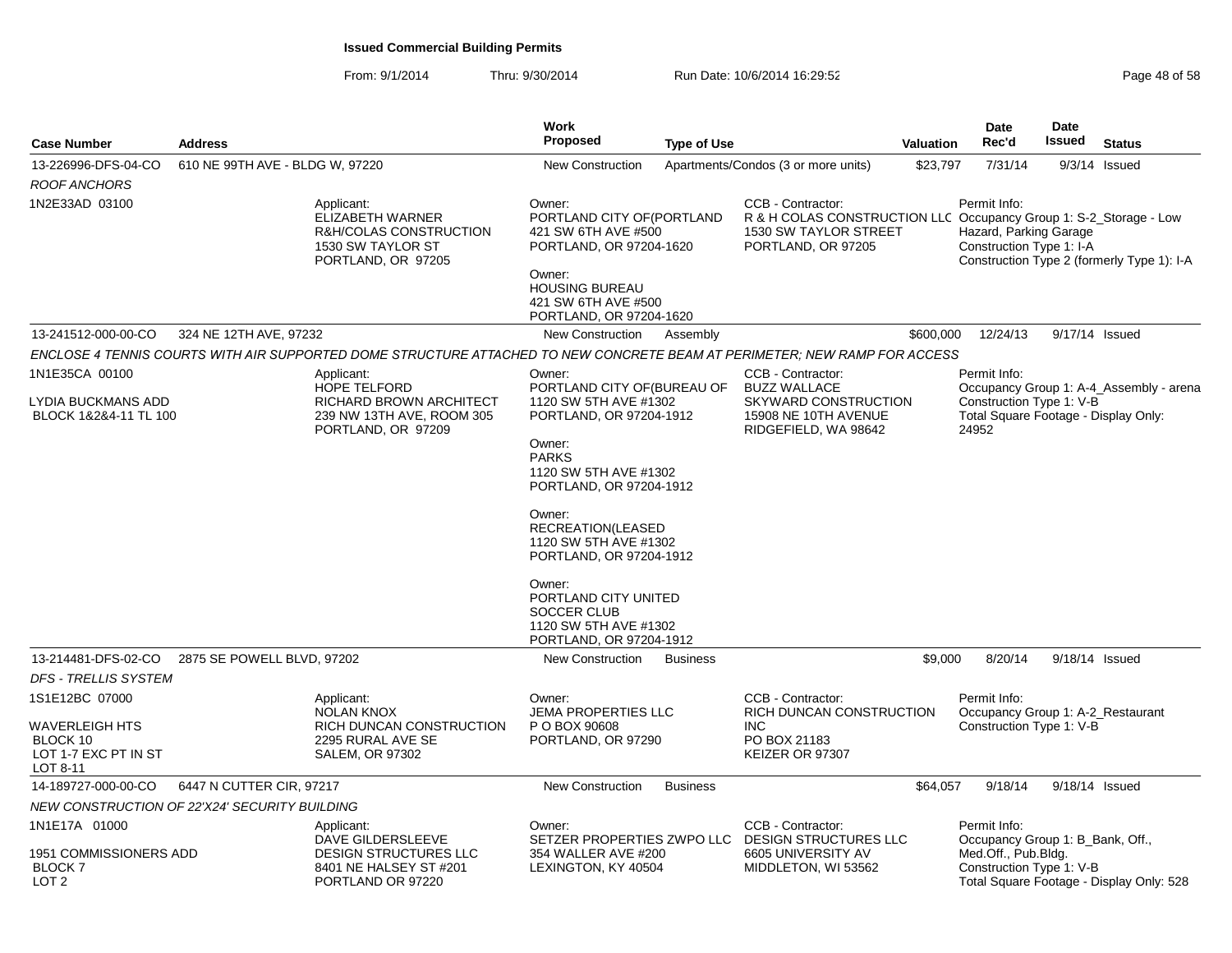| <b>Case Number</b>                            | <b>Address</b>                  |                                                                                                                           | Work<br><b>Proposed</b>                                                                                                                                                                                                                                    | <b>Type of Use</b> |                                                                                                                                              | Valuation | <b>Date</b><br>Rec'd                                                          | <b>Date</b><br><b>Issued</b> | <b>Status</b>                              |
|-----------------------------------------------|---------------------------------|---------------------------------------------------------------------------------------------------------------------------|------------------------------------------------------------------------------------------------------------------------------------------------------------------------------------------------------------------------------------------------------------|--------------------|----------------------------------------------------------------------------------------------------------------------------------------------|-----------|-------------------------------------------------------------------------------|------------------------------|--------------------------------------------|
| 13-226996-DFS-04-CO                           | 610 NE 99TH AVE - BLDG W, 97220 |                                                                                                                           | New Construction                                                                                                                                                                                                                                           |                    | Apartments/Condos (3 or more units)                                                                                                          | \$23,797  | 7/31/14                                                                       |                              | $9/3/14$ Issued                            |
| ROOF ANCHORS                                  |                                 |                                                                                                                           |                                                                                                                                                                                                                                                            |                    |                                                                                                                                              |           |                                                                               |                              |                                            |
| 1N2E33AD 03100                                |                                 | Applicant:<br>ELIZABETH WARNER<br>R&H/COLAS CONSTRUCTION<br>1530 SW TAYLOR ST<br>PORTLAND, OR 97205                       | Owner:<br>PORTLAND CITY OF (PORTLAND<br>421 SW 6TH AVE #500<br>PORTLAND, OR 97204-1620<br>Owner:<br><b>HOUSING BUREAU</b><br>421 SW 6TH AVE #500<br>PORTLAND, OR 97204-1620                                                                                |                    | CCB - Contractor:<br>R & H COLAS CONSTRUCTION LLC Occupancy Group 1: S-2_Storage - Low<br><b>1530 SW TAYLOR STREET</b><br>PORTLAND, OR 97205 |           | Permit Info:<br>Hazard, Parking Garage<br>Construction Type 1: I-A            |                              | Construction Type 2 (formerly Type 1): I-A |
| 13-241512-000-00-CO                           | 324 NE 12TH AVE, 97232          |                                                                                                                           | New Construction                                                                                                                                                                                                                                           | Assembly           |                                                                                                                                              | \$600,000 | 12/24/13                                                                      |                              | 9/17/14 Issued                             |
|                                               |                                 | ENCLOSE 4 TENNIS COURTS WITH AIR SUPPORTED DOME STRUCTURE ATTACHED TO NEW CONCRETE BEAM AT PERIMETER; NEW RAMP FOR ACCESS |                                                                                                                                                                                                                                                            |                    |                                                                                                                                              |           |                                                                               |                              |                                            |
| 1N1E35CA 00100                                |                                 | Applicant:                                                                                                                | Owner:                                                                                                                                                                                                                                                     |                    | CCB - Contractor:                                                                                                                            |           | Permit Info:                                                                  |                              |                                            |
| LYDIA BUCKMANS ADD<br>BLOCK 1&2&4-11 TL 100   |                                 | <b>HOPE TELFORD</b><br>RICHARD BROWN ARCHITECT<br>239 NW 13TH AVE, ROOM 305<br>PORTLAND, OR 97209                         | PORTLAND CITY OF (BUREAU OF<br>1120 SW 5TH AVE #1302<br>PORTLAND, OR 97204-1912<br>Owner:<br><b>PARKS</b><br>1120 SW 5TH AVE #1302<br>PORTLAND, OR 97204-1912<br>Owner:<br>RECREATION(LEASED<br>1120 SW 5TH AVE #1302<br>PORTLAND, OR 97204-1912<br>Owner: |                    | <b>BUZZ WALLACE</b><br>SKYWARD CONSTRUCTION<br>15908 NE 10TH AVENUE<br>RIDGEFIELD, WA 98642                                                  |           | Construction Type 1: V-B<br>Total Square Footage - Display Only:<br>24952     |                              | Occupancy Group 1: A-4_Assembly - arena    |
|                                               |                                 |                                                                                                                           | PORTLAND CITY UNITED<br><b>SOCCER CLUB</b><br>1120 SW 5TH AVE #1302<br>PORTLAND, OR 97204-1912                                                                                                                                                             |                    |                                                                                                                                              |           |                                                                               |                              |                                            |
| 13-214481-DFS-02-CO                           | 2875 SE POWELL BLVD, 97202      |                                                                                                                           | <b>New Construction</b>                                                                                                                                                                                                                                    | <b>Business</b>    |                                                                                                                                              | \$9,000   | 8/20/14                                                                       | 9/18/14 Issued               |                                            |
| <b>DFS - TRELLIS SYSTEM</b>                   |                                 |                                                                                                                           |                                                                                                                                                                                                                                                            |                    |                                                                                                                                              |           |                                                                               |                              |                                            |
| 1S1E12BC 07000<br>WAVERLEIGH HTS              |                                 | Applicant:<br><b>NOLAN KNOX</b><br>RICH DUNCAN CONSTRUCTION                                                               | Owner:<br><b>JEMA PROPERTIES LLC</b><br>P O BOX 90608                                                                                                                                                                                                      |                    | CCB - Contractor:<br>RICH DUNCAN CONSTRUCTION<br><b>INC</b>                                                                                  |           | Permit Info:<br>Occupancy Group 1: A-2_Restaurant<br>Construction Type 1: V-B |                              |                                            |
| BLOCK 10<br>LOT 1-7 EXC PT IN ST<br>LOT 8-11  |                                 | 2295 RURAL AVE SE<br><b>SALEM, OR 97302</b>                                                                               | PORTLAND, OR 97290                                                                                                                                                                                                                                         |                    | PO BOX 21183<br>KEIZER OR 97307                                                                                                              |           |                                                                               |                              |                                            |
| 14-189727-000-00-CO                           | 6447 N CUTTER CIR, 97217        |                                                                                                                           | <b>New Construction</b>                                                                                                                                                                                                                                    | <b>Business</b>    |                                                                                                                                              | \$64,057  | 9/18/14                                                                       | 9/18/14 Issued               |                                            |
| NEW CONSTRUCTION OF 22'X24' SECURITY BUILDING |                                 |                                                                                                                           |                                                                                                                                                                                                                                                            |                    |                                                                                                                                              |           |                                                                               |                              |                                            |
| 1N1E17A 01000<br>1951 COMMISSIONERS ADD       |                                 | Applicant:<br>DAVE GILDERSLEEVE<br><b>DESIGN STRUCTURES LLC</b>                                                           | Owner:<br>SETZER PROPERTIES ZWPO LLC<br>354 WALLER AVE #200                                                                                                                                                                                                |                    | <b>CCB - Contractor:</b><br><b>DESIGN STRUCTURES LLC</b><br>6605 UNIVERSITY AV                                                               |           | Permit Info:<br>Occupancy Group 1: B_Bank, Off.,<br>Med.Off., Pub.Bldg.       |                              |                                            |
| <b>BLOCK7</b><br>LOT <sub>2</sub>             |                                 | 8401 NE HALSEY ST #201<br>PORTLAND OR 97220                                                                               | LEXINGTON, KY 40504                                                                                                                                                                                                                                        |                    | MIDDLETON, WI 53562                                                                                                                          |           | Construction Type 1: V-B                                                      |                              | Total Square Footage - Display Only: 528   |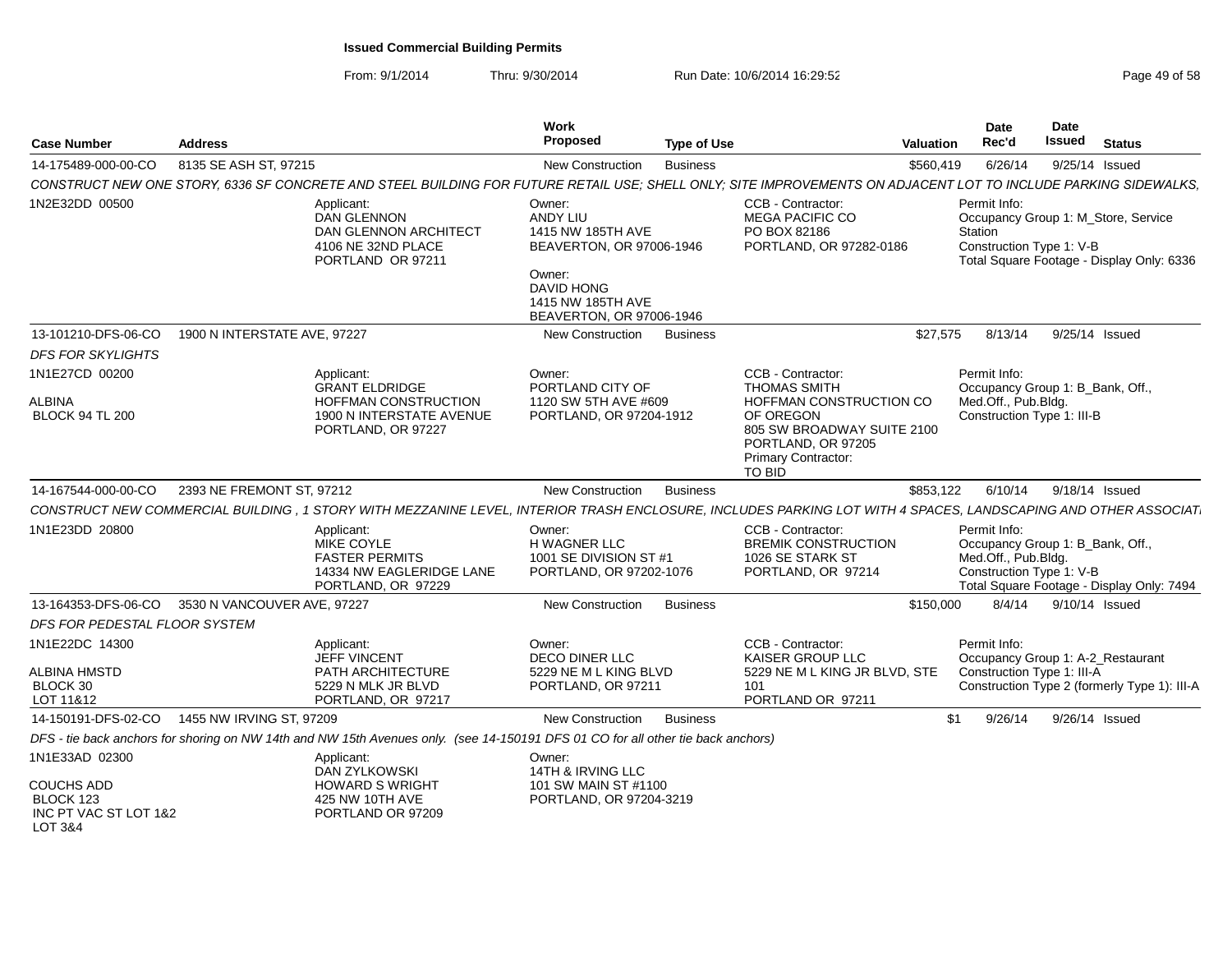| <b>Case Number</b><br><b>Address</b>                                                                                                                                                         | Work<br>Proposed<br><b>Type of Use</b>                                                                                                                                                                             | Date<br><b>Date</b><br><b>Issued</b><br>Rec'd<br><b>Status</b><br><b>Valuation</b>                                                                                             |
|----------------------------------------------------------------------------------------------------------------------------------------------------------------------------------------------|--------------------------------------------------------------------------------------------------------------------------------------------------------------------------------------------------------------------|--------------------------------------------------------------------------------------------------------------------------------------------------------------------------------|
| 8135 SE ASH ST, 97215<br>14-175489-000-00-CO                                                                                                                                                 | <b>New Construction</b><br><b>Business</b>                                                                                                                                                                         | 6/26/14<br>\$560,419<br>$9/25/14$ Issued                                                                                                                                       |
| CONSTRUCT NEW ONE STORY, 6336 SF CONCRETE AND STEEL BUILDING FOR FUTURE RETAIL USE; SHELL ONLY; SITE IMPROVEMENTS ON ADJACENT LOT TO INCLUDE PARKING SIDEWALKS,                              |                                                                                                                                                                                                                    |                                                                                                                                                                                |
| 1N2E32DD 00500<br>Applicant:<br><b>DAN GLENNON</b><br>DAN GLENNON ARCHITECT<br>4106 NE 32ND PLACE<br>PORTLAND OR 97211                                                                       | CCB - Contractor:<br>Owner:<br>ANDY LIU<br><b>MEGA PACIFIC CO</b><br>1415 NW 185TH AVE<br>PO BOX 82186<br>BEAVERTON, OR 97006-1946<br>Owner:<br><b>DAVID HONG</b><br>1415 NW 185TH AVE<br>BEAVERTON, OR 97006-1946 | Permit Info:<br>Occupancy Group 1: M_Store, Service<br>Station<br>PORTLAND, OR 97282-0186<br>Construction Type 1: V-B<br>Total Square Footage - Display Only: 6336             |
| 13-101210-DFS-06-CO<br>1900 N INTERSTATE AVE, 97227                                                                                                                                          | <b>Business</b><br><b>New Construction</b>                                                                                                                                                                         | 8/13/14<br>\$27,575<br>9/25/14 Issued                                                                                                                                          |
| <b>DFS FOR SKYLIGHTS</b>                                                                                                                                                                     |                                                                                                                                                                                                                    |                                                                                                                                                                                |
| 1N1E27CD 00200<br>Applicant:<br><b>GRANT ELDRIDGE</b><br>HOFFMAN CONSTRUCTION<br>ALBINA<br><b>BLOCK 94 TL 200</b><br>1900 N INTERSTATE AVENUE<br>PORTLAND, OR 97227                          | CCB - Contractor:<br>Owner:<br>PORTLAND CITY OF<br><b>THOMAS SMITH</b><br>1120 SW 5TH AVE #609<br>PORTLAND, OR 97204-1912<br>OF OREGON<br>PORTLAND, OR 97205<br><b>Primary Contractor:</b><br><b>TO BID</b>        | Permit Info:<br>Occupancy Group 1: B_Bank, Off.,<br>Med.Off., Pub.Bldg.<br>HOFFMAN CONSTRUCTION CO<br>Construction Type 1: III-B<br>805 SW BROADWAY SUITE 2100                 |
| 14-167544-000-00-CO<br>2393 NE FREMONT ST, 97212                                                                                                                                             | <b>New Construction</b><br><b>Business</b>                                                                                                                                                                         | \$853,122<br>6/10/14<br>9/18/14 Issued                                                                                                                                         |
| CONSTRUCT NEW COMMERCIAL BUILDING , 1 STORY WITH MEZZANINE LEVEL, INTERIOR TRASH ENCLOSURE, INCLUDES PARKING LOT WITH 4 SPACES, LANDSCAPING AND OTHER ASSOCIAT                               |                                                                                                                                                                                                                    |                                                                                                                                                                                |
| 1N1E23DD 20800<br>Applicant:<br>MIKE COYLE<br><b>FASTER PERMITS</b><br>14334 NW EAGLERIDGE LANE<br>PORTLAND, OR 97229                                                                        | Owner:<br>CCB - Contractor:<br><b>H WAGNER LLC</b><br>1001 SE DIVISION ST #1<br>1026 SE STARK ST<br>PORTLAND, OR 97202-1076<br>PORTLAND, OR 97214                                                                  | Permit Info:<br><b>BREMIK CONSTRUCTION</b><br>Occupancy Group 1: B Bank, Off.,<br>Med.Off., Pub.Bldg.<br>Construction Type 1: V-B<br>Total Square Footage - Display Only: 7494 |
| 13-164353-DFS-06-CO<br>3530 N VANCOUVER AVE, 97227                                                                                                                                           | <b>New Construction</b><br><b>Business</b>                                                                                                                                                                         | 8/4/14<br>\$150,000<br>9/10/14 Issued                                                                                                                                          |
| DFS FOR PEDESTAL FLOOR SYSTEM                                                                                                                                                                |                                                                                                                                                                                                                    |                                                                                                                                                                                |
| 1N1E22DC 14300<br>Applicant:<br><b>JEFF VINCENT</b><br>ALBINA HMSTD<br>PATH ARCHITECTURE<br>BLOCK 30<br>5229 N MLK JR BLVD<br>LOT 11&12<br>PORTLAND, OR 97217                                | CCB - Contractor:<br>Owner:<br><b>DECO DINER LLC</b><br>KAISER GROUP LLC<br>5229 NE M L KING BLVD<br>PORTLAND, OR 97211<br>101<br>PORTLAND OR 97211                                                                | Permit Info:<br>Occupancy Group 1: A-2_Restaurant<br>Construction Type 1: III-A<br>5229 NE M L KING JR BLVD, STE<br>Construction Type 2 (formerly Type 1): III-A               |
| 14-150191-DFS-02-CO<br>1455 NW IRVING ST, 97209                                                                                                                                              | <b>Business</b><br><b>New Construction</b>                                                                                                                                                                         | \$1<br>9/26/14<br>9/26/14 Issued                                                                                                                                               |
| DFS - tie back anchors for shoring on NW 14th and NW 15th Avenues only. (see 14-150191 DFS 01 CO for all other tie back anchors)                                                             |                                                                                                                                                                                                                    |                                                                                                                                                                                |
| 1N1E33AD 02300<br>Applicant:<br><b>DAN ZYLKOWSKI</b><br><b>COUCHS ADD</b><br><b>HOWARD S WRIGHT</b><br>BLOCK 123<br>425 NW 10TH AVE<br>INC PT VAC ST LOT 1&2<br>PORTLAND OR 97209<br>LOT 3&4 | Owner:<br>14TH & IRVING LLC<br>101 SW MAIN ST #1100<br>PORTLAND, OR 97204-3219                                                                                                                                     |                                                                                                                                                                                |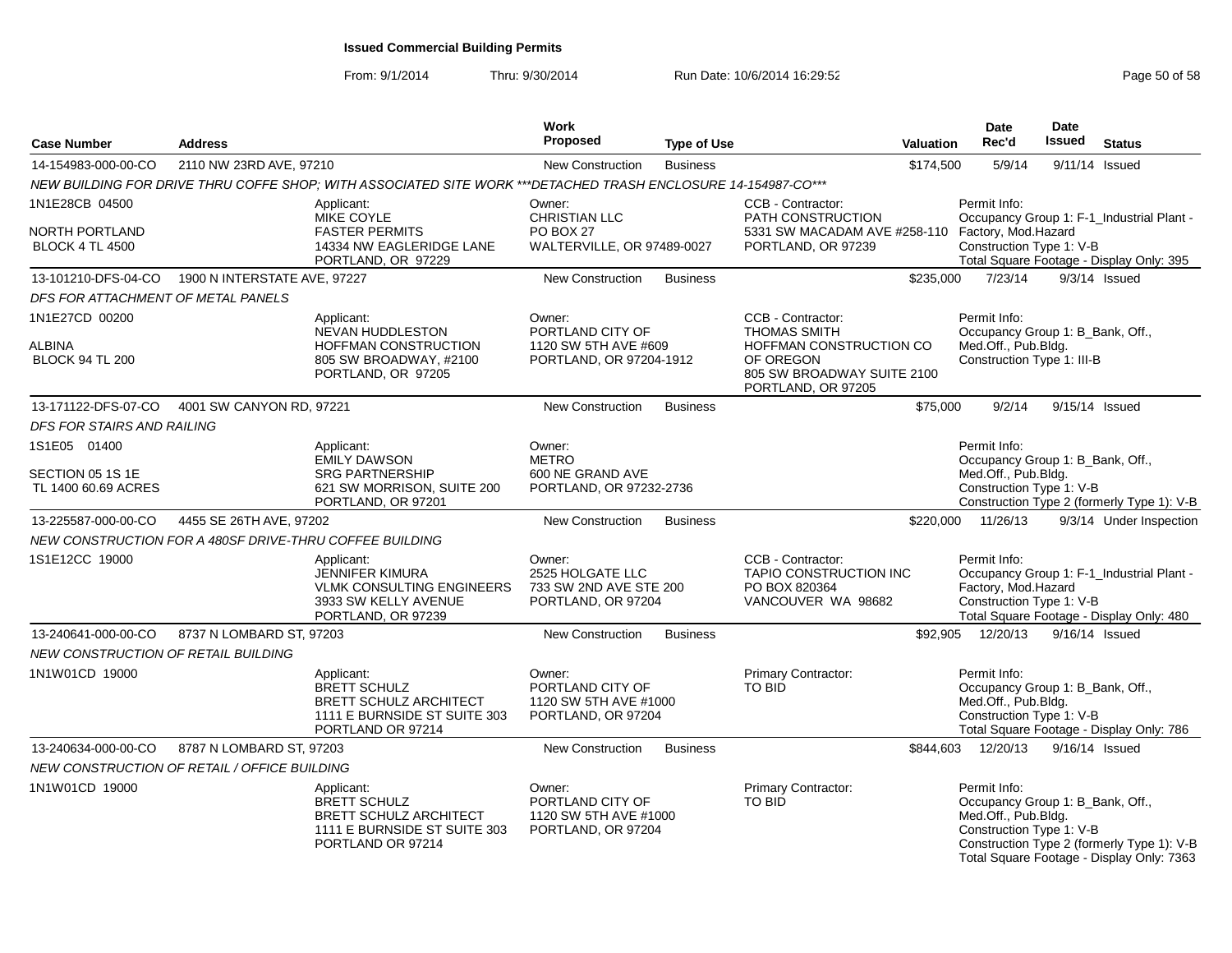| <b>Case Number</b>                                 | <b>Address</b>                                          |                                                                                                                         | Work<br>Proposed                                                              | <b>Type of Use</b> |                                                                                                                                      | <b>Valuation</b> | <b>Date</b><br>Rec'd                                                                                  | <b>Date</b><br>Issued | <b>Status</b>                                                                           |
|----------------------------------------------------|---------------------------------------------------------|-------------------------------------------------------------------------------------------------------------------------|-------------------------------------------------------------------------------|--------------------|--------------------------------------------------------------------------------------------------------------------------------------|------------------|-------------------------------------------------------------------------------------------------------|-----------------------|-----------------------------------------------------------------------------------------|
| 14-154983-000-00-CO                                | 2110 NW 23RD AVE, 97210                                 |                                                                                                                         | <b>New Construction</b>                                                       | <b>Business</b>    |                                                                                                                                      | \$174,500        | 5/9/14                                                                                                | 9/11/14 Issued        |                                                                                         |
|                                                    |                                                         | NEW BUILDING FOR DRIVE THRU COFFE SHOP: WITH ASSOCIATED SITE WORK ***DETACHED TRASH ENCLOSURE 14-154987-CO***           |                                                                               |                    |                                                                                                                                      |                  |                                                                                                       |                       |                                                                                         |
| 1N1E28CB 04500                                     |                                                         | Applicant:                                                                                                              | Owner:                                                                        |                    | CCB - Contractor:                                                                                                                    |                  | Permit Info:                                                                                          |                       |                                                                                         |
| NORTH PORTLAND<br><b>BLOCK 4 TL 4500</b>           |                                                         | MIKE COYLE<br><b>FASTER PERMITS</b><br>14334 NW EAGLERIDGE LANE<br>PORTLAND, OR 97229                                   | <b>CHRISTIAN LLC</b><br>PO BOX 27<br>WALTERVILLE, OR 97489-0027               |                    | PATH CONSTRUCTION<br>5331 SW MACADAM AVE #258-110 Factory, Mod.Hazard<br>PORTLAND, OR 97239                                          |                  | Construction Type 1: V-B                                                                              |                       | Occupancy Group 1: F-1_Industrial Plant -<br>Total Square Footage - Display Only: 395   |
| 13-101210-DFS-04-CO                                | 1900 N INTERSTATE AVE, 97227                            |                                                                                                                         | <b>New Construction</b>                                                       | <b>Business</b>    |                                                                                                                                      | \$235,000        | 7/23/14                                                                                               |                       | $9/3/14$ Issued                                                                         |
| DFS FOR ATTACHMENT OF METAL PANELS                 |                                                         |                                                                                                                         |                                                                               |                    |                                                                                                                                      |                  |                                                                                                       |                       |                                                                                         |
| 1N1E27CD 00200<br>ALBINA<br><b>BLOCK 94 TL 200</b> |                                                         | Applicant:<br><b>NEVAN HUDDLESTON</b><br>HOFFMAN CONSTRUCTION<br>805 SW BROADWAY, #2100<br>PORTLAND, OR 97205           | Owner:<br>PORTLAND CITY OF<br>1120 SW 5TH AVE #609<br>PORTLAND, OR 97204-1912 |                    | CCB - Contractor:<br><b>THOMAS SMITH</b><br>HOFFMAN CONSTRUCTION CO<br>OF OREGON<br>805 SW BROADWAY SUITE 2100<br>PORTLAND, OR 97205 |                  | Permit Info:<br>Occupancy Group 1: B_Bank, Off.,<br>Med.Off., Pub.Bldg.<br>Construction Type 1: III-B |                       |                                                                                         |
| 13-171122-DFS-07-CO                                | 4001 SW CANYON RD, 97221                                |                                                                                                                         | <b>New Construction</b>                                                       | <b>Business</b>    |                                                                                                                                      | \$75,000         | 9/2/14                                                                                                | 9/15/14 Issued        |                                                                                         |
| DFS FOR STAIRS AND RAILING                         |                                                         |                                                                                                                         |                                                                               |                    |                                                                                                                                      |                  |                                                                                                       |                       |                                                                                         |
| 1S1E05 01400                                       |                                                         | Applicant:                                                                                                              | Owner:                                                                        |                    |                                                                                                                                      |                  | Permit Info:                                                                                          |                       |                                                                                         |
| SECTION 05 1S 1E<br>TL 1400 60.69 ACRES            |                                                         | <b>EMILY DAWSON</b><br><b>SRG PARTNERSHIP</b><br>621 SW MORRISON, SUITE 200<br>PORTLAND, OR 97201                       | <b>METRO</b><br>600 NE GRAND AVE<br>PORTLAND, OR 97232-2736                   |                    |                                                                                                                                      |                  | Occupancy Group 1: B_Bank, Off.,<br>Med.Off., Pub.Bldg.<br>Construction Type 1: V-B                   |                       | Construction Type 2 (formerly Type 1): V-B                                              |
| 13-225587-000-00-CO                                | 4455 SE 26TH AVE, 97202                                 |                                                                                                                         | <b>New Construction</b>                                                       | <b>Business</b>    |                                                                                                                                      | \$220,000        | 11/26/13                                                                                              |                       | 9/3/14 Under Inspection                                                                 |
|                                                    | NEW CONSTRUCTION FOR A 480SF DRIVE-THRU COFFEE BUILDING |                                                                                                                         |                                                                               |                    |                                                                                                                                      |                  |                                                                                                       |                       |                                                                                         |
| 1S1E12CC 19000                                     |                                                         | Applicant:<br><b>JENNIFER KIMURA</b><br><b>VLMK CONSULTING ENGINEERS</b><br>3933 SW KELLY AVENUE<br>PORTLAND, OR 97239  | Owner:<br>2525 HOLGATE LLC<br>733 SW 2ND AVE STE 200<br>PORTLAND, OR 97204    |                    | CCB - Contractor:<br><b>TAPIO CONSTRUCTION INC</b><br>PO BOX 820364<br>VANCOUVER WA 98682                                            |                  | Permit Info:<br>Factory, Mod.Hazard<br>Construction Type 1: V-B                                       |                       | Occupancy Group 1: F-1_Industrial Plant -<br>Total Square Footage - Display Only: 480   |
| 13-240641-000-00-CO                                | 8737 N LOMBARD ST, 97203                                |                                                                                                                         | New Construction                                                              | <b>Business</b>    |                                                                                                                                      | \$92,905         | 12/20/13                                                                                              | 9/16/14 Issued        |                                                                                         |
| NEW CONSTRUCTION OF RETAIL BUILDING                |                                                         |                                                                                                                         |                                                                               |                    |                                                                                                                                      |                  |                                                                                                       |                       |                                                                                         |
| 1N1W01CD 19000                                     |                                                         | Applicant:<br><b>BRETT SCHULZ</b><br><b>BRETT SCHULZ ARCHITECT</b><br>1111 E BURNSIDE ST SUITE 303<br>PORTLAND OR 97214 | Owner:<br>PORTLAND CITY OF<br>1120 SW 5TH AVE #1000<br>PORTLAND, OR 97204     |                    | <b>Primary Contractor:</b><br><b>TO BID</b>                                                                                          |                  | Permit Info:<br>Occupancy Group 1: B_Bank, Off.,<br>Med.Off., Pub.Bldg.<br>Construction Type 1: V-B   |                       | Total Square Footage - Display Only: 786                                                |
| 13-240634-000-00-CO                                | 8787 N LOMBARD ST, 97203                                |                                                                                                                         | <b>New Construction</b>                                                       | <b>Business</b>    |                                                                                                                                      | \$844,603        | 12/20/13                                                                                              | 9/16/14 Issued        |                                                                                         |
|                                                    | NEW CONSTRUCTION OF RETAIL / OFFICE BUILDING            |                                                                                                                         |                                                                               |                    |                                                                                                                                      |                  |                                                                                                       |                       |                                                                                         |
| 1N1W01CD 19000                                     |                                                         | Applicant:<br><b>BRETT SCHULZ</b><br><b>BRETT SCHULZ ARCHITECT</b><br>1111 E BURNSIDE ST SUITE 303<br>PORTLAND OR 97214 | Owner:<br>PORTLAND CITY OF<br>1120 SW 5TH AVE #1000<br>PORTLAND, OR 97204     |                    | Primary Contractor:<br>TO BID                                                                                                        |                  | Permit Info:<br>Occupancy Group 1: B Bank, Off.,<br>Med.Off., Pub.Bldg.<br>Construction Type 1: V-B   |                       | Construction Type 2 (formerly Type 1): V-B<br>Total Square Footage - Display Only: 7363 |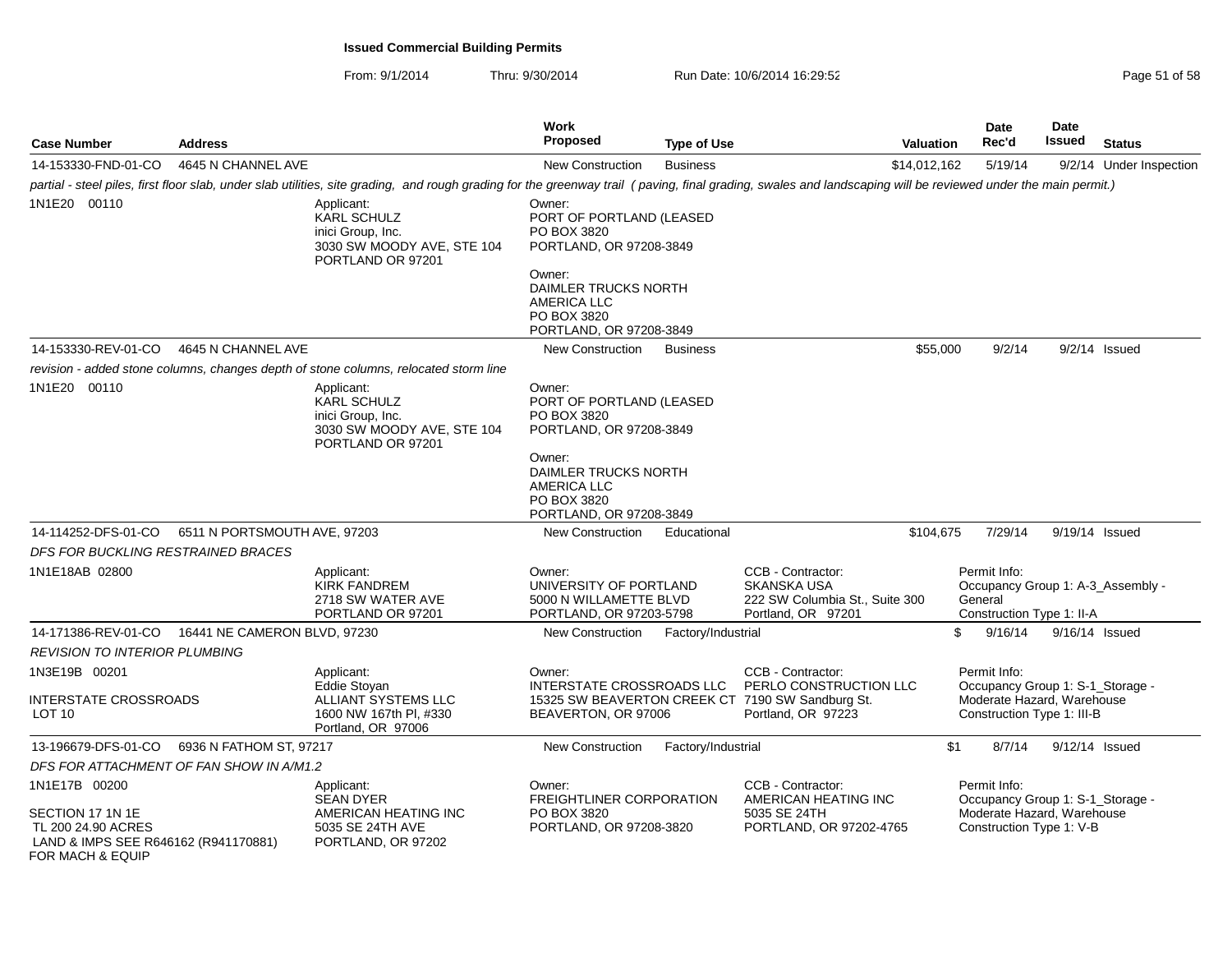| <b>Case Number</b>                                                                                 | <b>Address</b>                                    |                                                                                                                                                                                                               | <b>Work</b><br><b>Proposed</b>                                                          | <b>Type of Use</b> | <b>Valuation</b>                                                                                 |     | Date<br>Rec'd                                            | <b>Date</b><br>Issued | <b>Status</b>                     |
|----------------------------------------------------------------------------------------------------|---------------------------------------------------|---------------------------------------------------------------------------------------------------------------------------------------------------------------------------------------------------------------|-----------------------------------------------------------------------------------------|--------------------|--------------------------------------------------------------------------------------------------|-----|----------------------------------------------------------|-----------------------|-----------------------------------|
| 14-153330-FND-01-CO                                                                                | 4645 N CHANNEL AVE                                |                                                                                                                                                                                                               | <b>New Construction</b>                                                                 | <b>Business</b>    | \$14,012,162                                                                                     |     | 5/19/14                                                  |                       | 9/2/14 Under Inspection           |
|                                                                                                    |                                                   | partial - steel piles, first floor slab, under slab utilities, site grading, and rough grading for the greenway trail (paving, final grading, swales and landscaping will be reviewed under the main permit.) |                                                                                         |                    |                                                                                                  |     |                                                          |                       |                                   |
| 1N1E20 00110                                                                                       |                                                   | Applicant:<br><b>KARL SCHULZ</b><br>inici Group, Inc.<br>3030 SW MOODY AVE, STE 104<br>PORTLAND OR 97201                                                                                                      | Owner:<br>PORT OF PORTLAND (LEASED<br>PO BOX 3820<br>PORTLAND, OR 97208-3849            |                    |                                                                                                  |     |                                                          |                       |                                   |
|                                                                                                    |                                                   |                                                                                                                                                                                                               | Owner:<br>DAIMLER TRUCKS NORTH<br>AMERICA LLC<br>PO BOX 3820<br>PORTLAND, OR 97208-3849 |                    |                                                                                                  |     |                                                          |                       |                                   |
| 14-153330-REV-01-CO                                                                                | 4645 N CHANNEL AVE                                |                                                                                                                                                                                                               | New Construction                                                                        | <b>Business</b>    | \$55,000                                                                                         |     | 9/2/14                                                   |                       | $9/2/14$ Issued                   |
|                                                                                                    |                                                   | revision - added stone columns, changes depth of stone columns, relocated storm line                                                                                                                          |                                                                                         |                    |                                                                                                  |     |                                                          |                       |                                   |
| 1N1E20 00110                                                                                       |                                                   | Applicant:<br><b>KARL SCHULZ</b><br>inici Group, Inc.<br>3030 SW MOODY AVE, STE 104<br>PORTLAND OR 97201                                                                                                      | Owner:<br>PORT OF PORTLAND (LEASED<br>PO BOX 3820<br>PORTLAND, OR 97208-3849            |                    |                                                                                                  |     |                                                          |                       |                                   |
|                                                                                                    |                                                   |                                                                                                                                                                                                               | Owner:<br>DAIMLER TRUCKS NORTH<br>AMERICA LLC<br>PO BOX 3820<br>PORTLAND, OR 97208-3849 |                    |                                                                                                  |     |                                                          |                       |                                   |
| 14-114252-DFS-01-CO                                                                                | 6511 N PORTSMOUTH AVE, 97203                      |                                                                                                                                                                                                               | New Construction                                                                        | Educational        | \$104,675                                                                                        |     | 7/29/14                                                  |                       | 9/19/14 Issued                    |
| DFS FOR BUCKLING RESTRAINED BRACES                                                                 |                                                   |                                                                                                                                                                                                               |                                                                                         |                    |                                                                                                  |     |                                                          |                       |                                   |
| 1N1E18AB 02800                                                                                     |                                                   | Applicant:<br><b>KIRK FANDREM</b><br>2718 SW WATER AVE<br>PORTLAND OR 97201                                                                                                                                   | Owner:<br>UNIVERSITY OF PORTLAND<br>5000 N WILLAMETTE BLVD<br>PORTLAND, OR 97203-5798   |                    | CCB - Contractor:<br><b>SKANSKA USA</b><br>222 SW Columbia St., Suite 300<br>Portland, OR 97201  |     | Permit Info:<br>General<br>Construction Type 1: II-A     |                       | Occupancy Group 1: A-3_Assembly - |
|                                                                                                    | 14-171386-REV-01-CO  16441 NE CAMERON BLVD. 97230 |                                                                                                                                                                                                               | New Construction                                                                        | Factory/Industrial |                                                                                                  | \$  | 9/16/14                                                  |                       | $9/16/14$ Issued                  |
| <b>REVISION TO INTERIOR PLUMBING</b>                                                               |                                                   |                                                                                                                                                                                                               |                                                                                         |                    |                                                                                                  |     |                                                          |                       |                                   |
| 1N3E19B 00201                                                                                      |                                                   | Applicant:                                                                                                                                                                                                    | Owner:                                                                                  |                    | CCB - Contractor:                                                                                |     | Permit Info:                                             |                       |                                   |
| <b>INTERSTATE CROSSROADS</b><br>LOT <sub>10</sub>                                                  |                                                   | Eddie Stoyan<br>ALLIANT SYSTEMS LLC<br>1600 NW 167th Pl, #330<br>Portland, OR 97006                                                                                                                           | INTERSTATE CROSSROADS LLC<br>BEAVERTON, OR 97006                                        |                    | PERLO CONSTRUCTION LLC<br>15325 SW BEAVERTON CREEK CT 7190 SW Sandburg St.<br>Portland, OR 97223 |     | Moderate Hazard, Warehouse<br>Construction Type 1: III-B |                       | Occupancy Group 1: S-1_Storage -  |
| 13-196679-DFS-01-CO                                                                                | 6936 N FATHOM ST, 97217                           |                                                                                                                                                                                                               | <b>New Construction</b>                                                                 | Factory/Industrial |                                                                                                  | \$1 | 8/7/14                                                   |                       | 9/12/14 Issued                    |
| DFS FOR ATTACHMENT OF FAN SHOW IN A/M1.2                                                           |                                                   |                                                                                                                                                                                                               |                                                                                         |                    |                                                                                                  |     |                                                          |                       |                                   |
| 1N1E17B 00200                                                                                      |                                                   | Applicant:<br>SEAN DYER                                                                                                                                                                                       | Owner:<br><b>FREIGHTLINER CORPORATION</b>                                               |                    | CCB - Contractor:<br>AMERICAN HEATING INC                                                        |     | Permit Info:                                             |                       | Occupancy Group 1: S-1_Storage -  |
| SECTION 17 1N 1E<br>TL 200 24.90 ACRES<br>LAND & IMPS SEE R646162 (R941170881)<br>FOR MACH & EQUIP |                                                   | AMERICAN HEATING INC<br>5035 SE 24TH AVE<br>PORTLAND, OR 97202                                                                                                                                                | PO BOX 3820<br>PORTLAND, OR 97208-3820                                                  |                    | 5035 SE 24TH<br>PORTLAND, OR 97202-4765                                                          |     | Moderate Hazard, Warehouse<br>Construction Type 1: V-B   |                       |                                   |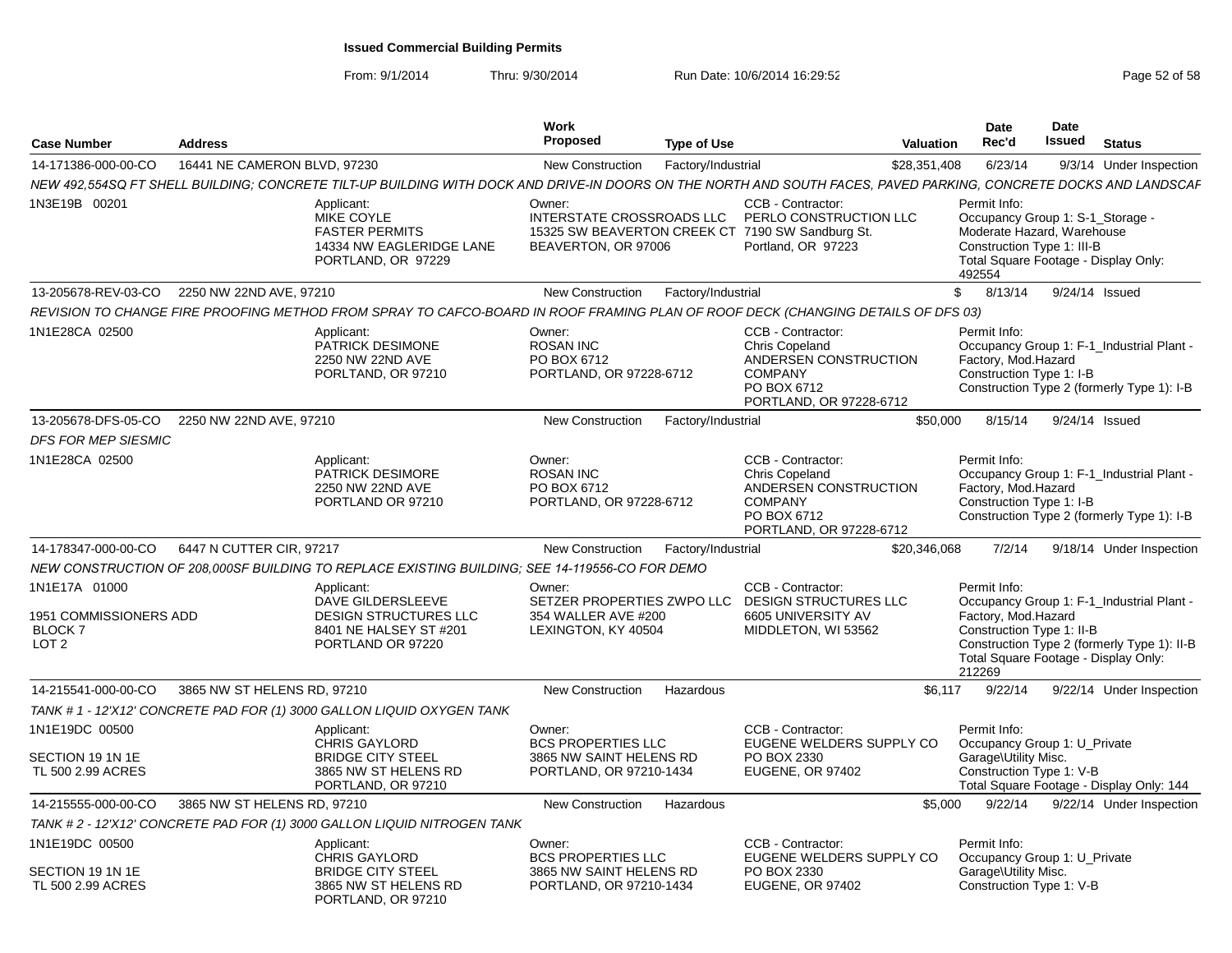| <b>Case Number</b>                                                                | <b>Address</b>               |                                                                                                                                                                  | <b>Work</b><br><b>Proposed</b>                                                            | <b>Type of Use</b> |                                                                                                                                 | <b>Valuation</b> | Date<br>Rec'd                                 | Date<br>Issued                                                                               | <b>Status</b>                                                                                                                    |
|-----------------------------------------------------------------------------------|------------------------------|------------------------------------------------------------------------------------------------------------------------------------------------------------------|-------------------------------------------------------------------------------------------|--------------------|---------------------------------------------------------------------------------------------------------------------------------|------------------|-----------------------------------------------|----------------------------------------------------------------------------------------------|----------------------------------------------------------------------------------------------------------------------------------|
| 14-171386-000-00-CO                                                               | 16441 NE CAMERON BLVD, 97230 |                                                                                                                                                                  | <b>New Construction</b>                                                                   | Factory/Industrial |                                                                                                                                 | \$28,351,408     | 6/23/14                                       |                                                                                              | 9/3/14 Under Inspection                                                                                                          |
|                                                                                   |                              | NEW 492,554SQ FT SHELL BUILDING; CONCRETE TILT-UP BUILDING WITH DOCK AND DRIVE-IN DOORS ON THE NORTH AND SOUTH FACES, PAVED PARKING, CONCRETE DOCKS AND LANDSCAF |                                                                                           |                    |                                                                                                                                 |                  |                                               |                                                                                              |                                                                                                                                  |
| 1N3E19B 00201                                                                     |                              | Applicant:<br>MIKE COYLE<br><b>FASTER PERMITS</b><br>14334 NW EAGLERIDGE LANE<br>PORTLAND, OR 97229                                                              | Owner:<br>INTERSTATE CROSSROADS LLC<br>BEAVERTON, OR 97006                                |                    | CCB - Contractor:<br>PERLO CONSTRUCTION LLC<br>15325 SW BEAVERTON CREEK CT 7190 SW Sandburg St.<br>Portland, OR 97223           |                  | Permit Info:<br>492554                        | Occupancy Group 1: S-1_Storage -<br>Moderate Hazard. Warehouse<br>Construction Type 1: III-B | Total Square Footage - Display Only:                                                                                             |
| 13-205678-REV-03-CO                                                               | 2250 NW 22ND AVE, 97210      |                                                                                                                                                                  | <b>New Construction</b>                                                                   | Factory/Industrial |                                                                                                                                 |                  | $\mathbb{S}$<br>8/13/14                       |                                                                                              | 9/24/14 Issued                                                                                                                   |
|                                                                                   |                              | REVISION TO CHANGE FIRE PROOFING METHOD FROM SPRAY TO CAFCO-BOARD IN ROOF FRAMING PLAN OF ROOF DECK (CHANGING DETAILS OF DFS 03)                                 |                                                                                           |                    |                                                                                                                                 |                  |                                               |                                                                                              |                                                                                                                                  |
| 1N1E28CA 02500                                                                    |                              | Applicant:<br>PATRICK DESIMONE<br>2250 NW 22ND AVE<br>PORLTAND, OR 97210                                                                                         | Owner:<br><b>ROSAN INC</b><br>PO BOX 6712<br>PORTLAND, OR 97228-6712                      |                    | CCB - Contractor:<br><b>Chris Copeland</b><br>ANDERSEN CONSTRUCTION<br><b>COMPANY</b><br>PO BOX 6712<br>PORTLAND, OR 97228-6712 |                  | Permit Info:<br>Factory, Mod.Hazard           | Construction Type 1: I-B                                                                     | Occupancy Group 1: F-1 Industrial Plant -<br>Construction Type 2 (formerly Type 1): I-B                                          |
| 13-205678-DFS-05-CO                                                               | 2250 NW 22ND AVE, 97210      |                                                                                                                                                                  | <b>New Construction</b>                                                                   | Factory/Industrial |                                                                                                                                 | \$50,000         | 8/15/14                                       |                                                                                              | 9/24/14 Issued                                                                                                                   |
| <b>DFS FOR MEP SIESMIC</b>                                                        |                              |                                                                                                                                                                  |                                                                                           |                    |                                                                                                                                 |                  |                                               |                                                                                              |                                                                                                                                  |
| 1N1E28CA 02500                                                                    |                              | Applicant:<br>PATRICK DESIMORE<br>2250 NW 22ND AVE<br>PORTLAND OR 97210                                                                                          | Owner:<br><b>ROSAN INC</b><br>PO BOX 6712<br>PORTLAND, OR 97228-6712                      |                    | CCB - Contractor:<br><b>Chris Copeland</b><br>ANDERSEN CONSTRUCTION<br><b>COMPANY</b><br>PO BOX 6712<br>PORTLAND, OR 97228-6712 |                  | Permit Info:<br>Factory, Mod.Hazard           | Construction Type 1: I-B                                                                     | Occupancy Group 1: F-1_Industrial Plant -<br>Construction Type 2 (formerly Type 1): I-B                                          |
| 14-178347-000-00-CO                                                               | 6447 N CUTTER CIR, 97217     |                                                                                                                                                                  | <b>New Construction</b>                                                                   | Factory/Industrial |                                                                                                                                 | \$20,346,068     | 7/2/14                                        |                                                                                              | 9/18/14 Under Inspection                                                                                                         |
|                                                                                   |                              | NEW CONSTRUCTION OF 208.000SF BUILDING TO REPLACE EXISTING BUILDING: SEE 14-119556-CO FOR DEMO                                                                   |                                                                                           |                    |                                                                                                                                 |                  |                                               |                                                                                              |                                                                                                                                  |
| 1N1E17A 01000<br>1951 COMMISSIONERS ADD<br>BLOCK <sub>7</sub><br>LOT <sub>2</sub> |                              | Applicant:<br>DAVE GILDERSLEEVE<br><b>DESIGN STRUCTURES LLC</b><br>8401 NE HALSEY ST #201<br>PORTLAND OR 97220                                                   | Owner:<br>SETZER PROPERTIES ZWPO LLC<br>354 WALLER AVE #200<br>LEXINGTON, KY 40504        |                    | CCB - Contractor:<br><b>DESIGN STRUCTURES LLC</b><br>6605 UNIVERSITY AV<br>MIDDLETON, WI 53562                                  |                  | Permit Info:<br>Factory, Mod.Hazard<br>212269 | Construction Type 1: II-B                                                                    | Occupancy Group 1: F-1_Industrial Plant -<br>Construction Type 2 (formerly Type 1): II-B<br>Total Square Footage - Display Only: |
| 14-215541-000-00-CO                                                               | 3865 NW ST HELENS RD, 97210  |                                                                                                                                                                  | <b>New Construction</b>                                                                   | Hazardous          |                                                                                                                                 | \$6,117          | 9/22/14                                       |                                                                                              | 9/22/14 Under Inspection                                                                                                         |
|                                                                                   |                              | TANK # 1 - 12'X12' CONCRETE PAD FOR (1) 3000 GALLON LIQUID OXYGEN TANK                                                                                           |                                                                                           |                    |                                                                                                                                 |                  |                                               |                                                                                              |                                                                                                                                  |
| 1N1E19DC 00500<br>SECTION 19 1N 1E<br>TL 500 2.99 ACRES                           |                              | Applicant:<br><b>CHRIS GAYLORD</b><br><b>BRIDGE CITY STEEL</b><br>3865 NW ST HELENS RD<br>PORTLAND, OR 97210                                                     | Owner:<br><b>BCS PROPERTIES LLC</b><br>3865 NW SAINT HELENS RD<br>PORTLAND, OR 97210-1434 |                    | CCB - Contractor:<br>EUGENE WELDERS SUPPLY CO<br>PO BOX 2330<br><b>EUGENE, OR 97402</b>                                         |                  | Permit Info:<br>Garage\Utility Misc.          | Occupancy Group 1: U Private<br>Construction Type 1: V-B                                     | Total Square Footage - Display Only: 144                                                                                         |
| 14-215555-000-00-CO                                                               | 3865 NW ST HELENS RD, 97210  |                                                                                                                                                                  | <b>New Construction</b>                                                                   | Hazardous          |                                                                                                                                 | \$5,000          | 9/22/14                                       |                                                                                              | 9/22/14 Under Inspection                                                                                                         |
|                                                                                   |                              | TANK #2 - 12'X12' CONCRETE PAD FOR (1) 3000 GALLON LIQUID NITROGEN TANK                                                                                          |                                                                                           |                    |                                                                                                                                 |                  |                                               |                                                                                              |                                                                                                                                  |
| 1N1E19DC 00500<br>SECTION 19 1N 1E<br>TL 500 2.99 ACRES                           |                              | Applicant:<br><b>CHRIS GAYLORD</b><br><b>BRIDGE CITY STEEL</b><br>3865 NW ST HELENS RD<br>PORTLAND, OR 97210                                                     | Owner:<br><b>BCS PROPERTIES LLC</b><br>3865 NW SAINT HELENS RD<br>PORTLAND, OR 97210-1434 |                    | CCB - Contractor:<br>EUGENE WELDERS SUPPLY CO<br>PO BOX 2330<br><b>EUGENE, OR 97402</b>                                         |                  | Permit Info:<br>Garage\Utility Misc.          | Occupancy Group 1: U_Private<br>Construction Type 1: V-B                                     |                                                                                                                                  |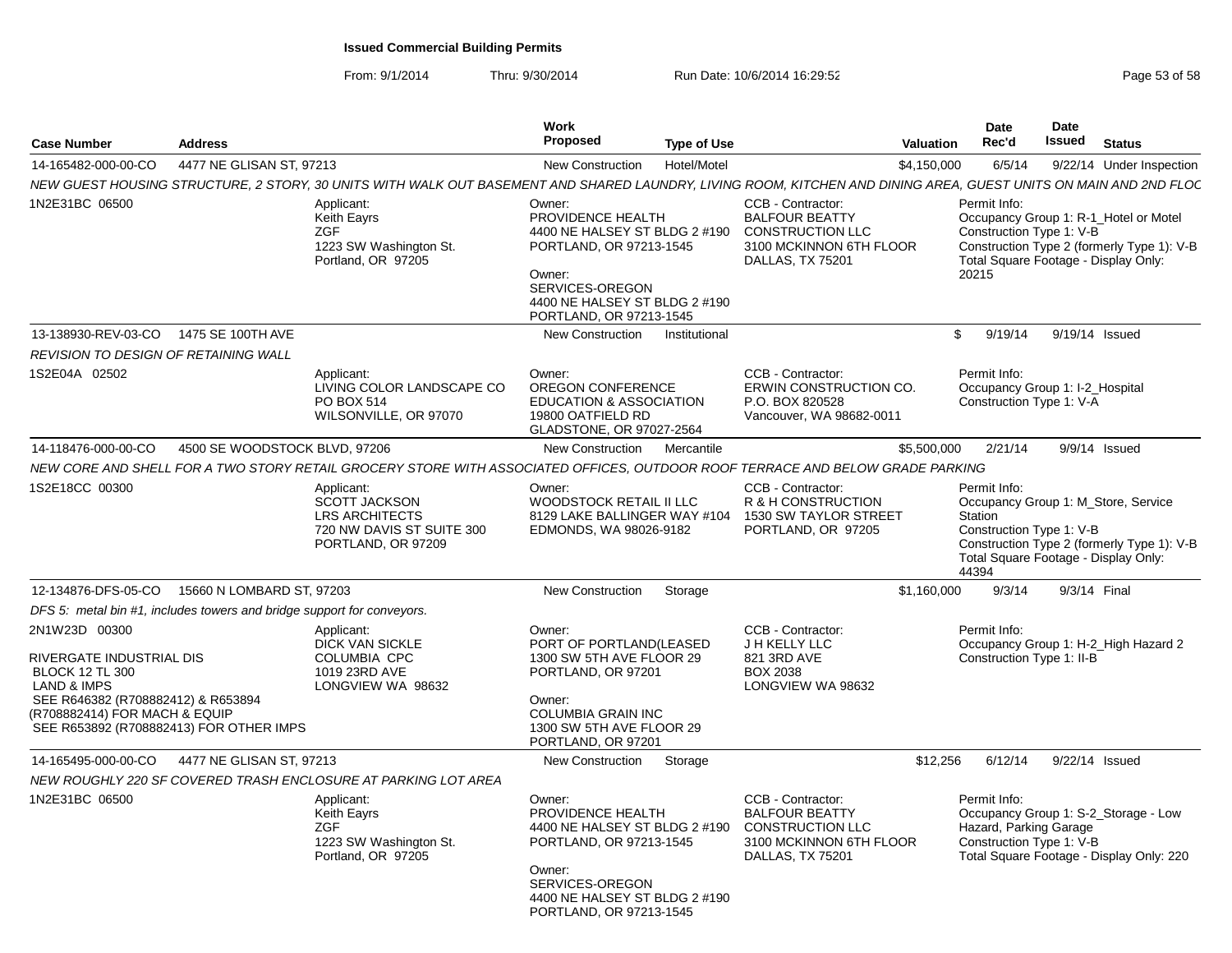|                                                                                                                                                                                                                 |                                                                        |                                                                                                                                                                  | Work                                                                                                                                                                             |                                                                                                                      | <b>Date</b>                      | <b>Date</b>                                                 |                                                                                                                             |
|-----------------------------------------------------------------------------------------------------------------------------------------------------------------------------------------------------------------|------------------------------------------------------------------------|------------------------------------------------------------------------------------------------------------------------------------------------------------------|----------------------------------------------------------------------------------------------------------------------------------------------------------------------------------|----------------------------------------------------------------------------------------------------------------------|----------------------------------|-------------------------------------------------------------|-----------------------------------------------------------------------------------------------------------------------------|
| <b>Case Number</b>                                                                                                                                                                                              | <b>Address</b>                                                         |                                                                                                                                                                  | <b>Proposed</b><br><b>Type of Use</b>                                                                                                                                            |                                                                                                                      | Rec'd<br><b>Valuation</b>        | <b>Issued</b>                                               | <b>Status</b>                                                                                                               |
| 14-165482-000-00-CO                                                                                                                                                                                             | 4477 NE GLISAN ST. 97213                                               |                                                                                                                                                                  | <b>New Construction</b><br>Hotel/Motel                                                                                                                                           |                                                                                                                      | \$4,150,000<br>6/5/14            |                                                             | 9/22/14 Under Inspection                                                                                                    |
|                                                                                                                                                                                                                 |                                                                        | NEW GUEST HOUSING STRUCTURE, 2 STORY, 30 UNITS WITH WALK OUT BASEMENT AND SHARED LAUNDRY, LIVING ROOM, KITCHEN AND DINING AREA, GUEST UNITS ON MAIN AND 2ND FLOC |                                                                                                                                                                                  |                                                                                                                      |                                  |                                                             |                                                                                                                             |
| 1N2E31BC 06500                                                                                                                                                                                                  |                                                                        | Applicant:<br>Keith Eayrs<br>7GF<br>1223 SW Washington St.<br>Portland, OR 97205                                                                                 | Owner:<br>PROVIDENCE HEALTH<br>4400 NE HALSEY ST BLDG 2 #190<br>PORTLAND, OR 97213-1545<br>Owner:<br>SERVICES-OREGON<br>4400 NE HALSEY ST BLDG 2 #190<br>PORTLAND, OR 97213-1545 | CCB - Contractor:<br><b>BALFOUR BEATTY</b><br><b>CONSTRUCTION LLC</b><br>3100 MCKINNON 6TH FLOOR<br>DALLAS, TX 75201 | Permit Info:<br>20215            | Construction Type 1: V-B                                    | Occupancy Group 1: R-1_Hotel or Motel<br>Construction Type 2 (formerly Type 1): V-B<br>Total Square Footage - Display Only: |
| 13-138930-REV-03-CO 1475 SE 100TH AVE                                                                                                                                                                           |                                                                        |                                                                                                                                                                  | <b>New Construction</b><br>Institutional                                                                                                                                         |                                                                                                                      | \$<br>9/19/14                    |                                                             | 9/19/14 Issued                                                                                                              |
| REVISION TO DESIGN OF RETAINING WALL                                                                                                                                                                            |                                                                        |                                                                                                                                                                  |                                                                                                                                                                                  |                                                                                                                      |                                  |                                                             |                                                                                                                             |
| 1S2E04A 02502                                                                                                                                                                                                   |                                                                        | Applicant:<br>LIVING COLOR LANDSCAPE CO<br>PO BOX 514<br>WILSONVILLE, OR 97070                                                                                   | Owner:<br>OREGON CONFERENCE<br><b>EDUCATION &amp; ASSOCIATION</b><br>19800 OATFIELD RD<br>GLADSTONE, OR 97027-2564                                                               | CCB - Contractor:<br>ERWIN CONSTRUCTION CO.<br>P.O. BOX 820528<br>Vancouver, WA 98682-0011                           | Permit Info:                     | Occupancy Group 1: I-2 Hospital<br>Construction Type 1: V-A |                                                                                                                             |
| 14-118476-000-00-CO                                                                                                                                                                                             | 4500 SE WOODSTOCK BLVD, 97206                                          |                                                                                                                                                                  | New Construction<br>Mercantile                                                                                                                                                   |                                                                                                                      | \$5,500,000<br>2/21/14           |                                                             | $9/9/14$ Issued                                                                                                             |
|                                                                                                                                                                                                                 |                                                                        | NEW CORE AND SHELL FOR A TWO STORY RETAIL GROCERY STORE WITH ASSOCIATED OFFICES, OUTDOOR ROOF TERRACE AND BELOW GRADE PARKING                                    |                                                                                                                                                                                  |                                                                                                                      |                                  |                                                             |                                                                                                                             |
| 1S2E18CC 00300                                                                                                                                                                                                  |                                                                        | Applicant:<br><b>SCOTT JACKSON</b><br><b>LRS ARCHITECTS</b><br>720 NW DAVIS ST SUITE 300<br>PORTLAND, OR 97209                                                   | Owner:<br>WOODSTOCK RETAIL II LLC<br>8129 LAKE BALLINGER WAY #104<br>EDMONDS, WA 98026-9182                                                                                      | CCB - Contractor:<br>R & H CONSTRUCTION<br>1530 SW TAYLOR STREET<br>PORTLAND, OR 97205                               | Permit Info:<br>Station<br>44394 | Construction Type 1: V-B                                    | Occupancy Group 1: M Store, Service<br>Construction Type 2 (formerly Type 1): V-B<br>Total Square Footage - Display Only:   |
| 12-134876-DFS-05-CO                                                                                                                                                                                             | 15660 N LOMBARD ST, 97203                                              |                                                                                                                                                                  | Storage<br><b>New Construction</b>                                                                                                                                               |                                                                                                                      | 9/3/14<br>\$1,160,000            |                                                             | 9/3/14 Final                                                                                                                |
|                                                                                                                                                                                                                 | DFS 5: metal bin #1, includes towers and bridge support for conveyors. |                                                                                                                                                                  |                                                                                                                                                                                  |                                                                                                                      |                                  |                                                             |                                                                                                                             |
| 2N1W23D 00300<br>RIVERGATE INDUSTRIAL DIS<br><b>BLOCK 12 TL 300</b><br><b>LAND &amp; IMPS</b><br>SEE R646382 (R708882412) & R653894<br>(R708882414) FOR MACH & EQUIP<br>SEE R653892 (R708882413) FOR OTHER IMPS |                                                                        | Applicant:<br><b>DICK VAN SICKLE</b><br><b>COLUMBIA CPC</b><br>1019 23RD AVE<br>LONGVIEW WA 98632                                                                | Owner:<br>PORT OF PORTLAND(LEASED<br>1300 SW 5TH AVE FLOOR 29<br>PORTLAND, OR 97201<br>Owner:<br><b>COLUMBIA GRAIN INC</b><br>1300 SW 5TH AVE FLOOR 29<br>PORTLAND, OR 97201     | CCB - Contractor:<br>J H KELLY LLC<br>821 3RD AVE<br><b>BOX 2038</b><br>LONGVIEW WA 98632                            | Permit Info:                     | Construction Type 1: II-B                                   | Occupancy Group 1: H-2_High Hazard 2                                                                                        |
| 14-165495-000-00-CO                                                                                                                                                                                             | 4477 NE GLISAN ST, 97213                                               |                                                                                                                                                                  | <b>New Construction</b><br>Storage                                                                                                                                               |                                                                                                                      | \$12,256<br>6/12/14              |                                                             | 9/22/14 Issued                                                                                                              |
|                                                                                                                                                                                                                 |                                                                        | NEW ROUGHLY 220 SF COVERED TRASH ENCLOSURE AT PARKING LOT AREA                                                                                                   |                                                                                                                                                                                  |                                                                                                                      |                                  |                                                             |                                                                                                                             |
| 1N2E31BC 06500                                                                                                                                                                                                  |                                                                        | Applicant:<br><b>Keith Eavrs</b><br>ZGF<br>1223 SW Washington St.<br>Portland, OR 97205                                                                          | Owner:<br>PROVIDENCE HEALTH<br>4400 NE HALSEY ST BLDG 2 #190<br>PORTLAND, OR 97213-1545<br>Owner:<br>SERVICES-OREGON<br>4400 NE HALSEY ST BLDG 2 #190<br>PORTLAND, OR 97213-1545 | CCB - Contractor:<br><b>BALFOUR BEATTY</b><br><b>CONSTRUCTION LLC</b><br>3100 MCKINNON 6TH FLOOR<br>DALLAS, TX 75201 | Permit Info:                     | Hazard, Parking Garage<br>Construction Type 1: V-B          | Occupancy Group 1: S-2 Storage - Low<br>Total Square Footage - Display Only: 220                                            |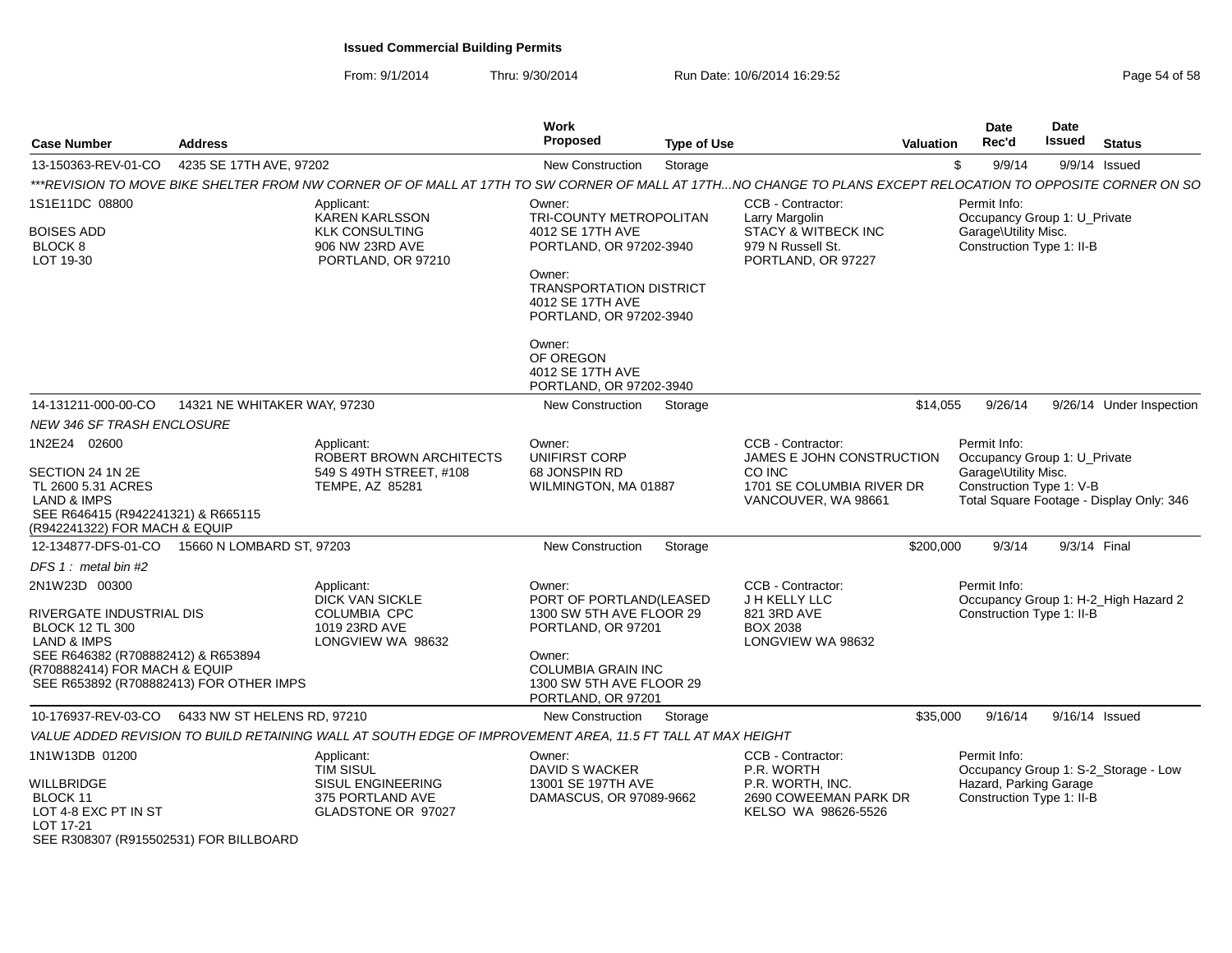| <b>Case Number</b>                                                                                                                                                                                              | <b>Address</b>               |                                                                                                                                                               | Work<br><b>Proposed</b>                                                                                                                                                      | <b>Type of Use</b> |                                                                                                     | <b>Valuation</b> | <b>Date</b><br>Rec'd                                                             | Date<br><b>Issued</b> | <b>Status</b>                            |
|-----------------------------------------------------------------------------------------------------------------------------------------------------------------------------------------------------------------|------------------------------|---------------------------------------------------------------------------------------------------------------------------------------------------------------|------------------------------------------------------------------------------------------------------------------------------------------------------------------------------|--------------------|-----------------------------------------------------------------------------------------------------|------------------|----------------------------------------------------------------------------------|-----------------------|------------------------------------------|
| 13-150363-REV-01-CO                                                                                                                                                                                             | 4235 SE 17TH AVE, 97202      |                                                                                                                                                               | <b>New Construction</b>                                                                                                                                                      | Storage            |                                                                                                     | \$               | 9/9/14                                                                           |                       | $9/9/14$ Issued                          |
|                                                                                                                                                                                                                 |                              | ***REVISION TO MOVE BIKE SHELTER FROM NW CORNER OF OF MALL AT 17TH TO SW CORNER OF MALL AT 17TH…NO CHANGE TO PLANS EXCEPT RELOCATION TO OPPOSITE CORNER ON SO |                                                                                                                                                                              |                    |                                                                                                     |                  |                                                                                  |                       |                                          |
| 1S1E11DC 08800                                                                                                                                                                                                  |                              | Applicant:<br><b>KAREN KARLSSON</b>                                                                                                                           | Owner:<br>TRI-COUNTY METROPOLITAN                                                                                                                                            |                    | CCB - Contractor:<br>Larry Margolin                                                                 |                  | Permit Info:<br>Occupancy Group 1: U_Private                                     |                       |                                          |
| BOISES ADD<br>BLOCK 8<br>LOT 19-30                                                                                                                                                                              |                              | <b>KLK CONSULTING</b><br>906 NW 23RD AVE<br>PORTLAND, OR 97210                                                                                                | 4012 SE 17TH AVE<br>PORTLAND, OR 97202-3940                                                                                                                                  |                    | <b>STACY &amp; WITBECK INC</b><br>979 N Russell St.<br>PORTLAND, OR 97227                           |                  | Garage\Utility Misc.<br>Construction Type 1: II-B                                |                       |                                          |
|                                                                                                                                                                                                                 |                              |                                                                                                                                                               | Owner:<br><b>TRANSPORTATION DISTRICT</b><br>4012 SE 17TH AVE<br>PORTLAND, OR 97202-3940                                                                                      |                    |                                                                                                     |                  |                                                                                  |                       |                                          |
|                                                                                                                                                                                                                 |                              |                                                                                                                                                               | Owner:<br>OF OREGON<br>4012 SE 17TH AVE<br>PORTLAND, OR 97202-3940                                                                                                           |                    |                                                                                                     |                  |                                                                                  |                       |                                          |
| 14-131211-000-00-CO                                                                                                                                                                                             | 14321 NE WHITAKER WAY, 97230 |                                                                                                                                                               | New Construction                                                                                                                                                             | Storage            |                                                                                                     | \$14,055         | 9/26/14                                                                          |                       | 9/26/14 Under Inspection                 |
| <b>NEW 346 SF TRASH ENCLOSURE</b>                                                                                                                                                                               |                              |                                                                                                                                                               |                                                                                                                                                                              |                    |                                                                                                     |                  |                                                                                  |                       |                                          |
| 1N2E24 02600                                                                                                                                                                                                    |                              | Applicant:                                                                                                                                                    | Owner:                                                                                                                                                                       |                    | CCB - Contractor:                                                                                   |                  | Permit Info:                                                                     |                       |                                          |
| SECTION 24 1N 2E<br>TL 2600 5.31 ACRES<br><b>LAND &amp; IMPS</b><br>SEE R646415 (R942241321) & R665115<br>(R942241322) FOR MACH & EQUIP                                                                         |                              | ROBERT BROWN ARCHITECTS<br>549 S 49TH STREET, #108<br>TEMPE, AZ 85281                                                                                         | <b>UNIFIRST CORP</b><br>68 JONSPIN RD<br>WILMINGTON, MA 01887                                                                                                                |                    | JAMES E JOHN CONSTRUCTION<br>CO INC<br>1701 SE COLUMBIA RIVER DR<br>VANCOUVER, WA 98661             |                  | Occupancy Group 1: U_Private<br>Garage\Utility Misc.<br>Construction Type 1: V-B |                       | Total Square Footage - Display Only: 346 |
| 12-134877-DFS-01-CO                                                                                                                                                                                             | 15660 N LOMBARD ST, 97203    |                                                                                                                                                               | <b>New Construction</b>                                                                                                                                                      | Storage            |                                                                                                     | \$200,000        | 9/3/14                                                                           | 9/3/14 Final          |                                          |
| DFS $1:$ metal bin #2                                                                                                                                                                                           |                              |                                                                                                                                                               |                                                                                                                                                                              |                    |                                                                                                     |                  |                                                                                  |                       |                                          |
| 2N1W23D 00300<br>RIVERGATE INDUSTRIAL DIS<br><b>BLOCK 12 TL 300</b><br><b>LAND &amp; IMPS</b><br>SEE R646382 (R708882412) & R653894<br>(R708882414) FOR MACH & EQUIP<br>SEE R653892 (R708882413) FOR OTHER IMPS |                              | Applicant:<br><b>DICK VAN SICKLE</b><br><b>COLUMBIA CPC</b><br>1019 23RD AVE<br>LONGVIEW WA 98632                                                             | Owner:<br>PORT OF PORTLAND(LEASED<br>1300 SW 5TH AVE FLOOR 29<br>PORTLAND, OR 97201<br>Owner:<br><b>COLUMBIA GRAIN INC</b><br>1300 SW 5TH AVE FLOOR 29<br>PORTLAND, OR 97201 |                    | CCB - Contractor:<br>J H KELLY LLC<br>821 3RD AVE<br><b>BOX 2038</b><br>LONGVIEW WA 98632           |                  | Permit Info:<br>Construction Type 1: II-B                                        |                       | Occupancy Group 1: H-2_High Hazard 2     |
| 10-176937-REV-03-CO                                                                                                                                                                                             | 6433 NW ST HELENS RD, 97210  |                                                                                                                                                               | <b>New Construction</b>                                                                                                                                                      | Storage            |                                                                                                     | \$35,000         | 9/16/14                                                                          |                       | 9/16/14 Issued                           |
|                                                                                                                                                                                                                 |                              | VALUE ADDED REVISION TO BUILD RETAINING WALL AT SOUTH EDGE OF IMPROVEMENT AREA, 11.5 FT TALL AT MAX HEIGHT                                                    |                                                                                                                                                                              |                    |                                                                                                     |                  |                                                                                  |                       |                                          |
| 1N1W13DB 01200<br>WILLBRIDGE<br>BLOCK 11<br>LOT 4-8 EXC PT IN ST<br>LOT 17-21<br>SEE R308307 (R915502531) FOR BILLBOARD                                                                                         |                              | Applicant:<br><b>TIM SISUL</b><br><b>SISUL ENGINEERING</b><br>375 PORTLAND AVE<br>GLADSTONE OR 97027                                                          | Owner:<br><b>DAVID S WACKER</b><br>13001 SE 197TH AVE<br>DAMASCUS, OR 97089-9662                                                                                             |                    | CCB - Contractor:<br>P.R. WORTH<br>P.R. WORTH, INC.<br>2690 COWEEMAN PARK DR<br>KELSO WA 98626-5526 |                  | Permit Info:<br>Hazard, Parking Garage<br>Construction Type 1: II-B              |                       | Occupancy Group 1: S-2_Storage - Low     |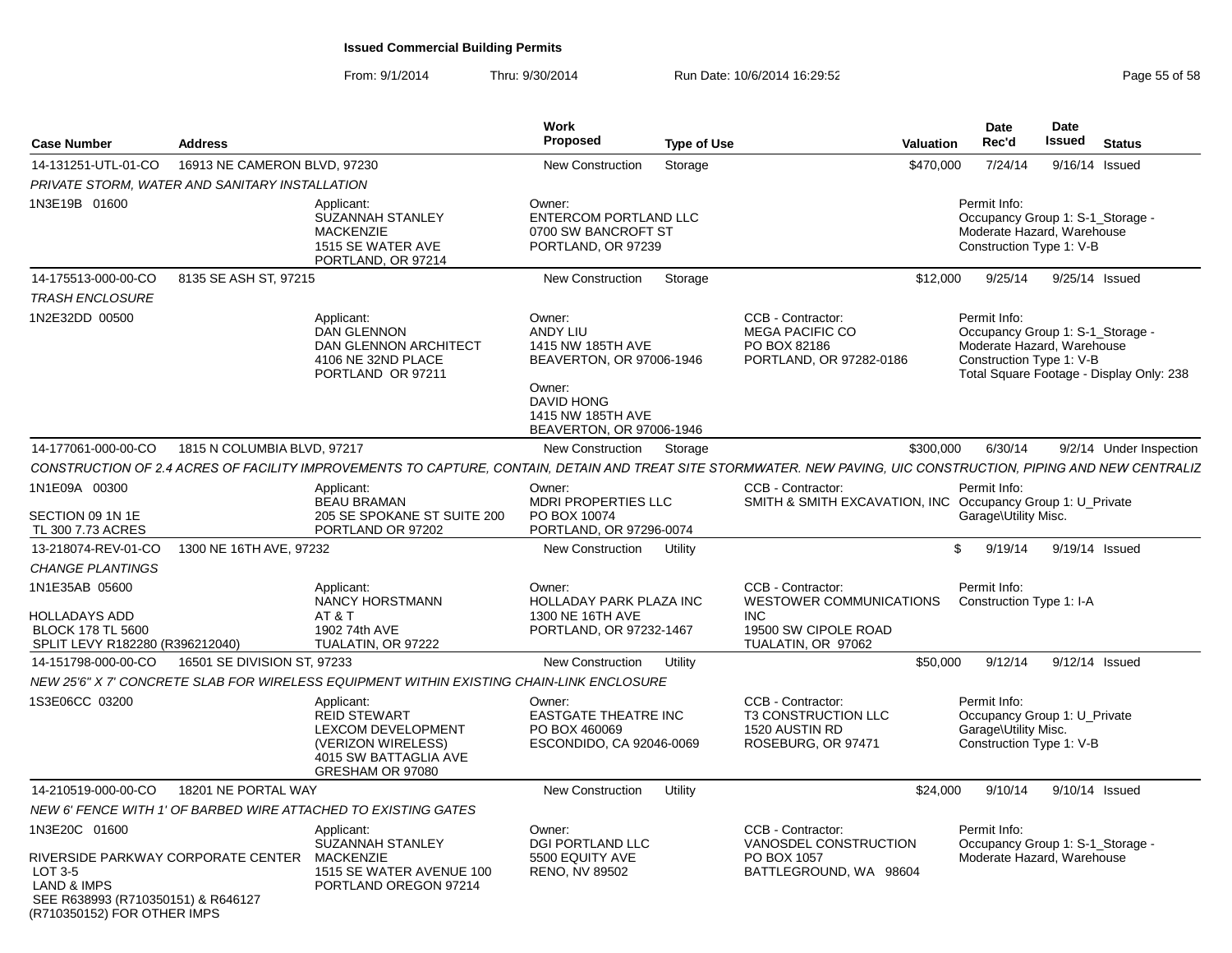From: 9/1/2014

| <b>Case Number</b>                                                                                       | <b>Address</b>               |                                                                                                                                                                  | Work<br>Proposed                                                                                                                                    | <b>Type of Use</b> | <b>Valuation</b>                                                                                                |           | <b>Date</b><br>Rec'd                                                                             | Date<br><b>Issued</b> | <b>Status</b>                                                                |
|----------------------------------------------------------------------------------------------------------|------------------------------|------------------------------------------------------------------------------------------------------------------------------------------------------------------|-----------------------------------------------------------------------------------------------------------------------------------------------------|--------------------|-----------------------------------------------------------------------------------------------------------------|-----------|--------------------------------------------------------------------------------------------------|-----------------------|------------------------------------------------------------------------------|
| 14-131251-UTL-01-CO                                                                                      | 16913 NE CAMERON BLVD, 97230 |                                                                                                                                                                  | New Construction                                                                                                                                    | Storage            |                                                                                                                 | \$470,000 | 7/24/14                                                                                          |                       | 9/16/14 Issued                                                               |
| PRIVATE STORM, WATER AND SANITARY INSTALLATION                                                           |                              |                                                                                                                                                                  |                                                                                                                                                     |                    |                                                                                                                 |           |                                                                                                  |                       |                                                                              |
| 1N3E19B 01600                                                                                            |                              | Applicant:<br><b>SUZANNAH STANLEY</b><br><b>MACKENZIE</b><br>1515 SE WATER AVE<br>PORTLAND, OR 97214                                                             | Owner:<br>ENTERCOM PORTLAND LLC<br>0700 SW BANCROFT ST<br>PORTLAND, OR 97239                                                                        |                    |                                                                                                                 |           | Permit Info:<br>Moderate Hazard, Warehouse<br>Construction Type 1: V-B                           |                       | Occupancy Group 1: S-1_Storage -                                             |
| 14-175513-000-00-CO                                                                                      | 8135 SE ASH ST, 97215        |                                                                                                                                                                  | New Construction                                                                                                                                    | Storage            |                                                                                                                 | \$12,000  | 9/25/14                                                                                          |                       | 9/25/14 Issued                                                               |
| <b>TRASH ENCLOSURE</b>                                                                                   |                              |                                                                                                                                                                  |                                                                                                                                                     |                    |                                                                                                                 |           |                                                                                                  |                       |                                                                              |
| 1N2E32DD 00500                                                                                           |                              | Applicant:<br><b>DAN GLENNON</b><br>DAN GLENNON ARCHITECT<br>4106 NE 32ND PLACE<br>PORTLAND OR 97211                                                             | Owner:<br>ANDY LIU<br>1415 NW 185TH AVE<br>BEAVERTON, OR 97006-1946<br>Owner:<br><b>DAVID HONG</b><br>1415 NW 185TH AVE<br>BEAVERTON, OR 97006-1946 |                    | CCB - Contractor:<br><b>MEGA PACIFIC CO</b><br>PO BOX 82186<br>PORTLAND, OR 97282-0186                          |           | Permit Info:<br>Moderate Hazard, Warehouse<br>Construction Type 1: V-B                           |                       | Occupancy Group 1: S-1_Storage -<br>Total Square Footage - Display Only: 238 |
| 14-177061-000-00-CO                                                                                      | 1815 N COLUMBIA BLVD, 97217  |                                                                                                                                                                  | New Construction                                                                                                                                    | Storage            |                                                                                                                 | \$300,000 | 6/30/14                                                                                          |                       | 9/2/14 Under Inspection                                                      |
|                                                                                                          |                              | CONSTRUCTION OF 2.4 ACRES OF FACILITY IMPROVEMENTS TO CAPTURE, CONTAIN, DETAIN AND TREAT SITE STORMWATER. NEW PAVING, UIC CONSTRUCTION, PIPING AND NEW CENTRALIZ |                                                                                                                                                     |                    |                                                                                                                 |           |                                                                                                  |                       |                                                                              |
| 1N1E09A 00300                                                                                            |                              | Applicant:<br><b>BEAU BRAMAN</b>                                                                                                                                 | Owner:<br><b>MDRI PROPERTIES LLC</b>                                                                                                                |                    | CCB - Contractor:<br>SMITH & SMITH EXCAVATION, INC Occupancy Group 1: U_Private                                 |           | Permit Info:                                                                                     |                       |                                                                              |
| SECTION 09 1N 1E<br>TL 300 7.73 ACRES                                                                    |                              | 205 SE SPOKANE ST SUITE 200<br>PORTLAND OR 97202                                                                                                                 | PO BOX 10074<br>PORTLAND, OR 97296-0074                                                                                                             |                    |                                                                                                                 |           | Garage\Utility Misc.                                                                             |                       |                                                                              |
| 13-218074-REV-01-CO                                                                                      | 1300 NE 16TH AVE, 97232      |                                                                                                                                                                  | New Construction                                                                                                                                    | Utility            |                                                                                                                 | \$        | 9/19/14                                                                                          |                       | 9/19/14 Issued                                                               |
| CHANGE PLANTINGS                                                                                         |                              |                                                                                                                                                                  |                                                                                                                                                     |                    |                                                                                                                 |           |                                                                                                  |                       |                                                                              |
| 1N1E35AB 05600<br><b>HOLLADAYS ADD</b><br><b>BLOCK 178 TL 5600</b><br>SPLIT LEVY R182280 (R396212040)    |                              | Applicant:<br><b>NANCY HORSTMANN</b><br>AT&T<br>1902 74th AVE<br>TUALATIN, OR 97222                                                                              | Owner:<br><b>HOLLADAY PARK PLAZA INC</b><br>1300 NE 16TH AVE<br>PORTLAND, OR 97232-1467                                                             |                    | CCB - Contractor:<br><b>WESTOWER COMMUNICATIONS</b><br><b>INC</b><br>19500 SW CIPOLE ROAD<br>TUALATIN, OR 97062 |           | Permit Info:<br>Construction Type 1: I-A                                                         |                       |                                                                              |
| 14-151798-000-00-CO                                                                                      | 16501 SE DIVISION ST, 97233  |                                                                                                                                                                  | New Construction                                                                                                                                    | Utility            |                                                                                                                 | \$50,000  | 9/12/14                                                                                          |                       | 9/12/14 Issued                                                               |
|                                                                                                          |                              | NEW 25'6" X 7' CONCRETE SLAB FOR WIRELESS EQUIPMENT WITHIN EXISTING CHAIN-LINK ENCLOSURE                                                                         |                                                                                                                                                     |                    |                                                                                                                 |           |                                                                                                  |                       |                                                                              |
| 1S3E06CC 03200                                                                                           |                              | Applicant:<br><b>REID STEWART</b><br>LEXCOM DEVELOPMENT<br>(VERIZON WIRELESS)<br>4015 SW BATTAGLIA AVE<br>GRESHAM OR 97080                                       | Owner:<br><b>EASTGATE THEATRE INC</b><br>PO BOX 460069<br>ESCONDIDO, CA 92046-0069                                                                  |                    | CCB - Contractor:<br><b>T3 CONSTRUCTION LLC</b><br>1520 AUSTIN RD<br>ROSEBURG, OR 97471                         |           | Permit Info:<br>Occupancy Group 1: U Private<br>Garage\Utility Misc.<br>Construction Type 1: V-B |                       |                                                                              |
| 14-210519-000-00-CO                                                                                      | 18201 NE PORTAL WAY          |                                                                                                                                                                  | New Construction                                                                                                                                    | Utility            |                                                                                                                 | \$24,000  | 9/10/14                                                                                          |                       | 9/10/14 Issued                                                               |
|                                                                                                          |                              | NEW 6' FENCE WITH 1' OF BARBED WIRE ATTACHED TO EXISTING GATES                                                                                                   |                                                                                                                                                     |                    |                                                                                                                 |           |                                                                                                  |                       |                                                                              |
| 1N3E20C 01600<br>RIVERSIDE PARKWAY CORPORATE CENTER                                                      |                              | Applicant:<br><b>SUZANNAH STANLEY</b><br><b>MACKENZIE</b>                                                                                                        | Owner:<br><b>DGI PORTLAND LLC</b><br>5500 EQUITY AVE                                                                                                |                    | CCB - Contractor:<br>VANOSDEL CONSTRUCTION<br>PO BOX 1057                                                       |           | Permit Info:<br>Moderate Hazard, Warehouse                                                       |                       | Occupancy Group 1: S-1_Storage -                                             |
| LOT $3-5$<br><b>LAND &amp; IMPS</b><br>SEE R638993 (R710350151) & R646127<br>(R710350152) FOR OTHER IMPS |                              | 1515 SE WATER AVENUE 100<br>PORTLAND OREGON 97214                                                                                                                | RENO, NV 89502                                                                                                                                      |                    | BATTLEGROUND, WA 98604                                                                                          |           |                                                                                                  |                       |                                                                              |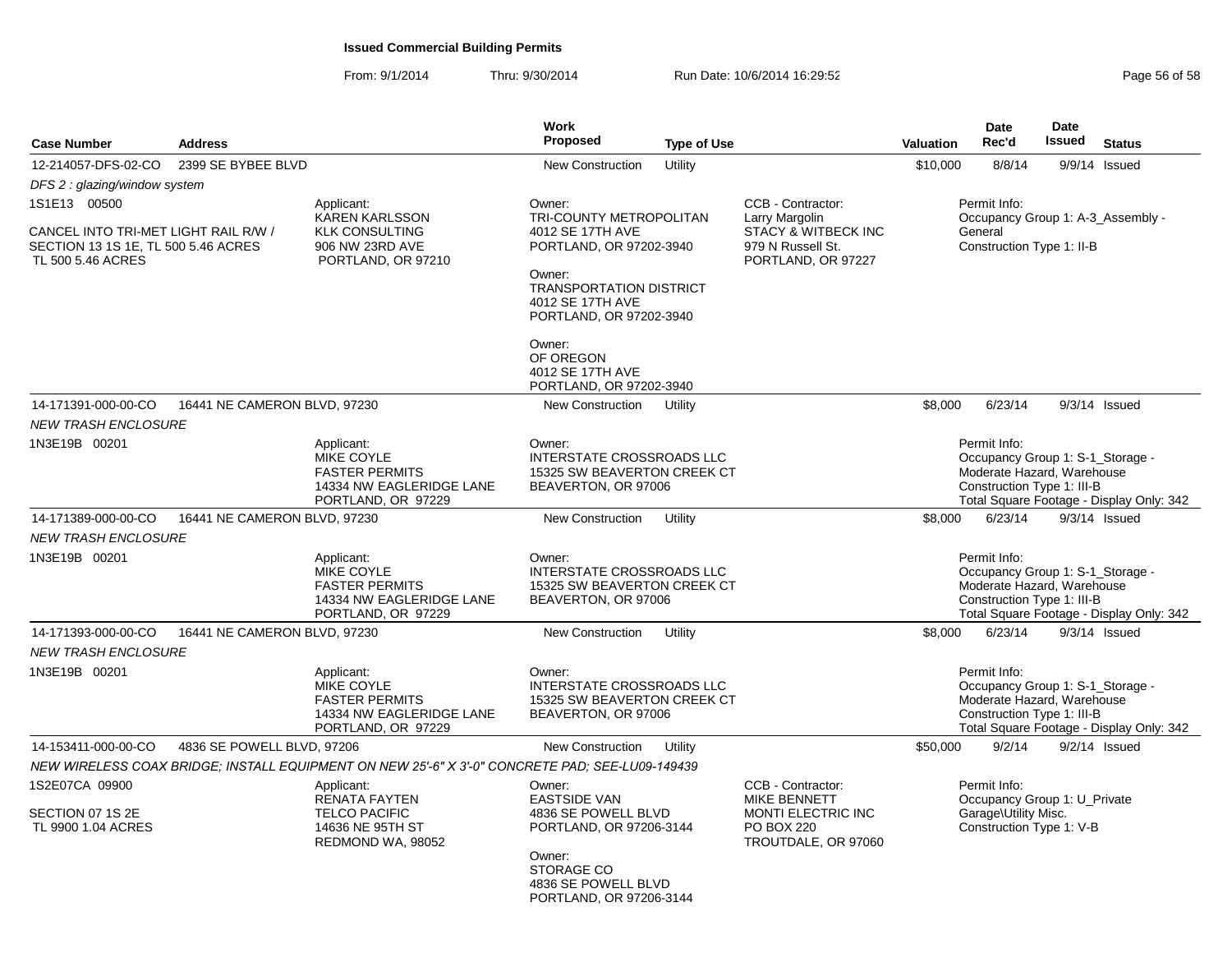| <b>Case Number</b>                                                                               | <b>Address</b>               |                                                                                                     | Work<br><b>Proposed</b>                                                                   | <b>Type of Use</b> |                                                                                                                   | <b>Valuation</b> | Date<br>Rec'd                                                                                                | <b>Date</b><br>Issued | <b>Status</b>                            |
|--------------------------------------------------------------------------------------------------|------------------------------|-----------------------------------------------------------------------------------------------------|-------------------------------------------------------------------------------------------|--------------------|-------------------------------------------------------------------------------------------------------------------|------------------|--------------------------------------------------------------------------------------------------------------|-----------------------|------------------------------------------|
| 12-214057-DFS-02-CO                                                                              | 2399 SE BYBEE BLVD           |                                                                                                     | <b>New Construction</b>                                                                   | Utility            |                                                                                                                   | \$10,000         | 8/8/14                                                                                                       |                       | 9/9/14 Issued                            |
| DFS 2 : glazing/window system                                                                    |                              |                                                                                                     |                                                                                           |                    |                                                                                                                   |                  |                                                                                                              |                       |                                          |
| 1S1E13 00500                                                                                     |                              | Applicant:<br><b>KAREN KARLSSON</b>                                                                 | Owner:<br>TRI-COUNTY METROPOLITAN                                                         |                    | CCB - Contractor:<br>Larry Margolin                                                                               |                  | Permit Info:                                                                                                 |                       | Occupancy Group 1: A-3_Assembly -        |
| CANCEL INTO TRI-MET LIGHT RAIL R/W /<br>SECTION 13 1S 1E, TL 500 5.46 ACRES<br>TL 500 5.46 ACRES |                              | <b>KLK CONSULTING</b><br>906 NW 23RD AVE<br>PORTLAND, OR 97210                                      | 4012 SE 17TH AVE<br>PORTLAND, OR 97202-3940<br>Owner:<br><b>TRANSPORTATION DISTRICT</b>   |                    | <b>STACY &amp; WITBECK INC</b><br>979 N Russell St.<br>PORTLAND, OR 97227                                         |                  | General<br>Construction Type 1: II-B                                                                         |                       |                                          |
|                                                                                                  |                              |                                                                                                     | 4012 SE 17TH AVE<br>PORTLAND, OR 97202-3940                                               |                    |                                                                                                                   |                  |                                                                                                              |                       |                                          |
|                                                                                                  |                              |                                                                                                     | Owner:<br>OF OREGON<br>4012 SE 17TH AVE<br>PORTLAND, OR 97202-3940                        |                    |                                                                                                                   |                  |                                                                                                              |                       |                                          |
| 14-171391-000-00-CO                                                                              | 16441 NE CAMERON BLVD, 97230 |                                                                                                     | New Construction                                                                          | Utility            |                                                                                                                   | \$8,000          | 6/23/14                                                                                                      |                       | $9/3/14$ Issued                          |
| <b>NEW TRASH ENCLOSURE</b>                                                                       |                              |                                                                                                     |                                                                                           |                    |                                                                                                                   |                  |                                                                                                              |                       |                                          |
| 1N3E19B 00201                                                                                    |                              | Applicant:<br>MIKE COYLE<br><b>FASTER PERMITS</b><br>14334 NW EAGLERIDGE LANE<br>PORTLAND, OR 97229 | Owner:<br>INTERSTATE CROSSROADS LLC<br>15325 SW BEAVERTON CREEK CT<br>BEAVERTON, OR 97006 |                    |                                                                                                                   |                  | Permit Info:<br>Occupancy Group 1: S-1_Storage -<br>Moderate Hazard. Warehouse<br>Construction Type 1: III-B |                       | Total Square Footage - Display Only: 342 |
| 14-171389-000-00-CO                                                                              | 16441 NE CAMERON BLVD, 97230 |                                                                                                     | <b>New Construction</b>                                                                   | Utility            |                                                                                                                   | \$8,000          | 6/23/14                                                                                                      |                       | $9/3/14$ Issued                          |
| <b>NEW TRASH ENCLOSURE</b>                                                                       |                              |                                                                                                     |                                                                                           |                    |                                                                                                                   |                  |                                                                                                              |                       |                                          |
| 1N3E19B 00201                                                                                    |                              | Applicant:<br>MIKE COYLE<br><b>FASTER PERMITS</b><br>14334 NW EAGLERIDGE LANE<br>PORTLAND, OR 97229 | Owner:<br>INTERSTATE CROSSROADS LLC<br>15325 SW BEAVERTON CREEK CT<br>BEAVERTON, OR 97006 |                    |                                                                                                                   |                  | Permit Info:<br>Occupancy Group 1: S-1_Storage -<br>Moderate Hazard, Warehouse<br>Construction Type 1: III-B |                       | Total Square Footage - Display Only: 342 |
| 14-171393-000-00-CO                                                                              | 16441 NE CAMERON BLVD, 97230 |                                                                                                     | <b>New Construction</b>                                                                   | Utility            |                                                                                                                   | \$8,000          | 6/23/14                                                                                                      |                       | $9/3/14$ Issued                          |
| <b>NEW TRASH ENCLOSURE</b>                                                                       |                              |                                                                                                     |                                                                                           |                    |                                                                                                                   |                  |                                                                                                              |                       |                                          |
| 1N3E19B 00201                                                                                    |                              | Applicant:<br>MIKE COYLE<br><b>FASTER PERMITS</b><br>14334 NW EAGLERIDGE LANE<br>PORTLAND, OR 97229 | Owner:<br>INTERSTATE CROSSROADS LLC<br>15325 SW BEAVERTON CREEK CT<br>BEAVERTON, OR 97006 |                    |                                                                                                                   |                  | Permit Info:<br>Occupancy Group 1: S-1_Storage -<br>Moderate Hazard, Warehouse<br>Construction Type 1: III-B |                       | Total Square Footage - Display Only: 342 |
| 14-153411-000-00-CO                                                                              | 4836 SE POWELL BLVD, 97206   |                                                                                                     | <b>New Construction</b>                                                                   | Utility            |                                                                                                                   | \$50,000         | 9/2/14                                                                                                       |                       | $9/2/14$ Issued                          |
|                                                                                                  |                              | NEW WIRELESS COAX BRIDGE; INSTALL EQUIPMENT ON NEW 25'-6" X 3'-0" CONCRETE PAD; SEE-LU09-149439     |                                                                                           |                    |                                                                                                                   |                  |                                                                                                              |                       |                                          |
| 1S2E07CA 09900<br>SECTION 07 1S 2E<br>TL 9900 1.04 ACRES                                         |                              | Applicant:<br><b>RENATA FAYTEN</b><br><b>TELCO PACIFIC</b><br>14636 NE 95TH ST<br>REDMOND WA, 98052 | Owner:<br><b>EASTSIDE VAN</b><br>4836 SE POWELL BLVD<br>PORTLAND, OR 97206-3144<br>Owner: |                    | CCB - Contractor:<br><b>MIKE BENNETT</b><br><b>MONTI ELECTRIC INC</b><br><b>PO BOX 220</b><br>TROUTDALE, OR 97060 |                  | Permit Info:<br>Occupancy Group 1: U_Private<br>Garage\Utility Misc.<br>Construction Type 1: V-B             |                       |                                          |
|                                                                                                  |                              |                                                                                                     | <b>STORAGE CO</b><br>4836 SE POWELL BLVD<br>PORTLAND, OR 97206-3144                       |                    |                                                                                                                   |                  |                                                                                                              |                       |                                          |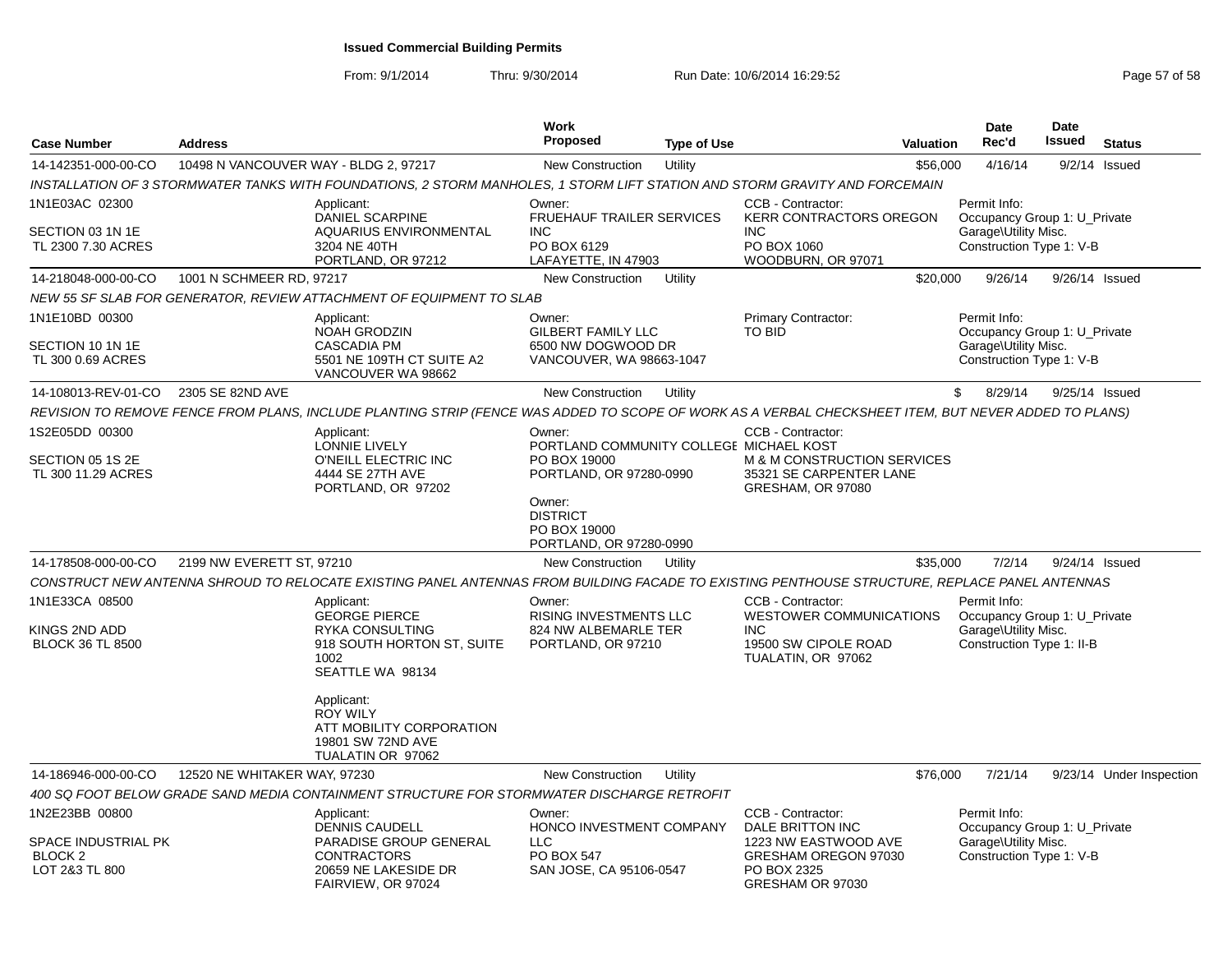| <b>Case Number</b>                                                            | <b>Address</b>                        |                                                                                                                                                      | Work<br><b>Proposed</b>                                                                                                                                              | <b>Type of Use</b> |                                                                                                                          | <b>Valuation</b> | <b>Date</b><br>Rec'd                                                                              | Date<br><b>Issued</b> | <b>Status</b>            |
|-------------------------------------------------------------------------------|---------------------------------------|------------------------------------------------------------------------------------------------------------------------------------------------------|----------------------------------------------------------------------------------------------------------------------------------------------------------------------|--------------------|--------------------------------------------------------------------------------------------------------------------------|------------------|---------------------------------------------------------------------------------------------------|-----------------------|--------------------------|
| 14-142351-000-00-CO                                                           | 10498 N VANCOUVER WAY - BLDG 2, 97217 |                                                                                                                                                      | <b>New Construction</b>                                                                                                                                              | Utility            |                                                                                                                          | \$56,000         | 4/16/14                                                                                           | 9/2/14                | Issued                   |
|                                                                               |                                       | INSTALLATION OF 3 STORMWATER TANKS WITH FOUNDATIONS, 2 STORM MANHOLES, 1 STORM LIFT STATION AND STORM GRAVITY AND FORCEMAIN                          |                                                                                                                                                                      |                    |                                                                                                                          |                  |                                                                                                   |                       |                          |
| 1N1E03AC 02300<br>SECTION 03 1N 1E<br>TL 2300 7.30 ACRES                      |                                       | Applicant:<br><b>DANIEL SCARPINE</b><br>AQUARIUS ENVIRONMENTAL<br>3204 NE 40TH<br>PORTLAND, OR 97212                                                 | Owner:<br><b>FRUEHAUF TRAILER SERVICES</b><br><b>INC</b><br>PO BOX 6129<br>LAFAYETTE, IN 47903                                                                       |                    | CCB - Contractor:<br><b>KERR CONTRACTORS OREGON</b><br><b>INC</b><br>PO BOX 1060<br>WOODBURN, OR 97071                   |                  | Permit Info:<br>Occupancy Group 1: U Private<br>Garage\Utility Misc.<br>Construction Type 1: V-B  |                       |                          |
| 14-218048-000-00-CO                                                           | 1001 N SCHMEER RD, 97217              |                                                                                                                                                      | <b>New Construction</b>                                                                                                                                              | Utility            |                                                                                                                          | \$20,000         | 9/26/14                                                                                           | 9/26/14 Issued        |                          |
|                                                                               |                                       | NEW 55 SF SLAB FOR GENERATOR, REVIEW ATTACHMENT OF EQUIPMENT TO SLAB                                                                                 |                                                                                                                                                                      |                    |                                                                                                                          |                  |                                                                                                   |                       |                          |
| 1N1E10BD 00300<br>SECTION 10 1N 1E<br>TL 300 0.69 ACRES                       |                                       | Applicant:<br><b>NOAH GRODZIN</b><br><b>CASCADIA PM</b><br>5501 NE 109TH CT SUITE A2<br>VANCOUVER WA 98662                                           | Owner:<br><b>GILBERT FAMILY LLC</b><br>6500 NW DOGWOOD DR<br>VANCOUVER, WA 98663-1047                                                                                |                    | Primary Contractor:<br><b>TO BID</b>                                                                                     |                  | Permit Info:<br>Occupancy Group 1: U Private<br>Garage\Utility Misc.<br>Construction Type 1: V-B  |                       |                          |
| 14-108013-REV-01-CO                                                           | 2305 SE 82ND AVE                      |                                                                                                                                                      | New Construction                                                                                                                                                     | Utility            |                                                                                                                          | \$               | 8/29/14                                                                                           | 9/25/14 Issued        |                          |
|                                                                               |                                       | REVISION TO REMOVE FENCE FROM PLANS, INCLUDE PLANTING STRIP (FENCE WAS ADDED TO SCOPE OF WORK AS A VERBAL CHECKSHEET ITEM, BUT NEVER ADDED TO PLANS) |                                                                                                                                                                      |                    |                                                                                                                          |                  |                                                                                                   |                       |                          |
| 1S2E05DD 00300<br>SECTION 05 1S 2E<br>TL 300 11.29 ACRES                      |                                       | Applicant:<br>LONNIE LIVELY<br>O'NEILL ELECTRIC INC<br>4444 SE 27TH AVE<br>PORTLAND, OR 97202                                                        | Owner:<br>PORTLAND COMMUNITY COLLEGE MICHAEL KOST<br>PO BOX 19000<br>PORTLAND, OR 97280-0990<br>Owner:<br><b>DISTRICT</b><br>PO BOX 19000<br>PORTLAND, OR 97280-0990 |                    | CCB - Contractor:<br>M & M CONSTRUCTION SERVICES<br>35321 SE CARPENTER LANE<br>GRESHAM, OR 97080                         |                  |                                                                                                   |                       |                          |
| 14-178508-000-00-CO                                                           | 2199 NW EVERETT ST, 97210             |                                                                                                                                                      | <b>New Construction</b>                                                                                                                                              | Utility            |                                                                                                                          | \$35,000         | 7/2/14                                                                                            | 9/24/14 Issued        |                          |
|                                                                               |                                       | CONSTRUCT NEW ANTENNA SHROUD TO RELOCATE EXISTING PANEL ANTENNAS FROM BUILDING FACADE TO EXISTING PENTHOUSE STRUCTURE, REPLACE PANEL ANTENNAS        |                                                                                                                                                                      |                    |                                                                                                                          |                  |                                                                                                   |                       |                          |
| 1N1E33CA 08500<br>KINGS 2ND ADD<br><b>BLOCK 36 TL 8500</b>                    |                                       | Applicant:<br><b>GEORGE PIERCE</b><br><b>RYKA CONSULTING</b><br>918 SOUTH HORTON ST, SUITE<br>1002<br>SEATTLE WA 98134                               | Owner:<br><b>RISING INVESTMENTS LLC</b><br>824 NW ALBEMARLE TER<br>PORTLAND, OR 97210                                                                                |                    | CCB - Contractor:<br><b>WESTOWER COMMUNICATIONS</b><br><b>INC</b><br>19500 SW CIPOLE ROAD<br>TUALATIN, OR 97062          |                  | Permit Info:<br>Occupancy Group 1: U_Private<br>Garage\Utility Misc.<br>Construction Type 1: II-B |                       |                          |
|                                                                               |                                       | Applicant:<br><b>ROY WILY</b><br>ATT MOBILITY CORPORATION<br>19801 SW 72ND AVE<br>TUALATIN OR 97062                                                  |                                                                                                                                                                      |                    |                                                                                                                          |                  |                                                                                                   |                       |                          |
| 14-186946-000-00-CO                                                           | 12520 NE WHITAKER WAY, 97230          |                                                                                                                                                      | <b>New Construction</b>                                                                                                                                              | Utility            |                                                                                                                          | \$76,000         | 7/21/14                                                                                           |                       | 9/23/14 Under Inspection |
|                                                                               |                                       | 400 SQ FOOT BELOW GRADE SAND MEDIA CONTAINMENT STRUCTURE FOR STORMWATER DISCHARGE RETROFIT                                                           |                                                                                                                                                                      |                    |                                                                                                                          |                  |                                                                                                   |                       |                          |
| 1N2E23BB 00800<br>SPACE INDUSTRIAL PK<br>BLOCK <sub>2</sub><br>LOT 2&3 TL 800 |                                       | Applicant:<br><b>DENNIS CAUDELL</b><br>PARADISE GROUP GENERAL<br><b>CONTRACTORS</b><br>20659 NE LAKESIDE DR<br>FAIRVIEW, OR 97024                    | Owner:<br>HONCO INVESTMENT COMPANY<br><b>LLC</b><br><b>PO BOX 547</b><br>SAN JOSE, CA 95106-0547                                                                     |                    | CCB - Contractor:<br>DALE BRITTON INC<br>1223 NW EASTWOOD AVE<br>GRESHAM OREGON 97030<br>PO BOX 2325<br>GRESHAM OR 97030 |                  | Permit Info:<br>Occupancy Group 1: U_Private<br>Garage\Utility Misc.<br>Construction Type 1: V-B  |                       |                          |